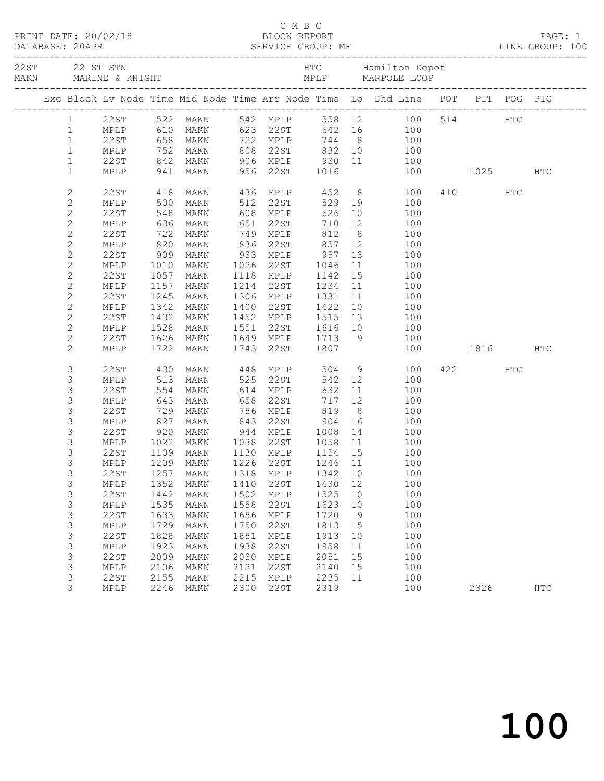|  |                              |                                                 |              |                                                                      |              |                        |                                     |                | Exc Block Lv Node Time Mid Node Time Arr Node Time Lo Dhd Line POT PIT POG PIG |              |     |     |
|--|------------------------------|-------------------------------------------------|--------------|----------------------------------------------------------------------|--------------|------------------------|-------------------------------------|----------------|--------------------------------------------------------------------------------|--------------|-----|-----|
|  | $1 \quad$                    |                                                 |              |                                                                      |              |                        |                                     |                | 542 MPLP 558 12 100 514 HTC<br>623 22ST 642 16 100                             |              |     |     |
|  | $\mathbf{1}$                 |                                                 |              | 22ST 522 MAKN<br>MPLP 610 MAKN<br><b>MAKN</b>                        |              | 623 22ST               |                                     |                |                                                                                |              |     |     |
|  | $\mathbf{1}$                 | 22ST                                            |              | 658 MAKN                                                             |              | 722 MPLP               |                                     |                | 744 8 100                                                                      |              |     |     |
|  | $\mathbf{1}$                 | MPLP 752 MAKN<br>22ST 842 MAKN<br>MPLP 941 MAKN |              |                                                                      |              |                        |                                     |                |                                                                                |              |     |     |
|  | $\mathbf{1}$                 |                                                 |              |                                                                      |              |                        |                                     |                | 100                                                                            |              |     |     |
|  | $\mathbf{1}$                 |                                                 |              |                                                                      |              |                        |                                     |                | 808 22ST 832 10 100<br>906 MPLP 930 11 100<br>956 22ST 1016 100                | 100 1025 HTC |     |     |
|  | $\mathbf{2}$                 | 22ST                                            | 418          | MAKN                                                                 |              |                        |                                     |                | 436 MPLP 452 8 100<br>512 22ST 529 19 100<br>608 MPLP 626 10 100               | 410          | HTC |     |
|  | $\mathbf{2}$                 | MPLP                                            | 500          | MAKN                                                                 |              |                        |                                     |                |                                                                                |              |     |     |
|  | $\mathbf{2}$                 | 22ST                                            | 548          | MAKN                                                                 |              |                        |                                     |                |                                                                                |              |     |     |
|  | $\mathbf{2}$                 | MPLP                                            | 636          | MAKN                                                                 |              | 651 22ST               | 710                                 | 12             | 100                                                                            |              |     |     |
|  | $\mathbf{2}$                 | 22ST                                            | 722          | MAKN                                                                 |              | 749 MPLP               | 812                                 | 8 <sup>8</sup> | 100                                                                            |              |     |     |
|  | $\mathbf{2}$                 | MPLP                                            |              | 820 MAKN<br>909 MAKN                                                 |              |                        | 857 12                              |                | 100                                                                            |              |     |     |
|  | $\mathbf{2}$                 | 22ST                                            |              |                                                                      |              |                        |                                     | 13             | 100                                                                            |              |     |     |
|  | $\mathbf{2}$                 | MPLP                                            | 1010         | MAKN                                                                 |              | 1026 22ST              | 1046                                | 11             | 100                                                                            |              |     |     |
|  | $\mathbf{2}$<br>$\mathbf{2}$ | 22ST<br>MPLP                                    | 1057<br>1157 | MAKN<br>MAKN                                                         |              | 1118 MPLP<br>1214 22ST | 1142<br>1234 11                     | 15             | 100<br>100                                                                     |              |     |     |
|  | $\mathbf{2}$                 | 22ST                                            | 1245         | MAKN                                                                 |              | 1306 MPLP              | 1331                                |                | $\begin{array}{c} 11 \\ 11 \end{array}$<br>100                                 |              |     |     |
|  | $\mathbf{2}$                 | MPLP                                            | 1342         | MAKN                                                                 | 1400         | 22ST                   | 1422                                | 10             | 100                                                                            |              |     |     |
|  | $\mathbf{2}$                 | 22ST                                            | 1432         | MAKN                                                                 |              | 1452 MPLP              | 1515                                |                | 13<br>100                                                                      |              |     |     |
|  | $\mathbf{2}$                 | MPLP                                            | 1528         | MAKN                                                                 |              |                        |                                     |                |                                                                                |              |     |     |
|  | $\mathbf{2}$                 | 22ST                                            | 1626         | MAKN                                                                 |              |                        |                                     |                | 1551 22ST 1616 10 100<br>1649 MPLP 1713 9 100                                  |              |     |     |
|  | 2                            | MPLP                                            | 1722         | MAKN                                                                 |              |                        | 1743 22ST 1807                      |                | 100                                                                            | 1816 HTC     |     |     |
|  | 3                            | 22ST                                            |              | MAKN                                                                 |              |                        |                                     |                | $\frac{9}{10}$<br>100                                                          | 422          | HTC |     |
|  | 3                            | MPLP                                            | 430<br>513   | MAKN                                                                 |              |                        | 448 MPLP 504<br>525 22ST 542<br>542 | 12             | 100                                                                            |              |     |     |
|  | 3                            | 22ST                                            | 554          | MAKN                                                                 |              | 614 MPLP               | 632                                 |                | 11<br>100                                                                      |              |     |     |
|  | 3                            | MPLP                                            | 643          | MAKN                                                                 | 658          | 22ST                   | 717                                 | 12             | 100                                                                            |              |     |     |
|  | 3                            | 22ST                                            | 729<br>827   |                                                                      |              |                        |                                     |                | 100                                                                            |              |     |     |
|  | 3                            | MPLP                                            |              | MAKN 756 MPLP 819 8<br>MAKN 843 22ST 904 16<br>MAKN 944 MPLP 1008 14 |              |                        |                                     |                | 100                                                                            |              |     |     |
|  | 3                            | 22ST                                            | 920          |                                                                      |              |                        |                                     |                | 100                                                                            |              |     |     |
|  | 3                            | MPLP                                            | 1022         | MAKN                                                                 |              |                        | 1038 22ST 1058 11                   |                | 100                                                                            |              |     |     |
|  | 3                            | 22ST                                            |              | 1109 MAKN                                                            |              | 1130 MPLP              | 1154 15                             |                | 100                                                                            |              |     |     |
|  | 3                            |                                                 |              | MPLP 1209 MAKN 1226 22ST 1246 11                                     |              |                        |                                     |                | 100                                                                            |              |     |     |
|  | 3                            | 22ST                                            | 1257         | MAKN                                                                 | 1318         | MPLP<br>22ST           | 1342                                | 10             | 100                                                                            |              |     |     |
|  | 3                            | MPLP<br><b>22ST</b>                             | 1352<br>1442 | MAKN<br>MAKN                                                         | 1410<br>1502 |                        | 1430                                | 12<br>10       | 100<br>100                                                                     |              |     |     |
|  | 3<br>3                       | MPLP                                            | 1535         | MAKN                                                                 | 1558         | MPLP<br>22ST           | 1525<br>1623                        | 10             | 100                                                                            |              |     |     |
|  | 3                            | <b>22ST</b>                                     | 1633         | MAKN                                                                 | 1656         | MPLP                   | 1720                                | 9              | 100                                                                            |              |     |     |
|  | 3                            | MPLP                                            | 1729         | MAKN                                                                 | 1750         | 22ST                   | 1813                                | 15             | 100                                                                            |              |     |     |
|  | 3                            | <b>22ST</b>                                     | 1828         | MAKN                                                                 | 1851         | MPLP                   | 1913                                | 10             | 100                                                                            |              |     |     |
|  | 3                            | MPLP                                            | 1923         | MAKN                                                                 | 1938         | 22ST                   | 1958                                | 11             | 100                                                                            |              |     |     |
|  | 3                            | <b>22ST</b>                                     | 2009         | MAKN                                                                 | 2030         | MPLP                   | 2051                                | 15             | 100                                                                            |              |     |     |
|  | 3                            | MPLP                                            | 2106         | MAKN                                                                 | 2121         | 22ST                   | 2140                                | 15             | 100                                                                            |              |     |     |
|  | 3                            | 22ST                                            | 2155         | MAKN                                                                 | 2215         | MPLP                   | 2235                                | 11             | 100                                                                            |              |     |     |
|  | 3                            | MPLP                                            | 2246         | MAKN                                                                 | 2300         | 22ST                   | 2319                                |                | 100                                                                            | 2326         |     | HTC |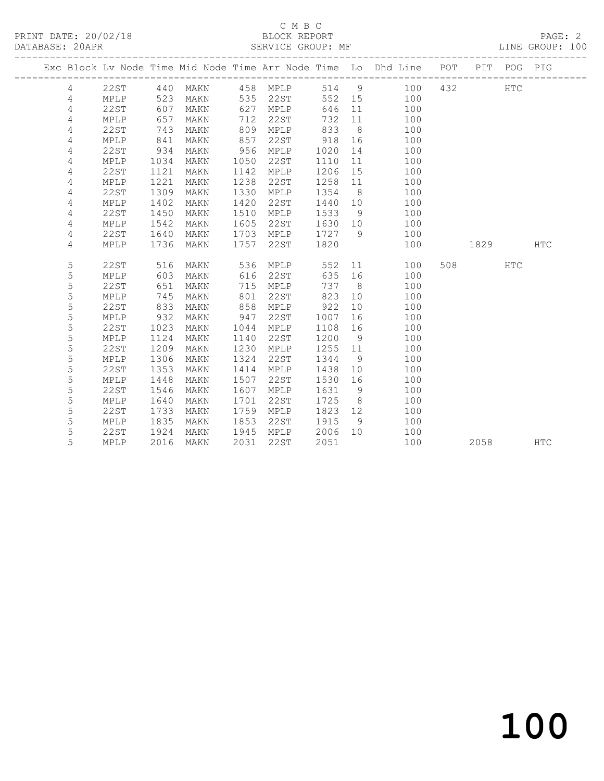|  |                |             |      |      |      |               |         |                | Exc Block Lv Node Time Mid Node Time Arr Node Time Lo Dhd Line POT |      | PIT POG PIG |             |
|--|----------------|-------------|------|------|------|---------------|---------|----------------|--------------------------------------------------------------------|------|-------------|-------------|
|  | $\overline{4}$ | 22ST        | 440  |      |      | MAKN 458 MPLP |         |                | 514 9 100                                                          | 432  | HTC         |             |
|  | 4              | <b>MPLP</b> | 523  | MAKN |      | 535 22ST      |         |                | 552 15 100                                                         |      |             |             |
|  | 4              | 22ST        | 607  | MAKN | 627  | MPLP          | 646     | 11             | 100                                                                |      |             |             |
|  | 4              | MPLP        | 657  | MAKN | 712  | 22ST          | 732     | 11             | 100                                                                |      |             |             |
|  | 4              | 22ST        | 743  | MAKN | 809  | MPLP          | 833     | 8 <sup>8</sup> | 100                                                                |      |             |             |
|  | 4              | MPLP        | 841  | MAKN | 857  | 22ST          | 918     | 16             | 100                                                                |      |             |             |
|  | 4              | 22ST        | 934  | MAKN | 956  | MPLP          | 1020    | 14             | 100                                                                |      |             |             |
|  | 4              | MPLP        | 1034 | MAKN | 1050 | 22ST          | 1110    | 11             | 100                                                                |      |             |             |
|  | 4              | 22ST        | 1121 | MAKN | 1142 | MPLP          | 1206    | 15             | 100                                                                |      |             |             |
|  | 4              | MPLP        | 1221 | MAKN | 1238 | 22ST          | 1258    | 11             | 100                                                                |      |             |             |
|  | 4              | <b>22ST</b> | 1309 | MAKN | 1330 | MPLP          | 1354    | 8 <sup>8</sup> | 100                                                                |      |             |             |
|  | 4              | MPLP        | 1402 | MAKN | 1420 | 22ST          | 1440    | 10             | 100                                                                |      |             |             |
|  | 4              | 22ST        | 1450 | MAKN | 1510 | MPLP          | 1533    | 9              | 100                                                                |      |             |             |
|  | 4              | MPLP        | 1542 | MAKN | 1605 | 22ST          | 1630 10 |                | 100                                                                |      |             |             |
|  | 4              | 22ST        | 1640 | MAKN | 1703 | MPLP          | 1727 9  |                | 100                                                                |      |             |             |
|  | 4              | MPLP        | 1736 | MAKN | 1757 | 22ST          | 1820    |                | 100                                                                | 1829 |             | ${\tt HTC}$ |
|  |                |             |      |      |      |               |         |                |                                                                    |      |             |             |
|  | 5              | 22ST        | 516  | MAKN | 536  | MPLP          | 552     |                | 11 — 1<br>100                                                      |      | HTC         |             |
|  | 5              | MPLP        | 603  | MAKN | 616  | 22ST          | 635     | 16             | 100                                                                |      |             |             |
|  | 5              | <b>22ST</b> | 651  | MAKN | 715  | MPLP          | 737     | 8 <sup>8</sup> | 100                                                                |      |             |             |
|  | 5              | MPLP        | 745  | MAKN | 801  | 22ST          | 823     | 10             | 100                                                                |      |             |             |
|  | 5              | 22ST        | 833  | MAKN | 858  | MPLP          | 922     | 10             | 100                                                                |      |             |             |
|  | 5              | MPLP        | 932  | MAKN | 947  | 22ST          | 1007    | 16             | 100                                                                |      |             |             |
|  | 5              | 22ST        | 1023 | MAKN | 1044 | MPLP          | 1108    | 16             | 100                                                                |      |             |             |
|  | 5              | MPLP        | 1124 | MAKN | 1140 | 22ST          | 1200    | 9              | 100                                                                |      |             |             |
|  | 5              | 22ST        | 1209 | MAKN | 1230 | MPLP          | 1255 11 |                | 100                                                                |      |             |             |
|  | 5              | MPLP        | 1306 | MAKN | 1324 | 22ST          | 1344    | 9              | 100                                                                |      |             |             |
|  | 5              | 22ST        | 1353 | MAKN | 1414 | MPLP          | 1438    | 10             | 100                                                                |      |             |             |
|  | 5              | MPLP        | 1448 | MAKN | 1507 | 22ST          | 1530    | 16             | 100                                                                |      |             |             |
|  | 5              | 22ST        | 1546 | MAKN | 1607 | MPLP          | 1631    | 9              | 100                                                                |      |             |             |
|  | 5              | MPLP        | 1640 | MAKN | 1701 | 22ST          | 1725    | 8 <sup>8</sup> | 100                                                                |      |             |             |
|  | 5              | 22ST        | 1733 | MAKN | 1759 | MPLP          | 1823    | 12             | 100                                                                |      |             |             |
|  | 5              | MPLP        | 1835 | MAKN | 1853 | 22ST          | 1915    | - 9            | 100                                                                |      |             |             |
|  | 5              | 22ST        | 1924 | MAKN | 1945 | MPLP          | 2006    | 10             | 100                                                                |      |             |             |
|  | 5              | MPLP        | 2016 | MAKN | 2031 | 22ST          | 2051    |                | 100                                                                | 2058 |             | <b>HTC</b>  |
|  |                |             |      |      |      |               |         |                |                                                                    |      |             |             |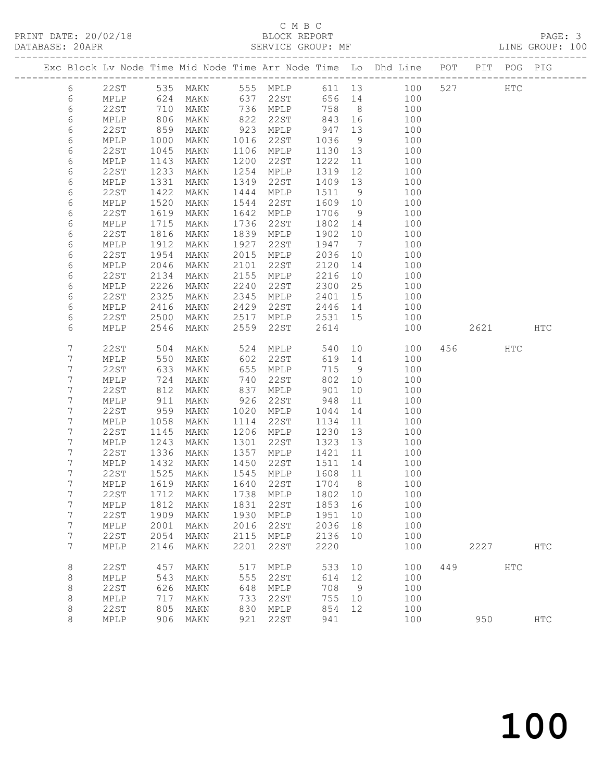## C M B C<br>BLOCK REPORT

| DATABASE: 20APR |                |              |                   |              |      | SERVICE GROUP: MF                  |              |          | LINE GROUP: 100                                                                |         |               |  |
|-----------------|----------------|--------------|-------------------|--------------|------|------------------------------------|--------------|----------|--------------------------------------------------------------------------------|---------|---------------|--|
|                 |                |              |                   |              |      |                                    |              |          | Exc Block Lv Node Time Mid Node Time Arr Node Time Lo Dhd Line POT PIT POG PIG |         |               |  |
|                 | 6              |              |                   |              |      |                                    |              |          | 22ST 535 MAKN 555 MPLP 611 13 100 527 HTC                                      |         |               |  |
|                 | 6              | MPLP 624     |                   |              |      | MAKN 637 22ST                      |              |          | 656 14 100                                                                     |         |               |  |
|                 | 6              | 22ST         | 710<br>806<br>859 | MAKN         |      | 736 MPLP                           | 758 8        |          | 100                                                                            |         |               |  |
|                 | $\epsilon$     | MPLP         |                   | MAKN         |      | 822 22ST 843 16<br>923 MPLP 947 13 |              |          | 100                                                                            |         |               |  |
|                 | 6              | 22ST         |                   | MAKN         |      |                                    |              |          | 100                                                                            |         |               |  |
|                 | 6              | MPLP         | 1000              | MAKN         |      | 1016 22ST                          | 1036         | 9        | 100                                                                            |         |               |  |
|                 | 6              | 22ST         | 1045              | MAKN         |      | 1106 MPLP                          | 1130 13      |          | 100                                                                            |         |               |  |
|                 | 6              | MPLP         | 1143              | MAKN         |      | 1200 22ST                          | 1222 11      |          | 100                                                                            |         |               |  |
|                 | 6              | 22ST         | 1233              | MAKN         |      | 1254 MPLP                          | 1319         | 12       | 100                                                                            |         |               |  |
|                 | 6              | MPLP         | 1331              | MAKN         | 1349 | 22ST                               | 1409 13      |          | 100                                                                            |         |               |  |
|                 | 6              | 22ST         | 1422              | MAKN         | 1444 | MPLP                               | 1511         | 9        | 100                                                                            |         |               |  |
|                 | 6              | MPLP         | 1520              | MAKN         | 1544 | 22ST                               | 1609 10      |          | 100                                                                            |         |               |  |
|                 | 6              | 22ST         | 1619              | MAKN         |      | 1642 MPLP                          | 1706         | 9        | 100                                                                            |         |               |  |
|                 | 6              | MPLP         | 1715              | MAKN         | 1736 | 22ST                               | 1802 14      |          | 100                                                                            |         |               |  |
|                 | 6              | 22ST         | 1816              | MAKN         | 1839 | MPLP                               | 1902         | 10       | 100                                                                            |         |               |  |
|                 | 6              | MPLP         | 1912              | MAKN         | 1927 | 22ST                               | 1947 7       |          | 100                                                                            |         |               |  |
|                 | 6              | 22ST         | 1954              | MAKN         | 2015 | MPLP                               | 2036         | 10       | 100                                                                            |         |               |  |
|                 | 6              | MPLP         | 2046              | MAKN         | 2101 | 22ST                               | 2120         | 14       | 100                                                                            |         |               |  |
|                 | 6              | 22ST         | 2134              | MAKN         | 2155 | MPLP                               | 2216         | 10       | 100                                                                            |         |               |  |
|                 | 6              | MPLP         | 2226              | MAKN         | 2240 | 22ST                               | 2300         | 25       | 100                                                                            |         |               |  |
|                 | 6              | 22ST         | 2325              | MAKN         |      | 2345 MPLP                          | 2401         | 15       | 100                                                                            |         |               |  |
|                 | 6              | MPLP         | 2416              | MAKN         | 2429 | 22ST                               | 2446 14      |          | 100                                                                            |         |               |  |
|                 | 6              | 22ST         | 2500              | MAKN         | 2517 | MPLP                               | 2531 15      |          | 100                                                                            |         |               |  |
|                 | 6              | MPLP         | 2546              | MAKN         | 2559 | 22ST                               | 2614         |          | 100                                                                            | 2621    | HTC           |  |
|                 | 7              | 22ST         | 504               | MAKN         |      | 524 MPLP                           | 540          |          | 10<br>100                                                                      | 456 HTC |               |  |
|                 | 7              | MPLP         | 550               | MAKN         |      | 602 22ST                           |              |          | 619 14<br>100                                                                  |         |               |  |
|                 | 7              | 22ST         | 633               | MAKN         |      | 655 MPLP                           | 715          | 9        | 100                                                                            |         |               |  |
|                 | 7              | MPLP         | $\frac{724}{812}$ | MAKN         | 740  | 22ST                               | 802          | 10       | 100                                                                            |         |               |  |
|                 | 7              | 22ST         |                   | MAKN         |      | 837 MPLP                           | 901          | 10       | 100                                                                            |         |               |  |
|                 | 7<br>7         | MPLP<br>22ST | 911<br>959        | MAKN         |      | 926 22ST                           | 948          | 11       | 100                                                                            |         |               |  |
|                 | 7              | MPLP         | 1058              | MAKN<br>MAKN | 1020 | MPLP<br>1114 22ST                  | 1044<br>1134 | 14<br>11 | 100<br>100                                                                     |         |               |  |
|                 | 7              | 22ST         | 1145              | MAKN         |      | 1206 MPLP                          | 1230         | 13       | 100                                                                            |         |               |  |
|                 | 7              | MPLP         | 1243              | MAKN         | 1301 | 22ST                               | 1323 13      |          | 100                                                                            |         |               |  |
|                 | 7              | 22ST         | 1336              | MAKN         | 1357 | MPLP                               | 1421         | 11       | 100                                                                            |         |               |  |
|                 | 7              | MPLP         |                   | MAKN         |      | 1450 22ST                          | 1511         | 14       | 100                                                                            |         |               |  |
|                 | 7              | 22ST         | 1432<br>1525      | MAKN         |      | 1545 MPLP                          | 1608 11      |          | 100                                                                            |         |               |  |
|                 | $7\phantom{.}$ |              |                   |              |      | MPLP 1619 MAKN 1640 22ST 1704 8    |              |          | 100                                                                            |         |               |  |
|                 | 7              | 22ST         | 1712              | MAKN         | 1738 | MPLP                               | 1802 10      |          | 100                                                                            |         |               |  |
|                 | 7              | MPLP         | 1812              | MAKN         | 1831 | 22ST                               | 1853 16      |          | 100                                                                            |         |               |  |
|                 | 7              | 22ST         | 1909              | MAKN         | 1930 | MPLP                               | 1951         | 10       | 100                                                                            |         |               |  |
|                 | 7              | MPLP         | 2001              | MAKN         | 2016 | 22ST                               | 2036         | 18       | 100                                                                            |         |               |  |
|                 | $\overline{7}$ | 22ST         | 2054              | MAKN         | 2115 | MPLP                               | 2136         | 10       | 100                                                                            |         |               |  |
|                 | 7              | MPLP         | 2146              | MAKN         | 2201 | 22ST                               | 2220         |          | 100                                                                            | 2227    | HTC           |  |
|                 | 8              | 22ST         | 457               | MAKN         | 517  | MPLP                               | 533          | 10       | 100                                                                            | 449 HTC |               |  |
|                 | 8              | MPLP         | 543               | MAKN         | 555  | 22ST                               | 614 12       |          | 100                                                                            |         |               |  |
|                 | 8              | 22ST         | 626               | MAKN         | 648  | MPLP                               | 708          | 9        | 100                                                                            |         |               |  |
|                 | 8              | MPLP         | 717               | MAKN         | 733  | 22ST                               | 755 10       |          | 100                                                                            |         |               |  |
|                 | 8              | 22ST         | 805               | MAKN         | 830  | MPLP                               | 854 12       |          | 100                                                                            |         |               |  |
|                 | 8              | MPLP         | 906               | MAKN         | 921  | 22ST                               | 941          |          | 100                                                                            | 950     | $_{\rm{HTC}}$ |  |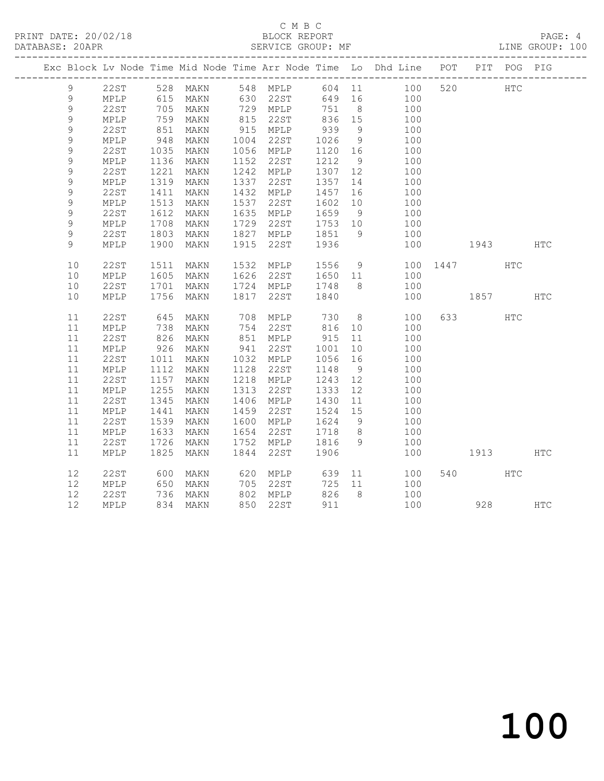|                |                 |            |               |      |                                             |              |                | Exc Block Lv Node Time Mid Node Time Arr Node Time Lo Dhd Line POT PIT POG PIG |          |         |              |            |
|----------------|-----------------|------------|---------------|------|---------------------------------------------|--------------|----------------|--------------------------------------------------------------------------------|----------|---------|--------------|------------|
| 9              |                 |            |               |      |                                             |              |                | 22ST 528 MAKN 548 MPLP 604 11 100 520 HTC                                      |          |         |              |            |
| 9              | MPLP            | 615        | MAKN 630 22ST |      |                                             |              |                | 649 16<br>100                                                                  |          |         |              |            |
| $\mathsf 9$    | 22ST            | 705<br>759 | MAKN          |      |                                             | 751 8        |                | 100                                                                            |          |         |              |            |
| $\mathsf 9$    | MPLP            |            | MAKN          |      |                                             |              |                | $\frac{1}{100}$                                                                |          |         |              |            |
| 9              | 22ST            | 851        | MAKN          |      | 915 MPLP                                    | 939          | 9              | 100                                                                            |          |         |              |            |
| $\mathsf 9$    | MPLP            | 948        | MAKN          |      | 1004 22ST                                   | 1026<br>1120 | 9              | 100                                                                            |          |         |              |            |
| 9              | 22ST            | 1035       | MAKN          |      | 1056 MPLP                                   | 1120 16      |                | 100                                                                            |          |         |              |            |
| 9              | MPLP            | 1136       | MAKN          |      | 1152 22ST                                   | 1212         | 9              | 100                                                                            |          |         |              |            |
| 9              | 22ST            | 1221       | MAKN          |      | 1242 MPLP                                   | 1307 12      |                | 100                                                                            |          |         |              |            |
| 9              | $\texttt{MPLP}$ | 1319       | MAKN          |      | 1337 22ST                                   | 1357         | 14             | 100                                                                            |          |         |              |            |
| 9              | 22ST            | 1411       | MAKN          |      | 1432 MPLP 1457 16                           |              |                | 100                                                                            |          |         |              |            |
| 9              | MPLP            | 1513       | MAKN          |      | 1537 22ST                                   | 1602         | 10             | 100                                                                            |          |         |              |            |
| $\mathsf 9$    | 22ST            | 1612       | MAKN          |      | 1635 MPLP 1659 9                            |              |                | 100                                                                            |          |         |              |            |
| 9              | MPLP            | 1708       | MAKN          |      | $1729$ $22ST$ $1753$ $10$                   |              |                | 100                                                                            |          |         |              |            |
| $\mathcal{G}$  | 22ST            | 1803       | MAKN          |      | 1827 MPLP 1851                              |              | 9              | 100                                                                            |          |         |              |            |
| $\overline{9}$ | MPLP            | 1900       | MAKN          | 1915 | 22ST                                        | 1936         |                | 100                                                                            | 1943     |         |              | <b>HTC</b> |
|                |                 |            |               |      |                                             |              |                |                                                                                |          |         |              |            |
| 10             | 22ST            | 1511       | MAKN          |      | 1532 MPLP                                   |              |                | 1556 9<br>100                                                                  | 1447     |         | <b>HTC</b>   |            |
| 10             | MPLP            | 1605       | MAKN          |      |                                             |              |                | 100                                                                            |          |         |              |            |
| 10             | 22ST            | 1701       | MAKN          |      |                                             |              |                | 100                                                                            |          |         |              |            |
| 10             | MPLP            |            | 1756 MAKN     |      | 1817 22ST 1840                              |              |                | 100                                                                            | 1857 HTC |         |              |            |
|                |                 |            |               |      |                                             |              |                |                                                                                |          |         |              |            |
| 11             | 22ST            | 645        | MAKN          |      | 708 MPLP 730                                |              |                | 8 <sup>1</sup><br>100                                                          |          | 633 000 | $_{\rm HTC}$ |            |
| 11             | MPLP            | 738        | MAKN          |      | 754 22ST                                    | 816 10       |                | 100                                                                            |          |         |              |            |
| 11             | 22ST            | 826        | MAKN          |      | 851 MPLP 915                                |              | 11             | 100                                                                            |          |         |              |            |
| 11             | MPLP            | 926        | MAKN          |      | 941 22ST                                    | 1001         | 10             | 100                                                                            |          |         |              |            |
| 11             | 22ST            | 1011       | MAKN          |      | 1032 MPLP 1056 16                           |              |                | 100                                                                            |          |         |              |            |
| 11             | MPLP            | 1112       | MAKN          |      | 1128 22ST                                   | 1148         | 9              | 100                                                                            |          |         |              |            |
| 11             | 22ST            | 1157       | MAKN          |      | 1218 MPLP                                   | 1243 12      |                | 100                                                                            |          |         |              |            |
| 11             | MPLP            | 1255       | MAKN          | 1313 | 22ST                                        | 1333         | 12             | $\frac{1}{100}$                                                                |          |         |              |            |
| 11             | 22ST            | 1345       | MAKN          |      | 1406 MPLP 1430 11                           |              |                | 100                                                                            |          |         |              |            |
| 11             | MPLP            | 1441       | MAKN          |      | 1459  22ST  1524  15<br>1600  MPLP  1624  9 |              |                | 100                                                                            |          |         |              |            |
| 11             | 22ST            | 1539       | MAKN          |      |                                             |              |                | 100                                                                            |          |         |              |            |
| 11             | MPLP            | 1633       | MAKN          |      | 1654 22ST 1718                              |              | 8 <sup>8</sup> | 100                                                                            |          |         |              |            |
| 11             | 22ST            | 1726       | MAKN          |      | 1752 MPLP                                   | 1816         | 9              | 100                                                                            |          |         |              |            |
| 11             | MPLP            | 1825       | MAKN          |      | 1844 22ST                                   | 1906         |                | 100                                                                            |          | 1913    |              | <b>HTC</b> |
|                |                 |            |               |      |                                             |              |                |                                                                                |          |         |              |            |
| 12             | 22ST            | 600<br>650 | MAKN          |      | 620 MPLP<br>705 22ST                        | 639          |                | 11<br>100                                                                      |          | 540     | HTC          |            |
| 12             | MPLP            | 736        | MAKN          |      | $802$ MPLP                                  | 725 11       |                | 100                                                                            |          |         |              |            |
| 12             | 22ST            |            | MAKN          |      |                                             | 826          | 8 <sup>8</sup> | 100                                                                            |          |         |              |            |
| 12             | MPLP            |            | 834 MAKN      |      | 850 22ST                                    | 911          |                | 100                                                                            |          |         | 928          | <b>HTC</b> |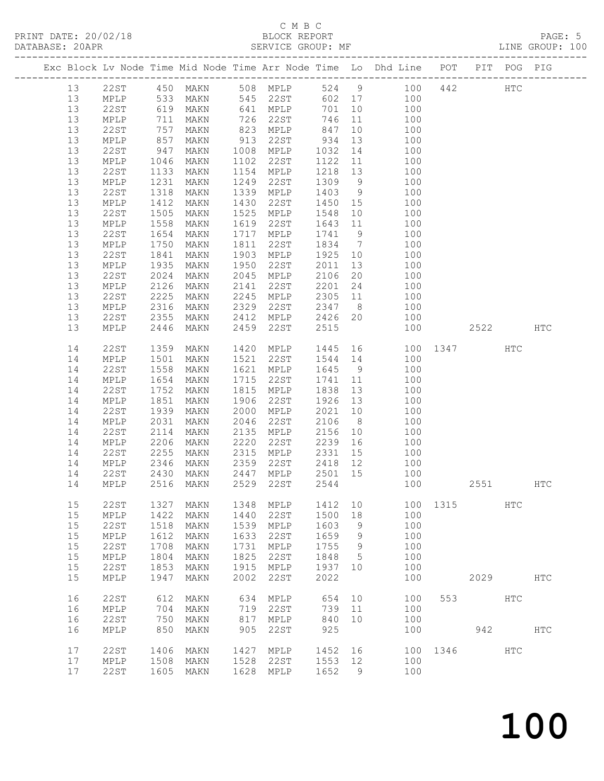|  |          |                         |                   |                      |              |                 |              |                | Exc Block Lv Node Time Mid Node Time Arr Node Time Lo Dhd Line POT |          |          | PIT POG PIG  |               |
|--|----------|-------------------------|-------------------|----------------------|--------------|-----------------|--------------|----------------|--------------------------------------------------------------------|----------|----------|--------------|---------------|
|  | 13       |                         |                   |                      |              |                 |              |                | 22ST 450 MAKN 508 MPLP 524 9 100                                   | 442      |          | $_{\rm HTC}$ |               |
|  | 13       | MPLP                    |                   | MAKN                 |              |                 |              |                |                                                                    |          |          |              |               |
|  | 13       | 22ST                    |                   | 533 MAKN<br>619 MAKN |              |                 |              |                | 545 22ST 602 17 100<br>641 MPLP 701 10 100                         |          |          |              |               |
|  | 13       | MPLP                    | 711               | MAKN                 |              | 726 22ST        | 746          |                | 11 100                                                             |          |          |              |               |
|  | 13       | 22ST                    | 757<br>857<br>947 | MAKN                 | 823          | MPLP            | 847          | 10             | 100                                                                |          |          |              |               |
|  | 13       | $\texttt{MPLP}$         |                   | MAKN                 | 913          | 22ST            | 934          | 13             | 100                                                                |          |          |              |               |
|  | 13       | 22ST                    |                   | MAKN                 | 1008         | MPLP            | 1032         | 14             | 100                                                                |          |          |              |               |
|  | 13       | MPLP                    | 1046              | MAKN                 | 1102         | 22ST            | 1122         | 11             | 100                                                                |          |          |              |               |
|  | 13       | 22ST                    | 1133              | MAKN                 | 1154         | MPLP            | 1218         | 13             | 100                                                                |          |          |              |               |
|  | 13       | MPLP                    | 1231              | MAKN                 | 1249         | 22ST            | 1309         | 9              | 100                                                                |          |          |              |               |
|  | 13       | 22ST                    | 1318              | MAKN                 | 1339         | MPLP            | 1403         | 9              | $\begin{array}{c}\n1 \\ 100 \\ \end{array}$                        |          |          |              |               |
|  | 13       | MPLP                    | 1412              | MAKN                 | 1430         | 22ST            | 1450 15      |                | 100                                                                |          |          |              |               |
|  | 13       | 22ST                    | 1505              | MAKN                 | 1525         | MPLP            | 1548         | 10             | 100                                                                |          |          |              |               |
|  | 13       | MPLP                    | 1558              | MAKN                 | 1619         | 22ST            | 1643 11      |                | 100                                                                |          |          |              |               |
|  | 13       | 22ST                    | 1654              | MAKN                 | 1717         | MPLP            | 1741 9       |                | 100<br>100                                                         |          |          |              |               |
|  | 13       | MPLP                    | 1750              | MAKN                 | 1811         | 22ST            | 1834 7       |                |                                                                    |          |          |              |               |
|  | 13       | 22ST                    | 1841              | MAKN                 | 1903         | MPLP            | 1925 10      |                | 100                                                                |          |          |              |               |
|  | 13       | MPLP                    | 1935              | MAKN                 | 1950<br>2045 | 22ST            | 2011         | 13             | 100                                                                |          |          |              |               |
|  | 13<br>13 | 22ST<br>$\texttt{MPLP}$ | 2024<br>2126      | MAKN<br>MAKN         | 2141         | MPLP<br>22ST    | 2106<br>2201 | 20<br>24       | 100<br>100                                                         |          |          |              |               |
|  | 13       | 22ST                    | 2225              | MAKN                 | 2245         | MPLP            | 2305 11      |                | 100                                                                |          |          |              |               |
|  | 13       | MPLP                    | 2316              | MAKN                 | 2329         | 22ST            | 2347         | 8 <sup>8</sup> | 100                                                                |          |          |              |               |
|  | 13       | 22ST                    | 2355              | MAKN                 | 2412         | MPLP            | 2426 20      |                | 100                                                                |          |          |              |               |
|  | 13       | MPLP                    | 2446              | MAKN                 | 2459         | 22ST            | 2515         |                | 100                                                                |          | 2522     |              | <b>HTC</b>    |
|  |          |                         |                   |                      |              |                 |              |                |                                                                    |          |          |              |               |
|  | 14       | 22ST                    | 1359              | MAKN                 | 1420         | MPLP            | 1445         |                | 16 100 1347                                                        |          |          | HTC          |               |
|  | 14       | MPLP                    | 1501              | MAKN                 | 1521         | 22ST            | 1544 14      |                | 100                                                                |          |          |              |               |
|  | 14       | 22ST                    | 1558              | MAKN                 | 1621         | MPLP            | 1645         | 9              | 100                                                                |          |          |              |               |
|  | 14       | MPLP                    | 1654              | MAKN                 | 1715         | 22ST            | 1741         | 11             | 100                                                                |          |          |              |               |
|  | 14       | 22ST                    | 1752              | MAKN                 | 1815         | MPLP            | 1838         | 13             | 100                                                                |          |          |              |               |
|  | 14       | MPLP                    | 1851              | MAKN                 | 1906         | 22ST            | 1926         | 13             | 100                                                                |          |          |              |               |
|  | 14       | 22ST                    | 1939              | MAKN                 | 2000         | MPLP            | 2021         | 10             | 100                                                                |          |          |              |               |
|  | 14       | MPLP                    | 2031              | MAKN                 | 2046         | 22ST            | 2106         | 8 <sup>8</sup> | 100                                                                |          |          |              |               |
|  | 14       | 22ST                    | 2114              | MAKN                 | 2135         | MPLP            | 2156         | 10             | 100                                                                |          |          |              |               |
|  | 14       | MPLP                    | 2206              | MAKN                 | 2220         | 22ST            | 2239         | 16             | 100                                                                |          |          |              |               |
|  | 14       | 22ST                    | 2255              | MAKN                 | 2315         | MPLP            | 2331         | 15             | 100                                                                |          |          |              |               |
|  | 14       | MPLP                    | 2346              | MAKN                 | 2359         | 22ST            | 2418 12      |                | 100                                                                |          |          |              |               |
|  | 14       | 22ST                    | 2430              | MAKN                 | 2447         | MPLP            | 2501         | 15             | 100                                                                |          |          |              |               |
|  | 14       | MPLP                    | 2516              | MAKN                 | 2529         | 22ST            | 2544         |                | 100                                                                |          | 2551 HTC |              |               |
|  |          |                         |                   |                      |              |                 |              |                |                                                                    |          |          |              |               |
|  | 15       | 22ST                    | 1327              | MAKN                 | 1348         | MPLP            | 1412         | 10             |                                                                    | 100 1315 |          | HTC          |               |
|  | 15<br>15 | MPLP<br><b>22ST</b>     | 1422<br>1518      | MAKN                 | 1440<br>1539 | 22ST<br>MPLP    | 1500<br>1603 | 18             | 100<br>100                                                         |          |          |              |               |
|  | 15       | MPLP                    | 1612              | MAKN<br>MAKN         | 1633         | 22ST            | 1659         | 9<br>9         | 100                                                                |          |          |              |               |
|  | 15       | 22ST                    | 1708              | MAKN                 | 1731         | MPLP            | 1755         | 9              | 100                                                                |          |          |              |               |
|  | 15       | MPLP                    | 1804              | MAKN                 | 1825         | 22ST            | 1848         | 5              | 100                                                                |          |          |              |               |
|  | 15       | <b>22ST</b>             | 1853              | MAKN                 | 1915         | $\texttt{MPLP}$ | 1937         | 10             | 100                                                                |          |          |              |               |
|  | 15       | MPLP                    | 1947              | MAKN                 | 2002         | 22ST            | 2022         |                | 100                                                                |          | 2029     |              | HTC           |
|  |          |                         |                   |                      |              |                 |              |                |                                                                    |          |          |              |               |
|  | 16       | 22ST                    | 612               | MAKN                 | 634          | MPLP            | 654          | 10             | 100                                                                | 553      |          | HTC          |               |
|  | 16       | $\texttt{MPLP}$         | 704               | MAKN                 | 719          | 22ST            | 739          | 11             | 100                                                                |          |          |              |               |
|  | 16       | <b>22ST</b>             | 750               | MAKN                 | 817          | MPLP            | 840          | 10             | 100                                                                |          |          |              |               |
|  | 16       | $\texttt{MPLP}$         | 850               | MAKN                 | 905          | 22ST            | 925          |                | 100                                                                |          | 942      |              | $_{\rm{HTC}}$ |
|  |          |                         |                   |                      |              |                 |              |                |                                                                    |          |          |              |               |
|  | 17       | 22ST                    | 1406              | MAKN                 | 1427         | MPLP            | 1452         | 16             | 100                                                                | 1346     |          | HTC          |               |
|  | 17       | MPLP                    | 1508              | $\texttt{MAKN}$      | 1528         | 22ST            | 1553         | 12             | 100                                                                |          |          |              |               |
|  | 17       | 22ST                    | 1605              | MAKN                 | 1628         | MPLP            | 1652         | 9              | 100                                                                |          |          |              |               |
|  |          |                         |                   |                      |              |                 |              |                |                                                                    |          |          |              |               |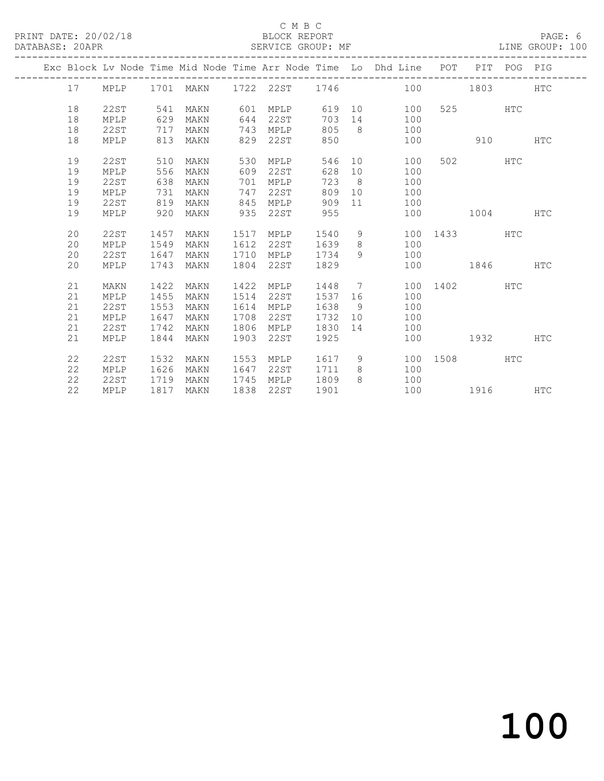|  |    |      |      | Exc Block Lv Node Time Mid Node Time Arr Node Time Lo Dhd Line POT PIT POG PIG |      |      |      |         |                |                    |     |                                                                                                                                                                                                                               |     |            |
|--|----|------|------|--------------------------------------------------------------------------------|------|------|------|---------|----------------|--------------------|-----|-------------------------------------------------------------------------------------------------------------------------------------------------------------------------------------------------------------------------------|-----|------------|
|  | 17 | MPLP |      | 1701 MAKN                                                                      |      |      |      |         |                | 1722 22ST 1746 100 |     | 1803 — 1803 — 1804 — 1805 — 1805 — 1805 — 1805 — 1805 — 1805 — 1806 — 1806 — 1806 — 1806 — 1806 — 1806 — 1                                                                                                                    |     | HTC        |
|  | 18 | 22ST | 541  | MAKN                                                                           | 601  | MPLP |      |         |                | 619 10             | 100 |                                                                                                                                                                                                                               | HTC |            |
|  | 18 | MPLP | 629  | MAKN                                                                           | 644  | 22ST |      | 703     |                |                    | 100 |                                                                                                                                                                                                                               |     |            |
|  | 18 | 22ST | 717  | MAKN                                                                           | 743  | MPLP |      | 805     |                | $8 \overline{)}$   | 100 |                                                                                                                                                                                                                               |     |            |
|  | 18 | MPLP | 813  | MAKN                                                                           | 829  | 22ST |      | 850     |                |                    | 100 | 910 — 10                                                                                                                                                                                                                      |     | <b>HTC</b> |
|  |    |      |      |                                                                                |      |      |      |         |                |                    |     |                                                                                                                                                                                                                               |     |            |
|  | 19 | 22ST | 510  | MAKN                                                                           | 530  |      | MPLP | 546     |                | 10                 | 100 | 502 HTC                                                                                                                                                                                                                       |     |            |
|  | 19 | MPLP | 556  | MAKN                                                                           | 609  | 22ST |      | 628     | 10             |                    | 100 |                                                                                                                                                                                                                               |     |            |
|  | 19 | 22ST | 638  | MAKN                                                                           | 701  | MPLP |      | 723 8   |                |                    | 100 |                                                                                                                                                                                                                               |     |            |
|  | 19 | MPLP | 731  | MAKN                                                                           | 747  | 22ST |      | 809     |                | 10                 | 100 |                                                                                                                                                                                                                               |     |            |
|  | 19 | 22ST | 819  | MAKN                                                                           | 845  | MPLP |      | 909     |                |                    | 100 |                                                                                                                                                                                                                               |     |            |
|  | 19 | MPLP | 920  | MAKN                                                                           | 935  | 22ST |      | 955     |                |                    | 100 | 1004                                                                                                                                                                                                                          |     | <b>HTC</b> |
|  |    |      |      |                                                                                |      |      |      |         |                |                    |     |                                                                                                                                                                                                                               |     |            |
|  | 20 | 22ST | 1457 | MAKN                                                                           | 1517 | MPLP |      | 1540    |                | $9 \quad \bullet$  |     | 100 1433 HTC                                                                                                                                                                                                                  |     |            |
|  | 20 | MPLP | 1549 | MAKN                                                                           | 1612 | 22ST |      | 1639    |                | 8                  | 100 |                                                                                                                                                                                                                               |     |            |
|  | 20 | 22ST | 1647 | MAKN                                                                           | 1710 | MPLP |      | 1734    | 9              |                    | 100 |                                                                                                                                                                                                                               |     |            |
|  | 20 | MPLP | 1743 | MAKN                                                                           | 1804 | 22ST |      | 1829    |                |                    | 100 | 1846                                                                                                                                                                                                                          |     | <b>HTC</b> |
|  |    |      |      |                                                                                |      |      |      |         |                |                    |     |                                                                                                                                                                                                                               |     |            |
|  | 21 | MAKN | 1422 | MAKN                                                                           | 1422 | MPLP |      | 1448    |                | 7                  | 100 | 1402                                                                                                                                                                                                                          | HTC |            |
|  | 21 | MPLP | 1455 | MAKN                                                                           | 1514 | 22ST |      | 1537 16 |                |                    | 100 |                                                                                                                                                                                                                               |     |            |
|  | 21 | 22ST | 1553 | MAKN                                                                           | 1614 | MPLP |      | 1638    | 9 <sup>°</sup> |                    | 100 |                                                                                                                                                                                                                               |     |            |
|  | 21 | MPLP | 1647 | MAKN                                                                           | 1708 | 22ST |      | 1732    |                | 10                 | 100 |                                                                                                                                                                                                                               |     |            |
|  | 21 | 22ST | 1742 | MAKN                                                                           | 1806 | MPLP |      | 1830 14 |                |                    | 100 |                                                                                                                                                                                                                               |     |            |
|  | 21 | MPLP | 1844 | MAKN                                                                           | 1903 | 22ST |      | 1925    |                |                    | 100 | 1932   1932   1932   1932   1932   1932   1932   1932   1932   1932   1932   1932   1933   1934   1935   1936   1937   1938   1939   1939   1939   1939   1939   1939   1939   1939   1939   1939   1939   1939   1939   1939 |     | <b>HTC</b> |
|  |    |      |      |                                                                                |      |      |      |         |                |                    |     |                                                                                                                                                                                                                               |     |            |
|  | 22 | 22ST | 1532 | MAKN                                                                           | 1553 | MPLP |      | 1617    | 9              |                    |     | 100 1508                                                                                                                                                                                                                      | HTC |            |
|  | 22 | MPLP | 1626 | MAKN                                                                           | 1647 | 22ST |      | 1711    | 8              |                    | 100 |                                                                                                                                                                                                                               |     |            |
|  | 22 | 22ST | 1719 | MAKN                                                                           | 1745 | MPLP |      | 1809    | 8 <sup>1</sup> |                    | 100 |                                                                                                                                                                                                                               |     |            |
|  | 22 | MPLP | 1817 | MAKN                                                                           | 1838 | 22ST |      | 1901    |                |                    |     | 100 1916                                                                                                                                                                                                                      |     | <b>HTC</b> |
|  |    |      |      |                                                                                |      |      |      |         |                |                    |     |                                                                                                                                                                                                                               |     |            |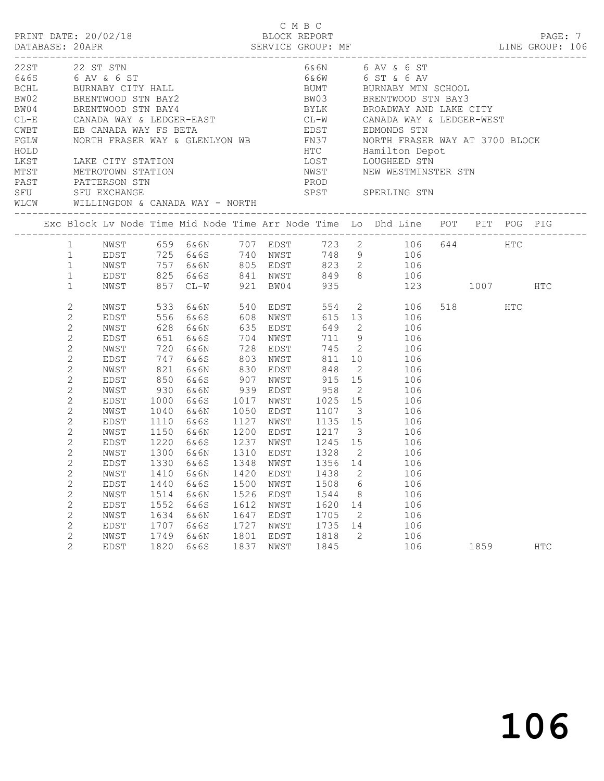| PRINT DATE: 20/02/18                                                                                           |                                                                                                                                                                                                                                                                  |                                                                                                                                                                                      |                                                                                             |                                                                                                                                         |                                                              |                                                              | C M B C<br>BLOCK REPORT                                      |                                   |                                                                                                                                                                                                                                                                                                                                                                                                                                                                                                                              |                 | PAGE: 7 |  |
|----------------------------------------------------------------------------------------------------------------|------------------------------------------------------------------------------------------------------------------------------------------------------------------------------------------------------------------------------------------------------------------|--------------------------------------------------------------------------------------------------------------------------------------------------------------------------------------|---------------------------------------------------------------------------------------------|-----------------------------------------------------------------------------------------------------------------------------------------|--------------------------------------------------------------|--------------------------------------------------------------|--------------------------------------------------------------|-----------------------------------|------------------------------------------------------------------------------------------------------------------------------------------------------------------------------------------------------------------------------------------------------------------------------------------------------------------------------------------------------------------------------------------------------------------------------------------------------------------------------------------------------------------------------|-----------------|---------|--|
| 22ST 22 ST STN<br>6& 6S 6 AV & 6 ST<br>MTST METROTOWN STATION<br>PAST PATTERSON STN<br>SFU SFU EXCHANGE<br>SFU |                                                                                                                                                                                                                                                                  |                                                                                                                                                                                      |                                                                                             | BCHL BURNABY CITY HALL<br>BW02 BRENTWOOD STN BAY2<br>BW04 BRENTWOOD STN BAY4<br>WLCW WILLINGDON & CANADA WAY - NORTH                    |                                                              |                                                              | PROD                                                         |                                   | 6&6N 6 AV & 6 ST<br>6&6W 6 ST & 6 AV<br>BOHL BURNABY CITY HALL BUMT BURNABY MTN SCHOOL BRENTWOOD STN BAY2<br>BW02 BRENTWOOD STN BAY2 BW03 BRENTWOOD STN BAY3<br>BW04 BRENTWOOD STN BAY4 BYLK BROADWAY AND LAKE CITY<br>CL-E CANADA WAY & LEDGER-EAST CL-W CANADA WAY & LEDGER-W<br>NWST NEW WESTMINSTER STN<br>SPST SPERLING STN                                                                                                                                                                                             |                 |         |  |
|                                                                                                                |                                                                                                                                                                                                                                                                  |                                                                                                                                                                                      |                                                                                             |                                                                                                                                         |                                                              |                                                              |                                                              |                                   | Exc Block Lv Node Time Mid Node Time Arr Node Time Lo Dhd Line POT PIT POG PIG                                                                                                                                                                                                                                                                                                                                                                                                                                               |                 |         |  |
|                                                                                                                |                                                                                                                                                                                                                                                                  |                                                                                                                                                                                      |                                                                                             |                                                                                                                                         |                                                              |                                                              |                                                              |                                   | 1 NWST 659 6&6N 707 EDST 723 2 106 644 HTC<br>1 EDST 725 6&6S 740 NWST 748 9 106<br>1 NWST 757 6&6N 805 EDST 823 2 106<br>1 EDST 825 6&6S 841 NWST 849 8 106<br>1 NWST 857 CL-W 921 BW04 935 123 1007                                                                                                                                                                                                                                                                                                                        |                 | HTC     |  |
|                                                                                                                | 2<br>$\mathbf{2}$<br>2<br>$\overline{c}$<br>2<br>$\mathbf{2}$<br>2<br>$\mathbf{2}$<br>2<br>$\mathbf{2}$<br>2<br>2<br>2<br>$\mathbf{2}$<br>2<br>$\overline{2}$<br>2<br>$\overline{c}$<br>$\mathbf{2}$<br>$\mathbf{2}$<br>2<br>$\mathbf{2}$<br>2<br>$\overline{2}$ | NWST<br>EDST<br>NWST<br>EDST<br>NWST<br>EDST<br>NWST<br>EDST<br>NWST<br>EDST<br>NWST<br>EDST<br>NWST<br>EDST<br>NWST<br>NWST<br>EDST<br>NWST<br>EDST<br>NWST<br>EDST<br>NWST<br>EDST | 930<br>1000<br>1040<br>1150<br>1410<br>1440<br>1514<br>1552<br>1634<br>1707<br>1749<br>1820 | 850 6&6S<br>6&6N<br>6&6S<br>6&6N<br>1110 6&6S<br>1220 6&6S<br>1300 6&6N<br>6&6N<br>6&6S<br>6&6N<br>6&6S<br>6&6N<br>6&6S<br>6&6N<br>6&6S | 1420<br>1500<br>1526<br>1612<br>1647<br>1727<br>1801<br>1837 | EDST<br>NWST<br>EDST<br>NWST<br>EDST<br>NWST<br>EDST<br>NWST | 1438<br>1508<br>1544<br>1620<br>1705<br>1735<br>1818<br>1845 | 2<br>6<br>8<br>14<br>2<br>14<br>2 | 533 6&6N 540 EDST 554 2 106<br>556 6&6S 608 NWST 615 13 106<br>628 6&6N 635 EDST 649 2 106<br>651 6&6S 704 NWST 711 9 106<br>720 6&6N 728 EDST 745 2 106<br>747 6&6S 803 NWST 811 10 106<br>821 6&6N 830 EDST 848 2 106<br>907 NWST 915 15 106<br>939 EDST 958 2 106<br>1017 NWST 1025 15 106<br>1050 EDST 1107 3 106<br>1127 NWST 1135 15 106<br>6&6N 1200 EDST 1217 3 106<br>1237 NWST 1245 15 106<br>1310 EDST 1328 2 106<br>EDST 1330 6&6S 1348 NWST 1356 14 106<br>106<br>106<br>106<br>106<br>106<br>106<br>106<br>106 | 518 HTC<br>1859 | HTC     |  |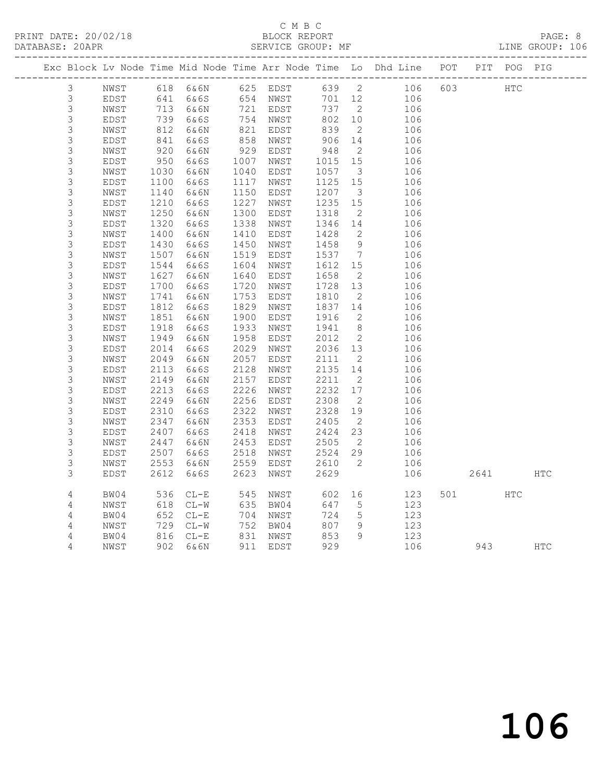|                            |               |              |              |              |                                                         |              |                            | Exc Block Lv Node Time Mid Node Time Arr Node Time Lo Dhd Line POT PIT POG PIG |        |      |            |            |
|----------------------------|---------------|--------------|--------------|--------------|---------------------------------------------------------|--------------|----------------------------|--------------------------------------------------------------------------------|--------|------|------------|------------|
| 3                          | NWST          |              |              |              | 618 6&6N      625  EDST<br>641   6&6S        654   NWST | $639$ 2      |                            | 106                                                                            | 603    | HTC  |            |            |
| 3                          | EDST          |              |              |              |                                                         | 701 12       |                            | 106                                                                            |        |      |            |            |
| $\mathsf S$                | NWST          |              | 713 6&6N     |              | 721 EDST<br>754 NWST<br>821 EDST                        | 737 2        |                            | 106                                                                            |        |      |            |            |
| $\mathsf 3$                | EDST          | 739          | 6&6S         |              |                                                         | 802 10       |                            | 106                                                                            |        |      |            |            |
| $\mathsf 3$                | NWST          | 812          | 6&6N         |              |                                                         | 839          | $\overline{2}$             | 106                                                                            |        |      |            |            |
| $\mathsf S$                | EDST          | 841          | 6&6S         | 858          | NWST                                                    | 906          | 14                         | 106                                                                            |        |      |            |            |
| $\mathsf S$                | NWST          | 920          | 6&6N         |              | 929 EDST                                                | 948          | $\overline{2}$             | 106                                                                            |        |      |            |            |
| $\mathfrak{Z}$             | EDST          | 950<br>1030  | 6&6S         | 1007         | NWST                                                    | 1015         | 15                         | 106                                                                            |        |      |            |            |
| 3                          | NWST          |              | 6&6N         | 1040         | EDST                                                    | 1057         | $\overline{\mathbf{3}}$    | 106                                                                            |        |      |            |            |
| $\mathsf S$                | EDST          | 1100         | 6&6S         | 1117         | NWST                                                    | 1125         | 15                         | 106                                                                            |        |      |            |            |
| $\mathsf 3$                | NWST          | 1140         | 6&6N         | 1150         | EDST                                                    | 1207         | $\overline{\mathbf{3}}$    | 106                                                                            |        |      |            |            |
| $\mathsf 3$                | EDST          | 1210         | 6&6S         | 1227         | NWST                                                    | 1235         | 15                         | 106                                                                            |        |      |            |            |
| $\mathsf 3$                | $_{\rm NWST}$ | 1250         | 6&6N         | 1300         | EDST                                                    | 1318         | $\overline{2}$             | 106                                                                            |        |      |            |            |
| $\mathsf 3$                | EDST          | 1320         | 6&6S         | 1338         | NWST                                                    | 1346 14      |                            | 106                                                                            |        |      |            |            |
| $\mathfrak{Z}$             | NWST          | 1400         | 6&6N         | 1410         | EDST                                                    | 1428         | $\overline{2}$             | 106                                                                            |        |      |            |            |
| $\mathsf S$                | EDST          | 1430         | 6&6S         | 1450         | NWST                                                    | 1458         | 9                          | 106                                                                            |        |      |            |            |
| $\mathsf 3$                | NWST          | 1507         | 6&6N         | 1519         | EDST                                                    | 1537         | $\overline{7}$             | 106                                                                            |        |      |            |            |
| $\mathsf S$                | EDST          | 1544         | 6&6S         | 1604         | NWST                                                    | 1612 15      |                            | 106                                                                            |        |      |            |            |
| 3                          | NWST          | 1627         | 6&6N         | 1640         | EDST                                                    | 1658         | $\overline{2}$             | 106                                                                            |        |      |            |            |
| $\mathsf S$                | EDST          | 1700         | 6&6S         | 1720         | NWST                                                    | 1728         | 13                         | 106                                                                            |        |      |            |            |
| $\mathsf 3$                | NWST          | 1741         | 6&6N         | 1753         | EDST                                                    | 1810         | $\overline{2}$             | 106                                                                            |        |      |            |            |
| $\mathfrak{Z}$             | EDST          | 1812         | 6&6S         | 1829         | NWST                                                    | 1837 14      |                            | 106                                                                            |        |      |            |            |
| $\mathsf S$                | NWST          | 1851         | 6&6N         | 1900         | EDST                                                    | 1916         | $\overline{2}$             | 106                                                                            |        |      |            |            |
| $\mathsf 3$                | EDST          | 1918         | 6&6S         | 1933         | NWST                                                    | 1941         | 8 <sup>8</sup>             | 106                                                                            |        |      |            |            |
| $\mathsf 3$                | NWST          | 1949         | 6&6N         | 1958         | EDST                                                    | 2012         | $\overline{2}$             | 106                                                                            |        |      |            |            |
| $\mathsf S$                | EDST          | 2014         | 6&6S         | 2029         | NWST                                                    | 2036<br>2111 | 13                         | 106                                                                            |        |      |            |            |
| $\mathsf S$                | NWST          | 2049         | 6&6N         | 2057         | EDST                                                    | 2111         | $\overline{2}$             | 106                                                                            |        |      |            |            |
| $\mathsf 3$                | EDST          | 2113         | 6&6S         | 2128<br>2157 | NWST                                                    | 2135         | 14<br>$\overline{2}$       | 106                                                                            |        |      |            |            |
| $\mathsf S$<br>$\mathsf 3$ | NWST<br>EDST  | 2149         | 6&6N<br>6&6S |              | EDST                                                    | 2211<br>2232 | 17                         | 106<br>106                                                                     |        |      |            |            |
| $\mathfrak{Z}$             |               | 2213<br>2249 |              |              | 2226 NWST<br>2256 EDST                                  | 2308         | $\overline{2}$             |                                                                                |        |      |            |            |
| $\mathfrak{Z}$             | NWST<br>EDST  | 2310         | 6&6N<br>6&6S | 2322         | NWST                                                    | 2328         | 19                         | 106<br>106                                                                     |        |      |            |            |
| 3                          | NWST          | 2347         | 6&6N         | 2353         | EDST                                                    | 2405         | $\overline{2}$             | 106                                                                            |        |      |            |            |
| $\mathsf S$                | EDST          | 2407         | 6&6S         | 2418         | NWST                                                    | 2424         | 23                         | 106                                                                            |        |      |            |            |
| $\mathsf 3$                | NWST          | 2447         | 6&6N         | 2453         | EDST                                                    | 2505         | $\overline{\phantom{a}}^2$ | 106                                                                            |        |      |            |            |
| 3                          | EDST          | 2507         | 6&6S         | 2518         | NWST                                                    | 2524         | 29                         | 106                                                                            |        |      |            |            |
| 3                          | NWST          | 2553         | 6&6N         | 2559         | EDST                                                    | 2610         | $\overline{2}$             | 106                                                                            |        |      |            |            |
| 3                          | EDST          | 2612         | 6&6S         | 2623         | NWST                                                    | 2629         |                            | 106                                                                            |        | 2641 |            | <b>HTC</b> |
|                            |               |              |              |              |                                                         |              |                            |                                                                                |        |      |            |            |
| 4                          | BW04          | 536          | $CL-E$       |              | 545 NWST                                                | 602          | 16                         | 123                                                                            | 501 70 |      | <b>HTC</b> |            |
| $\overline{4}$             | NWST          | 618          | $CL-W$       |              | 635 BW04                                                | 647          | $5\overline{)}$            | 123                                                                            |        |      |            |            |
| $\overline{4}$             | BW04          | 652          | $CL-E$       |              | 704 NWST                                                | 724          | $5\overline{)}$            | 123                                                                            |        |      |            |            |
| 4                          | NWST          | 729          | $CL-W$       |              | 752 BW04                                                | 807          | - 9                        | 123                                                                            |        |      |            |            |
| $\sqrt{4}$                 | BW04          | 816          | $CL-E$       |              | 831 NWST<br>911 EDST                                    | 853          | 9                          | 123                                                                            |        |      |            |            |
| 4                          | NWST          |              | 902 6&6N     |              |                                                         | 929          |                            | 106                                                                            |        |      | 943 — 100  | <b>HTC</b> |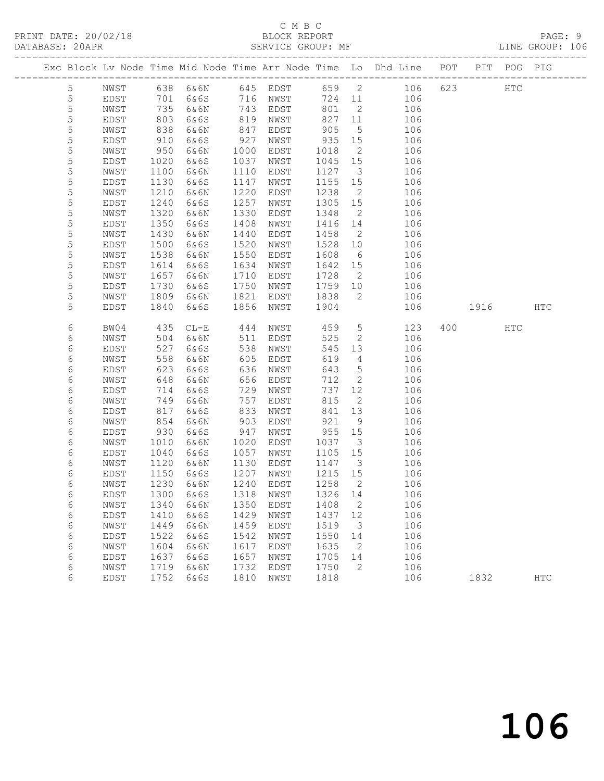|                |      |      |                     |      |          |         |                            | Exc Block Lv Node Time Mid Node Time Arr Node Time Lo Dhd Line POT |      | PIT POG PIG |               |
|----------------|------|------|---------------------|------|----------|---------|----------------------------|--------------------------------------------------------------------|------|-------------|---------------|
| $\overline{5}$ | NWST |      |                     |      |          |         |                            | 638 6&6N 645 EDST 659 2 106                                        | 623  | HTC         |               |
| 5              | EDST | 701  | 6&6S                |      | 716 NWST | 724 11  |                            | 106                                                                |      |             |               |
| 5              | NWST | 735  | 6&6N                | 743  | EDST     | 801     | $\overline{2}$             | 106                                                                |      |             |               |
| 5              | EDST | 803  | 6&6S                | 819  | NWST     | 827     | 11                         | 106                                                                |      |             |               |
| $\mathsf S$    | NWST | 838  | 6&6N                | 847  | EDST     | 905     | $5^{\circ}$                | 106                                                                |      |             |               |
| 5              | EDST | 910  | 6&6S                | 927  | NWST     | 935     | 15                         | 106                                                                |      |             |               |
| 5              | NWST | 950  | 6&6N                | 1000 | EDST     | 1018    | $\overline{2}$             | 106                                                                |      |             |               |
| 5              | EDST | 1020 | 6&6S                | 1037 | NWST     | 1045    | 15                         | 106                                                                |      |             |               |
| 5              | NWST | 1100 | 6&6N                | 1110 | EDST     | 1127    | $\overline{\mathbf{3}}$    | 106                                                                |      |             |               |
| 5              | EDST | 1130 | 6&6S                | 1147 | NWST     | 1155    | 15                         | 106                                                                |      |             |               |
| 5              | NWST | 1210 | 6&6N                | 1220 | EDST     | 1238    | $\overline{2}$             | 106                                                                |      |             |               |
| 5              | EDST | 1240 | 6&6S                | 1257 | NWST     | 1305    | 15                         | 106                                                                |      |             |               |
| 5              | NWST | 1320 | 6&6N                | 1330 | EDST     | 1348    | $\overline{2}$             | 106                                                                |      |             |               |
| 5              | EDST | 1350 | 6&6S                | 1408 | NWST     | 1416 14 |                            | 106                                                                |      |             |               |
| 5              | NWST | 1430 | 6&6N                | 1440 | EDST     | 1458    | $\overline{2}$             | 106                                                                |      |             |               |
| 5              | EDST | 1500 | 6&6S                | 1520 | NWST     | 1528    | 10                         | 106                                                                |      |             |               |
| $\mathsf S$    | NWST | 1538 | 6&6N                | 1550 | EDST     | 1608    | 6                          | 106                                                                |      |             |               |
| 5              | EDST | 1614 | 6&6S                | 1634 | NWST     | 1642    | 15                         | 106                                                                |      |             |               |
| 5              | NWST | 1657 | 6&6N                | 1710 | EDST     | 1728    | $\overline{2}$             | 106                                                                |      |             |               |
| 5              | EDST | 1730 | 6&6S                | 1750 | NWST     | 1759 10 |                            | 106                                                                |      |             |               |
| 5              | NWST | 1809 | 6&6N                | 1821 | EDST     | 1838    | $\overline{2}$             | 106                                                                |      |             |               |
| 5              | EDST | 1840 | 6&6S                | 1856 | NWST     | 1904    |                            | 106                                                                | 1916 |             | HTC           |
|                |      |      |                     |      |          |         |                            |                                                                    |      |             |               |
| 6              | BW04 | 435  | $CL-E$              | 444  | NWST     | 459     | $5\overline{)}$            | 123                                                                | 400  | HTC         |               |
| 6              | NWST | 504  | 6&6N                | 511  | EDST     | 525     | 2                          | 106                                                                |      |             |               |
| 6              | EDST | 527  | 6&6S                | 538  | NWST     | 545     | 13                         | 106                                                                |      |             |               |
| 6              | NWST | 558  | 6&6N                | 605  | EDST     | 619     | $\overline{4}$             | 106                                                                |      |             |               |
| 6              | EDST | 623  | 6&6S                | 636  | NWST     | 643     | $5\overline{)}$            | 106                                                                |      |             |               |
| 6              | NWST | 648  | 6&6N                | 656  | EDST     | 712     | $\overline{2}$             | 106                                                                |      |             |               |
| 6              | EDST | 714  | 6&6S                | 729  | NWST     | 737     | 12                         | 106                                                                |      |             |               |
| 6              | NWST | 749  | 6&6N                | 757  | EDST     | 815     | $\overline{2}$             | 106                                                                |      |             |               |
| 6              | EDST | 817  | 6&6S                | 833  | NWST     | 841     | 13                         | 106                                                                |      |             |               |
| 6              | NWST | 854  | 6&6N                | 903  | EDST     | 921     | 9                          | 106                                                                |      |             |               |
| 6              | EDST | 930  | 6&6S                | 947  | NWST     | 955     | 15                         | 106                                                                |      |             |               |
| 6              | NWST | 1010 | 6&6N                | 1020 | EDST     | 1037    | $\overline{\mathbf{3}}$    | 106                                                                |      |             |               |
| 6              | EDST | 1040 | 6&6S                | 1057 | NWST     | 1105 15 |                            | 106                                                                |      |             |               |
| 6              | NWST | 1120 | 6&6N                | 1130 | EDST     | 1147    | $\overline{\mathbf{3}}$    | 106                                                                |      |             |               |
| 6              | EDST | 1150 | 6&6S                | 1207 | NWST     | 1215 15 |                            | 106                                                                |      |             |               |
| 6              | NWST | 1230 | 6&6N                | 1240 | EDST     | 1258    | $\overline{2}$             | 106                                                                |      |             |               |
| 6              | EDST |      | 1300 6&6S 1318 NWST |      |          | 1326 14 |                            | 106                                                                |      |             |               |
| 6              | NWST | 1340 | 6&6N                | 1350 | EDST     | 1408    | $\overline{\phantom{0}}^2$ | 106                                                                |      |             |               |
| 6              | EDST | 1410 | 6&6S                | 1429 | NWST     | 1437 12 |                            | 106                                                                |      |             |               |
| 6              | NWST | 1449 | 6&6N                | 1459 | EDST     | 1519    | $\overline{\mathbf{3}}$    | 106                                                                |      |             |               |
| 6              | EDST | 1522 | 6&6S                | 1542 | NWST     | 1550    | 14                         | 106                                                                |      |             |               |
| 6              | NWST | 1604 | 6&6N                | 1617 | EDST     | 1635    | 2                          | 106                                                                |      |             |               |
| 6              | EDST | 1637 | 6&6S                | 1657 | NWST     | 1705    | 14                         | 106                                                                |      |             |               |
| 6              | NWST | 1719 | 6&6N                | 1732 | EDST     | 1750    | 2                          | 106                                                                |      |             |               |
| 6              | EDST | 1752 | 6&6S                | 1810 | NWST     | 1818    |                            | 106                                                                | 1832 |             | $_{\rm{HTC}}$ |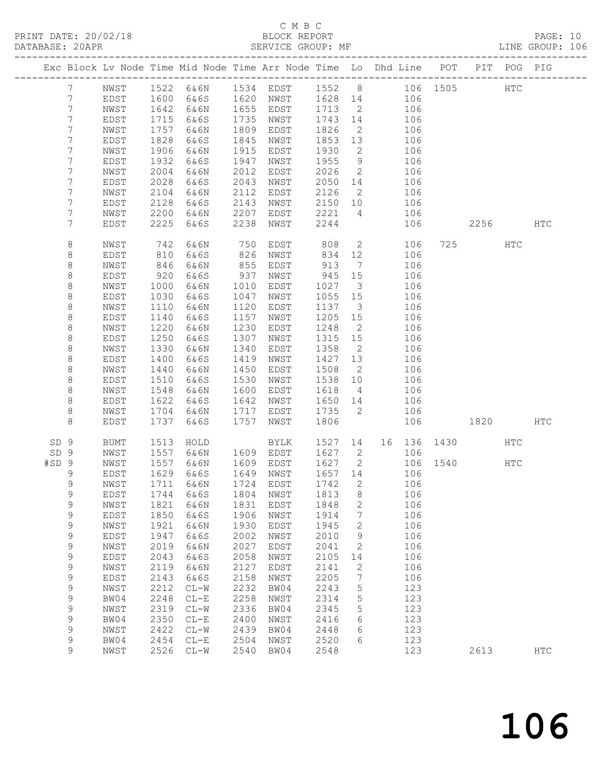### C M B C<br>BLOCK REPORT

|                  |                 |             |            | PRINT DATE: 20/02/18 BLOCK REPORT<br>DATABASE: 20APR SERVICE GROUP: MF         |      |                          |                   |                         |                                           |     |              |         |     | PAGE: 10<br>LINE GROUP: 106 |  |
|------------------|-----------------|-------------|------------|--------------------------------------------------------------------------------|------|--------------------------|-------------------|-------------------------|-------------------------------------------|-----|--------------|---------|-----|-----------------------------|--|
|                  |                 |             |            | Exc Block Lv Node Time Mid Node Time Arr Node Time Lo Dhd Line POT PIT POG PIG |      |                          |                   |                         |                                           |     |              |         |     |                             |  |
|                  | 7               |             |            | NWST 1522 6&6N 1534 EDST 1552 8 106 1505 HTC                                   |      |                          |                   |                         |                                           |     |              |         |     |                             |  |
|                  | $7\phantom{.0}$ | EDST        |            | 1600 6&6S 1620 NWST 1628 14 106                                                |      |                          |                   |                         |                                           |     |              |         |     |                             |  |
|                  | 7               | NWST        |            | 1642 6&6N                                                                      |      | 1655 EDST                | 1713              |                         | 2 106                                     |     |              |         |     |                             |  |
|                  | $7\phantom{.}$  | EDST        | 1715       | 6&6S                                                                           |      | 1735 NWST                |                   |                         |                                           |     |              |         |     |                             |  |
|                  | 7               | NWST        |            | 1757 6&6N                                                                      |      | 1809 EDST                |                   |                         | 1743 14 106<br>1826 2 106                 |     |              |         |     |                             |  |
|                  | 7               | EDST        | 1828       | 6&6S                                                                           | 1845 | NWST                     | 1853 13           |                         | 106                                       |     |              |         |     |                             |  |
|                  | 7               | NWST        | 1906       | 6&6N                                                                           |      | 1915 EDST                | 1930              | $\overline{2}$          | 106                                       |     |              |         |     |                             |  |
|                  | 7               | EDST        | 1932       | 6&6S                                                                           | 1947 | NWST                     | 1955              | 9                       |                                           | 106 |              |         |     |                             |  |
|                  | $\overline{7}$  | NWST        | 2004       | 6 & 6 N                                                                        | 2012 | EDST                     | 2026              | $\overline{2}$          |                                           | 106 |              |         |     |                             |  |
|                  | 7               | EDST        | 2028       | 6&6S                                                                           | 2043 | NWST                     |                   |                         | 2050 14 106                               |     |              |         |     |                             |  |
|                  | 7               | NWST        | 2104       | 6&6N                                                                           | 2112 | EDST                     | 2126              |                         | 2 106                                     |     |              |         |     |                             |  |
|                  | 7               | EDST        | 2128       | 6&6S                                                                           | 2143 | NWST                     |                   |                         | 106                                       |     |              |         |     |                             |  |
|                  | 7               | NWST        | 2200       | 6&6N                                                                           | 2207 | EDST                     | 2150 10<br>2221 4 |                         |                                           | 106 |              |         |     |                             |  |
|                  | 7               | EDST        | 2225       | 6&6S                                                                           | 2238 | NWST                     | 2244              |                         |                                           |     | 106          | 2256    |     | <b>HTC</b>                  |  |
|                  | 8               | NWST        | 742<br>810 | 6&6N                                                                           |      | 750 EDST<br>826 NWST     | 808 2<br>834 12   |                         | $\overline{2}$                            | 106 |              | 725 HTC |     |                             |  |
|                  | $\,8\,$         | EDST        |            | 6&6S                                                                           |      |                          |                   |                         |                                           | 106 |              |         |     |                             |  |
|                  | 8               | NWST        | 846        | 6&6N                                                                           | 855  | EDST                     | 913               | $7\overline{ }$         |                                           | 106 |              |         |     |                             |  |
|                  | 8               | EDST        | 920        | 6&6S                                                                           | 937  | NWST                     | 945 15            |                         |                                           | 106 |              |         |     |                             |  |
|                  | 8               | NWST        | 1000       | 6&6N                                                                           | 1010 | EDST                     | 1027              | $\overline{\mathbf{3}}$ |                                           | 106 |              |         |     |                             |  |
|                  | $\,8\,$         | EDST        | 1030       | 6&6S                                                                           | 1047 | NWST                     | 1055 15           |                         |                                           | 106 |              |         |     |                             |  |
|                  | 8               | NWST        | 1110       | 6&6N                                                                           | 1120 | EDST                     | 1137              | $\overline{\mathbf{3}}$ | $\begin{array}{c} 106 \\ 106 \end{array}$ |     |              |         |     |                             |  |
|                  | $\,8\,$         | EDST        | 1140       | 6&6S                                                                           | 1157 | NWST                     | 1205 15           |                         |                                           | 106 |              |         |     |                             |  |
|                  | 8               | NWST        | 1220       | 6 & 6 N                                                                        | 1230 | EDST                     | 1248              | $\overline{2}$          | 106                                       |     |              |         |     |                             |  |
|                  | $\,8\,$         | EDST        | 1250       | 6&6S                                                                           | 1307 | NWST                     | 1315 15           |                         |                                           | 106 |              |         |     |                             |  |
|                  | 8               | NWST        | 1330       | 6&6N                                                                           | 1340 | EDST                     | 1358              | $\overline{2}$          |                                           | 106 |              |         |     |                             |  |
|                  | 8               | EDST        | 1400       | 6&6S                                                                           | 1419 | NWST                     | 1427 13           |                         |                                           | 106 |              |         |     |                             |  |
|                  | 8               | NWST        | 1440       | 6&6N                                                                           | 1450 | EDST                     | 1508              | $\overline{2}$          |                                           | 106 |              |         |     |                             |  |
|                  | $\,8\,$         | EDST        | 1510       | 6&6S                                                                           | 1530 | NWST                     | 1538 10           |                         | 106                                       |     |              |         |     |                             |  |
|                  | 8               | NWST        | 1548       | 6 & 6 N                                                                        | 1600 | EDST                     | 1618              | $4\overline{4}$         |                                           | 106 |              |         |     |                             |  |
|                  | 8               | EDST        | 1622       | 6&6S                                                                           | 1642 | NWST                     |                   |                         | 1650 14 106                               |     |              |         |     |                             |  |
|                  | 8               | NWST        | 1704       | 6&6N                                                                           | 1717 | EDST                     | 1735              |                         | 2 106                                     |     |              |         |     |                             |  |
|                  | 8               | EDST        | 1737       | 6&6S                                                                           | 1757 | NWST                     | 1806              |                         |                                           |     | 106 1820     |         |     | HTC                         |  |
| SD <sub>9</sub>  |                 | BUMT        |            | 1513 HOLD                                                                      |      | BYLK 1527 14 16 136 1430 |                   |                         |                                           |     |              |         | HTC |                             |  |
| SD 9             |                 | NWST        |            | 1557 6&6N                                                                      |      | 1609 EDST 1627 2         |                   |                         |                                           | 106 |              |         |     |                             |  |
| #SD <sub>9</sub> |                 | NWST        |            | 1557 6&6N                                                                      |      | 1609 EDST                | 1627 2            |                         |                                           |     | 106 1540 HTC |         |     |                             |  |
| $\overline{9}$   |                 |             |            | EDST 1629 6&6S 1649 NWST 1657 14 106                                           |      |                          |                   |                         |                                           |     |              |         |     |                             |  |
|                  | 9               | NWST        | 1711       | 6&6N                                                                           | 1724 | EDST                     | 1742              | 2                       |                                           | 106 |              |         |     |                             |  |
|                  | 9               | EDST        | 1744       | 6&6S                                                                           | 1804 | NWST                     | 1813              | 8                       |                                           | 106 |              |         |     |                             |  |
|                  | $\mathsf 9$     | NWST        | 1821       | 6&6N                                                                           | 1831 | EDST                     | 1848              | 2                       |                                           | 106 |              |         |     |                             |  |
|                  | $\mathsf 9$     | EDST        | 1850       | 6&6S                                                                           | 1906 | NWST                     | 1914              | 7                       |                                           | 106 |              |         |     |                             |  |
|                  | $\mathsf 9$     | NWST        | 1921       | 6&6N                                                                           | 1930 | EDST                     | 1945              | 2                       |                                           | 106 |              |         |     |                             |  |
|                  | $\mathsf 9$     | EDST        | 1947       | 6&6S                                                                           | 2002 | NWST                     | 2010              | 9                       |                                           | 106 |              |         |     |                             |  |
|                  | $\mathsf 9$     | NWST        | 2019       | 6&6N                                                                           | 2027 | EDST                     | 2041              | 2                       |                                           | 106 |              |         |     |                             |  |
|                  | $\mathsf 9$     | EDST        | 2043       | 6&6S                                                                           | 2058 | NWST                     | 2105              | 14                      |                                           | 106 |              |         |     |                             |  |
|                  | $\mathsf 9$     | NWST        | 2119       | 6&6N                                                                           | 2127 | EDST                     | 2141              | $\mathbf{2}$            |                                           | 106 |              |         |     |                             |  |
|                  | $\mathsf 9$     | <b>EDST</b> | 2143       | 6&6S                                                                           | 2158 | NWST                     | 2205              | 7                       |                                           | 106 |              |         |     |                             |  |
|                  | $\mathsf 9$     | NWST        | 2212       | $CL-W$                                                                         | 2232 | BW04                     | 2243              | 5                       |                                           | 123 |              |         |     |                             |  |
|                  | 9               | BW04        | 2248       | $CL-E$                                                                         | 2258 | NWST                     | 2314              | $\mathsf S$             |                                           | 123 |              |         |     |                             |  |
|                  | $\mathsf 9$     | NWST        | 2319       | $CL-W$                                                                         | 2336 | BW04                     | 2345              | 5                       |                                           | 123 |              |         |     |                             |  |
|                  | $\mathsf 9$     | BW04        | 2350       | $CL-E$                                                                         | 2400 | NWST                     | 2416              | 6                       |                                           | 123 |              |         |     |                             |  |
|                  | 9               | NWST        | 2422       | $CL-W$                                                                         | 2439 | BW04                     | 2448              | 6                       |                                           | 123 |              |         |     |                             |  |
|                  | 9               | BW04        | 2454       | $CL-E$                                                                         | 2504 | NWST                     | 2520              | 6                       |                                           | 123 |              |         |     |                             |  |
|                  | 9               | NWST        | 2526       | $CL-W$                                                                         | 2540 | BW04                     | 2548              |                         |                                           | 123 |              | 2613    |     | <b>HTC</b>                  |  |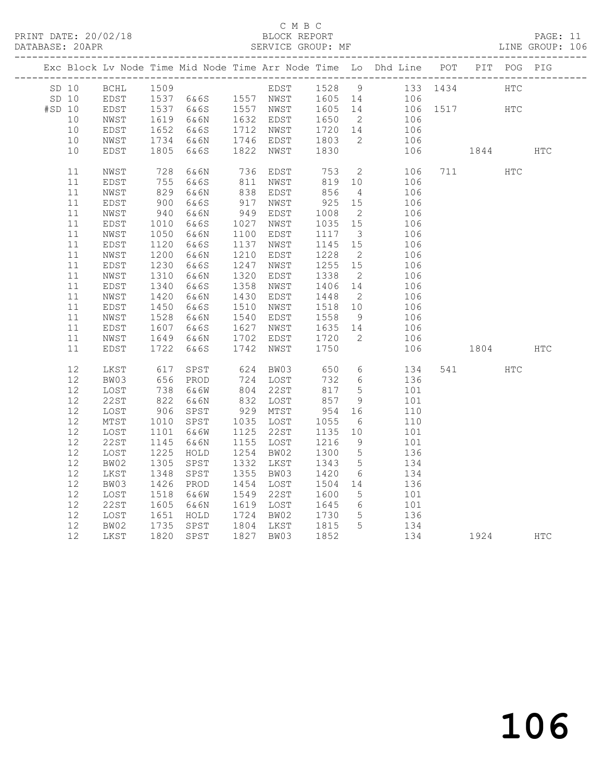#### C M B C<br>BLOCK REPORT

PAGE: 11<br>LINE GROUP: 106

|        |         |             |                     |                                                         |      |                        |                   |                         | Exc Block Lv Node Time Mid Node Time Arr Node Time Lo Dhd Line POT PIT POG PIG                           |       |      |            |            |
|--------|---------|-------------|---------------------|---------------------------------------------------------|------|------------------------|-------------------|-------------------------|----------------------------------------------------------------------------------------------------------|-------|------|------------|------------|
|        | SD 10   | <b>BCHL</b> | 1509                |                                                         |      |                        |                   |                         | EDST 1528 9 133 1434<br>NWST 1605 14 106<br>NWST 1605 14 106 1517<br>EDST 1650 2 106<br>NWST 1720 14 106 |       |      | <b>HTC</b> |            |
|        | $SD$ 10 | EDST        |                     |                                                         |      |                        |                   |                         | 106<br>106    1517                                                                                       |       |      |            |            |
| #SD 10 |         | EDST        |                     | 1509 EDST<br>1537 6&6S 1557 NWST<br>1537 6&6S 1557 NWST |      |                        |                   |                         |                                                                                                          |       |      | HTC        |            |
|        | 10      | NWST        |                     | 1619 6&6N                                               |      | 1632 EDST<br>1712 NWST |                   |                         |                                                                                                          |       |      |            |            |
|        | 10      | EDST        | 1652                | 6&6S                                                    |      |                        |                   |                         |                                                                                                          |       |      |            |            |
|        | 10      | NWST        | 1734                | 6&6N                                                    |      | 1746 EDST              | 1803<br>1830      | $\overline{2}$          | 106                                                                                                      |       |      |            |            |
|        | 10      | EDST        | 1805                | 6&6S                                                    |      | 1822 NWST              | 1830              |                         | 106                                                                                                      |       | 1844 |            | <b>HTC</b> |
|        | 11      | NWST        | 728<br>755          | 6&6N                                                    |      | 736 EDST<br>811 NWST   | 753               | $\overline{2}$          | 106                                                                                                      | 711   |      | HTC        |            |
|        | 11      | EDST        |                     | 6&6S                                                    |      |                        | 819               | 10                      | 106                                                                                                      |       |      |            |            |
|        | 11      | NWST        |                     | 6&6N                                                    |      | 838 EDST<br>917 NWST   | 856<br>925        | $\overline{4}$          | 106                                                                                                      |       |      |            |            |
|        | 11      | EDST        | $82.$<br>900<br>040 | 6&6S                                                    |      |                        |                   | 15                      | 106                                                                                                      |       |      |            |            |
|        | 11      | NWST        | 940                 | 6&6N                                                    | 949  | EDST                   |                   |                         | 106                                                                                                      |       |      |            |            |
|        | 11      | EDST        | 1010                | 6&6S                                                    |      | 1027 NWST              | 1008 2<br>1035 15 |                         | 106                                                                                                      |       |      |            |            |
|        | 11      | NWST        | 1050                | 6&6N                                                    |      | 1100 EDST              | 1117              | $\overline{\mathbf{3}}$ | 106                                                                                                      |       |      |            |            |
|        | 11      | EDST        | 1120                | 6&6S                                                    | 1137 | NWST                   |                   | 15                      | 106                                                                                                      |       |      |            |            |
|        | 11      | NWST        | 1200                | 6&6N                                                    | 1210 | EDST                   | 1145<br>1228      | $\overline{2}$          | 106                                                                                                      |       |      |            |            |
|        | 11      | EDST        | 1230                | 6&6S                                                    | 1247 | NWST                   |                   | 15                      | 106                                                                                                      |       |      |            |            |
|        | 11      | NWST        | 1310                | 6&6N                                                    | 1320 | EDST                   | 1255<br>1338      | $\overline{2}$          | 106                                                                                                      |       |      |            |            |
|        | 11      | EDST        | 1340                | 6&6S                                                    | 1358 | NWST                   | 1406 14           |                         | 106                                                                                                      |       |      |            |            |
|        | 11      | NWST        | 1420                | 6&6N                                                    | 1430 | EDST                   | 1448              | $\overline{2}$          | 106                                                                                                      |       |      |            |            |
|        | 11      | EDST        | 1450                | 6&6S                                                    | 1510 | NWST                   | 1518              | 10                      | 106                                                                                                      |       |      |            |            |
|        | 11      | NWST        | 1528                | 6&6N                                                    | 1540 | EDST                   | 1558<br>1635      | 9                       | 106<br>106                                                                                               |       |      |            |            |
|        | 11      | EDST        | 1607                | 6&6S                                                    |      | 1627 NWST              |                   | 14                      |                                                                                                          |       |      |            |            |
|        | 11      | NWST        | 1649                | 6&6N                                                    | 1702 | EDST                   | 1720              | $\overline{2}$          | 106                                                                                                      |       |      |            |            |
|        | 11      | EDST        | 1722                | 6&6S                                                    | 1742 | NWST                   | 1750              |                         | 106                                                                                                      |       | 1804 |            | <b>HTC</b> |
|        | 12      | LKST        | 617<br>656          | SPST                                                    |      | 624 BW03<br>724 LOST   | 650<br>732        | $6\overline{6}$         | 134                                                                                                      | 541 6 |      | <b>HTC</b> |            |
|        | 12      | BW03        |                     | PROD                                                    |      |                        | 732               | $6\overline{6}$         | 136                                                                                                      |       |      |            |            |
|        | 12      | LOST        | 738<br>822          | 6&6W                                                    |      | 804 22ST<br>832 LOST   | 817               | $5\overline{)}$         | 101                                                                                                      |       |      |            |            |
|        | 12      | 22ST        |                     | 6&6N                                                    |      |                        | 857               | 9                       | 101                                                                                                      |       |      |            |            |
|        | 12      | LOST        | 906                 | SPST                                                    |      | 929 MTST               | 954               | 16                      | 110                                                                                                      |       |      |            |            |
|        | 12      | MTST        | 1010                | SPST                                                    |      | 1035 LOST              | 1055<br>1135      | 6                       | 110                                                                                                      |       |      |            |            |
|        | 12      | LOST        | 1101                | 6&6W                                                    |      | 1125 22ST              |                   | 10                      | 101                                                                                                      |       |      |            |            |
|        | 12      | 22ST        | 1145                | 6&6N                                                    |      | 1155 LOST              |                   | 9                       | 101                                                                                                      |       |      |            |            |
|        | 12      | LOST        | 1225                | HOLD                                                    |      | 1254 BW02              | 1216<br>1300      | $5\overline{)}$         | 136                                                                                                      |       |      |            |            |
|        | 12      | BW02        | 1305                | SPST                                                    |      | 1332 LKST              | 1343              | $5\overline{)}$         | 134                                                                                                      |       |      |            |            |
|        | 12      | LKST        | 1348                | SPST                                                    |      | 1355 BW03              | 1420              | 6                       | 134                                                                                                      |       |      |            |            |
|        | 12      | BW03        | 1426                | PROD                                                    |      | 1454 LOST              | 1504              | 14                      | 136                                                                                                      |       |      |            |            |
|        | 12      | LOST        | 1518                | 6&6W                                                    |      | 1549 22ST              | 1600<br>1645      | $5^{\circ}$             | $\begin{array}{c} 101 \\ 101 \end{array}$                                                                |       |      |            |            |
|        | 12      | 22ST        | 1605                | 6&6N                                                    |      | 1619 LOST              |                   | $6\overline{6}$         |                                                                                                          |       |      |            |            |
|        | 12      | LOST        | 1651                | HOLD                                                    |      | 1724 BW02              | 1730<br>1815      | $5^{\circ}$             | 136                                                                                                      |       |      |            |            |
|        | 12      | BW02        | 1735                | SPST                                                    |      | 1804 LKST              |                   | $5\overline{)}$         | 134                                                                                                      |       |      |            |            |
|        | 12      | LKST        |                     | 1820 SPST                                               |      | 1827 BW03              | 1852              |                         | 134                                                                                                      |       | 1924 |            | <b>HTC</b> |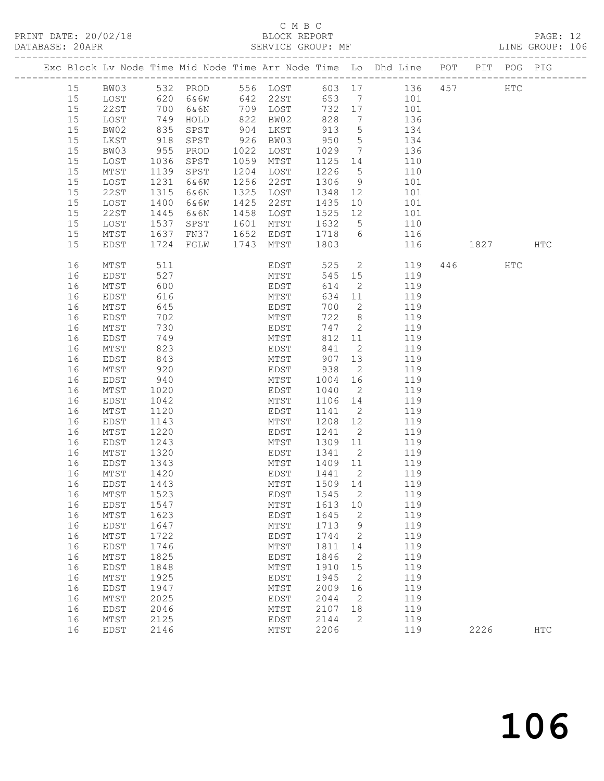## C M B C

|          |              |              | PRINT DATE: 20/02/18 BLOCK REPORT DATABASE: 20APR SERVICE GROUP: |      |                             |                   |                | BLOCK REPORT PAGE: 12<br>SERVICE GROUP: MF LINE GROUP: 106                          |      |      |            |  |
|----------|--------------|--------------|------------------------------------------------------------------|------|-----------------------------|-------------------|----------------|-------------------------------------------------------------------------------------|------|------|------------|--|
|          |              |              |                                                                  |      |                             |                   |                | Exc Block Lv Node Time Mid Node Time Arr Node Time Lo Dhd Line POT PIT POG PIG      |      |      |            |  |
|          |              |              |                                                                  |      |                             |                   |                | 15 BW03 532 PROD 556 LOST 603 17 136 457 HTC<br>15 LOST 620 6&6W 642 22ST 653 7 101 |      |      |            |  |
|          |              |              |                                                                  |      |                             |                   |                |                                                                                     |      |      |            |  |
| 15       | 22ST         |              |                                                                  |      |                             |                   |                | 700 6&6N 709 LOST 732 17 101                                                        |      |      |            |  |
| 15       | LOST         |              |                                                                  |      | 822 BW02                    | 828               |                | 7 136                                                                               |      |      |            |  |
| 15       | BW02         |              | 749 HOLD<br>835 SPST<br>918 SPST                                 |      | 904 LKST<br>926 BW03        | 913<br>950        |                |                                                                                     |      |      |            |  |
| 15       | LKST         |              |                                                                  |      |                             |                   |                | $\begin{array}{ccc} 5 & 134 \\ 5 & 134 \end{array}$                                 |      |      |            |  |
| 15       | BW03         | 955          | PROD                                                             |      | 1022 LOST                   | 1029              |                | 7 136                                                                               |      |      |            |  |
| 15       | LOST         | 1036         | SPST                                                             |      | 1059 MTST                   |                   |                | 1125 14 110                                                                         |      |      |            |  |
| 15       | MTST         | 1139         | SPST                                                             |      | 1204 LOST                   | 1226              | $\frac{5}{9}$  | $\begin{array}{c}\n110 \\ \hline\n\end{array}$                                      |      |      |            |  |
| 15       | LOST         |              | 1231 6&6W                                                        |      | 1256 22ST                   | 1306              |                | 101                                                                                 |      |      |            |  |
| 15       | 22ST         | 1315         | 6&6N                                                             | 1325 | LOST                        |                   |                | 1348 12 101                                                                         |      |      |            |  |
| 15       | LOST         | 1400         | 6&6W                                                             | 1425 | 22ST                        | 1435              |                | 10 101                                                                              |      |      |            |  |
| 15       | 22ST         | 1445         | 6&6N                                                             | 1458 | LOST                        | 1525 12<br>1632 5 |                | $\begin{array}{cc} 12 & \hspace{1.5cm} 101 \\ 5 & \hspace{1.5cm} 110 \end{array}$   |      |      |            |  |
| 15       | LOST         |              | 1537 SPST                                                        |      | 1601 MTST                   |                   |                |                                                                                     |      |      |            |  |
| 15       | MTST         |              | 1637 FN37                                                        |      |                             |                   |                | 1652 EDST 1718 6 116                                                                |      |      |            |  |
| 15       | EDST         | 1724         | FGLW                                                             |      | 1743 MTST                   | 1803              |                | 116                                                                                 | 1827 |      | HTC        |  |
| 16       | MTST         | 511          |                                                                  |      |                             |                   |                | EDST 525 2 119 446 HTC                                                              |      |      |            |  |
| 16       | EDST         | 527          |                                                                  |      | MTST                        |                   |                | 545 15 119                                                                          |      |      |            |  |
| 16       | MTST         | 600          |                                                                  |      | EDST                        | 614               |                | 2 119                                                                               |      |      |            |  |
| 16       | EDST         | 616          |                                                                  |      | MTST                        | 634               | 11             | 119                                                                                 |      |      |            |  |
| 16       | MTST         | 645          |                                                                  |      | EDOT<br>MTST<br>FDOT        | 700               | $\overline{2}$ | 119                                                                                 |      |      |            |  |
| 16       | EDST         | 702          |                                                                  |      |                             | 722               |                | $\begin{array}{cc} 8 & 119 \\ 8 & 119 \end{array}$                                  |      |      |            |  |
| 16       | MTST         | 730          |                                                                  |      | EDST                        | 747               |                | 2 119                                                                               |      |      |            |  |
| 16       | EDST         | 749          |                                                                  |      | MTST                        | 812               | 11             | 119                                                                                 |      |      |            |  |
| 16       | MTST         | 823          |                                                                  |      |                             |                   |                | EDST 841 2 119<br>MTST 907 13 119                                                   |      |      |            |  |
| 16       | EDST         | 843          |                                                                  |      |                             |                   |                |                                                                                     |      |      |            |  |
| 16       | MTST         | 920          |                                                                  |      | EDST 938                    |                   | $\overline{2}$ | 119                                                                                 |      |      |            |  |
| 16       | EDST         | 940          |                                                                  |      | MTST                        | 1004              | 16             | 119                                                                                 |      |      |            |  |
| 16       | MTST         | 1020         |                                                                  |      | EDST                        | 1040              | $\overline{2}$ | 119<br>$1106$ 14 $119$                                                              |      |      |            |  |
| 16       | EDST         | 1042         |                                                                  |      | MTST                        |                   |                |                                                                                     |      |      |            |  |
| 16       | MTST         | 1120         |                                                                  |      | EDST<br>MTST                | 1141<br>1208 12   |                | 2 119                                                                               |      |      |            |  |
| 16       | EDST         | 1143         |                                                                  |      |                             |                   |                | 119                                                                                 |      |      |            |  |
| 16<br>16 | MTST         | 1220         |                                                                  |      | EDST 1241 2<br>MTST 1309 11 |                   |                | $\frac{13}{119}$                                                                    |      |      |            |  |
| 16       | EDST<br>MTST | 1243<br>1320 |                                                                  |      | EDST 1341                   |                   | $\overline{2}$ | 119<br>119                                                                          |      |      |            |  |
| 16       | EDST         | 1343         |                                                                  |      | MTST                        |                   |                | 1409 11 119                                                                         |      |      |            |  |
|          | 16 MTST 1420 |              |                                                                  |      | EDST 1441 2                 |                   |                | 119                                                                                 |      |      |            |  |
| 16       | EDST         | 1443         |                                                                  |      | MTST                        | 1509              | 14             | 119                                                                                 |      |      |            |  |
| 16       | $MTST$       | 1523         |                                                                  |      | EDST                        | 1545              | 2              | 119                                                                                 |      |      |            |  |
| 16       | <b>EDST</b>  | 1547         |                                                                  |      | MTST                        | 1613              | 10             | 119                                                                                 |      |      |            |  |
| 16       | MTST         | 1623         |                                                                  |      | EDST                        | 1645              | 2              | 119                                                                                 |      |      |            |  |
| 16       | EDST         | 1647         |                                                                  |      | MTST                        | 1713              | 9              | 119                                                                                 |      |      |            |  |
| 16       | $MTST$       | 1722         |                                                                  |      | EDST                        | 1744              | 2              | 119                                                                                 |      |      |            |  |
| 16       | EDST         | 1746         |                                                                  |      | MTST                        | 1811              | 14             | 119                                                                                 |      |      |            |  |
| 16       | MTST         | 1825         |                                                                  |      | EDST                        | 1846              | 2              | 119                                                                                 |      |      |            |  |
| 16       | EDST         | 1848         |                                                                  |      | MTST                        | 1910              | 15             | 119                                                                                 |      |      |            |  |
| 16       | MTST         | 1925         |                                                                  |      | EDST                        | 1945              | 2              | 119                                                                                 |      |      |            |  |
| 16       | <b>EDST</b>  | 1947         |                                                                  |      | MTST                        | 2009              | 16             | 119                                                                                 |      |      |            |  |
| 16       | MTST         | 2025         |                                                                  |      | EDST                        | 2044              | 2              | 119                                                                                 |      |      |            |  |
| 16       | EDST         | 2046         |                                                                  |      | MTST                        | 2107              | 18             | 119                                                                                 |      |      |            |  |
| 16       | MTST         | 2125         |                                                                  |      | EDST                        | 2144              | $\mathbf{2}$   | 119                                                                                 |      |      |            |  |
| 16       | <b>EDST</b>  | 2146         |                                                                  |      | MTST                        | 2206              |                | 119                                                                                 |      | 2226 | <b>HTC</b> |  |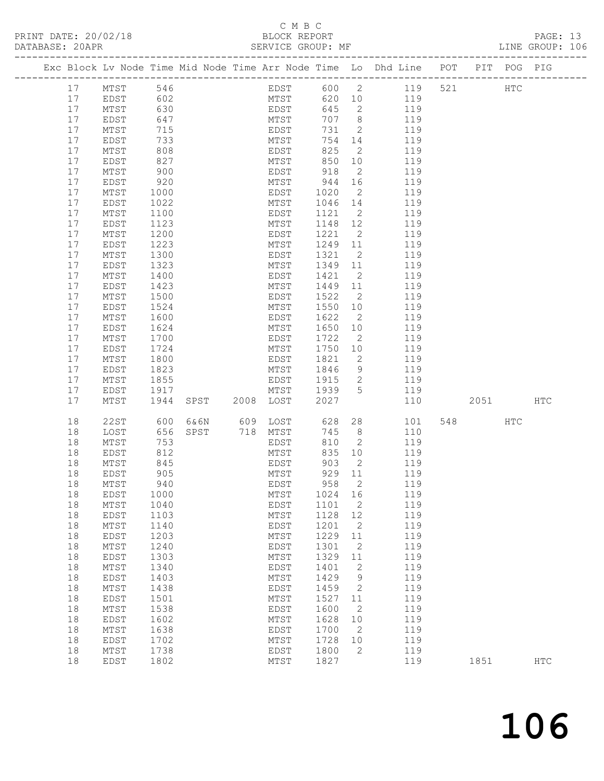### C M B C<br>BLOCK REPORT

PRINT DATE: 20/02/18 BLOCK REPORT BATABASE: 20APR BEST BERVICE GROUP: MF

PAGE: 13<br>LINE GROUP: 106

|      | Exc Block Lv Node Time Mid Node Time Arr Node Time Lo Dhd Line POT PIT POG PIG |      |      |                |      |      |          |                            |     |       |     |          |     |            |
|------|--------------------------------------------------------------------------------|------|------|----------------|------|------|----------|----------------------------|-----|-------|-----|----------|-----|------------|
| 17   | MTST                                                                           | 546  |      |                |      |      | EDST 600 |                            |     | 2 119 | 521 | HTC      |     |            |
| 17   | EDST                                                                           | 602  |      |                |      | MTST | 620 10   |                            | 119 |       |     |          |     |            |
| 17   | MTST                                                                           | 630  |      |                | EDST |      | 645      | $\overline{2}$             |     | 119   |     |          |     |            |
| 17   | EDST                                                                           | 647  |      |                | MTST |      | 707      | 8 <sup>8</sup>             |     | 119   |     |          |     |            |
| 17   | $\mathtt{MTST}$                                                                | 715  |      |                | EDST |      | 731      | $\overline{\phantom{0}}$ 2 |     | 119   |     |          |     |            |
| 17   | EDST                                                                           | 733  |      |                | MTST |      | 754      | 14                         |     | 119   |     |          |     |            |
| $17$ | MTST                                                                           | 808  |      |                | EDST |      | 825      | $\overline{\phantom{a}}$   |     | 119   |     |          |     |            |
| $17$ | EDST                                                                           | 827  |      |                | MTST |      | 850      | 10                         |     | 119   |     |          |     |            |
| 17   | MTST                                                                           | 900  |      |                | EDST |      | 918      | $\overline{2}$             |     | 119   |     |          |     |            |
| 17   | EDST                                                                           | 920  |      |                | MTST |      | 944      | 16                         |     | 119   |     |          |     |            |
| 17   | MTST                                                                           | 1000 |      |                | EDST |      | 1020     | $\overline{2}$             |     | 119   |     |          |     |            |
| 17   | EDST                                                                           | 1022 |      |                | MTST |      | 1046     | 14                         |     | 119   |     |          |     |            |
| 17   | MTST                                                                           | 1100 |      |                | EDST |      | 1121     | $\overline{\phantom{0}}^2$ |     | 119   |     |          |     |            |
| 17   | EDST                                                                           | 1123 |      |                | MTST |      | 1148     | 12                         |     | 119   |     |          |     |            |
| 17   | MTST                                                                           | 1200 |      |                | EDST |      | 1221     | $\overline{2}$             |     | 119   |     |          |     |            |
| $17$ | EDST                                                                           | 1223 |      |                | MTST |      | 1249     | 11                         |     | 119   |     |          |     |            |
| 17   | MTST                                                                           | 1300 |      |                | EDST |      | 1321     | $\overline{2}$             |     | 119   |     |          |     |            |
| 17   | EDST                                                                           | 1323 |      |                | MTST |      | 1349 11  |                            |     | 119   |     |          |     |            |
| 17   | MTST                                                                           | 1400 |      |                | EDST |      | 1421     | $\overline{2}$             |     | 119   |     |          |     |            |
| 17   | EDST                                                                           | 1423 |      |                | MTST |      | 1449     | 11                         |     | 119   |     |          |     |            |
| $17$ | $\mathtt{MTST}$                                                                | 1500 |      |                | EDST |      | 1522     | $\overline{2}$             |     | 119   |     |          |     |            |
| 17   | EDST                                                                           | 1524 |      |                | MTST |      | 1550     | 10                         |     | 119   |     |          |     |            |
| 17   | MTST                                                                           | 1600 |      |                | EDST |      | 1622     | $\overline{2}$             |     | 119   |     |          |     |            |
| $17$ | EDST                                                                           | 1624 |      |                | MTST |      | 1650     | 10                         |     | 119   |     |          |     |            |
| $17$ | MTST                                                                           | 1700 |      |                | EDST |      | 1722     | $\overline{\phantom{a}}$   |     | 119   |     |          |     |            |
| 17   | EDST                                                                           | 1724 |      |                | MTST |      | 1750 10  |                            |     | 119   |     |          |     |            |
| 17   | $\mathtt{MTST}$                                                                | 1800 |      |                | EDST |      | 1821     | $\overline{\phantom{0}}^2$ |     | 119   |     |          |     |            |
| 17   | EDST                                                                           | 1823 |      |                | MTST |      | 1846     | 9                          |     | 119   |     |          |     |            |
| 17   | $\mathtt{MTST}$                                                                | 1855 |      |                | EDST |      | 1915     | 2                          |     | 119   |     |          |     |            |
| 17   | EDST                                                                           | 1917 |      |                | MTST |      | 1939     | 5                          |     | 119   |     |          |     |            |
| 17   | MTST                                                                           | 1944 |      | SPST 2008 LOST |      |      | 2027     |                            |     | 110   |     | 2051     |     | <b>HTC</b> |
|      |                                                                                |      |      |                |      |      |          |                            |     |       |     |          |     |            |
| 18   | 22ST                                                                           | 600  | 6&6N | 609 LOST       |      |      | 628      | 28                         |     | 101   |     | 548 — 10 | HTC |            |
| 18   | LOST                                                                           | 656  | SPST | 718 MTST       |      |      | 745      | 8                          |     | 110   |     |          |     |            |
| 18   | MTST                                                                           | 753  |      |                | EDST |      | 810      | $\overline{\phantom{0}}^2$ |     | 119   |     |          |     |            |
| 18   | EDST                                                                           | 812  |      |                | MTST |      | 835      | 10                         |     | 119   |     |          |     |            |
| 18   | MTST                                                                           | 845  |      |                | EDST |      | 903      | $\overline{2}$             |     | 119   |     |          |     |            |
| 18   | EDST                                                                           | 905  |      |                | MTST |      | 929      | 11                         |     | 119   |     |          |     |            |
| 18   | $\mathtt{MTST}$                                                                | 940  |      |                | EDST |      | 958      | $\overline{2}$             |     | 119   |     |          |     |            |
| 18   | EDST                                                                           | 1000 |      |                | MTST |      | 1024 16  |                            |     | 119   |     |          |     |            |
| 18   | MTST                                                                           | 1040 |      |                | EDST |      | 1101     | 2                          |     | 119   |     |          |     |            |
| 18   | EDST                                                                           | 1103 |      |                | MTST |      | 1128 12  |                            |     | 119   |     |          |     |            |
| 18   | MTST                                                                           | 1140 |      |                | EDST |      | 1201     | $\overline{2}$             |     | 119   |     |          |     |            |
| 18   | EDST                                                                           | 1203 |      |                | MTST |      | 1229     | 11                         |     | 119   |     |          |     |            |
| 18   | MTST                                                                           | 1240 |      |                | EDST |      | 1301     | 2                          |     | 119   |     |          |     |            |
| 18   | EDST                                                                           | 1303 |      |                | MTST |      | 1329     | 11                         |     | 119   |     |          |     |            |
| 18   | MTST                                                                           | 1340 |      |                | EDST |      | 1401     | $\overline{2}$             |     | 119   |     |          |     |            |
| 18   | EDST                                                                           | 1403 |      |                | MTST |      | 1429     | 9                          |     | 119   |     |          |     |            |
| 18   | MTST                                                                           | 1438 |      |                | EDST |      | 1459     | 2                          |     | 119   |     |          |     |            |
| 18   | EDST                                                                           | 1501 |      |                | MTST |      | 1527     | 11                         |     | 119   |     |          |     |            |
| 18   | MTST                                                                           | 1538 |      |                | EDST |      | 1600     | $\overline{2}$             |     | 119   |     |          |     |            |
| 18   | EDST                                                                           | 1602 |      |                | MTST |      | 1628     | 10                         |     | 119   |     |          |     |            |
| 18   | MTST                                                                           | 1638 |      |                | EDST |      | 1700     | $\overline{2}$             |     | 119   |     |          |     |            |
| 18   | EDST                                                                           | 1702 |      |                | MTST |      | 1728     | 10                         |     | 119   |     |          |     |            |
| 18   | MTST                                                                           | 1738 |      |                | EDST |      | 1800     | 2                          |     | 119   |     |          |     |            |
| 18   | EDST                                                                           | 1802 |      |                | MTST |      | 1827     |                            |     | 119   |     | 1851     |     | <b>HTC</b> |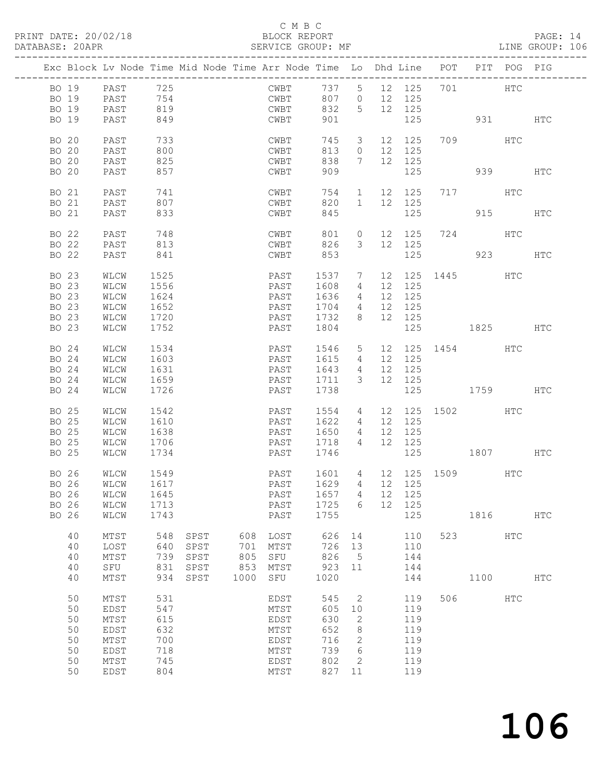#### C M B C<br>BLOCK REPORT

PAGE: 14<br>LINE GROUP: 106

|       |       | Exc Block Lv Node Time Mid Node Time Arr Node Time Lo Dhd Line POT PIT POG PIG |            |      |      |      |                    |                 |    |        |     |                 |            |            |
|-------|-------|--------------------------------------------------------------------------------|------------|------|------|------|--------------------|-----------------|----|--------|-----|-----------------|------------|------------|
| BO 19 |       | PAST                                                                           | 725        |      |      | CWBT | 737                | 5 <sup>5</sup>  |    | 12 125 |     |                 | HTC        |            |
| BO 19 |       | PAST                                                                           |            |      |      | CWBT | 807                | $\overline{0}$  |    | 12 125 |     |                 |            |            |
| BO 19 |       | PAST                                                                           | 754<br>819 |      |      | CWBT | 832                | $5\phantom{.0}$ |    | 12 125 |     |                 |            |            |
| BO 19 |       | PAST                                                                           | 849        |      |      | CWBT | 901                |                 |    | 125    |     | 931 HTC         |            |            |
| BO 20 |       | PAST                                                                           | 733        |      |      | CWBT | 745                | $\mathcal{S}$   |    | 12 125 |     | 709 HTC         |            |            |
| BO 20 |       | PAST                                                                           | 800        |      |      | CWBT | 813                | $\circ$         |    | 12 125 |     |                 |            |            |
| BO 20 |       | PAST                                                                           | 825        |      |      | CWBT | 838                | $7\phantom{0}$  |    | 12 125 |     |                 |            |            |
| BO 20 |       | PAST                                                                           | 857        |      |      | CWBT | 909                |                 |    | 125    |     |                 | 939 — 10   | <b>HTC</b> |
|       |       |                                                                                |            |      |      |      |                    |                 |    |        |     |                 |            |            |
| BO 21 |       | PAST                                                                           | 741        |      |      | CWBT | 754                | $\mathbf{1}$    |    | 12 125 |     | 717 HTC         |            |            |
| BO 21 |       | PAST                                                                           | 807        |      |      | CWBT | 820                | $\mathbf{1}$    |    | 12 125 |     |                 |            |            |
| BO 21 |       | PAST                                                                           | 833        |      |      | CWBT | 845                |                 |    | 125    |     |                 | 915        | HTC        |
| BO 22 |       | PAST                                                                           | 748        |      |      | CWBT | 801                | $\circ$         |    | 12 125 |     | 724 HTC         |            |            |
| BO 22 |       | PAST                                                                           | 813        |      |      | CWBT | 826                | 3               |    | 12 125 |     |                 |            |            |
| BO 22 |       | PAST                                                                           | 841        |      |      | CWBT | 853                |                 |    | 125    |     |                 | 923        | HTC        |
|       |       |                                                                                |            |      |      |      |                    |                 |    |        |     |                 |            |            |
| BO 23 |       | WLCW                                                                           | 1525       |      |      | PAST | 1537               | $\overline{7}$  |    |        |     | 12 125 1445 HTC |            |            |
| BO 23 |       | WLCW                                                                           | 1556       |      |      | PAST | 1608               | 4               |    | 12 125 |     |                 |            |            |
| BO 23 |       | WLCW                                                                           | 1624       |      |      | PAST | 1636               | 4               |    | 12 125 |     |                 |            |            |
| BO 23 |       | WLCW                                                                           | 1652       |      |      | PAST | 1704               | 4               | 12 | 125    |     |                 |            |            |
| BO 23 |       | WLCW                                                                           | 1720       |      |      | PAST | 1732               | 8               |    | 12 125 |     |                 |            |            |
| BO 23 |       | WLCW                                                                           | 1752       |      |      | PAST | 1804               |                 |    | 125    |     | 1825            |            | HTC        |
| BO 24 |       | WLCW                                                                           | 1534       |      |      | PAST | 1546               | $5\overline{)}$ |    |        |     | 12 125 1454     | HTC        |            |
| BO 24 |       | WLCW                                                                           | 1603       |      |      | PAST | 1615               | 4               |    | 12 125 |     |                 |            |            |
| BO 24 |       | WLCW                                                                           | 1631       |      |      | PAST | 1643               | $4\overline{4}$ |    | 12 125 |     |                 |            |            |
| BO 24 |       | WLCW                                                                           | 1659       |      |      | PAST | 1711               | 3               |    | 12 125 |     |                 |            |            |
| BO 24 |       | WLCW                                                                           | 1726       |      |      | PAST | 1738               |                 |    | 125    |     | 1759            |            | HTC        |
|       |       |                                                                                |            |      |      |      |                    |                 |    |        |     |                 |            |            |
| BO 25 |       | WLCW                                                                           | 1542       |      |      | PAST | 1554               | 4               |    |        |     | 12 125 1502 HTC |            |            |
| BO 25 |       | WLCW                                                                           | 1610       |      |      | PAST | 1622               | 4               |    | 12 125 |     |                 |            |            |
| BO 25 |       | WLCW                                                                           | 1638       |      |      | PAST | 1650               | 4               | 12 | 125    |     |                 |            |            |
| BO 25 |       | WLCW                                                                           | 1706       |      |      | PAST | 1718               | 4               |    | 12 125 |     |                 |            |            |
| BO 25 |       | WLCW                                                                           | 1734       |      |      | PAST | 1746               |                 |    | 125    |     | 1807            |            | HTC        |
| BO 26 |       | WLCW                                                                           | 1549       |      |      | PAST | 1601               | 4               |    |        |     | 12 125 1509 HTC |            |            |
| BO 26 |       | WLCW                                                                           | 1617       |      |      | PAST | 1629               | $4\overline{ }$ |    | 12 125 |     |                 |            |            |
|       |       | BO 26 WLCW 1645                                                                |            |      |      |      | PAST 1657 4 12 125 |                 |    |        |     |                 |            |            |
|       | BO 26 | WLCW                                                                           | 1713       |      |      | PAST | 1725               | 6               |    | 12 125 |     |                 |            |            |
|       | BO 26 | WLCW                                                                           | 1743       |      |      | PAST | 1755               |                 |    | 125    |     | 1816            |            | <b>HTC</b> |
|       |       |                                                                                |            |      |      |      |                    |                 |    |        |     |                 |            |            |
|       | 40    | MTST                                                                           | 548        | SPST | 608  | LOST | 626                | 14              |    | 110    |     | 523             | <b>HTC</b> |            |
|       | 40    | LOST                                                                           | 640        | SPST | 701  | MTST | 726                | 13              |    | 110    |     |                 |            |            |
|       | 40    | MTST                                                                           | 739        | SPST | 805  | SFU  | 826                | $5^{\circ}$     |    | 144    |     |                 |            |            |
|       | 40    | SFU                                                                            | 831        | SPST | 853  | MTST | 923                | 11              |    | 144    |     |                 |            |            |
|       | 40    | MTST                                                                           | 934        | SPST | 1000 | SFU  | 1020               |                 |    | 144    |     | 1100            |            | HTC        |
|       | 50    | MTST                                                                           | 531        |      |      | EDST | 545                | 2               |    | 119    | 506 |                 | <b>HTC</b> |            |
|       | 50    | <b>EDST</b>                                                                    | 547        |      |      | MTST | 605                | 10              |    | 119    |     |                 |            |            |
|       | 50    |                                                                                | 615        |      |      |      | 630                |                 |    | 119    |     |                 |            |            |
|       |       | MTST                                                                           |            |      |      | EDST |                    | 2               |    |        |     |                 |            |            |
|       | 50    | EDST                                                                           | 632        |      |      | MTST | 652                | 8               |    | 119    |     |                 |            |            |
|       | 50    | MTST                                                                           | 700        |      |      | EDST | 716                | 2               |    | 119    |     |                 |            |            |
|       | 50    | EDST                                                                           | 718        |      |      | MTST | 739                | 6               |    | 119    |     |                 |            |            |
|       | 50    | MTST                                                                           | 745        |      |      | EDST | 802                | 2               |    | 119    |     |                 |            |            |
|       | 50    | EDST                                                                           | 804        |      |      | MTST | 827                | 11              |    | 119    |     |                 |            |            |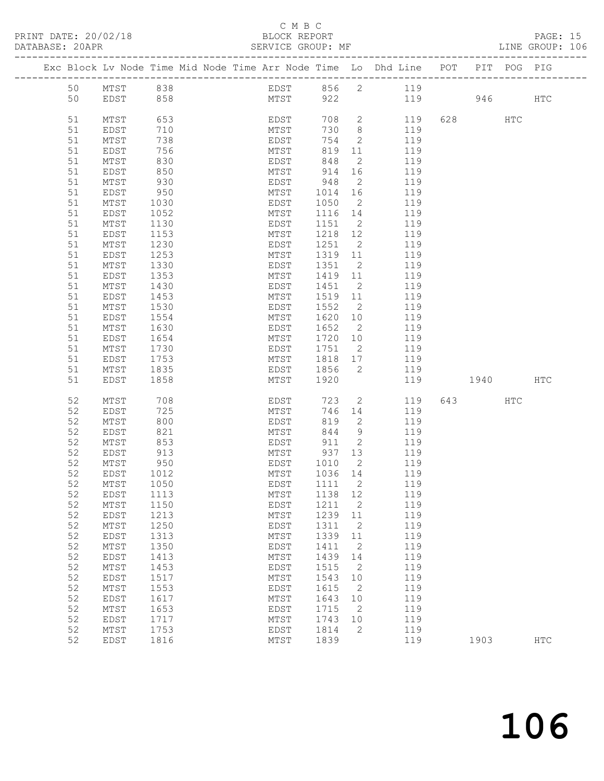#### C M B C<br>BLOCK REPORT

PAGE: 15<br>LINE GROUP: 106

|          | Exc Block Lv Node Time Mid Node Time Arr Node Time Lo Dhd Line POT PIT POG PIG |              |  |              |      |              |                                   |                |           |     |            |
|----------|--------------------------------------------------------------------------------|--------------|--|--------------|------|--------------|-----------------------------------|----------------|-----------|-----|------------|
| 50       | MTST                                                                           | 838          |  |              |      |              |                                   | EDST 856 2 119 |           |     |            |
| 50       | EDST                                                                           | 858          |  |              | MTST | 922          |                                   |                | 119 946   |     | <b>HTC</b> |
|          |                                                                                |              |  |              |      |              |                                   |                |           |     |            |
| 51       | MTST                                                                           | 653          |  |              | EDST | 708          | $2^{\circ}$                       | 119            | 628 HTC   |     |            |
| 51       | EDST                                                                           | 710          |  | MTST         |      | 730          | 8 <sup>8</sup>                    | 119            |           |     |            |
| 51       | MTST                                                                           | 738          |  | EDST         |      | 754          | $\mathbf{2}$                      | 119            |           |     |            |
| 51       | EDST                                                                           | 756          |  | MTST         |      | 819          | 11                                | 119            |           |     |            |
| 51       | MTST                                                                           | 830          |  | EDST         |      | 848          | 2                                 | 119            |           |     |            |
| 51       | EDST                                                                           | 850          |  | MTST         |      | 914          | 16                                | 119            |           |     |            |
| 51       | MTST                                                                           | 930          |  | EDST         |      | 948          | 2                                 | 119            |           |     |            |
| 51       | EDST                                                                           | 950          |  | MTST         |      | 1014         | 16                                | 119            |           |     |            |
| 51       | MTST                                                                           | 1030         |  | EDST         |      | 1050         | 2                                 | 119            |           |     |            |
| 51       | EDST                                                                           | 1052         |  | MTST         |      | 1116         | 14                                | 119            |           |     |            |
| 51       | MTST                                                                           | 1130         |  | EDST         |      | 1151         | $\overline{2}$                    | 119            |           |     |            |
| 51       | EDST                                                                           | 1153         |  | MTST         |      | 1218         | 12                                | 119            |           |     |            |
| 51       | MTST                                                                           | 1230         |  | EDST         |      | 1251         | $\overline{2}$                    | 119            |           |     |            |
| 51       | EDST                                                                           | 1253         |  | MTST         |      | 1319         | 11                                | 119            |           |     |            |
| 51       | MTST                                                                           | 1330         |  | EDST         |      | 1351         | $\overline{2}$                    | 119            |           |     |            |
| 51       | EDST                                                                           | 1353         |  | MTST         |      | 1419         | 11                                | 119            |           |     |            |
| 51       | MTST                                                                           | 1430         |  | EDST         |      | 1451         | $\overline{2}$                    | 119            |           |     |            |
| 51<br>51 | EDST<br>MTST                                                                   | 1453         |  | MTST<br>EDST |      | 1519<br>1552 | 11                                | 119<br>119     |           |     |            |
| 51       | EDST                                                                           | 1530<br>1554 |  | MTST         |      | 1620         | $\overline{2}$<br>10 <sup>°</sup> | 119            |           |     |            |
| 51       | MTST                                                                           | 1630         |  | EDST         |      | 1652         | $\overline{2}$                    | 119            |           |     |            |
| 51       | EDST                                                                           | 1654         |  | MTST         |      | 1720         | 10                                | 119            |           |     |            |
| 51       | MTST                                                                           | 1730         |  | EDST         |      | 1751         | $\overline{2}$                    | 119            |           |     |            |
| 51       | EDST                                                                           | 1753         |  | MTST         |      | 1818         | 17                                | 119            |           |     |            |
| 51       | MTST                                                                           | 1835         |  | EDST         |      | 1856         | $\overline{2}$                    | 119            |           |     |            |
| 51       | EDST                                                                           | 1858         |  | MTST         |      | 1920         |                                   | 119            | 1940 \    |     | HTC        |
|          |                                                                                |              |  |              |      |              |                                   |                |           |     |            |
| 52       | MTST                                                                           | 708          |  | EDST         |      | 723          | 2                                 | 119            | 643   120 | HTC |            |
| 52       | EDST                                                                           | 725          |  | MTST         |      | 746          | 14                                | 119            |           |     |            |
| 52       | MTST                                                                           | 800          |  | EDST         |      | 819          | 2                                 | 119            |           |     |            |
| 52       | EDST                                                                           | 821          |  | MTST         |      | 844          | 9                                 | 119            |           |     |            |
| 52       | MTST                                                                           | 853          |  | EDST         |      | 911          | 2                                 | 119            |           |     |            |
| 52       | EDST                                                                           | 913          |  | MTST         |      | 937          | 13                                | 119            |           |     |            |
| 52       | MTST                                                                           | 950          |  | EDST         |      | 1010         | $\overline{2}$                    | 119            |           |     |            |
| 52       | EDST                                                                           | 1012         |  | MTST         |      | 1036 14      |                                   | 119            |           |     |            |
| 52       | MTST                                                                           | 1050         |  | EDST         |      | 1111         | $\overline{2}$                    | 119            |           |     |            |
| 52       | EDST                                                                           | 1113         |  |              |      | MTST 1138 12 |                                   | 119            |           |     |            |
| 52       | MTST                                                                           | 1150         |  | EDST         |      | 1211         | 2                                 | 119            |           |     |            |
| 52<br>52 | EDST<br>MTST                                                                   | 1213<br>1250 |  | MTST<br>EDST |      | 1239<br>1311 | 11                                | 119<br>119     |           |     |            |
| 52       | EDST                                                                           | 1313         |  | MTST         |      | 1339         | 2<br>11                           | 119            |           |     |            |
| 52       | $MTST$                                                                         | 1350         |  | EDST         |      | 1411         | $\sqrt{2}$                        | 119            |           |     |            |
| 52       | EDST                                                                           | 1413         |  | MTST         |      | 1439         | 14                                | 119            |           |     |            |
| 52       | MTST                                                                           | 1453         |  | EDST         |      | 1515         | 2                                 | 119            |           |     |            |
| 52       | EDST                                                                           | 1517         |  | MTST         |      | 1543         | 10                                | 119            |           |     |            |
| 52       | MTST                                                                           | 1553         |  | EDST         |      | 1615         | 2                                 | 119            |           |     |            |
| 52       | EDST                                                                           | 1617         |  | MTST         |      | 1643         | 10                                | 119            |           |     |            |
| 52       | MTST                                                                           | 1653         |  | <b>EDST</b>  |      | 1715         | 2                                 | 119            |           |     |            |
| 52       | EDST                                                                           | 1717         |  | MTST         |      | 1743         | 10                                | 119            |           |     |            |
| 52       | MTST                                                                           | 1753         |  | EDST         |      | 1814         | 2                                 | 119            |           |     |            |
| 52       | EDST                                                                           | 1816         |  | MTST         |      | 1839         |                                   | 119            | 1903      |     | <b>HTC</b> |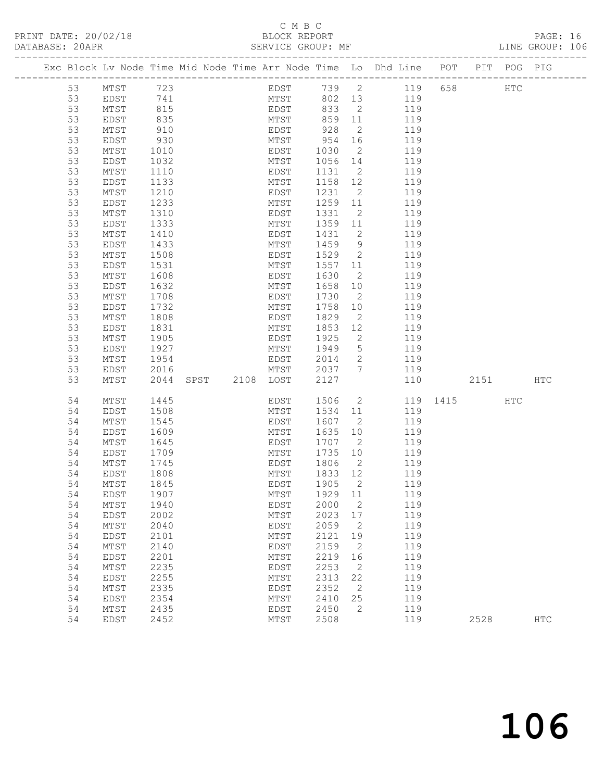### C M B C<br>
C M B C<br>
ELOCK REPORT

| DATABASE: 20APR |          |              |              |                     |                           |                 |                      |                                                                                |          |      |     | LINE GROUP: 106 |  |
|-----------------|----------|--------------|--------------|---------------------|---------------------------|-----------------|----------------------|--------------------------------------------------------------------------------|----------|------|-----|-----------------|--|
|                 |          |              |              |                     |                           |                 |                      | Exc Block Lv Node Time Mid Node Time Arr Node Time Lo Dhd Line POT PIT POG PIG |          |      |     |                 |  |
|                 | 53       | MTST 723     |              |                     |                           |                 |                      | EDST 739 2 119 658 HTC                                                         |          |      |     |                 |  |
|                 | 53       | EDST         | 741          |                     |                           |                 |                      | MTST 802 13 119                                                                |          |      |     |                 |  |
|                 | 53       | MTST         | 815          |                     |                           |                 |                      | EDST 833 2 119                                                                 |          |      |     |                 |  |
|                 | 53       | EDST         |              |                     | MTST 859 11<br>EDST 928 2 |                 |                      | 119                                                                            |          |      |     |                 |  |
|                 | 53       | MTST         | 835<br>910   |                     |                           |                 |                      | 119                                                                            |          |      |     |                 |  |
|                 | 53       | EDST         | 930          |                     | MTST 954 16               |                 |                      | 119                                                                            |          |      |     |                 |  |
|                 | 53       | MTST         | 1010         |                     | EDST                      | 1030            | $\overline{2}$       | 119                                                                            |          |      |     |                 |  |
|                 | 53       | EDST         | 1032         |                     | MTST                      | 1056 14         |                      | 119                                                                            |          |      |     |                 |  |
|                 | 53       | MTST         | 1110         |                     | EDST                      | 1131 2          |                      | 119                                                                            |          |      |     |                 |  |
|                 | 53       | EDST         | 1133         |                     | MTST                      | 1158 12         |                      | 119                                                                            |          |      |     |                 |  |
|                 | 53       | MTST         | 1210         |                     | EDST                      | 1231            | $\overline{2}$       | 119                                                                            |          |      |     |                 |  |
|                 | 53       | EDST         | 1233         |                     | MTST                      | 1259 11         |                      | 119                                                                            |          |      |     |                 |  |
|                 | 53       | MTST         | 1310<br>1333 |                     | EDST                      | 1331            | $\overline{2}$       | 119<br>119                                                                     |          |      |     |                 |  |
|                 | 53<br>53 | EDST         |              |                     | MTST<br>EDST              | 1359 11<br>1431 | $\overline{2}$       | 119                                                                            |          |      |     |                 |  |
|                 | 53       | MTST<br>EDST | 1410         |                     | MTST                      | 1459 9          |                      | 119                                                                            |          |      |     |                 |  |
|                 | 53       | MTST         | 1433<br>1508 |                     | EDST                      | 1529 2          |                      | 119                                                                            |          |      |     |                 |  |
|                 | 53       | EDST         | 1531         |                     | MTST                      | 1557 11         |                      | 119                                                                            |          |      |     |                 |  |
|                 | 53       | MTST         | 1608         |                     | EDST                      | 1630            | $\overline{2}$       | 119                                                                            |          |      |     |                 |  |
|                 | 53       | EDST         | 1632         |                     | MTST                      | 1658            | 10                   | 119                                                                            |          |      |     |                 |  |
|                 | 53       | MTST         | 1708         |                     | EDST                      | 1730            | $\overline{2}$       | 119                                                                            |          |      |     |                 |  |
|                 | 53       | EDST         | 1732         |                     | MTST                      | 1758            | 10                   | 119                                                                            |          |      |     |                 |  |
|                 | 53       | MTST         | 1808         |                     | EDST                      | 1829            | $\overline{2}$       | 119                                                                            |          |      |     |                 |  |
|                 | 53       | EDST         | 1831         |                     | MTST                      | 1853            | 12                   | 119                                                                            |          |      |     |                 |  |
|                 | 53       | MTST         | 1905         |                     | EDST                      | 1925            | $\overline{2}$       | 119                                                                            |          |      |     |                 |  |
|                 | 53       | EDST         | 1927         |                     | MTST                      | 1949            |                      | 5 119                                                                          |          |      |     |                 |  |
|                 | 53       | MTST         | 1954         |                     | EDST 2014                 |                 |                      | 2 119                                                                          |          |      |     |                 |  |
|                 | 53       | EDST         | 2016         |                     | MTST                      | 2037 7          |                      | 119                                                                            |          |      |     |                 |  |
|                 | 53       | MTST         |              | 2044 SPST 2108 LOST |                           | 2127            |                      | 110                                                                            |          | 2151 |     | HTC             |  |
|                 | 54       | MTST         | 1445         |                     | EDST                      | 1506            |                      | $\overline{2}$                                                                 | 119 1415 |      | HTC |                 |  |
|                 | 54       | EDST         | 1508         |                     | MTST                      | 1534            | 11                   | 119                                                                            |          |      |     |                 |  |
|                 | 54       | MTST         | 1545         |                     | EDST                      | 1607 2          |                      | 119                                                                            |          |      |     |                 |  |
|                 | 54       | EDST         | 1609         |                     | MTST                      | 1635            | 10                   | 119                                                                            |          |      |     |                 |  |
|                 | 54       | MTST         | 1645         |                     | EDST                      | 1707 2          |                      | 119                                                                            |          |      |     |                 |  |
|                 | 54<br>54 | EDST<br>MTST | 1709         |                     | MTST<br>EDST              | 1735<br>1806    | 10<br>$\overline{2}$ | 119<br>119                                                                     |          |      |     |                 |  |
|                 | 54       | EDST         | 1745<br>1808 |                     | MTST                      | 1833 12         |                      | 119                                                                            |          |      |     |                 |  |
|                 | 54       | MTST 1845    |              |                     |                           |                 |                      | EDST 1905 2 119                                                                |          |      |     |                 |  |
|                 | 54       | EDST         | 1907         |                     | MTST                      | 1929            | 11                   | 119                                                                            |          |      |     |                 |  |
|                 | 54       | MTST         | 1940         |                     | EDST                      | 2000            | $\overline{2}$       | 119                                                                            |          |      |     |                 |  |
|                 | 54       | EDST         | 2002         |                     | MTST                      | 2023            | 17                   | 119                                                                            |          |      |     |                 |  |
|                 | 54       | MTST         | 2040         |                     | EDST                      | 2059            | 2                    | 119                                                                            |          |      |     |                 |  |
|                 | 54       | EDST         | 2101         |                     | MTST                      | 2121            | 19                   | 119                                                                            |          |      |     |                 |  |
|                 | 54       | MTST         | 2140         |                     | EDST                      | 2159            | -2                   | 119                                                                            |          |      |     |                 |  |
|                 | 54       | EDST         | 2201         |                     | MTST                      | 2219            | 16                   | 119                                                                            |          |      |     |                 |  |
|                 | 54       | MTST         | 2235         |                     | EDST                      | 2253            | -2                   | 119                                                                            |          |      |     |                 |  |
|                 | 54       | EDST         | 2255         |                     | MTST                      | 2313            | 22                   | 119                                                                            |          |      |     |                 |  |
|                 | 54       | MTST         | 2335         |                     | EDST                      | 2352            | 2                    | 119                                                                            |          |      |     |                 |  |
|                 | 54       | EDST         | 2354         |                     | MTST                      | 2410            | 25                   | 119                                                                            |          |      |     |                 |  |
|                 | 54       | MTST         | 2435         |                     | EDST                      | 2450            | 2                    | 119                                                                            |          |      |     |                 |  |
|                 | 54       | EDST         | 2452         |                     | MTST                      | 2508            |                      | 119                                                                            |          | 2528 |     | $_{\rm{HTC}}$   |  |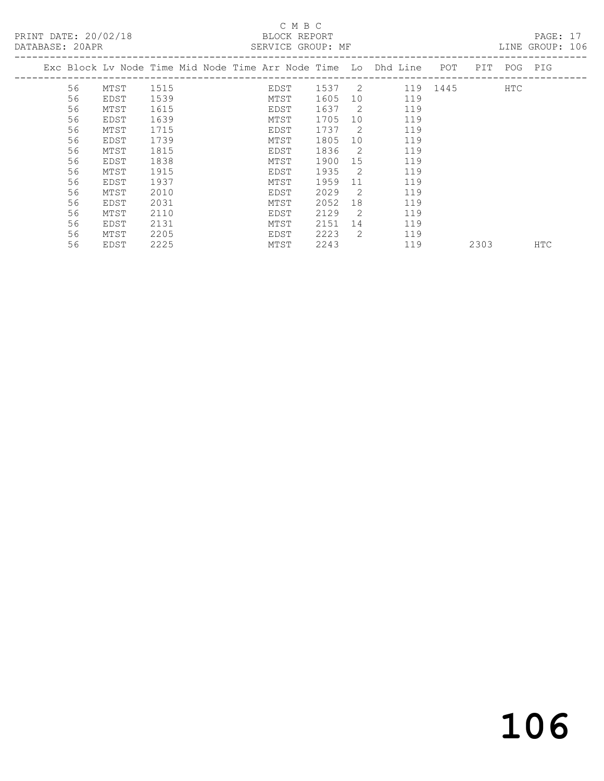## C M B C

| DATABASE: 20APR |    |                                                                    |      |  |      | SERVICE GROUP: MF |                 |     |          |      |             | LINE GROUP: 106 |  |
|-----------------|----|--------------------------------------------------------------------|------|--|------|-------------------|-----------------|-----|----------|------|-------------|-----------------|--|
|                 |    | Exc Block Lv Node Time Mid Node Time Arr Node Time Lo Dhd Line POT |      |  |      |                   |                 |     |          |      | PIT POG PIG |                 |  |
|                 | 56 | MTST                                                               | 1515 |  | EDST | 1537 2            |                 |     | 119 1445 |      | HTC         |                 |  |
|                 | 56 | EDST                                                               | 1539 |  | MTST | 1605              | 10 <sup>°</sup> | 119 |          |      |             |                 |  |
|                 | 56 | MTST                                                               | 1615 |  | EDST | 1637              | $\overline{2}$  | 119 |          |      |             |                 |  |
|                 | 56 | EDST                                                               | 1639 |  | MTST | 1705              | 10              | 119 |          |      |             |                 |  |
|                 | 56 | MTST                                                               | 1715 |  | EDST | 1737              | $\overline{2}$  | 119 |          |      |             |                 |  |
|                 | 56 | EDST                                                               | 1739 |  | MTST | 1805              | 10              | 119 |          |      |             |                 |  |
|                 | 56 | MTST                                                               | 1815 |  | EDST | 1836              | $\overline{2}$  | 119 |          |      |             |                 |  |
|                 | 56 | EDST                                                               | 1838 |  | MTST | 1900              | 15              | 119 |          |      |             |                 |  |
|                 | 56 | MTST                                                               | 1915 |  | EDST | 1935              | $\overline{2}$  | 119 |          |      |             |                 |  |
|                 | 56 | EDST                                                               | 1937 |  | MTST | 1959              | 11              | 119 |          |      |             |                 |  |
|                 | 56 | MTST                                                               | 2010 |  | EDST | 2029              | $\overline{2}$  | 119 |          |      |             |                 |  |
|                 | 56 | EDST                                                               | 2031 |  | MTST | 2052              | 18              | 119 |          |      |             |                 |  |
|                 | 56 | MTST                                                               | 2110 |  | EDST | 2129              | $\overline{2}$  | 119 |          |      |             |                 |  |
|                 | 56 | EDST                                                               | 2131 |  | MTST | 2151              | 14              | 119 |          |      |             |                 |  |
|                 | 56 | MTST                                                               | 2205 |  | EDST | 2223              | $\overline{2}$  | 119 |          |      |             |                 |  |
|                 | 56 | EDST                                                               | 2225 |  | MTST | 2243              |                 | 119 |          | 2303 |             | <b>HTC</b>      |  |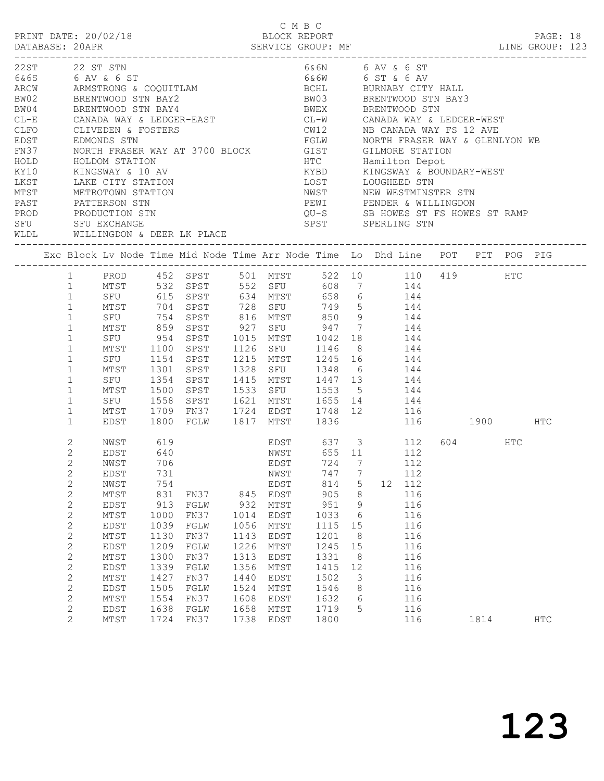|        |                | PRINT DATE: 20/02/18                                                                                                                                                                                                                                                                                                                                                                 |      |                                                                                                       |            |           | C M B C<br>BLOCK REPORT                      |                 |                  |        |                                     |           |     | PAGE: 18 |  |
|--------|----------------|--------------------------------------------------------------------------------------------------------------------------------------------------------------------------------------------------------------------------------------------------------------------------------------------------------------------------------------------------------------------------------------|------|-------------------------------------------------------------------------------------------------------|------------|-----------|----------------------------------------------|-----------------|------------------|--------|-------------------------------------|-----------|-----|----------|--|
|        |                | 22ST 22 ST STN                                                                                                                                                                                                                                                                                                                                                                       |      |                                                                                                       |            |           |                                              |                 | 6&6N 6 AV & 6 ST |        |                                     |           |     |          |  |
|        |                |                                                                                                                                                                                                                                                                                                                                                                                      |      |                                                                                                       |            |           |                                              |                 |                  |        |                                     |           |     |          |  |
|        |                | $\begin{array}{lllllllllllllllll} \text{ZZS1} & \text{ZZS1} & \text{S1N} & \text{GAV} & \text{GAV} & \text{GAV} & \text{GAV} \\ \text{6.6S} & \text{6 AV} & \text{6 ST} & \text{6.8C} & \text{6.8C} & \text{6.8C} & \text{6.8C} & \text{6.8C} & \text{6.8C} & \text{6.8C} & \text{6.8C} & \text{6.8C} & \text{6.8C} & \text{6.8C} & \text{6.8C} & \text{6.8C} & \text{6.8C} & \text$ |      |                                                                                                       |            |           |                                              |                 |                  |        |                                     |           |     |          |  |
|        |                |                                                                                                                                                                                                                                                                                                                                                                                      |      |                                                                                                       |            |           |                                              |                 |                  |        |                                     |           |     |          |  |
|        |                |                                                                                                                                                                                                                                                                                                                                                                                      |      |                                                                                                       |            |           |                                              |                 |                  |        |                                     |           |     |          |  |
| $CL-E$ |                | CANADA WAY & LEDGER-EAST CL-W CANADA WAY & LEDGER-WEST                                                                                                                                                                                                                                                                                                                               |      |                                                                                                       |            |           |                                              |                 |                  |        |                                     |           |     |          |  |
| CLFO   |                |                                                                                                                                                                                                                                                                                                                                                                                      |      |                                                                                                       |            |           | $CW12$ NB CANADA WAY FS $12$ AVE             |                 |                  |        |                                     |           |     |          |  |
| EDST   |                | CLIVEDEN & FOSTERS<br>EDMONDS STN                                                                                                                                                                                                                                                                                                                                                    |      |                                                                                                       |            |           |                                              |                 |                  |        |                                     |           |     |          |  |
| FN37   |                | EDMONDS STN                             FGLW       NORTH FRASER WAY & GLENLYON WB               GILMORE STATION                                                                                                                                                                                                                                                                      |      |                                                                                                       |            |           |                                              |                 |                  |        |                                     |           |     |          |  |
| HOLD   |                | HOLDOM STATION                                                                                                                                                                                                                                                                                                                                                                       |      |                                                                                                       |            |           | <b>HTC</b>                                   |                 | Hamilton Depot   |        |                                     |           |     |          |  |
| KY10   |                | KINGSWAY & 10 AV                                                                                                                                                                                                                                                                                                                                                                     |      |                                                                                                       |            |           | KYBD                                         |                 |                  |        | KINGSWAY & BOUNDARY-WEST            |           |     |          |  |
| LKST   |                |                                                                                                                                                                                                                                                                                                                                                                                      |      |                                                                                                       |            |           | LOST                                         |                 | LOUGHEED STN     |        |                                     |           |     |          |  |
| MTST   |                | LAKE CITI SINITED<br>METROTOWN STATION                                                                                                                                                                                                                                                                                                                                               |      |                                                                                                       |            |           | NWST                                         |                 |                  |        | LOUGHEED STN<br>NEW WESTMINSTER STN |           |     |          |  |
| PAST   |                | PATTERSON STN                                                                                                                                                                                                                                                                                                                                                                        |      |                                                                                                       |            |           | PEWI PENDER & WILLINGDON                     |                 |                  |        |                                     |           |     |          |  |
|        |                |                                                                                                                                                                                                                                                                                                                                                                                      |      |                                                                                                       |            |           |                                              |                 |                  |        |                                     |           |     |          |  |
|        |                |                                                                                                                                                                                                                                                                                                                                                                                      |      |                                                                                                       |            |           |                                              |                 |                  |        |                                     |           |     |          |  |
|        |                |                                                                                                                                                                                                                                                                                                                                                                                      |      |                                                                                                       |            |           |                                              |                 |                  |        |                                     |           |     |          |  |
|        |                | Exc Block Lv Node Time Mid Node Time Arr Node Time Lo Dhd Line POT PIT POG PIG                                                                                                                                                                                                                                                                                                       |      |                                                                                                       |            |           |                                              |                 |                  |        |                                     |           |     |          |  |
|        |                | 1 PROD 452 SPST 501 MTST 522 10 110 419 HTC                                                                                                                                                                                                                                                                                                                                          |      |                                                                                                       |            |           |                                              |                 |                  |        |                                     |           |     |          |  |
|        | 1              |                                                                                                                                                                                                                                                                                                                                                                                      |      | MTST 532 SPST 552 SFU                                                                                 |            |           |                                              |                 | 608 7 144        |        |                                     |           |     |          |  |
|        | $\mathbf{1}$   |                                                                                                                                                                                                                                                                                                                                                                                      |      | SFU 615 SPST 634 MTST 658 6 144                                                                       |            |           |                                              |                 |                  |        |                                     |           |     |          |  |
|        | $\mathbf{1}$   |                                                                                                                                                                                                                                                                                                                                                                                      |      |                                                                                                       |            |           |                                              |                 |                  |        |                                     |           |     |          |  |
|        | $\mathbf{1}$   |                                                                                                                                                                                                                                                                                                                                                                                      |      | MTST 704 SPST 728 SFU 749 5 144<br>SFU 754 SPST 816 MTST 850 9 144<br>MTST 859 SPST 927 SFU 947 7 144 |            |           |                                              |                 |                  |        |                                     |           |     |          |  |
|        | $\mathbf{1}$   |                                                                                                                                                                                                                                                                                                                                                                                      |      |                                                                                                       |            |           |                                              |                 |                  |        |                                     |           |     |          |  |
|        | $\mathbf{1}$   |                                                                                                                                                                                                                                                                                                                                                                                      |      | SFU 954 SPST 1015 MTST 1042 18 144                                                                    |            |           |                                              |                 |                  |        |                                     |           |     |          |  |
|        | $\mathbf{1}$   | MTST                                                                                                                                                                                                                                                                                                                                                                                 | 1100 | SPST                                                                                                  |            |           | 1126 SFU 1146                                |                 | 8 144            |        |                                     |           |     |          |  |
|        | $\mathbf{1}$   | SFU                                                                                                                                                                                                                                                                                                                                                                                  |      | 1154 SPST                                                                                             |            |           | 1215 MTST 1245 16 144<br>1328 SFU 1348 6 144 |                 |                  |        |                                     |           |     |          |  |
|        | $\mathbf{1}$   | MTST                                                                                                                                                                                                                                                                                                                                                                                 |      | 1301 SPST                                                                                             |            |           |                                              |                 |                  |        |                                     |           |     |          |  |
|        | $\mathbf{1}$   | SFU                                                                                                                                                                                                                                                                                                                                                                                  |      | 1354 SPST                                                                                             |            |           | 1415 MTST 1447 13 144                        |                 |                  |        |                                     |           |     |          |  |
|        | $\mathbf{1}$   | MTST                                                                                                                                                                                                                                                                                                                                                                                 | 1500 | SPST                                                                                                  |            |           | 1533 SFU 1553 5 144                          |                 |                  |        |                                     |           |     |          |  |
|        | $\mathbf{1}$   |                                                                                                                                                                                                                                                                                                                                                                                      |      | SFU 1558 SPST 1621 MTST 1655 14<br>MTST 1709 FN37 1724 EDST 1748 12                                   |            |           |                                              |                 |                  | 144    |                                     |           |     |          |  |
|        | $\mathbf{1}$   |                                                                                                                                                                                                                                                                                                                                                                                      |      |                                                                                                       |            |           |                                              |                 |                  | 116    |                                     |           |     |          |  |
|        | $\mathbf{1}$   | EDST                                                                                                                                                                                                                                                                                                                                                                                 |      | 1800 FGLW 1817 MTST 1836                                                                              |            |           |                                              |                 |                  |        | 116 1900 HTC                        |           |     |          |  |
|        | $\mathbf{2}$   | NWST                                                                                                                                                                                                                                                                                                                                                                                 | 619  |                                                                                                       |            | EDST      |                                              |                 |                  |        |                                     | 604 — 100 | HTC |          |  |
|        | $\mathbf{2}$   | EDST                                                                                                                                                                                                                                                                                                                                                                                 | 640  |                                                                                                       |            |           | NWST 655 11                                  |                 | $637$ $3$ $112$  | 112    |                                     |           |     |          |  |
|        | $\overline{2}$ | NWST                                                                                                                                                                                                                                                                                                                                                                                 |      |                                                                                                       |            |           |                                              |                 | 724 7 112        |        |                                     |           |     |          |  |
|        | $\mathbf{2}$   | EDST                                                                                                                                                                                                                                                                                                                                                                                 | 731  | 706 EDST                                                                                              |            | NWST      | 747                                          |                 | $7\phantom{.0}$  | 112    |                                     |           |     |          |  |
|        | $\mathbf{2}$   | NWST                                                                                                                                                                                                                                                                                                                                                                                 | 754  |                                                                                                       |            | EDST      | 814                                          | $5\overline{)}$ |                  | 12 112 |                                     |           |     |          |  |
|        | $\mathbf{2}$   | $\mathtt{MTST}$                                                                                                                                                                                                                                                                                                                                                                      | 831  |                                                                                                       |            | EDST      | 905                                          |                 | $\,8\,$          | 116    |                                     |           |     |          |  |
|        |                |                                                                                                                                                                                                                                                                                                                                                                                      | 913  | FN37                                                                                                  | 845<br>932 |           | 951                                          | - 9             |                  | 116    |                                     |           |     |          |  |
|        | $\mathbf{2}$   | EDST                                                                                                                                                                                                                                                                                                                                                                                 |      | FGLW                                                                                                  |            | MTST      |                                              |                 |                  |        |                                     |           |     |          |  |
|        | $\mathbf{2}$   | MTST                                                                                                                                                                                                                                                                                                                                                                                 | 1000 | FN37                                                                                                  | 1014       | EDST      | 1033                                         | $6\overline{6}$ |                  | 116    |                                     |           |     |          |  |
|        | $\mathbf{2}$   | EDST                                                                                                                                                                                                                                                                                                                                                                                 | 1039 | FGLW                                                                                                  | 1056       | MTST      | 1115                                         | 15              |                  | 116    |                                     |           |     |          |  |
|        | $\mathbf{2}$   | MTST                                                                                                                                                                                                                                                                                                                                                                                 | 1130 | FN37                                                                                                  | 1143       | EDST      | 1201                                         | 8               |                  | 116    |                                     |           |     |          |  |
|        | $\mathbf{2}$   | EDST                                                                                                                                                                                                                                                                                                                                                                                 | 1209 | FGLW                                                                                                  | 1226       | MTST      | 1245 15                                      |                 |                  | 116    |                                     |           |     |          |  |
|        | $\mathbf{2}$   | MTST                                                                                                                                                                                                                                                                                                                                                                                 | 1300 | FN37                                                                                                  | 1313       | EDST      | 1331                                         | 8 <sup>8</sup>  |                  | 116    |                                     |           |     |          |  |
|        | $\mathbf{2}$   | EDST                                                                                                                                                                                                                                                                                                                                                                                 | 1339 | FGLW                                                                                                  | 1356       | MTST      | 1415                                         | 12              |                  | 116    |                                     |           |     |          |  |
|        | $\sqrt{2}$     | MTST                                                                                                                                                                                                                                                                                                                                                                                 | 1427 | FN37                                                                                                  | 1440       | EDST      | 1502                                         |                 | $\mathcal{S}$    | 116    |                                     |           |     |          |  |
|        | $\mathbf{2}$   | EDST                                                                                                                                                                                                                                                                                                                                                                                 | 1505 | FGLW                                                                                                  | 1524       | MTST      | 1546                                         |                 | 8                | 116    |                                     |           |     |          |  |
|        | $\mathbf{2}$   | MTST                                                                                                                                                                                                                                                                                                                                                                                 | 1554 | FN37                                                                                                  | 1608       | EDST      | 1632                                         | $6\overline{6}$ |                  | 116    |                                     |           |     |          |  |
|        | $\mathbf{2}$   | EDST                                                                                                                                                                                                                                                                                                                                                                                 | 1638 | FGLW                                                                                                  | 1658       | MTST      | 1719                                         |                 | 5                | 116    |                                     |           |     |          |  |
|        | $\overline{2}$ | MTST                                                                                                                                                                                                                                                                                                                                                                                 |      | 1724 FN37                                                                                             |            | 1738 EDST | 1800                                         |                 |                  | 116    |                                     | 1814      |     | HTC      |  |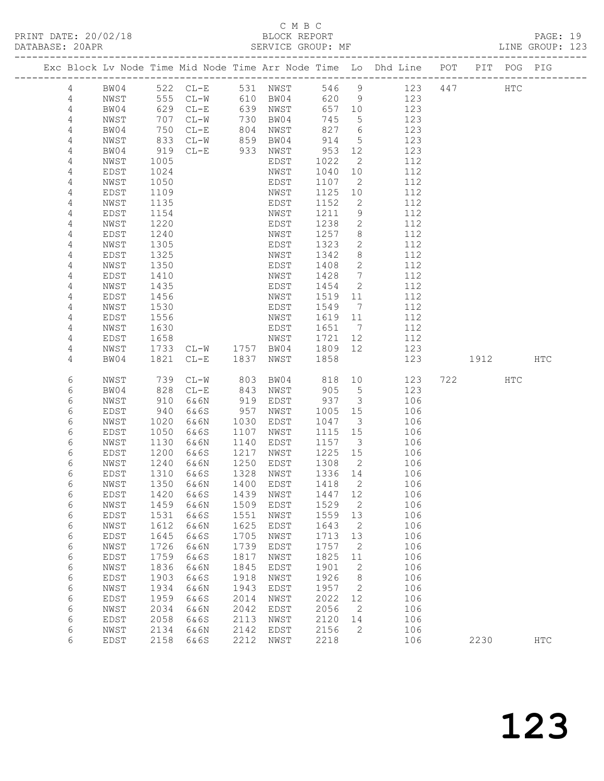PRINT DATE: 20/02/18 BLOCK REPORT<br>DATABASE: 20APR PAGE: 20APR

## C M B C<br>BLOCK REPORT

PAGE: 19<br>LINE GROUP: 123

|                |              |              |              |              |              |              |                              | Exc Block Lv Node Time Mid Node Time Arr Node Time Lo Dhd Line POT PIT POG PIG |      |     |               |
|----------------|--------------|--------------|--------------|--------------|--------------|--------------|------------------------------|--------------------------------------------------------------------------------|------|-----|---------------|
| $\overline{4}$ | BW04         |              | 522 CL-E     |              | 531 NWST     |              | 546 9                        | 123 447                                                                        |      | HTC |               |
| $\overline{4}$ | NWST         | 555          | $CL-W$       |              | 610 BW04     | 620          | 9                            | 123                                                                            |      |     |               |
| $\overline{4}$ | BW04         | 629          | $CL-E$       | 639          | NWST         | 657 10       |                              | 123                                                                            |      |     |               |
| $\overline{4}$ | NWST         | 707          | $CL-W$       | 730          | BW04         | 745          | $5^{\circ}$                  | 123                                                                            |      |     |               |
| 4              | BW04         | 750          | $CL-E$       | 804          | NWST         | 827          | 6                            | 123                                                                            |      |     |               |
| 4              | NWST         | 833          | $CL-W$       | 859          | BW04         | 914          | $5\overline{)}$              | 123                                                                            |      |     |               |
| 4              | BW04         | 919          | $CL-E$       | 933          | NWST         | 953          | 12                           | 123                                                                            |      |     |               |
| 4              | NWST         | 1005         |              |              | EDST         | 1022         | 2                            | 112                                                                            |      |     |               |
| 4              | EDST         | 1024         |              |              | NWST         | 1040         | 10                           | 112                                                                            |      |     |               |
| 4              | NWST         | 1050         |              |              | EDST         | 1107         | 2                            | 112                                                                            |      |     |               |
| 4              | EDST         | 1109         |              |              | NWST         | 1125         | 10                           | 112                                                                            |      |     |               |
| 4              | NWST         | 1135         |              |              | EDST         | 1152         | 2                            | 112                                                                            |      |     |               |
| 4              | EDST         | 1154         |              |              | NWST         | 1211         | 9                            | 112                                                                            |      |     |               |
| 4              | NWST         | 1220         |              |              | EDST         | 1238         | $\mathbf{2}$                 | 112                                                                            |      |     |               |
| 4              | <b>EDST</b>  | 1240         |              |              | NWST         | 1257         | 8                            | 112                                                                            |      |     |               |
| 4              | NWST         | 1305         |              |              | EDST         | 1323         | 2                            | 112                                                                            |      |     |               |
| 4              | EDST         | 1325         |              |              | NWST         | 1342         | 8                            | 112                                                                            |      |     |               |
| 4              | NWST         | 1350         |              |              | EDST         | 1408         | 2                            | 112                                                                            |      |     |               |
| 4              | EDST         | 1410         |              |              | NWST         | 1428         | 7                            | 112                                                                            |      |     |               |
| 4              | NWST         | 1435         |              |              | EDST         | 1454         | 2                            | 112                                                                            |      |     |               |
| 4              | EDST         | 1456         |              |              | NWST         | 1519         | 11                           | 112                                                                            |      |     |               |
| 4              | NWST         | 1530         |              |              | EDST         | 1549         | $7\phantom{.0}\phantom{.0}7$ | 112                                                                            |      |     |               |
| 4              | EDST         | 1556         |              |              | NWST         | 1619         | 11                           | 112                                                                            |      |     |               |
| 4              | NWST         | 1630         |              |              | EDST         | 1651         | $\overline{7}$               | 112                                                                            |      |     |               |
| 4              | EDST         | 1658<br>1733 |              | 1757         | NWST<br>BW04 | 1721<br>1809 | 12<br>12                     | 112<br>123                                                                     |      |     |               |
| 4<br>4         | NWST<br>BW04 | 1821         | $CL-W$       | 1837         |              | 1858         |                              | 123                                                                            | 1912 |     | <b>HTC</b>    |
|                |              |              | $CL-E$       |              | NWST         |              |                              |                                                                                |      |     |               |
| 6              | NWST         | 739          | $CL-W$       | 803          | BW04         | 818          | 10                           | 123                                                                            | 722  | HTC |               |
| 6              | BW04         | 828          | $CL-E$       | 843          | NWST         | 905          | $5^{\circ}$                  | 123                                                                            |      |     |               |
| 6              | NWST         | 910          | 6&6N         | 919          | EDST         | 937          | $\overline{\mathbf{3}}$      | 106                                                                            |      |     |               |
| 6              | EDST         | 940          | 6&6S         | 957          | NWST         | 1005         | 15                           | 106                                                                            |      |     |               |
| 6              | NWST         | 1020         | 6&6N         | 1030         | EDST         | 1047         | $\overline{3}$               | 106                                                                            |      |     |               |
| 6              | EDST         | 1050         | 6&6S         | 1107         | NWST         | 1115         | 15                           | 106                                                                            |      |     |               |
| 6              | NWST         | 1130         | 6&6N         | 1140         | EDST         | 1157         | $\overline{\mathbf{3}}$      | 106                                                                            |      |     |               |
| 6              | EDST         | 1200         | 6&6S         | 1217         | NWST         | 1225         | 15                           | 106                                                                            |      |     |               |
| 6              | NWST         | 1240<br>1310 | 6&6N         | 1250         | EDST         | 1308         | $\overline{2}$               | 106                                                                            |      |     |               |
| 6<br>6         | EDST<br>NWST | 1350         | 6&6S<br>6&6N | 1328<br>1400 | NWST<br>EDST | 1336<br>1418 | 14<br>$\overline{2}$         | 106<br>106                                                                     |      |     |               |
| 6              |              | 1420         | 6&6S         | 1439         |              | 1447 12      |                              | 106                                                                            |      |     |               |
| $\epsilon$     | EDST<br>NWST | 1459         | 6&6N         | 1509         | NWST<br>EDST | 1529         | 2                            | 106                                                                            |      |     |               |
| $\epsilon$     | EDST         | 1531         | 6&6S         | 1551         | NWST         | 1559         | 13                           | 106                                                                            |      |     |               |
| $\epsilon$     | NWST         | 1612         | 6&6N         | 1625         | EDST         | 1643         | 2                            | 106                                                                            |      |     |               |
| 6              | EDST         | 1645         | 6&6S         | 1705         | NWST         | 1713         | 13                           | 106                                                                            |      |     |               |
| 6              | NWST         | 1726         | 6&6N         | 1739         | EDST         | 1757         | 2                            | 106                                                                            |      |     |               |
| 6              | EDST         | 1759         | 6&6S         | 1817         | NWST         | 1825         | 11                           | 106                                                                            |      |     |               |
| 6              | NWST         | 1836         | 6&6N         | 1845         | <b>EDST</b>  | 1901         | 2                            | 106                                                                            |      |     |               |
| 6              | EDST         | 1903         | 6&6S         | 1918         | NWST         | 1926         | 8                            | 106                                                                            |      |     |               |
| $\epsilon$     | NWST         | 1934         | 6&6N         | 1943         | EDST         | 1957         | 2                            | 106                                                                            |      |     |               |
| 6              | EDST         | 1959         | 6&6S         | 2014         | NWST         | 2022         | 12                           | 106                                                                            |      |     |               |
| 6              | NWST         | 2034         | 6&6N         | 2042         | EDST         | 2056         | 2                            | 106                                                                            |      |     |               |
| $\epsilon$     | EDST         | 2058         | 6&6S         | 2113         | NWST         | 2120         | 14                           | 106                                                                            |      |     |               |
| $\epsilon$     | NWST         | 2134         | 6&6N         | 2142         | EDST         | 2156         | 2                            | 106                                                                            |      |     |               |
| 6              | EDST         | 2158         | 6&6S         | 2212         | NWST         | 2218         |                              | 106                                                                            | 2230 |     | $_{\rm{HTC}}$ |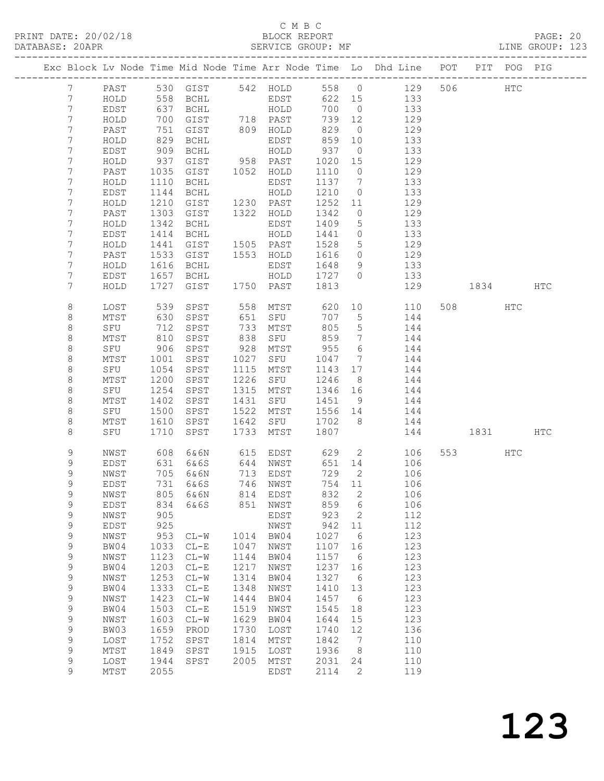|                 |        |                 |                          |      |           |         |                 | Exc Block Lv Node Time Mid Node Time Arr Node Time Lo Dhd Line POT PIT POG PIG |          |     |     |  |
|-----------------|--------|-----------------|--------------------------|------|-----------|---------|-----------------|--------------------------------------------------------------------------------|----------|-----|-----|--|
| $7\phantom{.0}$ | PAST   |                 |                          |      |           |         |                 | 530 GIST 542 HOLD 558 0 129 506                                                |          | HTC |     |  |
| $7\phantom{.0}$ | HOLD   |                 |                          |      |           |         |                 |                                                                                |          |     |     |  |
| $\overline{7}$  | EDST   |                 |                          |      |           |         |                 |                                                                                |          |     |     |  |
| $7\phantom{.0}$ | HOLD   |                 | 700 GIST 718 PAST        |      |           | 739 12  |                 | 129                                                                            |          |     |     |  |
| $7\phantom{.}$  | PAST   |                 | 751 GIST                 |      | 809 HOLD  | 829     |                 | $\overline{0}$<br>129                                                          |          |     |     |  |
| 7               | HOLD   | 829             | BCHL                     |      | EDST      | 859 10  |                 | 133                                                                            |          |     |     |  |
| 7               | EDST   | 909             | BCHL                     |      | HOLD      | 937     | $\overline{0}$  | 133                                                                            |          |     |     |  |
| 7               | HOLD   | 937             | GIST                     |      | 958 PAST  | 1020    | 15              | 129                                                                            |          |     |     |  |
| 7               | PAST   | 1035            | GIST                     |      | 1052 HOLD | 1110    |                 | $\overline{0}$<br>129                                                          |          |     |     |  |
| 7               | HOLD   | 1110            | BCHL                     |      | EDST      | 1137    | $7\overline{ }$ | 133                                                                            |          |     |     |  |
| $7\phantom{.0}$ | EDST   | 1144            | BCHL                     |      | HOLD      | 1210    | $\overline{0}$  | 133                                                                            |          |     |     |  |
| 7               | HOLD   | 1210            | GIST                     |      | 1230 PAST | 1252    | 11              | 129                                                                            |          |     |     |  |
| 7               | PAST   | 1303            | GIST                     |      | 1322 HOLD | 1342    | $\overline{0}$  | 129                                                                            |          |     |     |  |
| 7               | HOLD   | 1342            | BCHL                     |      | EDST      | 1409    | $5\overline{)}$ | 133                                                                            |          |     |     |  |
| 7               | EDST   | 1414            | BCHL                     |      | HOLD      | 1441    | $\overline{0}$  | 133                                                                            |          |     |     |  |
| 7               | HOLD   | 1441            | GIST                     |      | 1505 PAST | 1528    | $5\overline{)}$ | 129                                                                            |          |     |     |  |
| 7               | PAST   | 1533            | GIST                     |      | 1553 HOLD | 1616    |                 | $\overline{O}$<br>129                                                          |          |     |     |  |
| 7               | HOLD   | 1616            | BCHL                     |      | EDST      | 1648    |                 | 133<br>$9 \left( \frac{1}{2} \right)$                                          |          |     |     |  |
| 7               | EDST   |                 | 1657 BCHL<br>1727 GIST   |      | HOLD      | 1727 0  |                 | 133                                                                            |          |     |     |  |
| $7\phantom{.0}$ | HOLD   |                 |                          |      |           | 1813    |                 | 129                                                                            | 1834 HTC |     |     |  |
| 8               | LOST   | 539             | SPST                     |      | 558 MTST  | 620     |                 | 10 0<br>110                                                                    | 508 HTC  |     |     |  |
| 8               | MTST   | ری<br>630<br>71 | SPST                     | 651  | SFU       | 707     | $5\overline{}$  | 144                                                                            |          |     |     |  |
| $\,8\,$         | SFU    |                 | SPST                     |      | 733 MTST  | 805     | 5 <sup>5</sup>  | 144                                                                            |          |     |     |  |
| 8               | MTST   | 810             | SPST                     |      | 838 SFU   | 859     | $7\overline{ }$ | 144                                                                            |          |     |     |  |
| $\,8\,$         | SFU    | 906             | SPST                     |      | 928 MTST  | 955     |                 | $6\overline{6}$<br>144                                                         |          |     |     |  |
| 8               | MTST   | 1001            | SPST                     |      | 1027 SFU  | 1047 7  |                 | 144                                                                            |          |     |     |  |
| $\,8\,$         | SFU    | 1054            | SPST                     |      | 1115 MTST | 1143    | 17              | 144                                                                            |          |     |     |  |
| 8               | MTST   | 1200            | SPST                     | 1226 | SFU       | 1246    |                 | 8 <sup>8</sup><br>144                                                          |          |     |     |  |
| 8               | SFU    | 1254            | SPST                     |      | 1315 MTST | 1346 16 |                 | 144                                                                            |          |     |     |  |
| 8               | MTST   | 1402            | SPST                     | 1431 | SFU       | 1451    | 9               | 144                                                                            |          |     |     |  |
| $\,8\,$         | SFU    | 1500            | SPST                     |      | 1522 MTST | 1556 14 |                 | 144                                                                            |          |     |     |  |
| 8               | MTST   | 1610            | SPST                     | 1642 | SFU       | 1702 8  |                 | 144                                                                            |          |     |     |  |
| 8               | SFU    | 1710            | SPST                     |      | 1733 MTST | 1807    |                 |                                                                                | 144 1831 |     | HTC |  |
| 9               |        |                 |                          |      |           |         |                 |                                                                                | 553 HTC  |     |     |  |
| 9               |        |                 |                          |      |           |         |                 | NWST 608 6&6N 615 EDST 629 2 106<br>EDST 631 6&6S 644 NWST 651 14 106          |          |     |     |  |
| 9               | NWST   | 705             | 6&6N                     | 713  | EDST      | 729     | 2               | 106                                                                            |          |     |     |  |
| 9               | EDST   | 731             | 6&6S                     | 746  | NWST      | 754     | 11              | 106                                                                            |          |     |     |  |
| 9               | NWST   | 805             | 6&6N                     | 814  | EDST      | 832     | $\sqrt{2}$      | 106                                                                            |          |     |     |  |
| 9               | EDST   | 834             | 6&6S                     | 851  | NWST      | 859     | 6               | 106                                                                            |          |     |     |  |
| 9               | NWST   | 905             |                          |      | EDST      | 923     | 2               | 112                                                                            |          |     |     |  |
| 9               | EDST   | 925             |                          |      | NWST      | 942     | 11              | 112                                                                            |          |     |     |  |
| 9               | NWST   | 953             | $CL-W$                   | 1014 | BW04      | 1027    | 6               | 123                                                                            |          |     |     |  |
| 9               | BW04   | 1033            | $CL-E$                   | 1047 | NWST      | 1107    | 16              | 123                                                                            |          |     |     |  |
| 9               | NWST   | 1123            | $CL-W$                   | 1144 | BW04      | 1157    | 6               | 123                                                                            |          |     |     |  |
| 9               | BW04   | 1203            | $CL-E$                   | 1217 | NWST      | 1237    | 16              | 123                                                                            |          |     |     |  |
| 9               | NWST   | 1253            | $\mathtt{CL}-\mathtt{W}$ | 1314 | BW04      | 1327    | 6               | 123                                                                            |          |     |     |  |
| 9               | BW04   | 1333            | $CL-E$                   | 1348 | NWST      | 1410    | 13              | 123                                                                            |          |     |     |  |
| 9               | NWST   | 1423            | $CL-W$                   | 1444 | BW04      | 1457    | 6               | 123                                                                            |          |     |     |  |
| 9               | BW04   | 1503            | $CL-E$                   | 1519 | NWST      | 1545    | 18              | 123                                                                            |          |     |     |  |
| 9               | NWST   | 1603            | $CL-W$                   | 1629 | BW04      | 1644    | 15              | 123                                                                            |          |     |     |  |
| 9               | BW03   | 1659            | PROD                     | 1730 | LOST      | 1740    | 12              | 136                                                                            |          |     |     |  |
| 9               | LOST   | 1752            | SPST                     | 1814 | MTST      | 1842    | 7               | 110                                                                            |          |     |     |  |
| 9               | $MTST$ | 1849            | SPST                     | 1915 | LOST      | 1936    | 8               | 110                                                                            |          |     |     |  |
| 9               | LOST   | 1944            | SPST                     | 2005 | MTST      | 2031    | 24              | 110                                                                            |          |     |     |  |
| 9               | MTST   | 2055            |                          |      | EDST      | 2114    | 2               | 119                                                                            |          |     |     |  |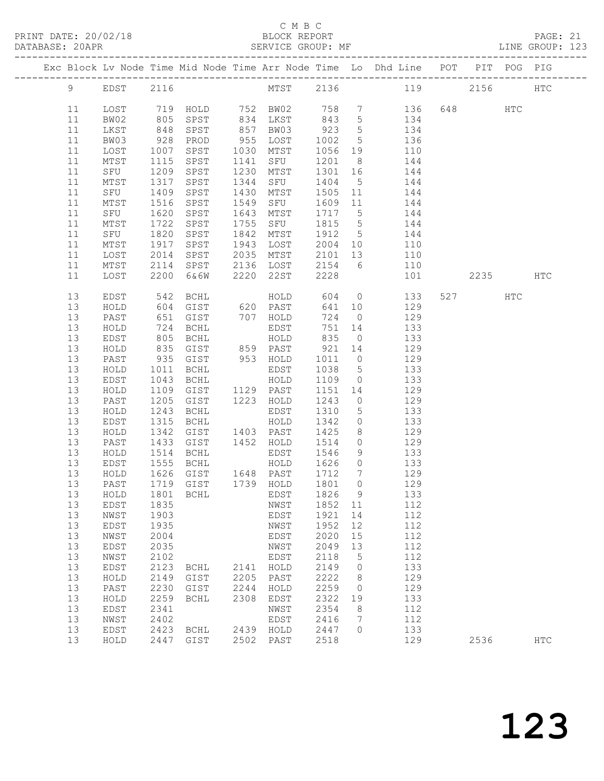#### C M B C C M B C C M B C C M B C C M B C C M B C C M B C C M B C C M B C C M B C C M B C C M B C C M B C C M B C C M B C C M B C C M B C C M B C C M B C C M B C C M B C C M B C C M B C C M B C C M B C C M B C C M B C C M B

| DATABASE: 20APR |          |               |                  | SERVICE GROUP: MF |      |                        |                            |                     | LINE GROUP: 123                                                                                                                                                              |          |     |            |  |
|-----------------|----------|---------------|------------------|-------------------|------|------------------------|----------------------------|---------------------|------------------------------------------------------------------------------------------------------------------------------------------------------------------------------|----------|-----|------------|--|
|                 |          |               |                  |                   |      |                        |                            |                     | Exc Block Lv Node Time Mid Node Time Arr Node Time Lo Dhd Line POT PIT POG PIG                                                                                               |          |     |            |  |
|                 |          | 9 EDST 2116   |                  |                   |      |                        |                            |                     | MTST 2136 119 2156 HTC                                                                                                                                                       |          |     |            |  |
|                 | 11       | LOST          |                  |                   |      |                        |                            |                     | 719 HOLD      752   BW02       758    7          136<br>805   SPST       834   LKST      843    5          134<br>848   SPST        857   BW03       923     5           134 | 648 HTC  |     |            |  |
|                 | 11       | BW02          |                  |                   |      |                        |                            |                     |                                                                                                                                                                              |          |     |            |  |
|                 | 11       | LKST          |                  |                   |      |                        |                            |                     |                                                                                                                                                                              |          |     |            |  |
|                 | 11       | BW03          | 928              | PROD              |      | 955 LOST               | 1002                       |                     | 5 136                                                                                                                                                                        |          |     |            |  |
|                 | 11       | LOST          | 1007             | SPST 1030 MTST    |      |                        |                            |                     | 1056 19 110                                                                                                                                                                  |          |     |            |  |
|                 | 11       | MTST          | 1115             | SPST              |      | 1141 SFU               | 1201 8                     |                     | 144<br>$1201$ 0 144<br>1301 16 144                                                                                                                                           |          |     |            |  |
|                 | 11       | SFU           | $\frac{1209}{1}$ | SPST              |      | 1230 MTST              |                            |                     |                                                                                                                                                                              |          |     |            |  |
|                 | 11       | MTST          | 1317             | SPST              | 1344 | SFU                    |                            |                     | 1404 5 144                                                                                                                                                                   |          |     |            |  |
|                 | 11       | SFU           | 1409             | SPST              | 1430 | MTST                   |                            |                     | 1505 11 144                                                                                                                                                                  |          |     |            |  |
|                 | 11       | MTST          | 1516             | SPST              | 1549 | SFU                    | 1609 11<br>1717 5          |                     | 144                                                                                                                                                                          |          |     |            |  |
|                 | 11<br>11 | SFU           | 1620<br>1722     | SPST<br>SPST      | 1643 | MTST<br>1755 SFU       |                            |                     | 144<br>1815 5 144                                                                                                                                                            |          |     |            |  |
|                 |          | MTST          |                  |                   |      |                        |                            |                     |                                                                                                                                                                              |          |     |            |  |
|                 | 11<br>11 | SFU           | 1820             | SPST              |      | 1842 MTST              |                            |                     | 1912 5 144                                                                                                                                                                   |          |     |            |  |
|                 | 11       | MTST<br>LOST  | 1917<br>2014     | SPST<br>SPST      |      | 1943 LOST<br>2035 MTST | 2101 13                    |                     | 2004 10 110<br>110                                                                                                                                                           |          |     |            |  |
|                 | 11       | MTST          |                  |                   |      |                        |                            |                     | 2114 SPST 2136 LOST 2154 6 110                                                                                                                                               |          |     |            |  |
|                 | 11       | LOST          | 2200             | 6&6W              |      | 2220 22ST              | 2228                       |                     | 101 \                                                                                                                                                                        | 2235 HTC |     |            |  |
|                 | 13       | EDST          | 542              | BCHL              |      | HOLD                   | 604                        |                     | $\overline{0}$<br>133                                                                                                                                                        | 527      | HTC |            |  |
|                 | 13       | HOLD          |                  | 604 GIST 620 PAST |      |                        |                            |                     | 641 10 129                                                                                                                                                                   |          |     |            |  |
|                 | 13       | PAST          |                  | 651 GIST 707 HOLD |      |                        | 724                        |                     | $0 \qquad \qquad 129$                                                                                                                                                        |          |     |            |  |
|                 | 13       | HOLD          |                  |                   |      |                        | 751                        |                     | 14 133                                                                                                                                                                       |          |     |            |  |
|                 | 13       | EDST          |                  |                   |      |                        | 835                        | $\overline{0}$      | 133                                                                                                                                                                          |          |     |            |  |
|                 | 13       | HOLD          |                  |                   |      |                        |                            |                     | $921 \t14 \t129$                                                                                                                                                             |          |     |            |  |
|                 | 13       | PAST          |                  |                   |      | 953 HOLD               |                            |                     | 1011 0 129                                                                                                                                                                   |          |     |            |  |
|                 | 13       | HOLD          | 1011             | BCHL              |      | EDST                   | 1038 5                     |                     | 133                                                                                                                                                                          |          |     |            |  |
|                 | 13       | EDST          | 1043             | BCHL              |      | HOLD                   | 1109                       | $\overline{0}$      | 133                                                                                                                                                                          |          |     |            |  |
|                 | 13       | $\verb HOLD $ | 1109             | GIST              |      | 1129 PAST              |                            |                     | $1151 \t14 \t129$                                                                                                                                                            |          |     |            |  |
|                 | 13       | PAST          | 1205             | GIST 1223 HOLD    |      |                        | 1243                       |                     | $0$ 129                                                                                                                                                                      |          |     |            |  |
|                 | 13       | HOLD          | 1243             | BCHL              |      | EDST                   | 1310                       | $5\overline{)}$     | 133                                                                                                                                                                          |          |     |            |  |
|                 | 13       | EDST          | 1315             | BCHL              |      | HOLD                   | 1342                       | $\overline{0}$      | 133                                                                                                                                                                          |          |     |            |  |
|                 | 13       | HOLD          | 1342             | GIST 1403 PAST    |      |                        | 1425                       | 8 <sup>8</sup>      | 129                                                                                                                                                                          |          |     |            |  |
|                 | 13       | PAST          | 1433             |                   |      | GIST 1452 HOLD 1514    |                            |                     | $0$ 129                                                                                                                                                                      |          |     |            |  |
|                 | 13       | HOLD          | 1514             | BCHL              |      | EDST                   | 1546                       | 9<br>$\overline{0}$ | 133                                                                                                                                                                          |          |     |            |  |
|                 | 13<br>13 | EDST<br>HOLD  |                  |                   |      | HOLD                   | 1626<br>$\frac{1}{1712}$ 7 |                     | 133<br>129                                                                                                                                                                   |          |     |            |  |
|                 |          |               |                  |                   |      |                        |                            |                     | 13 PAST 1719 GIST 1739 HOLD 1801 0 129                                                                                                                                       |          |     |            |  |
|                 | 13       | HOLD          | 1801             | BCHL              |      | EDST                   | 1826                       | - 9                 | 133                                                                                                                                                                          |          |     |            |  |
|                 | 13       | EDST          | 1835             |                   |      | NWST                   | 1852 11                    |                     | 112                                                                                                                                                                          |          |     |            |  |
|                 | 13       | NWST          | 1903             |                   |      | EDST                   | 1921                       | 14                  | 112                                                                                                                                                                          |          |     |            |  |
|                 | 13       | EDST          | 1935             |                   |      | NWST                   | 1952                       | 12                  | 112                                                                                                                                                                          |          |     |            |  |
|                 | 13       | NWST          | 2004             |                   |      | EDST                   | 2020                       | 15                  | 112                                                                                                                                                                          |          |     |            |  |
|                 | 13       | EDST          | 2035             |                   |      | NWST                   | 2049                       | 13                  | 112                                                                                                                                                                          |          |     |            |  |
|                 | 13       | NWST          | 2102             |                   |      | EDST                   | 2118                       | $5^{\circ}$         | 112                                                                                                                                                                          |          |     |            |  |
|                 | 13       | EDST          | 2123             | BCHL              |      | 2141 HOLD              | 2149                       | $\overline{0}$      | 133                                                                                                                                                                          |          |     |            |  |
|                 | 13       | HOLD          | 2149             | GIST              | 2205 | PAST                   | 2222                       | 8 <sup>8</sup>      | 129                                                                                                                                                                          |          |     |            |  |
|                 | 13       | PAST          | 2230             | GIST              | 2244 | HOLD                   | 2259                       | $\overline{0}$      | 129                                                                                                                                                                          |          |     |            |  |
|                 | 13       | HOLD          | 2259             | BCHL              | 2308 | EDST                   | 2322                       | 19                  | 133                                                                                                                                                                          |          |     |            |  |
|                 | 13       | EDST          | 2341             |                   |      | NWST                   | 2354                       | 8                   | 112                                                                                                                                                                          |          |     |            |  |
|                 | 13       | NWST          | 2402             |                   |      | EDST                   | 2416                       | $\overline{7}$      | 112                                                                                                                                                                          |          |     |            |  |
|                 | 13       | EDST          | 2423             | BCHL              |      | 2439 HOLD              | 2447                       | $\Omega$            | 133                                                                                                                                                                          |          |     |            |  |
|                 | 13       | HOLD          | 2447             | GIST              |      | 2502 PAST              | 2518                       |                     | 129                                                                                                                                                                          | 2536     |     | <b>HTC</b> |  |
|                 |          |               |                  |                   |      |                        |                            |                     |                                                                                                                                                                              |          |     |            |  |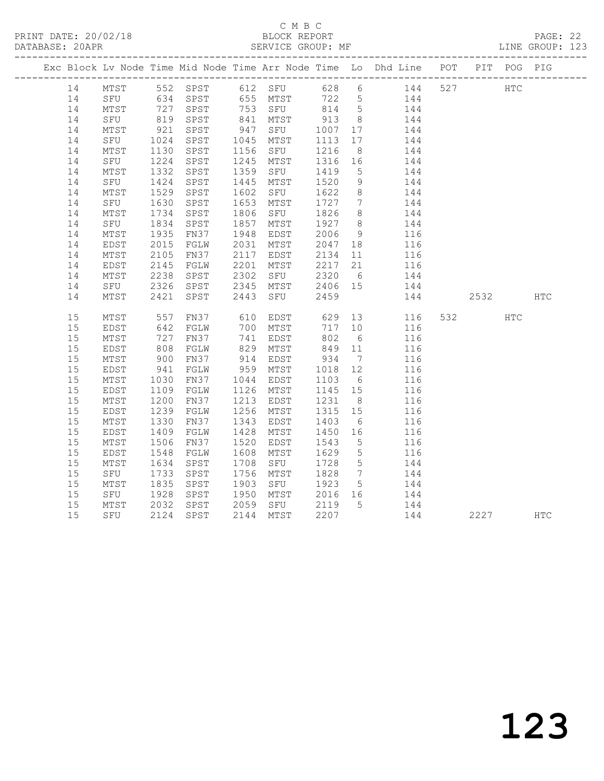## C M B C<br>BLOCK REPORT

PAGE: 22<br>LINE GROUP: 123

|    |      |              |                      |      |                                         |                                                      |                 | Exc Block Lv Node Time Mid Node Time Arr Node Time Lo Dhd Line POT PIT POG PIG |         |            |            |
|----|------|--------------|----------------------|------|-----------------------------------------|------------------------------------------------------|-----------------|--------------------------------------------------------------------------------|---------|------------|------------|
| 14 |      |              |                      |      |                                         |                                                      |                 | MTST 552 SPST 612 SFU 628 6 144                                                | 527 HTC |            |            |
| 14 |      |              |                      |      |                                         |                                                      |                 | SFU 634 SPST 655 MTST 722 5 144                                                |         |            |            |
| 14 | MTST |              | 727 SPST<br>819 SPST |      | 753 SFU 814 5<br>841 MTST 913 8         |                                                      |                 | 144                                                                            |         |            |            |
| 14 | SFU  |              |                      |      |                                         |                                                      |                 | 144                                                                            |         |            |            |
| 14 | MTST | 921          | SPST                 |      | 947 SFU 1007 17                         |                                                      |                 | 144                                                                            |         |            |            |
| 14 | SFU  | 1024<br>1130 | SPST                 |      | 1045 MTST                               | 1113                                                 | 17              | 144                                                                            |         |            |            |
| 14 | MTST |              | SPST                 |      | 1156 SFU                                | 1216                                                 | 8 <sup>8</sup>  | 144                                                                            |         |            |            |
| 14 | SFU  | 1224         | SPST                 |      | 1245 MTST 1316 16                       |                                                      |                 | 144                                                                            |         |            |            |
| 14 | MTST | 1332         | SPST                 | 1359 | SFU                                     | 1419                                                 | $5^{\circ}$     | 144                                                                            |         |            |            |
| 14 | SFU  | 1424         | SPST                 | 1445 | MTST                                    | 1520                                                 | 9               | 144                                                                            |         |            |            |
| 14 | MTST | 1529         | SPST                 |      | 1602 SFU 1622                           |                                                      | 8 <sup>8</sup>  | 144                                                                            |         |            |            |
| 14 | SFU  | 1630         | SPST                 | 1653 | MTST                                    | 1727                                                 | $7\overline{ }$ | 144                                                                            |         |            |            |
| 14 | MTST | 1734         | SPST                 | 1806 | SFU                                     | 1826                                                 | 8 <sup>8</sup>  | 144                                                                            |         |            |            |
| 14 | SFU  | 1834         | SPST                 | 1857 | MTST                                    | 1927 8                                               |                 | 144                                                                            |         |            |            |
| 14 | MTST | 1935         | FN37                 | 1948 | EDST                                    | $2000$<br>$2047$ 18                                  |                 | $116$<br>$116$                                                                 |         |            |            |
| 14 | EDST | 2015         | FGLW                 |      | 2031 MTST                               |                                                      |                 |                                                                                |         |            |            |
| 14 | MTST | 2105         | FN37                 |      | 2117 EDST                               | 2134 11                                              |                 | 116                                                                            |         |            |            |
| 14 | EDST | 2145         | FGLW                 |      | MTST 2217 21<br>SFU 2320 6<br>2201 MTST |                                                      |                 | 116                                                                            |         |            |            |
| 14 | MTST | 2238         | SPST                 | 2302 |                                         |                                                      |                 | 144                                                                            |         |            |            |
| 14 | SFU  | 2326         | SPST                 |      | 2345 MTST                               | 2406 15                                              |                 | 144                                                                            |         |            |            |
| 14 | MTST | 2421         | SPST                 |      | 2443 SFU                                | 2459                                                 |                 | 144                                                                            | 2532    |            | <b>HTC</b> |
| 15 | MTST | 557          | FN37                 |      | 610 EDST                                | 629                                                  |                 | 13<br>116                                                                      | 532     | <b>HTC</b> |            |
| 15 | EDST |              | FGLW                 |      |                                         | 717 10                                               |                 | 116                                                                            |         |            |            |
| 15 | MTST | 642<br>727   | FN37                 |      | אבא<br>700 MTST<br>פחים בני<br>741 EDST | 802                                                  | $6\overline{6}$ | 116                                                                            |         |            |            |
| 15 | EDST | 808          | FGLW                 | 829  | MTST                                    | 849 11                                               |                 | 116                                                                            |         |            |            |
| 15 | MTST |              | FN37                 |      | 914 EDST                                |                                                      | $7\overline{ }$ | 116                                                                            |         |            |            |
| 15 | EDST | 900<br>941   | FGLW                 |      | 959 MTST                                | $\begin{array}{cc} 934 & 7 \\ 1018 & 12 \end{array}$ |                 | 116                                                                            |         |            |            |
| 15 | MTST | 1030         | FN37                 |      | 1044 EDST                               | 1103                                                 | $6\overline{6}$ | 116                                                                            |         |            |            |
| 15 | EDST | 1109         | FGLW                 |      | 1126 MTST                               | 1145 15                                              |                 | 116                                                                            |         |            |            |
| 15 | MTST | 1200         | FN37                 |      | 1213 EDST                               | 1231                                                 | 8 <sup>8</sup>  | 116                                                                            |         |            |            |
| 15 | EDST | 1239         | FGLW                 |      | 1256 MTST                               | 1315 15                                              |                 | 116                                                                            |         |            |            |
| 15 | MTST | 1330         | FN37                 |      | 1343 EDST                               | 1403                                                 | $6\overline{6}$ | 116                                                                            |         |            |            |
| 15 | EDST | 1409         | FGLW                 | 1428 | MTST                                    | 1450 16                                              |                 | 116                                                                            |         |            |            |
| 15 | MTST | 1506         | FN37                 | 1520 | EDST                                    | 1543                                                 | $5^{\circ}$     | 116                                                                            |         |            |            |
| 15 | EDST | 1548         | FGLW                 |      | 1608 MTST                               | 1629                                                 | $5\overline{)}$ | 116                                                                            |         |            |            |
| 15 | MTST | 1634         | SPST                 | 1708 | SFU                                     | 1728                                                 | $5^{\circ}$     | 144                                                                            |         |            |            |
| 15 | SFU  | 1733         | SPST                 | 1756 | MTST                                    | 1828                                                 | $7\overline{ }$ | 144                                                                            |         |            |            |
| 15 | MTST | 1835         | SPST                 | 1903 | SFU                                     | 1923                                                 | 5 <sup>5</sup>  | 144                                                                            |         |            |            |
| 15 | SFU  | 1928         | SPST                 | 1950 | MTST 2016 16                            |                                                      |                 | 144                                                                            |         |            |            |
| 15 | MTST | 2032         | SPST                 |      | 2059 SFU                                | 2119                                                 | $5\overline{)}$ | 144                                                                            |         |            |            |
| 15 | SFU  |              | 2124 SPST            |      | 2144 MTST                               | 2207                                                 |                 | 144                                                                            | 2227    |            | HTC        |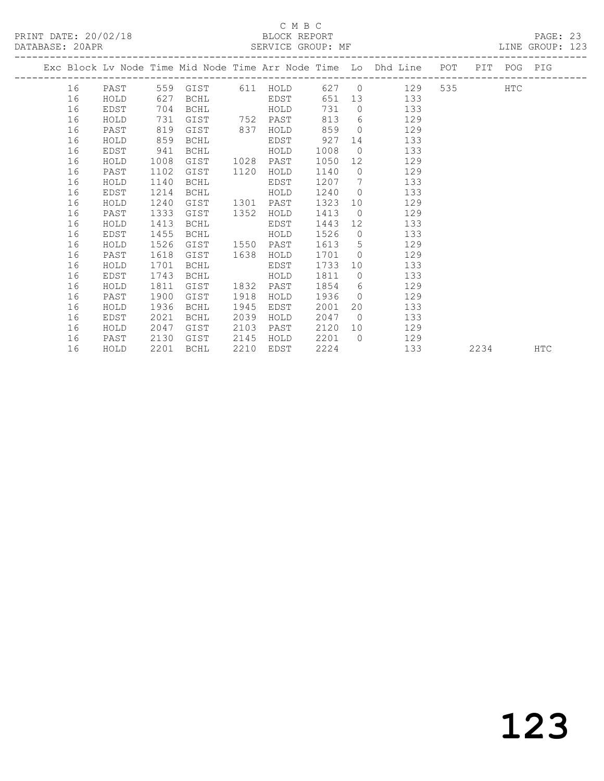#### C M B C<br>BLOCK REPORT SERVICE GROUP: MF

|  |    |      |      |                   |      |          |      |                | Exc Block Lv Node Time Mid Node Time Arr Node Time Lo Dhd Line POT |       | PIT POG PIG |  |
|--|----|------|------|-------------------|------|----------|------|----------------|--------------------------------------------------------------------|-------|-------------|--|
|  | 16 | PAST |      | 559 GIST 611 HOLD |      |          |      |                | 627 0 129                                                          | 535 7 | HTC         |  |
|  | 16 | HOLD | 627  | BCHL              |      | EDST     | 651  | 13             | 133                                                                |       |             |  |
|  | 16 | EDST | 704  | BCHL              |      | HOLD     | 731  | $\overline{0}$ | 133                                                                |       |             |  |
|  | 16 | HOLD | 731  | GIST              |      | 752 PAST | 813  |                | $6 \qquad \qquad$<br>129                                           |       |             |  |
|  | 16 | PAST | 819  | GIST              | 837  | HOLD     | 859  | $\Omega$       | 129                                                                |       |             |  |
|  | 16 | HOLD | 859  | BCHL              |      | EDST     | 927  | 14             | 133                                                                |       |             |  |
|  | 16 | EDST | 941  | BCHL              |      | HOLD     | 1008 | $\bigcirc$     | 133                                                                |       |             |  |
|  | 16 | HOLD | 1008 | GIST              | 1028 | PAST     | 1050 | 12             | 129                                                                |       |             |  |
|  | 16 | PAST | 1102 | GIST              | 1120 | HOLD     | 1140 | $\bigcirc$     | 129                                                                |       |             |  |
|  | 16 | HOLD | 1140 | <b>BCHL</b>       |      | EDST     | 1207 | $7\phantom{0}$ | 133                                                                |       |             |  |
|  | 16 | EDST | 1214 | BCHL              |      | HOLD     | 1240 | $\Omega$       | 133                                                                |       |             |  |
|  | 16 | HOLD | 1240 | GIST              | 1301 | PAST     | 1323 | 10             | 129                                                                |       |             |  |
|  | 16 | PAST | 1333 | GIST              | 1352 | HOLD     | 1413 | $\bigcirc$     | 129                                                                |       |             |  |
|  | 16 | HOLD | 1413 | BCHL              |      | EDST     | 1443 | 12             | 133                                                                |       |             |  |
|  | 16 | EDST | 1455 | BCHL              |      | HOLD     | 1526 | $\overline{0}$ | 133                                                                |       |             |  |
|  | 16 | HOLD | 1526 | GIST              | 1550 | PAST     | 1613 | 5              | 129                                                                |       |             |  |
|  | 16 | PAST | 1618 | GIST              | 1638 | HOLD     | 1701 | $\Omega$       | 129                                                                |       |             |  |
|  | 16 | HOLD | 1701 | BCHL              |      | EDST     | 1733 | 10             | 133                                                                |       |             |  |
|  | 16 | EDST | 1743 | BCHL              |      | HOLD     | 1811 | $\bigcirc$     | 133                                                                |       |             |  |
|  | 16 | HOLD | 1811 | GIST              | 1832 | PAST     | 1854 | 6              | 129                                                                |       |             |  |
|  | 16 | PAST | 1900 | GIST              | 1918 | HOLD     | 1936 | $\bigcirc$     | 129                                                                |       |             |  |
|  | 16 | HOLD | 1936 | BCHL              | 1945 | EDST     | 2001 | 20             | 133                                                                |       |             |  |
|  | 16 | EDST | 2021 | BCHL              | 2039 | HOLD     | 2047 | $\bigcirc$     | 133                                                                |       |             |  |
|  | 16 | HOLD | 2047 | GIST              | 2103 | PAST     | 2120 | 10             | 129                                                                |       |             |  |
|  | 16 | PAST | 2130 | GIST              | 2145 | HOLD     | 2201 | $\bigcirc$     | 129                                                                |       |             |  |

16 HOLD 2201 BCHL 2210 EDST 2224 133 2234 HTC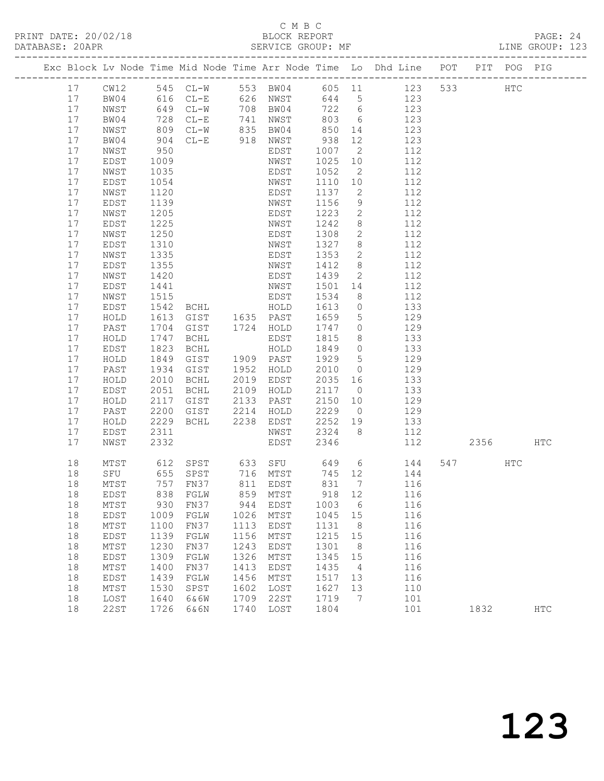## C M B C<br>BLOCK REPORT

PAGE: 24<br>LINE GROUP: 123

|    |               |      |                          |      |                  |        |                 | Exc Block Lv Node Time Mid Node Time Arr Node Time Lo Dhd Line POT PIT POG PIG |     |        |               |            |
|----|---------------|------|--------------------------|------|------------------|--------|-----------------|--------------------------------------------------------------------------------|-----|--------|---------------|------------|
| 17 | CW12          |      | 545 CL-W                 |      |                  |        |                 | 553 BW04 605 11 123                                                            | 533 |        | $_{\rm{HTC}}$ |            |
| 17 | BW04          |      | 616 CL-E<br>649 CL-W     |      | 626 NWST         | 644 5  |                 | 123                                                                            |     |        |               |            |
| 17 | NWST          |      |                          |      | 708 BW04         |        | 722 6           | 123                                                                            |     |        |               |            |
| 17 | BW04          | 728  | $CL-E$                   | 741  | NWST             | 803    | 6               | 123                                                                            |     |        |               |            |
| 17 | NWST          | 809  | $CL-W$                   | 835  | BW04             | 850    | 14              | 123                                                                            |     |        |               |            |
| 17 | BW04          | 904  | $CL-E$                   | 918  | NWST             | 938    | 12              | 123                                                                            |     |        |               |            |
| 17 | NWST          | 950  |                          |      | EDST             | 1007   | $\overline{2}$  | 112                                                                            |     |        |               |            |
| 17 | EDST          | 1009 |                          |      | NWST             | 1025   | 10 <sup>°</sup> | 112                                                                            |     |        |               |            |
| 17 | NWST          | 1035 |                          |      | EDST             | 1052   | $\overline{2}$  | 112                                                                            |     |        |               |            |
| 17 | EDST          | 1054 |                          |      | NWST             | 1110   | 10 <sup>°</sup> | 112                                                                            |     |        |               |            |
| 17 | NWST          | 1120 |                          |      | EDST             | 1137   | $\mathbf{2}$    | 112                                                                            |     |        |               |            |
| 17 | EDST          | 1139 |                          |      | NWST             | 1156   | 9               | 112                                                                            |     |        |               |            |
| 17 | NWST          | 1205 |                          |      | EDST             | 1223   | $\overline{2}$  | 112                                                                            |     |        |               |            |
| 17 | EDST          | 1225 |                          |      | NWST             | 1242   | 8               | 112                                                                            |     |        |               |            |
| 17 | NWST          | 1250 |                          |      | EDST             | 1308   | $\mathbf{2}$    | 112                                                                            |     |        |               |            |
| 17 | EDST          | 1310 |                          |      | NWST             | 1327   | 8               | 112                                                                            |     |        |               |            |
| 17 | NWST          | 1335 |                          |      | EDST             | 1353   | 2               | 112                                                                            |     |        |               |            |
| 17 | EDST          | 1355 |                          |      | NWST             | 1412   | 8               | 112                                                                            |     |        |               |            |
| 17 | NWST          | 1420 |                          |      | EDST             | 1439   | $\overline{2}$  | 112                                                                            |     |        |               |            |
| 17 | EDST          | 1441 |                          |      | NWST             | 1501   | 14              | 112                                                                            |     |        |               |            |
| 17 | NWST          | 1515 |                          |      | EDST             | 1534   | 8 <sup>8</sup>  | 112                                                                            |     |        |               |            |
| 17 | EDST          | 1542 | <b>BCHL</b>              |      | HOLD             | 1613   | $\overline{0}$  | 133                                                                            |     |        |               |            |
| 17 | HOLD          | 1613 | GIST                     |      | 1635 PAST        | 1659   | $5\overline{)}$ | 129                                                                            |     |        |               |            |
| 17 | PAST          | 1704 | GIST                     |      | 1724 HOLD        | 1747   | $\circ$         | 129                                                                            |     |        |               |            |
| 17 | HOLD          | 1747 | BCHL                     |      | EDST             | 1815   | 8               | 133                                                                            |     |        |               |            |
| 17 | EDST          | 1823 | BCHL                     |      | HOLD             | 1849   | $\overline{0}$  | 133                                                                            |     |        |               |            |
| 17 | HOLD          | 1849 | GIST                     |      | 1909 PAST        | 1929   | 5               | 129                                                                            |     |        |               |            |
| 17 | PAST          | 1934 | GIST                     | 1952 | HOLD             | 2010   | $\overline{0}$  | 129                                                                            |     |        |               |            |
| 17 | HOLD          | 2010 | BCHL                     | 2019 | EDST             | 2035   | 16              | 133                                                                            |     |        |               |            |
| 17 | EDST          | 2051 | BCHL                     | 2109 | HOLD             | 2117   | $\overline{0}$  | 133                                                                            |     |        |               |            |
| 17 | HOLD          | 2117 | GIST                     | 2133 | PAST             | 2150   | 10              | 129                                                                            |     |        |               |            |
| 17 | PAST          | 2200 | GIST                     | 2214 | HOLD             | 2229   | $\overline{0}$  | 129                                                                            |     |        |               |            |
| 17 | $\verb HOLD $ | 2229 | BCHL                     | 2238 | EDST             | 2252   | 19              | 133                                                                            |     |        |               |            |
| 17 | EDST          | 2311 |                          |      | NWST             | 2324   | 8 <sup>8</sup>  | 112                                                                            |     |        |               |            |
| 17 | NWST          | 2332 |                          |      | EDST             | 2346   |                 | 112                                                                            |     | 2356 7 |               | HTC        |
| 18 | MTST          | 612  |                          |      | SPST 633 SFU 649 |        |                 | $6\overline{6}$<br>144                                                         |     | 547    | HTC           |            |
| 18 | SFU           |      | 655 SPST                 |      | 716 MTST         | 745 12 |                 | 144                                                                            |     |        |               |            |
| 18 | MTST          |      | 757 FN37                 |      | 811 EDST         | 831    | $7\overline{ }$ | 116                                                                            |     |        |               |            |
|    | 18 EDST       |      | 838 FGLW 859 MTST 918 12 |      |                  |        |                 | 116                                                                            |     |        |               |            |
| 18 | MTST          | 930  | FN37                     | 944  | EDST             | 1003   | 6               | 116                                                                            |     |        |               |            |
| 18 | <b>EDST</b>   | 1009 | FGLW                     | 1026 | MTST             | 1045   | 15              | 116                                                                            |     |        |               |            |
| 18 | MTST          | 1100 | FN37                     | 1113 | EDST             | 1131   | 8               | 116                                                                            |     |        |               |            |
| 18 | EDST          | 1139 | FGLW                     | 1156 | MTST             | 1215   | 15              | 116                                                                            |     |        |               |            |
| 18 | MTST          | 1230 | FN37                     | 1243 | EDST             | 1301   | 8               | 116                                                                            |     |        |               |            |
| 18 | EDST          | 1309 | FGLW                     | 1326 | MTST             | 1345   | 15              | 116                                                                            |     |        |               |            |
| 18 | MTST          | 1400 | FN37                     | 1413 | EDST             | 1435   | 4               | 116                                                                            |     |        |               |            |
| 18 | EDST          | 1439 | FGLW                     | 1456 | MTST             | 1517   | 13              | 116                                                                            |     |        |               |            |
| 18 | MTST          | 1530 | SPST                     | 1602 | LOST             | 1627   | 13              | 110                                                                            |     |        |               |            |
| 18 | LOST          | 1640 | 6&6W                     | 1709 | 22ST             | 1719   | 7               | 101                                                                            |     |        |               |            |
| 18 | 22ST          | 1726 | 6&6N                     | 1740 | LOST             | 1804   |                 | 101                                                                            |     | 1832   |               | <b>HTC</b> |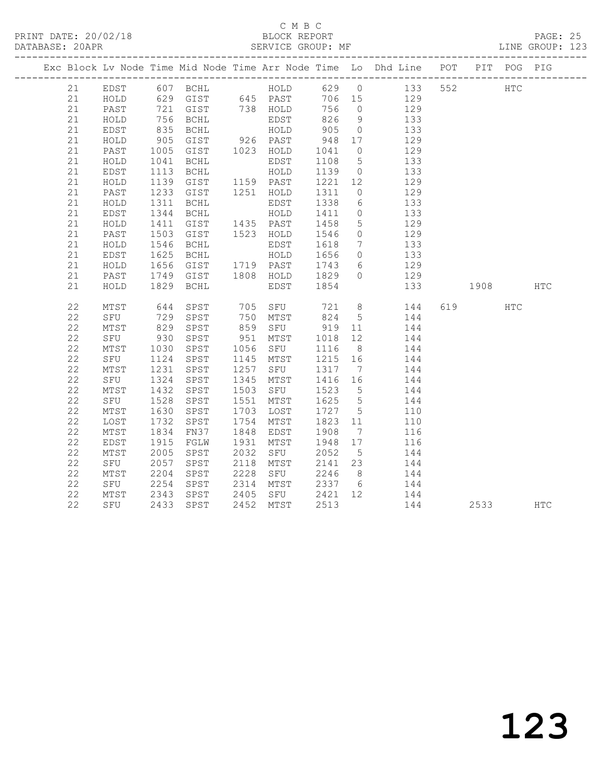#### C M B C DATABASE: 20APR SERVICE GROUP: MF LINE GROUP: 123

|    |              |                   |                                            |              |                |                  |                 | Exc Block Lv Node Time Mid Node Time Arr Node Time Lo Dhd Line POT PIT POG PIG |      |     |            |
|----|--------------|-------------------|--------------------------------------------|--------------|----------------|------------------|-----------------|--------------------------------------------------------------------------------|------|-----|------------|
|    |              |                   |                                            |              |                |                  |                 | 21 EDST 607 BCHL HOLD 629 0 133 552                                            | HTC  |     |            |
| 21 | HOLD         |                   | 629 GIST 645 PAST                          |              |                |                  |                 | 706 15 129                                                                     |      |     |            |
| 21 | PAST         |                   |                                            |              |                | 756 0            |                 | $129$                                                                          |      |     |            |
| 21 | HOLD         |                   |                                            |              | EDST<br>HOLD   | 826 9            |                 | 133                                                                            |      |     |            |
| 21 | EDST         |                   |                                            |              |                | 905              | $\overline{0}$  | 133                                                                            |      |     |            |
| 21 | HOLD         | 905               | GIST                                       |              | 926 PAST       | 948              | 17              | 129                                                                            |      |     |            |
| 21 | PAST         | 1005<br>1041      | GIST 1023 HOLD<br>BCHL EDST                |              |                | 1041 0<br>1108 5 |                 | 129                                                                            |      |     |            |
| 21 | HOLD         |                   |                                            |              |                |                  |                 | $\frac{1}{133}$                                                                |      |     |            |
| 21 | EDST         | 1113              | BCHL HOLD                                  |              |                | 1139 0           |                 | 133                                                                            |      |     |            |
| 21 | HOLD         |                   | 1139 GIST 1159 PAST<br>1233 GIST 1251 HOLD |              |                | 1221 12          |                 | 129                                                                            |      |     |            |
| 21 | PAST         |                   |                                            |              |                | 1311 0           |                 | 129                                                                            |      |     |            |
| 21 | HOLD         | 1311              | BCHL                                       |              | EDST           | 1338             | 6               | 133                                                                            |      |     |            |
| 21 | EDST         | 1344              | BCHL                                       |              | HOLD           | 1411 0           |                 | 133                                                                            |      |     |            |
| 21 | HOLD         | 1411<br>1503      | GIST 1435 PAST<br>GIST 1523 HOLD           |              |                | 1458             | 5 <sup>5</sup>  | 129                                                                            |      |     |            |
| 21 | PAST         |                   |                                            |              |                | 1546             | $\overline{0}$  | 129                                                                            |      |     |            |
| 21 | HOLD         | 1546              | BCHL                                       |              | EDST           | 1618             | $7\overline{ }$ | 133                                                                            |      |     |            |
| 21 | EDST         |                   |                                            |              |                | 1656<br>1743     | $\overline{0}$  | 133<br>129                                                                     |      |     |            |
| 21 | ${\tt HOLD}$ |                   | 1625 BCHL HOLD<br>1656 GIST 1719 PAST      |              |                |                  | $6\overline{6}$ |                                                                                |      |     |            |
| 21 | PAST         |                   |                                            |              |                |                  |                 | 1749 GIST 1808 HOLD 1829 0 129                                                 |      |     |            |
| 21 | ${\tt HOLD}$ | 1829              | BCHL                                       |              | EDST           | 1854             |                 | 133                                                                            | 1908 |     | HTC        |
| 22 | MTST         |                   |                                            |              |                |                  |                 | 644 SPST 705 SFU 721 8 144                                                     | 619  | HTC |            |
| 22 | SFU          |                   | SPST                                       |              |                |                  |                 | 750 MTST 824 5 144<br>859 SFU 919 11 144<br>951 MTST 1018 12 144               |      |     |            |
| 22 | MTST         |                   | SPST                                       |              |                |                  |                 |                                                                                |      |     |            |
| 22 | SFU          | 729<br>829<br>930 | SPST                                       |              |                |                  |                 |                                                                                |      |     |            |
| 22 | MTST         | 1030              |                                            |              | SPST 1056 SFU  | 1116 8           |                 | 144                                                                            |      |     |            |
| 22 | SFU          |                   |                                            |              | 1145 MTST      | 1215 16          |                 | 144                                                                            |      |     |            |
| 22 | MTST         | 1124<br>1231      | SPST<br>SPST                               |              | $1257$ SFU     | 1317 7           |                 | 144                                                                            |      |     |            |
| 22 | SFU          | 1324              | SPST 1345 MTST                             |              |                | 1416 16          |                 | 144                                                                            |      |     |            |
| 22 | MTST         |                   | SPST                                       | 1503         | SFU            | 1523 5           |                 | 144                                                                            |      |     |            |
| 22 | SFU          | 1432<br>1528      | SPST                                       |              | 1551 MTST      | 1625 5           |                 | 144                                                                            |      |     |            |
| 22 | MTST         | 1630              | SPST                                       |              | 1703 LOST      | 1727 5           |                 | 110                                                                            |      |     |            |
| 22 | LOST         | 1732              | SPST                                       |              | 1754 MTST      | 1823             | 11              | 110                                                                            |      |     |            |
| 22 | MTST         | 1834<br>1915      | FN37                                       |              | 1848 EDST      | 1908             | $\overline{7}$  | 116                                                                            |      |     |            |
| 22 | EDST         |                   | FGLW                                       | 1931         | MTST           | 1948 17          |                 | 116                                                                            |      |     |            |
| 22 | MTST         | 2005              | SPST                                       | 2032         | SFU            | 2052 5           |                 | 144                                                                            |      |     |            |
| 22 | SFU          | 2057              | SPST                                       | 2118<br>2228 | MTST           | 2141 23          |                 | 144                                                                            |      |     |            |
| 22 | MTST         | 2204              | SPST                                       |              | SFU            | 2246 8           |                 | 144                                                                            |      |     |            |
| 22 | SFU          | 2254              |                                            |              | SPST 2314 MTST |                  |                 | 2337 6 144                                                                     |      |     |            |
| 22 | MTST         | 2343              | SPST                                       |              | 2405 SFU       |                  |                 | 2421 12 144                                                                    |      |     |            |
| 22 | SFU          | 2433              | SPST                                       |              | 2452 MTST      | 2513             |                 | 144                                                                            | 2533 |     | <b>HTC</b> |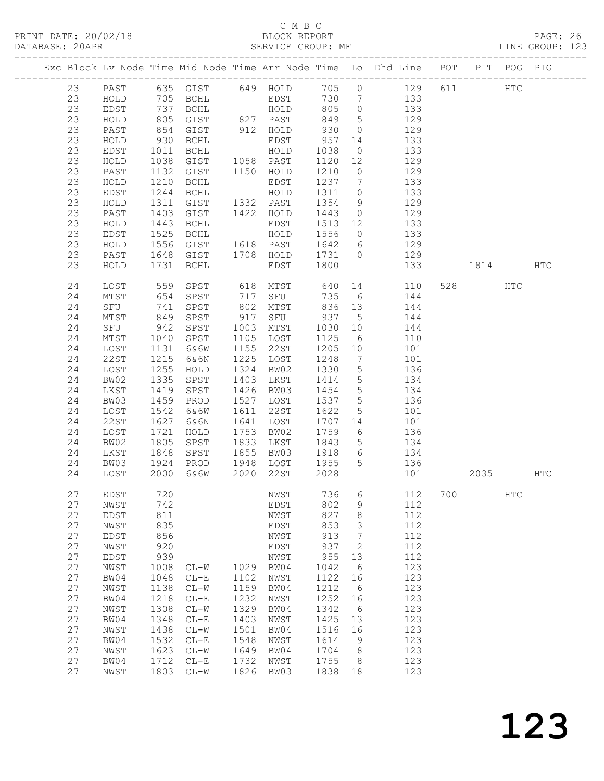## C M B C<br>BLOCK REPORT

PAGE: 26<br>LINE GROUP: 123

|  |          |              |              |                      |      |                          |                |                      | Exc Block Lv Node Time Mid Node Time Arr Node Time Lo Dhd Line POT |     |          | PIT POG PIG   |     |
|--|----------|--------------|--------------|----------------------|------|--------------------------|----------------|----------------------|--------------------------------------------------------------------|-----|----------|---------------|-----|
|  | 23       | PAST         |              |                      |      |                          |                |                      | 635 GIST 649 HOLD 705 0 129                                        | 611 |          | $_{\rm{HTC}}$ |     |
|  | 23       | HOLD         |              |                      |      |                          |                |                      |                                                                    |     |          |               |     |
|  | 23       | EDST         |              | 705 BCHL<br>737 BCHL |      | EDST 730 7<br>HOLD 805 0 |                |                      | 133<br>133                                                         |     |          |               |     |
|  | 23       | HOLD         | 805          | GIST                 |      | 827 PAST                 | 849            | $5\overline{)}$      | 129                                                                |     |          |               |     |
|  | 23       | PAST         | 854          | GIST                 |      | 912 HOLD                 | 930            | $\overline{0}$       | 129                                                                |     |          |               |     |
|  | 23       | HOLD         | 930          | BCHL                 |      |                          | 957            | 14                   | 133                                                                |     |          |               |     |
|  | 23       | EDST         | 1011         | BCHL                 |      | EDST<br>HOLD             | 1038           | $\overline{0}$       | 133                                                                |     |          |               |     |
|  | 23       | HOLD         | 1038         | GIST                 |      | 1058 PAST                | 1120 12        |                      | 129                                                                |     |          |               |     |
|  | 23       | PAST         | 1132         | GIST                 |      | 1150 HOLD                | 1210           | $\overline{0}$       | 129                                                                |     |          |               |     |
|  | 23       | HOLD         | 1210         | BCHL                 |      | EDST                     | 1237 7         |                      | 133                                                                |     |          |               |     |
|  | 23       | EDST         | 1244         | BCHL                 |      | HOLD                     | 1311 0         |                      | 133                                                                |     |          |               |     |
|  | 23       | HOLD         | 1311         | GIST                 |      | 1332 PAST                | 1354           | 9                    | 129                                                                |     |          |               |     |
|  | 23       | PAST         | 1403         | GIST                 |      | 1422 HOLD                | 1443           | $\overline{0}$       | 129                                                                |     |          |               |     |
|  | 23       | HOLD         | 1443         | BCHL                 |      | EDST                     | 1513 12        |                      | 133                                                                |     |          |               |     |
|  | 23       | EDST         | 1525         | BCHL                 |      | HOLD                     | 1556           | $\overline{0}$       | 133                                                                |     |          |               |     |
|  | 23       | HOLD         | 1556         | GIST                 |      | 1618 PAST                |                |                      | 1642 6 129                                                         |     |          |               |     |
|  | 23       | PAST         |              | 1648 GIST            |      |                          |                |                      | 1708 HOLD 1731 0 129                                               |     |          |               |     |
|  | 23       | HOLD         | 1731         | BCHL                 |      | EDST                     | 1800           |                      | 133                                                                |     | 1814     |               | HTC |
|  | 24       | LOST         |              | 559 SPST             |      |                          |                |                      | 618 MTST 640 14 110                                                |     | 528 32   | HTC           |     |
|  | 24       | MTST         | 654          | SPST                 |      | 717 SFU                  |                |                      | 735 6 144                                                          |     |          |               |     |
|  | 24       | SFU          | 741          | SPST                 | 802  | MTST                     | 836 13         |                      | 144                                                                |     |          |               |     |
|  | 24       | MTST         | 849          | SPST                 | 917  | SFU                      | 937            | 5 <sup>5</sup>       | 144                                                                |     |          |               |     |
|  | 24       | SFU          | 942          | SPST                 | 1003 | MTST                     | 1030 10        |                      | 144                                                                |     |          |               |     |
|  | 24       | MTST         | 1040         | SPST                 |      | 1105 LOST                | 1125           | $6\overline{6}$      | 110                                                                |     |          |               |     |
|  | 24       | LOST         | 1131         | 6&6W                 |      | 1155 22ST                | 1205           | 10                   | 101                                                                |     |          |               |     |
|  | 24       | 22ST         | 1215         | 6&6N                 |      | 1225 LOST                | 1248           | $7\overline{ }$      | 101<br>$\frac{1}{136}$                                             |     |          |               |     |
|  | 24       | LOST         | 1255         | HOLD                 |      | 1324 BW02                | 1330           | $5\overline{)}$      | 134                                                                |     |          |               |     |
|  | 24       | BW02         | 1335         | SPST                 |      | 1403 LKST                | 1414           | 5 <sup>5</sup>       |                                                                    |     |          |               |     |
|  | 24<br>24 | LKST<br>BW03 | 1419<br>1459 | SPST                 |      | 1426 BW03<br>1527 LOST   | 1454<br>1537 5 | 5 <sup>5</sup>       | 134<br>136                                                         |     |          |               |     |
|  | 24       | LOST         | 1542         | PROD<br>6&6W         |      | 1611 22ST                | 1622           | 5 <sup>5</sup>       | 101                                                                |     |          |               |     |
|  | 24       | 22ST         | 1627         | 6&6N                 |      | 1641 LOST                | 1707 14        |                      | 101                                                                |     |          |               |     |
|  | 24       | LOST         | 1721         | HOLD                 |      | 1753 BW02                | 1759           | $6\overline{6}$      | 136                                                                |     |          |               |     |
|  | 24       | BW02         | 1805         | SPST                 |      | 1833 LKST                | 1843           | $5\overline{)}$      |                                                                    |     |          |               |     |
|  | 24       | LKST         | 1848         | SPST                 |      | 1855 BW03                | 1918           | $6\overline{6}$      | 134<br>134                                                         |     |          |               |     |
|  | 24       | BW03         |              | 1924 PROD            |      |                          |                |                      | 1948 LOST 1955 5 136                                               |     |          |               |     |
|  | 24       | LOST         | 2000         | 6&6W                 |      | 2020 22ST                | 2028           |                      | 101                                                                |     | 2035 HTC |               |     |
|  |          |              |              |                      |      |                          |                |                      |                                                                    |     |          |               |     |
|  | 27       | EDST         | 720          |                      |      | NWST                     |                |                      | 736 6 112 700                                                      |     |          | $_{\rm HTC}$  |     |
|  | 27       | NWST         | 742          |                      |      | EDST                     | 802            | 9                    | 112                                                                |     |          |               |     |
|  | 27       | EDST         | 811          |                      |      | NWST                     | 827            | $\,8\,$              | 112                                                                |     |          |               |     |
|  | 27<br>27 | NWST         | 835<br>856   |                      |      | EDST                     | 853<br>913     | 3<br>$7\phantom{.0}$ | 112<br>112                                                         |     |          |               |     |
|  | 27       | EDST<br>NWST | 920          |                      |      | NWST<br>EDST             | 937            | 2                    | 112                                                                |     |          |               |     |
|  | 27       | EDST         | 939          |                      |      | NWST                     | 955            | 13                   | 112                                                                |     |          |               |     |
|  | 27       | NWST         | 1008         | $CL-W$               | 1029 | BW04                     | 1042           | 6                    | 123                                                                |     |          |               |     |
|  | 27       | BW04         | 1048         | $CL-E$               | 1102 | NWST                     | 1122           | 16                   | 123                                                                |     |          |               |     |
|  | 27       | NWST         | 1138         | $CL-W$               | 1159 | BW04                     | 1212           | 6                    | 123                                                                |     |          |               |     |
|  | 27       | BW04         | 1218         | $CL-E$               | 1232 | NWST                     | 1252           | 16                   | 123                                                                |     |          |               |     |
|  | 27       | NWST         | 1308         | $CL-W$               | 1329 | BW04                     | 1342           | 6                    | 123                                                                |     |          |               |     |
|  | 27       | BW04         | 1348         | $CL-E$               | 1403 | NWST                     | 1425           | 13                   | 123                                                                |     |          |               |     |
|  | 27       | NWST         | 1438         | $CL-W$               | 1501 | BW04                     | 1516           | 16                   | 123                                                                |     |          |               |     |
|  | 27       | BW04         | 1532         | $CL-E$               | 1548 | NWST                     | 1614           | 9                    | 123                                                                |     |          |               |     |
|  | 27       | NWST         | 1623         | $CL-W$               | 1649 | BW04                     | 1704           | 8                    | 123                                                                |     |          |               |     |
|  | 27       | BW04         | 1712         | $CL-E$               | 1732 | NWST                     | 1755           | 8 <sup>8</sup>       | 123                                                                |     |          |               |     |
|  | 27       | NWST         |              | 1803 CL-W            | 1826 | BW03                     | 1838 18        |                      | 123                                                                |     |          |               |     |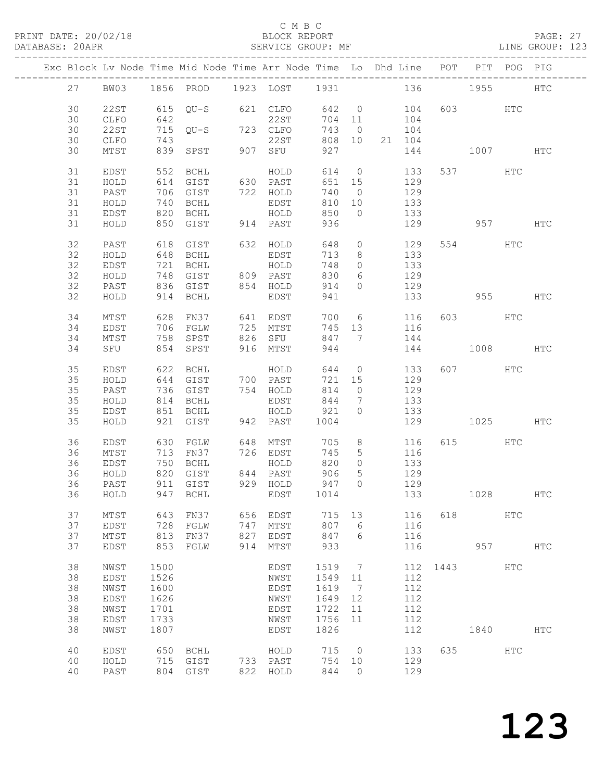PRINT DATE: 20/02/18 BLOCK REPORT<br>DATABASE: 20APR PAGE: 20APR

#### C M B C<br>BLOCK REPORT

PAGE: 27<br>LINE GROUP: 123

|    |             |                          |                      |     | Exc Block Lv Node Time Mid Node Time Arr Node Time Lo Dhd Line POT PIT POG PIG |        |                 |                 |                                                            | ------------------------------------ |          |            |            |
|----|-------------|--------------------------|----------------------|-----|--------------------------------------------------------------------------------|--------|-----------------|-----------------|------------------------------------------------------------|--------------------------------------|----------|------------|------------|
| 27 |             |                          |                      |     | BW03 1856 PROD 1923 LOST 1931 136 1955                                         |        |                 |                 |                                                            |                                      |          |            | <b>HTC</b> |
| 30 | 22ST        |                          | $615$ QU-S           |     | 621 CLFO                                                                       | 642    | $\overline{0}$  |                 |                                                            |                                      | 603 HTC  |            |            |
| 30 | CLFO        | 642                      |                      |     | 22ST                                                                           | 704 11 |                 |                 | $\begin{array}{c}\n104 \\ \hline\n104\n\end{array}$<br>104 |                                      |          |            |            |
| 30 | 22ST        |                          | 715 QU-S 723 CLFO    |     |                                                                                | 743    | $\overline{0}$  |                 | 104                                                        |                                      |          |            |            |
| 30 | CLFO        | 743                      |                      |     | 22ST                                                                           |        | 808 10          |                 | 21 104                                                     |                                      |          |            |            |
| 30 | MTST        | 839                      | SPST                 |     | 907 SFU                                                                        | 927    |                 |                 | 144                                                        |                                      | 1007     |            | HTC        |
| 31 | EDST        | 552                      | BCHL                 |     | HOLD                                                                           | 614    | $\overline{0}$  |                 | 133                                                        |                                      | 537 HTC  |            |            |
| 31 | HOLD        | 614                      | GIST                 |     | 630 PAST                                                                       | 651    | 15              |                 | 129                                                        |                                      |          |            |            |
| 31 | PAST        |                          | 706 GIST             |     | 722 HOLD                                                                       | 740    | $\overline{0}$  |                 | 129                                                        |                                      |          |            |            |
| 31 | HOLD        | 740                      | BCHL                 |     | EDST                                                                           | 810    | 10              |                 | 133                                                        |                                      |          |            |            |
| 31 | EDST        | 820                      | <b>BCHL</b>          |     | HOLD                                                                           | 850    | $\circ$         |                 | 133                                                        |                                      |          |            |            |
| 31 | HOLD        | 850                      | GIST                 |     | 914 PAST                                                                       | 936    |                 |                 | 129                                                        |                                      | 957      |            | HTC        |
| 32 | PAST        | 618                      | GIST                 |     | 632 HOLD                                                                       | 648    | $\circ$         |                 | 129                                                        |                                      | 554 HTC  |            |            |
| 32 | HOLD        | 648                      | BCHL                 |     | EDST                                                                           | 713    | 8               |                 | 133                                                        |                                      |          |            |            |
| 32 | EDST        | 721                      | BCHL                 |     | HOLD                                                                           | 748    | $\circ$         |                 | 133                                                        |                                      |          |            |            |
| 32 | HOLD        | 748                      | GIST                 |     | 809 PAST                                                                       | 830    | 6               |                 | 129                                                        |                                      |          |            |            |
| 32 | PAST        | 836                      | GIST                 |     | 854 HOLD                                                                       | 914    | $\circ$         |                 | 129                                                        |                                      |          |            |            |
| 32 | HOLD        |                          | 914 BCHL             |     | EDST                                                                           | 941    |                 |                 | 133                                                        |                                      | 955 HTC  |            |            |
| 34 | MTST        | 628                      | FN37                 |     | 641 EDST                                                                       | 700    |                 | $6\overline{6}$ | 116                                                        |                                      | 603 HTC  |            |            |
| 34 | EDST        |                          | FGLW                 | 725 | MTST                                                                           | 745    | 13              |                 | 116                                                        |                                      |          |            |            |
| 34 | MTST        | $\frac{706}{750}$<br>758 | SPST                 | 826 | SFU                                                                            | 847    | $\overline{7}$  |                 | 144                                                        |                                      |          |            |            |
| 34 | SFU         |                          | 854 SPST             | 916 | MTST                                                                           | 944    |                 |                 |                                                            | 144                                  | 1008 100 |            | <b>HTC</b> |
|    |             |                          |                      |     |                                                                                |        |                 |                 |                                                            |                                      |          |            |            |
| 35 | EDST        |                          | 622 BCHL<br>644 GIST |     | HOLD                                                                           | 644    | $\overline{0}$  |                 | 133                                                        |                                      | 607 HTC  |            |            |
| 35 | HOLD        |                          |                      |     | 700 PAST                                                                       | 721 15 |                 |                 | 129                                                        |                                      |          |            |            |
| 35 | PAST        |                          | 736 GIST             |     | 754 HOLD                                                                       | 814    | $\overline{0}$  |                 | 129                                                        |                                      |          |            |            |
| 35 | HOLD        | 814                      | BCHL                 |     | EDST                                                                           | 844    | 7               |                 | 133                                                        |                                      |          |            |            |
| 35 | EDST        | 851                      | BCHL                 |     | HOLD                                                                           | 921    | $\Omega$        |                 | 133                                                        |                                      |          |            |            |
| 35 | HOLD        | 921                      | GIST                 |     | 942 PAST                                                                       | 1004   |                 |                 | 129                                                        |                                      | 1025     |            | HTC        |
| 36 | EDST        | 630                      | FGLW                 | 648 | MTST                                                                           | 705    | 8               |                 | 116                                                        |                                      | 615 — 10 | HTC        |            |
| 36 | MTST        | 713                      | FN37                 |     | 726 EDST                                                                       | 745    | $5\phantom{.0}$ |                 | 116                                                        |                                      |          |            |            |
| 36 | EDST        | 750                      | BCHL                 |     | HOLD                                                                           | 820    | $\circ$         |                 | 133                                                        |                                      |          |            |            |
| 36 | HOLD        | 820                      | GIST                 |     | 844 PAST                                                                       | 906    | $5\overline{)}$ |                 | 129                                                        |                                      |          |            |            |
| 36 | PAST        |                          | 911 GIST             |     | 929 HOLD                                                                       | 947    | $\Omega$        |                 | 129                                                        |                                      |          |            |            |
| 36 | HOLD        | 947                      | BCHL                 |     | EDST                                                                           | 1014   |                 |                 | 133                                                        |                                      | 1028     |            | HTC        |
| 37 | MTST        | 643                      | FN37                 | 656 | EDST                                                                           | 715    | 13              |                 | 116                                                        | 618                                  |          | HTC        |            |
| 37 | EDST        | 728                      | FGLW                 | 747 | MTST                                                                           | 807    | 6               |                 | 116                                                        |                                      |          |            |            |
| 37 | MTST        | 813                      | FN37                 | 827 | EDST                                                                           | 847    | 6               |                 | 116                                                        |                                      |          |            |            |
| 37 | EDST        | 853                      | FGLW                 | 914 | MTST                                                                           | 933    |                 |                 | 116                                                        |                                      | 957      |            | HTC        |
|    |             |                          |                      |     |                                                                                |        |                 |                 |                                                            |                                      |          |            |            |
| 38 | NWST        | 1500                     |                      |     | EDST                                                                           | 1519   | 7               |                 | 112                                                        | 1443                                 |          | <b>HTC</b> |            |
| 38 | <b>EDST</b> | 1526                     |                      |     | NWST                                                                           | 1549   | 11              |                 | 112                                                        |                                      |          |            |            |
| 38 | NWST        | 1600                     |                      |     | EDST                                                                           | 1619   | $\overline{7}$  |                 | 112                                                        |                                      |          |            |            |
| 38 | EDST        | 1626                     |                      |     | NWST                                                                           | 1649   | 12              |                 | 112                                                        |                                      |          |            |            |
| 38 | NWST        | 1701                     |                      |     | EDST                                                                           | 1722   | 11              |                 | 112                                                        |                                      |          |            |            |
| 38 | <b>EDST</b> | 1733                     |                      |     | NWST                                                                           | 1756   | 11              |                 | 112                                                        |                                      |          |            |            |
| 38 | NWST        | 1807                     |                      |     | EDST                                                                           | 1826   |                 |                 | 112                                                        |                                      | 1840     |            | <b>HTC</b> |
|    |             |                          |                      |     |                                                                                |        |                 |                 |                                                            |                                      |          |            |            |
| 40 | EDST        | 650                      | <b>BCHL</b>          |     | HOLD                                                                           | 715    | 0               |                 | 133                                                        | 635                                  |          | <b>HTC</b> |            |
| 40 | HOLD        | 715                      | GIST                 | 733 | PAST                                                                           | 754    | 10              |                 | 129                                                        |                                      |          |            |            |
| 40 | PAST        | 804                      | GIST                 | 822 | HOLD                                                                           | 844    | $\circ$         |                 | 129                                                        |                                      |          |            |            |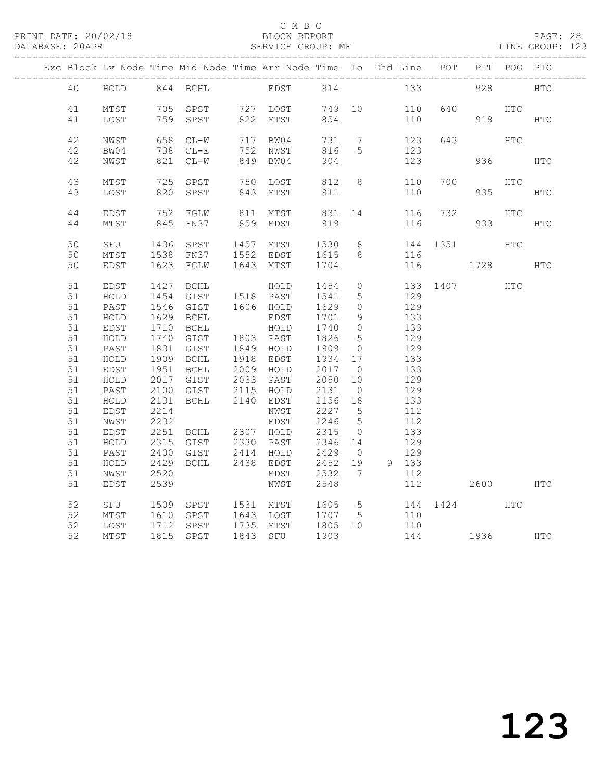#### C M B C<br>BLOCK REPORT

PAGE: 28<br>LINE GROUP: 123

|  |          |               |      |                        |                        |                      |                 | Exc Block Lv Node Time Mid Node Time Arr Node Time Lo Dhd Line POT PIT POG PIG |             |           |            |            |
|--|----------|---------------|------|------------------------|------------------------|----------------------|-----------------|--------------------------------------------------------------------------------|-------------|-----------|------------|------------|
|  | 40       | HOLD 844 BCHL |      |                        | EDST 914               |                      |                 |                                                                                | 133 and 133 | 928       |            | <b>HTC</b> |
|  | 41       | MTST          |      | 705 SPST               | 727 LOST               | 749 10               |                 | 110                                                                            | 640         |           | HTC        |            |
|  | 41       | LOST          |      | 759 SPST               | 822 MTST               | 854                  |                 | 110                                                                            |             | 918       |            | HTC        |
|  |          |               |      |                        |                        |                      |                 |                                                                                |             |           |            |            |
|  | 42       | NWST          |      | 658 CL-W               | 717 BW04               | 731                  | $\overline{7}$  | 123                                                                            | 643         |           | HTC        |            |
|  | 42<br>42 | BW04<br>NWST  |      | 738 CL-E<br>821 CL-W   | 752 NWST<br>849 BW04   | 816<br>904           | 5               | 123<br>123                                                                     |             | 936       |            | <b>HTC</b> |
|  |          |               |      |                        |                        |                      |                 |                                                                                |             |           |            |            |
|  | 43       | MTST          |      | 725 SPST               | 750 LOST               | 812                  | 8               | 110                                                                            | 700         |           | HTC        |            |
|  | 43       | LOST          | 820  | SPST                   | 843 MTST               | 911                  |                 | 110                                                                            |             | 935       |            | <b>HTC</b> |
|  | $4\,4$   | EDST          | 752  | FGLW                   | 811 MTST               | 831                  | 14              | 116                                                                            | 732         |           | <b>HTC</b> |            |
|  | 44       | MTST          |      | 845 FN37               | 859 EDST               | 919                  |                 | 116                                                                            |             | 933       |            | HTC        |
|  |          |               |      |                        |                        |                      |                 |                                                                                |             |           |            |            |
|  | 50       | SFU           | 1436 | SPST                   | 1457 MTST              | 1530                 | 8 <sup>8</sup>  |                                                                                | 144 1351    |           | HTC        |            |
|  | 50<br>50 | MTST<br>EDST  |      | 1538 FN37<br>1623 FGLW | 1552 EDST<br>1643 MTST | 1615<br>1704         | 8               | 116<br>116                                                                     |             | 1728      |            | <b>HTC</b> |
|  |          |               |      |                        |                        |                      |                 |                                                                                |             |           |            |            |
|  | 51       | EDST          | 1427 | <b>BCHL</b>            | HOLD                   | 1454                 | $\circ$         |                                                                                | 133 1407    |           | <b>HTC</b> |            |
|  | 51       | HOLD          | 1454 | GIST                   | 1518 PAST              | 1541                 | $5\phantom{.0}$ | 129                                                                            |             |           |            |            |
|  | 51       | PAST          |      | 1546 GIST              | 1606 HOLD              | 1629                 | $\Omega$        | 129                                                                            |             |           |            |            |
|  | 51       | HOLD          |      | 1629 BCHL              | EDST                   | 1701                 | 9               | 133                                                                            |             |           |            |            |
|  | 51       | EDST          | 1710 | BCHL                   | HOLD                   | 1740                 | $\circ$         | 133                                                                            |             |           |            |            |
|  | 51       | HOLD          | 1740 | GIST                   | 1803 PAST              | 1826                 | $5\phantom{.0}$ | 129                                                                            |             |           |            |            |
|  | 51       | PAST          |      | 1831 GIST              | 1849 HOLD              | 1909                 | $\overline{0}$  | 129                                                                            |             |           |            |            |
|  | 51       | HOLD          |      | 1909 BCHL              | 1918 EDST              | 1934                 | 17              | 133                                                                            |             |           |            |            |
|  | 51       | EDST          | 1951 | <b>BCHL</b>            | 2009 HOLD              | 2017                 | $\overline{0}$  | 133                                                                            |             |           |            |            |
|  | 51       | HOLD          |      | 2017 GIST              | 2033 PAST              | 2050                 | 10              | 129                                                                            |             |           |            |            |
|  | 51       | PAST          | 2100 | GIST                   | 2115 HOLD              | 2131                 | $\overline{0}$  | 129                                                                            |             |           |            |            |
|  | 51       | HOLD          | 2131 | <b>BCHL</b>            | 2140 EDST              | 2156                 | 18              | 133                                                                            |             |           |            |            |
|  | 51       | EDST          | 2214 |                        | NWST                   | 2227                 | $5\overline{)}$ | 112                                                                            |             |           |            |            |
|  | 51       | NWST          | 2232 |                        | EDST                   | 2246                 | $5\overline{)}$ | 112                                                                            |             |           |            |            |
|  | 51       | EDST          |      | 2251 BCHL 2307 HOLD    |                        | 2315                 | $\overline{0}$  | 133                                                                            |             |           |            |            |
|  | 51       | HOLD          | 2315 | GIST                   | $2330$ $PAST$          | 2346<br>2346<br>2429 | 14              | 129                                                                            |             |           |            |            |
|  | 51       | PAST          | 2400 | GIST                   | 2414 HOLD              |                      | $\overline{0}$  | 129                                                                            |             |           |            |            |
|  | 51       | HOLD          | 2429 | BCHL                   | 2438 EDST              | 2452                 | 19              | 9 133                                                                          |             |           |            |            |
|  | 51       | NWST          | 2520 |                        | EDST                   | 2532                 | $\overline{7}$  | 112                                                                            |             |           |            |            |
|  | 51       | EDST          | 2539 |                        | NWST                   | 2548                 |                 | 112                                                                            |             | 2600      |            | HTC        |
|  | 52       | SFU           | 1509 | SPST                   | 1531 MTST              | 1605                 | $5^{\circ}$     |                                                                                | 144 1424    |           | <b>HTC</b> |            |
|  | 52       | MTST          | 1610 | SPST                   |                        | 1707                 | $5^{\circ}$     | 110                                                                            |             |           |            |            |
|  | 52       | LOST          |      | 1712 SPST              | 1643 LOST<br>1735 MTST | 1805 10              |                 | 110                                                                            |             |           |            |            |
|  | 52       | MTST          |      | 1815 SPST              | 1843 SFU               | 1903                 |                 |                                                                                | 144         | 1936 1990 |            | HTC        |
|  |          |               |      |                        |                        |                      |                 |                                                                                |             |           |            |            |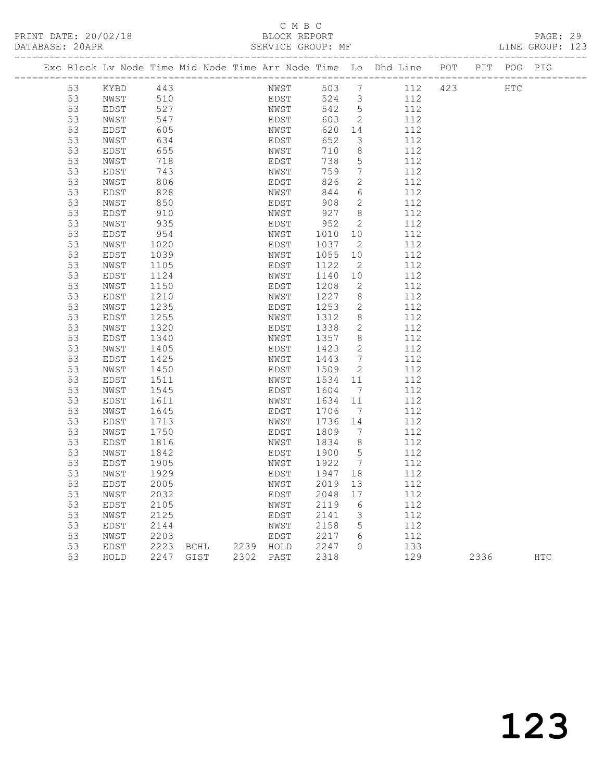### C M B C<br>BLOCK REPORT

| DATABASE: 20APR |                                                                    |             |      |      |           |      | SERVICE GROUP: MF |                              |     |         |     |         | LINE GROUP: 123 |
|-----------------|--------------------------------------------------------------------|-------------|------|------|-----------|------|-------------------|------------------------------|-----|---------|-----|---------|-----------------|
|                 | Exc Block Lv Node Time Mid Node Time Arr Node Time Lo Dhd Line POT |             |      |      |           |      |                   |                              |     |         | PIT | POG PIG |                 |
|                 | 53                                                                 | KYBD        | 443  |      |           | NWST | 503               | $\overline{7}$               |     | 112 423 |     | HTC     |                 |
|                 | 53                                                                 | NWST        | 510  |      |           | EDST | 524               | $\overline{\mathbf{3}}$      | 112 |         |     |         |                 |
|                 | 53                                                                 | EDST        | 527  |      |           | NWST | 542               | $5^{\circ}$                  | 112 |         |     |         |                 |
|                 | 53                                                                 | NWST        | 547  |      |           | EDST | 603               | $\overline{\phantom{a}}$     | 112 |         |     |         |                 |
|                 | 53                                                                 | EDST        | 605  |      |           | NWST | 620               | 14                           | 112 |         |     |         |                 |
|                 | 53                                                                 | NWST        | 634  |      |           | EDST | 652               | 3                            | 112 |         |     |         |                 |
|                 | 53                                                                 | EDST        | 655  |      |           | NWST | 710               | 8                            | 112 |         |     |         |                 |
|                 | 53                                                                 | NWST        | 718  |      |           | EDST | 738               | 5                            | 112 |         |     |         |                 |
|                 | 53                                                                 | EDST        | 743  |      |           | NWST | 759               | 7                            | 112 |         |     |         |                 |
|                 | 53                                                                 | NWST        | 806  |      |           | EDST | 826               | $\mathbf{2}$                 | 112 |         |     |         |                 |
|                 | 53                                                                 | EDST        | 828  |      |           | NWST | 844               | 6                            | 112 |         |     |         |                 |
|                 | 53                                                                 | NWST        | 850  |      |           | EDST | 908               | $\overline{2}$               | 112 |         |     |         |                 |
|                 | 53                                                                 | EDST        | 910  |      |           | NWST | 927               | 8                            | 112 |         |     |         |                 |
|                 | 53                                                                 | NWST        | 935  |      |           | EDST | 952               | $\mathbf{2}$                 | 112 |         |     |         |                 |
|                 | 53                                                                 | EDST        | 954  |      |           | NWST | 1010              | 10                           | 112 |         |     |         |                 |
|                 | 53                                                                 | NWST        | 1020 |      |           | EDST | 1037              | - 2                          | 112 |         |     |         |                 |
|                 | 53                                                                 | EDST        | 1039 |      |           | NWST | 1055              | 10                           | 112 |         |     |         |                 |
|                 | 53                                                                 | NWST        | 1105 |      |           | EDST | 1122              | 2                            | 112 |         |     |         |                 |
|                 | 53                                                                 | EDST        | 1124 |      |           | NWST | 1140              | 10                           | 112 |         |     |         |                 |
|                 | 53                                                                 | NWST        | 1150 |      |           | EDST | 1208              | $\mathbf{2}$                 | 112 |         |     |         |                 |
|                 | 53                                                                 | EDST        | 1210 |      |           | NWST | 1227              | 8                            | 112 |         |     |         |                 |
|                 | 53                                                                 | NWST        | 1235 |      |           | EDST | 1253              | 2                            | 112 |         |     |         |                 |
|                 | 53                                                                 | EDST        | 1255 |      |           | NWST | 1312              | 8                            | 112 |         |     |         |                 |
|                 | 53                                                                 | NWST        | 1320 |      |           | EDST | 1338              | 2                            | 112 |         |     |         |                 |
|                 | 53                                                                 | EDST        | 1340 |      |           | NWST | 1357              | 8                            | 112 |         |     |         |                 |
|                 | 53                                                                 | NWST        | 1405 |      |           | EDST | 1423              | 2                            | 112 |         |     |         |                 |
|                 | 53                                                                 | EDST        | 1425 |      |           | NWST | 1443              | $7\phantom{.0}$              | 112 |         |     |         |                 |
|                 | 53                                                                 | NWST        | 1450 |      |           | EDST | 1509              | 2                            | 112 |         |     |         |                 |
|                 | 53                                                                 | EDST        | 1511 |      |           | NWST | 1534              | 11                           | 112 |         |     |         |                 |
|                 | 53                                                                 | NWST        | 1545 |      |           | EDST | 1604              | $\overline{7}$               | 112 |         |     |         |                 |
|                 | 53                                                                 | EDST        | 1611 |      |           | NWST | 1634              | 11                           | 112 |         |     |         |                 |
|                 | 53                                                                 | NWST        | 1645 |      |           | EDST | 1706              | $\overline{7}$               | 112 |         |     |         |                 |
|                 | 53                                                                 | EDST        | 1713 |      |           | NWST | 1736              | 14                           | 112 |         |     |         |                 |
|                 | 53                                                                 | NWST        | 1750 |      |           | EDST | 1809              | 7                            | 112 |         |     |         |                 |
|                 | 53                                                                 | EDST        | 1816 |      |           | NWST | 1834              | - 8                          | 112 |         |     |         |                 |
|                 | 53                                                                 | NWST        | 1842 |      |           | EDST | 1900              | 5                            | 112 |         |     |         |                 |
|                 | 53                                                                 | EDST        | 1905 |      |           | NWST | 1922              | $7\phantom{.0}\phantom{.0}7$ | 112 |         |     |         |                 |
|                 | 53                                                                 | NWST        | 1929 |      |           | EDST | 1947              | 18                           | 112 |         |     |         |                 |
|                 | 53                                                                 | EDST        | 2005 |      |           | NWST | 2019              | 13                           | 112 |         |     |         |                 |
|                 | 53                                                                 | NWST        | 2032 |      |           | EDST | 2048              | 17                           | 112 |         |     |         |                 |
|                 | 53                                                                 | EDST        | 2105 |      |           | NWST | 2119              | 6                            | 112 |         |     |         |                 |
|                 | 53                                                                 | NWST        | 2125 |      |           | EDST | 2141              | 3                            | 112 |         |     |         |                 |
|                 | 53                                                                 | EDST        | 2144 |      |           | NWST | 2158              | 5                            | 112 |         |     |         |                 |
|                 | 53                                                                 | NWST        | 2203 |      |           | EDST | 2217              | 6<br>$\Omega$                | 112 |         |     |         |                 |
|                 | 53                                                                 | <b>EDST</b> | 2223 | BCHL | 2239 HOLD |      | 2247              |                              | 133 |         |     |         |                 |

53 HOLD 2247 GIST 2302 PAST 2318 129 2336 HTC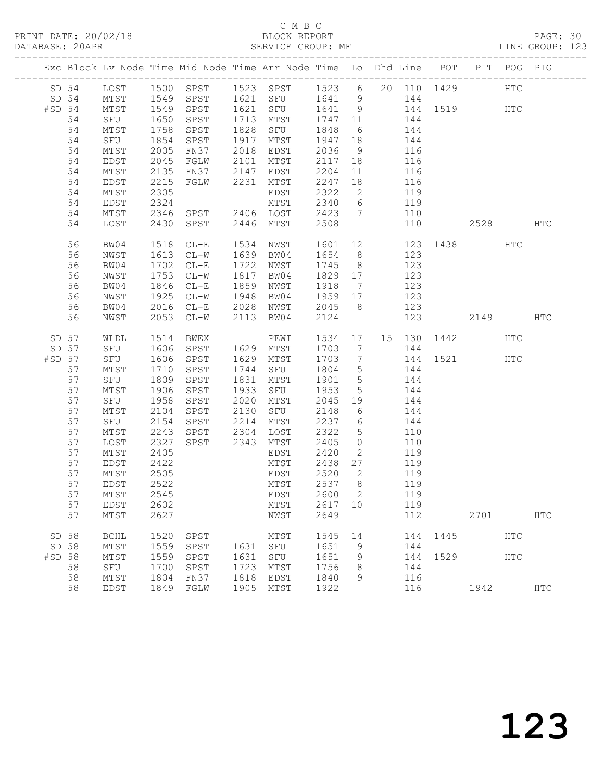#### C M B C C M B C C M B C C M B C C M B C C M B C C M B C C M B C C M B C C M B C C M B C C M B C C M B C C M B C C M B C C M B C C M B C C M B C C M B C C M B C C M B C C M B C C M B C C M B C C M B C C M B C C M B C C M B DATABASE: 20APR SERVICE GROUP: MF LINE GROUP: 123

|          |          |              |              |                                                |      | Exc Block Lv Node Time Mid Node Time Arr Node Time Lo Dhd Line POT |                |                      |                       |     |                                   |      | PIT POG PIG |              |
|----------|----------|--------------|--------------|------------------------------------------------|------|--------------------------------------------------------------------|----------------|----------------------|-----------------------|-----|-----------------------------------|------|-------------|--------------|
|          |          |              |              |                                                |      | SD 54 LOST 1500 SPST 1523 SPST 1523 6 20 110 1429                  |                |                      |                       |     |                                   |      | HTC         |              |
|          | SD 54    | MTST         |              | 1549 SPST                                      |      | 1621 SFU 1641 9                                                    |                |                      |                       | 144 |                                   |      |             |              |
| $#SD$ 54 |          | MTST         | 1549         | SPST                                           |      | 1621 SFU                                                           | 1641 9         |                      |                       |     | 144 1519 HTC                      |      |             |              |
|          | 54       | SFU          | 1650         | SPST                                           | 1713 | MTST                                                               | 1747 11        |                      | 144                   |     |                                   |      |             |              |
|          | 54       | MTST         | 1758         | SPST                                           | 1828 | SFU                                                                | 1848 6         |                      |                       | 144 |                                   |      |             |              |
|          | 54       | SFU          | 1854         | SPST                                           |      | 1917 MTST                                                          | 1947 18        |                      | $\frac{-}{144}$       |     |                                   |      |             |              |
|          | 54       | MTST         | 2005         | FN37 2018 EDST                                 |      |                                                                    | 2036           | 9                    | 116                   |     |                                   |      |             |              |
|          | 54       | EDST         | 2045         | FGLW                                           |      | 2101 MTST                                                          | 2117           | 18                   |                       | 116 |                                   |      |             |              |
|          | 54       | MTST         | 2135<br>2215 | FN37 2147 EDST<br>FGLW 2231 MTST               |      |                                                                    | 2204<br>2247   | 11                   |                       | 116 |                                   |      |             |              |
|          | 54<br>54 | EDST<br>MTST | 2305         |                                                |      | EDST                                                               | 2322           | 18<br>$\overline{2}$ | 119                   | 116 |                                   |      |             |              |
|          | 54       | EDST         | 2324         |                                                |      | MTST                                                               | 2340 6         |                      | 119                   |     |                                   |      |             |              |
|          | 54       | MTST         | 2346         | SPST 2406 LOST                                 |      |                                                                    | 2423 7         |                      |                       | 110 |                                   |      |             |              |
|          | 54       | LOST         | 2430         | SPST                                           |      | 2446 MTST                                                          | 2508           |                      |                       | 110 |                                   | 2528 |             | HTC          |
|          |          |              |              |                                                |      |                                                                    |                |                      |                       |     |                                   |      |             |              |
|          | 56       | BW04         | 1518         | $CL-E$                                         | 1534 | NWST                                                               | 1601           |                      | 12 and $\overline{a}$ |     | 123 1438                          |      | HTC         |              |
|          | 56       | NWST         |              | 1613 CL-W                                      |      | 1639 BW04                                                          | 1654 8         |                      |                       | 123 |                                   |      |             |              |
|          | 56       | BW04         |              | 1702 CL-E                                      |      | 1722 NWST                                                          | 1745 8         |                      |                       | 123 |                                   |      |             |              |
|          | 56       | NWST         | 1753         | $CL-W$                                         | 1817 | BW04                                                               | 1829 17        |                      |                       | 123 |                                   |      |             |              |
|          | 56       | BW04         | 1846         | $CL-E$                                         | 1859 | NWST                                                               | 1918 7         |                      | 123                   |     |                                   |      |             |              |
|          | 56       | NWST         | 1925         | $CL-W$                                         |      | 1948 BW04                                                          | 1959 17        |                      |                       | 123 |                                   |      |             |              |
|          | 56       | BW04         |              | 2016 CL-E 2028 NWST                            |      |                                                                    | 2045 8         |                      |                       | 123 |                                   |      |             |              |
|          | 56       | NWST         |              | 2053 CL-W                                      | 2113 | BW04                                                               | 2124           |                      |                       | 123 |                                   | 2149 |             | HTC          |
|          | SD 57    |              |              | WLDL 1514 BWEX PEWI<br>SFU 1606 SPST 1629 MTST |      | PEWI                                                               |                |                      |                       |     | 1534 17 15 130 1442<br>1703 7 15: |      | HTC         |              |
|          | SD 57    |              |              |                                                |      |                                                                    | 1703 7         |                      |                       | 144 |                                   |      |             |              |
| #SD 57   |          | SFU          | 1606         | SPST                                           | 1629 | MTST                                                               | 1703 7         |                      |                       |     | 144 1521 HTC                      |      |             |              |
|          | 57       | MTST         | 1710         | SPST                                           | 1744 | SFU                                                                | 1804 5         |                      | 144                   |     |                                   |      |             |              |
|          | 57       | SFU          | 1809         | SPST                                           | 1831 | MTST                                                               | 1901 5         |                      |                       | 144 |                                   |      |             |              |
|          | 57       | MTST         | 1906         | SPST                                           |      | 1933 SFU                                                           | 1953           | $5^{\circ}$          |                       | 144 |                                   |      |             |              |
|          | 57       | SFU          | 1958         | SPST                                           | 2020 | MTST                                                               | 2045 19        |                      |                       | 144 |                                   |      |             |              |
|          | 57<br>57 | MTST         | 2104<br>2154 | SPST 2130<br>SPST                              | 2214 | SFU                                                                | 2148<br>2237 6 | 6                    | 144                   | 144 |                                   |      |             |              |
|          | 57       | SFU<br>MTST  | 2243         | SPST                                           | 2304 | MTST<br>LOST                                                       | 2322           | 5 <sup>5</sup>       |                       | 110 |                                   |      |             |              |
|          | 57       | LOST         | 2327         | SPST                                           | 2343 | MTST                                                               | 2405           | $\overline{0}$       |                       | 110 |                                   |      |             |              |
|          | 57       | MTST         | 2405         |                                                |      | EDST                                                               | 2420           | $\overline{2}$       | 119                   |     |                                   |      |             |              |
|          | 57       | EDST         | 2422         |                                                |      | MTST                                                               | 2438 27        |                      |                       | 119 |                                   |      |             |              |
|          | 57       | MTST         | 2505         |                                                |      | EDST                                                               | 2520           | $\overline{2}$       |                       | 119 |                                   |      |             |              |
|          | 57       | EDST         | 2522         |                                                |      | MTST                                                               | 2537 8         |                      |                       | 119 |                                   |      |             |              |
|          | 57       | MTST         |              | 2545                                           |      | EDST 2600 2                                                        |                |                      |                       | 119 |                                   |      |             |              |
|          | 57       | EDST         | 2602         |                                                |      | MTST                                                               | 2617 10        |                      |                       | 119 |                                   |      |             |              |
|          | 57       | MTST         | 2627         |                                                |      | NWST                                                               | 2649           |                      |                       | 112 |                                   | 2701 |             | <b>HTC</b>   |
|          | SD 58    | <b>BCHL</b>  | 1520         | SPST                                           |      | MTST                                                               | 1545           | 14                   |                       | 144 | 1445                              |      | HTC         |              |
|          | SD 58    | MTST         | 1559         | SPST                                           |      | 1631 SFU                                                           | 1651           | 9                    |                       | 144 |                                   |      |             |              |
| #SD 58   |          | MTST         | 1559         | SPST                                           | 1631 | SFU                                                                | 1651           | 9                    |                       | 144 | 1529                              |      | HTC         |              |
|          | 58       | SFU          | 1700         | SPST                                           | 1723 | MTST                                                               | 1756           | 8                    |                       | 144 |                                   |      |             |              |
|          | 58       | MTST         | 1804         | FN37                                           | 1818 | EDST                                                               | 1840           | 9                    |                       | 116 |                                   |      |             |              |
|          | 58       | EDST         |              | 1849 FGLW                                      | 1905 | MTST                                                               | 1922           |                      |                       | 116 |                                   | 1942 |             | $_{\rm HTC}$ |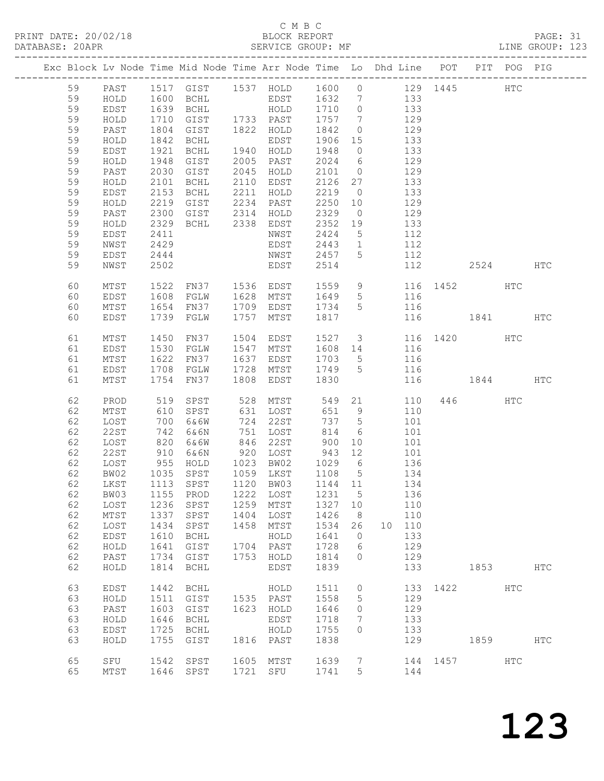PRINT DATE: 20/02/18 BLOCK REPORT<br>DATABASE: 20APR PAGE: 20APR

### C M B C<br>BLOCK REPORT

PAGE: 31<br>LINE GROUP: 123

|          |                     |                      |                     |      | Exc Block Lv Node Time Mid Node Time Arr Node Time Lo Dhd Line POT PIT POG PIG |              |                |        |            |              |         |              |            |
|----------|---------------------|----------------------|---------------------|------|--------------------------------------------------------------------------------|--------------|----------------|--------|------------|--------------|---------|--------------|------------|
| 59       | PAST                |                      |                     |      | 1517 GIST 1537 HOLD 1600 0 129 1445                                            |              |                |        |            |              |         | $_{\rm HTC}$ |            |
| 59       | HOLD                | 1600                 |                     |      | BCHL EDST 1632 7 133                                                           |              |                |        |            |              |         |              |            |
| 59       | EDST                |                      | BCHL                |      |                                                                                |              |                |        | 133        |              |         |              |            |
| 59       | HOLD                | 1639<br>1710<br>1710 |                     |      | HOLD 1710 0<br>1733 PAST 1757 7                                                |              |                |        | 129        |              |         |              |            |
| 59       | PAST                | 1804                 | GIST                |      | 1822 HOLD                                                                      | 1842         | $\overline{0}$ | 129    |            |              |         |              |            |
| 59       | HOLD                | 1842                 | BCHL                |      | EDST                                                                           | 1906 15      |                | 133    |            |              |         |              |            |
| 59       | EDST                | 1921                 | BCHL                |      | 1940 HOLD                                                                      | 1948         | $\overline{0}$ |        | 133        |              |         |              |            |
| 59       | HOLD                | 1948                 | GIST                |      | 2005 PAST                                                                      | $2024$ 6     |                |        | 129        |              |         |              |            |
| 59       | PAST                | 2030                 | GIST                |      | 2045 HOLD                                                                      | 2101         | $\overline{0}$ | 129    |            |              |         |              |            |
| 59       | HOLD                | 2101                 | BCHL                |      | 2110 EDST                                                                      | 2126 27      |                | 133    |            |              |         |              |            |
| 59       | EDST                | 2153                 | BCHL                | 2211 | HOLD                                                                           | 2219         | $\overline{0}$ |        | 133        |              |         |              |            |
| 59       | HOLD                | 2219                 | GIST                |      | 2234 PAST                                                                      | 2250 10      |                |        | 129        |              |         |              |            |
| 59       | PAST                | 2300                 | GIST                |      | 2314 HOLD                                                                      | 2329         | $\overline{0}$ |        | 129        |              |         |              |            |
| 59       | HOLD                |                      |                     |      | 2329 BCHL 2338 EDST                                                            | 2352 19      |                | 133    |            |              |         |              |            |
| 59       | EDST                | 2411                 |                     |      | NWST                                                                           | 2424         | 5 <sup>5</sup> | 112    |            |              |         |              |            |
| 59       | NWST                | 2429                 |                     |      | EDST                                                                           | 2443         | $\overline{1}$ |        | 112        |              |         |              |            |
| 59       | EDST                | 2444                 |                     |      | NWST 2457                                                                      |              | 5              |        | 112        |              |         |              |            |
| 59       | NWST                | 2502                 |                     |      | <b>EDST</b>                                                                    | 2514         |                |        | 112        |              | 2524    |              | HTC        |
|          |                     |                      |                     |      |                                                                                |              |                |        |            |              |         |              |            |
| 60       | MTST                | 1522                 |                     |      | FN37 1536 EDST 1559 9 116 1452 HTC<br>FGLW 1628 MTST 1649 5 116                |              |                |        |            |              |         |              |            |
| 60       | EDST                | 1608                 |                     |      |                                                                                |              |                |        |            |              |         |              |            |
| 60       | MTST                | 1654                 | FN37                |      | 1709 EDST 1734 5                                                               |              |                | 116    |            |              |         |              |            |
| 60       | EDST                | 1739                 | FGLW                | 1757 | MTST                                                                           | 1817         |                |        |            | 116 1841 HTC |         |              |            |
|          |                     |                      |                     |      | 1504 EDST                                                                      | 1527 3       |                |        |            | 116 1420     |         |              |            |
| 61       | MTST                | 1450<br>1530         | FN37                |      | 1547 MTST                                                                      | 1608 14 116  |                |        |            |              |         | HTC          |            |
| 61<br>61 | EDST<br>MTST        | 1622                 | FGLW<br>FN37        |      | 1637 EDST                                                                      |              |                |        |            |              |         |              |            |
| 61       | EDST                | 1708                 | FGLW                |      |                                                                                | 1703 5       |                | 116    | 116        |              |         |              |            |
| 61       | MTST                | 1754                 | FN37                | 1808 | EDST                                                                           | 1830         |                |        |            | 116 1844 HTC |         |              |            |
|          |                     |                      |                     |      |                                                                                |              |                |        |            |              |         |              |            |
| 62       | PROD                | 519                  | SPST                | 528  | MTST                                                                           |              |                | 549 21 | 110        |              | 446 HTC |              |            |
| 62       | MTST                | 610                  | SPST                |      | 631 LOST                                                                       | 651          | 9              |        | 110        |              |         |              |            |
| 62       | LOST                | 700                  | 6&6W                |      | 724 22ST                                                                       | 737 5        |                |        | 101        |              |         |              |            |
| 62       | 22ST                | 742                  | 6&6N                |      | 751 LOST                                                                       | 814          | 6              |        | 101        |              |         |              |            |
| 62       | LOST                | 820                  | 6&6W                |      | 846 22ST                                                                       | 900          | 10             |        | 101        |              |         |              |            |
| 62       | 22ST                |                      | 6&6N                |      | 920 LOST                                                                       | 943          | 12             |        | 101        |              |         |              |            |
| 62       | LOST                | 910<br>955           | HOLD                |      | 1023 BW02                                                                      | 1029 6       |                |        | 136        |              |         |              |            |
| 62       | BW02                |                      | 1035 SPST           |      | 1059 LKST 1108 5                                                               |              |                | 134    |            |              |         |              |            |
| 62       | LKST                |                      | 1113 SPST           |      | 1120 BW03                                                                      | 1144 11 134  |                |        |            |              |         |              |            |
| 62       | BW03                | 1155                 | PROD                | 1222 | LOST                                                                           | 1231         | 5 <sup>5</sup> |        | 136        |              |         |              |            |
| 62       | LOST                | 1236                 | SPST                | 1259 | MTST                                                                           | 1327         | 10             |        | 110        |              |         |              |            |
| 62       | $MTST$              | 1337                 | SPST                | 1404 | LOST                                                                           | 1426         | 8              |        | 110        |              |         |              |            |
| 62       | LOST                | 1434                 | SPST                | 1458 | MTST                                                                           | 1534         | 26             | 10     | 110        |              |         |              |            |
| 62       | EDST                | 1610                 | <b>BCHL</b>         |      | HOLD                                                                           | 1641         | $\circ$        |        | 133        |              |         |              |            |
| 62       | HOLD                | 1641                 | GIST                | 1704 | PAST                                                                           | 1728         | 6              |        | 129        |              |         |              |            |
| 62       | PAST                | 1734                 | GIST                | 1753 | HOLD                                                                           | 1814         | $\circ$        |        | 129        |              |         |              |            |
| 62       | HOLD                | 1814                 | <b>BCHL</b>         |      | EDST                                                                           | 1839         |                |        | 133        |              | 1853    |              | <b>HTC</b> |
|          |                     |                      |                     |      |                                                                                |              |                |        |            |              |         |              |            |
| 63<br>63 | <b>EDST</b><br>HOLD | 1442<br>1511         | <b>BCHL</b><br>GIST | 1535 | HOLD<br>PAST                                                                   | 1511<br>1558 | 0<br>5         |        | 133<br>129 | 1422         |         | HTC          |            |
| 63       | PAST                | 1603                 | GIST                | 1623 | HOLD                                                                           | 1646         | 0              |        | 129        |              |         |              |            |
| 63       | HOLD                | 1646                 | <b>BCHL</b>         |      | EDST                                                                           | 1718         | 7              |        | 133        |              |         |              |            |
| 63       | EDST                | 1725                 | <b>BCHL</b>         |      | HOLD                                                                           | 1755         | $\circ$        |        | 133        |              |         |              |            |
| 63       | HOLD                | 1755                 | GIST                | 1816 | PAST                                                                           | 1838         |                |        | 129        |              | 1859    |              | <b>HTC</b> |
|          |                     |                      |                     |      |                                                                                |              |                |        |            |              |         |              |            |
| 65       | SFU                 | 1542                 | SPST                | 1605 | MTST                                                                           | 1639         | 7              |        | 144        | 1457         |         | <b>HTC</b>   |            |
| 65       | MTST                | 1646                 | SPST                | 1721 | SFU                                                                            | 1741         | 5              |        | 144        |              |         |              |            |
|          |                     |                      |                     |      |                                                                                |              |                |        |            |              |         |              |            |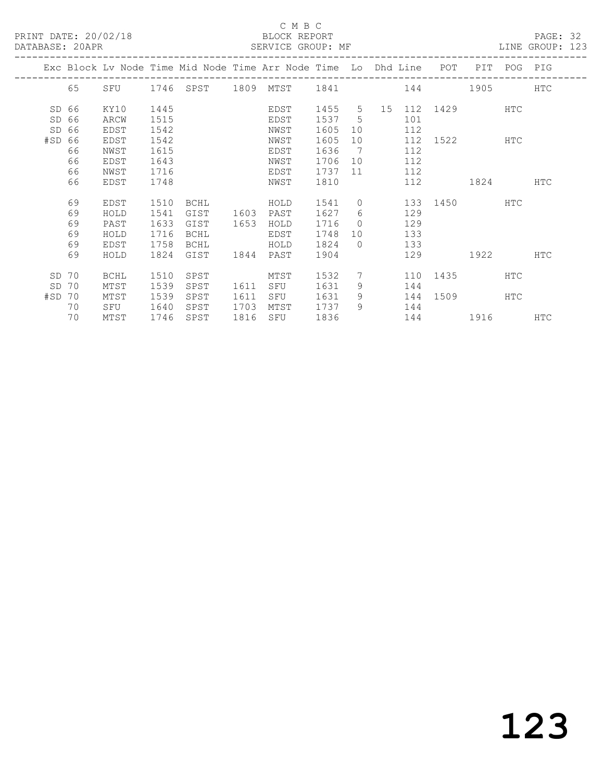#### C M B C C M B C C M B C C M B C C M B C C M B C C M BLOCK REPORT

|          | DATABASE: 20APR |             |      |           |      |                                                                                |        |                 |                |     |                        |      |     | SERVICE GROUP: MF CONTROLLER SERVICE SERVICE GROUP: NE |  |
|----------|-----------------|-------------|------|-----------|------|--------------------------------------------------------------------------------|--------|-----------------|----------------|-----|------------------------|------|-----|--------------------------------------------------------|--|
|          |                 |             |      |           |      | Exc Block Lv Node Time Mid Node Time Arr Node Time Lo Dhd Line POT PIT POG PIG |        |                 |                |     |                        |      |     |                                                        |  |
|          | 65              |             |      |           |      | SFU 1746 SPST 1809 MTST 1841 144 1905 HTC                                      |        |                 |                |     |                        |      |     |                                                        |  |
| SD 66    |                 | KY10        | 1445 |           |      | EDST                                                                           |        |                 |                |     | 1455 5 15 112 1429 HTC |      |     |                                                        |  |
| SD 66    |                 | ARCW        | 1515 |           |      | EDST                                                                           | 1537 5 |                 |                | 101 |                        |      |     |                                                        |  |
| SD 66    |                 | EDST        | 1542 |           |      | NWST                                                                           | 1605   | 10              |                | 112 |                        |      |     |                                                        |  |
| #SD 66   |                 | EDST        | 1542 |           |      | NWST                                                                           | 1605   |                 | 10             |     | 112 1522 HTC           |      |     |                                                        |  |
|          | 66              | NWST        | 1615 |           |      | EDST                                                                           | 1636   | $\overline{7}$  |                | 112 |                        |      |     |                                                        |  |
|          | 66              | EDST        | 1643 |           |      | NWST                                                                           | 1706   |                 | 10             | 112 |                        |      |     |                                                        |  |
|          | 66              | NWST        | 1716 |           |      | EDST                                                                           | 1737   |                 | 11 - 1         | 112 |                        |      |     |                                                        |  |
|          | 66              | EDST        | 1748 |           |      | NWST                                                                           | 1810   |                 |                |     | 112 1824 HTC           |      |     |                                                        |  |
|          | 69              | EDST        | 1510 | BCHL      |      | HOLD                                                                           | 1541   |                 | $\overline{0}$ |     | 133 1450 HTC           |      |     |                                                        |  |
|          | 69              | HOLD        | 1541 | GIST      | 1603 | PAST                                                                           | 1627   | 6               |                | 129 |                        |      |     |                                                        |  |
|          | 69              | PAST        | 1633 | GIST      | 1653 | HOLD                                                                           | 1716   | $\bigcap$       |                | 129 |                        |      |     |                                                        |  |
|          | 69              | HOLD        | 1716 | BCHL      |      | EDST                                                                           | 1748   |                 | 10             | 133 |                        |      |     |                                                        |  |
|          | 69              | EDST        | 1758 | BCHL      |      | HOLD                                                                           | 1824   | $\bigcirc$      |                | 133 |                        |      |     |                                                        |  |
|          | 69              | HOLD        | 1824 | GIST      | 1844 | PAST                                                                           | 1904   |                 |                |     | 129                    | 1922 |     | <b>HTC</b>                                             |  |
| SD 70    |                 | <b>BCHL</b> | 1510 | SPST      |      | MTST                                                                           | 1532   | $7\overline{ }$ |                |     | 110 1435               |      | HTC |                                                        |  |
| SD       | 70              | MTST        | 1539 | SPST      | 1611 | SFU                                                                            | 1631   | 9               |                | 144 |                        |      |     |                                                        |  |
| $#SD$ 70 |                 | MTST        | 1539 | SPST      | 1611 | SFU                                                                            | 1631   | 9               |                |     | 144 1509 HTC           |      |     |                                                        |  |
|          | 70              | SFU         | 1640 | SPST      | 1703 | MTST                                                                           | 1737   | 9               |                | 144 |                        |      |     |                                                        |  |
|          | 70              | MTST        |      | 1746 SPST | 1816 | SFU                                                                            | 1836   |                 |                |     | 144 1916               |      |     | <b>HTC</b>                                             |  |
|          |                 |             |      |           |      |                                                                                |        |                 |                |     |                        |      |     |                                                        |  |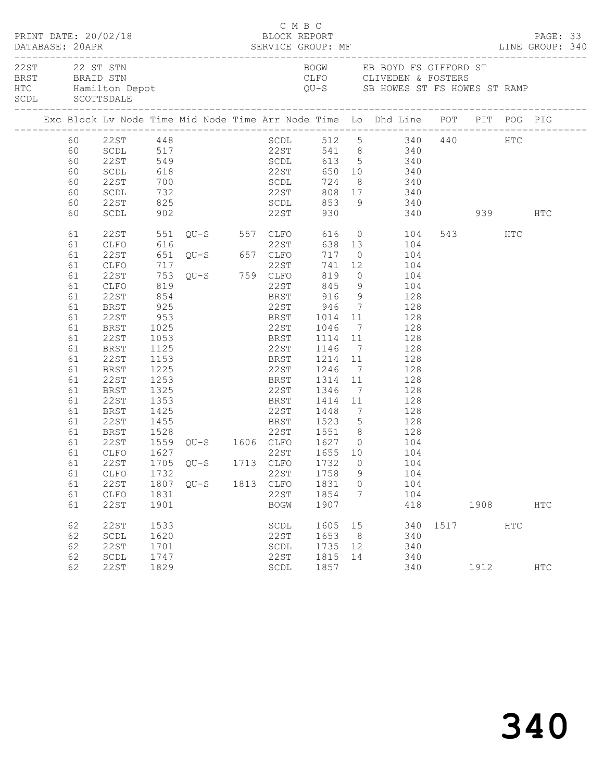| PRINT DATE: 20/02/18                                                                                                                               |                                                                                                                                                                                              |                                                                                     |                                                                                                                                                                                                           | C M B C<br>BLOCK REPORT                             |                                                    |                          |                                                                                                                                                                                                                                                                                                                                                                                                                                                                                                                                                                      |      |              |     |                          | PAGE: 33 |
|----------------------------------------------------------------------------------------------------------------------------------------------------|----------------------------------------------------------------------------------------------------------------------------------------------------------------------------------------------|-------------------------------------------------------------------------------------|-----------------------------------------------------------------------------------------------------------------------------------------------------------------------------------------------------------|-----------------------------------------------------|----------------------------------------------------|--------------------------|----------------------------------------------------------------------------------------------------------------------------------------------------------------------------------------------------------------------------------------------------------------------------------------------------------------------------------------------------------------------------------------------------------------------------------------------------------------------------------------------------------------------------------------------------------------------|------|--------------|-----|--------------------------|----------|
| SCDL SCOTTSDALE                                                                                                                                    | 22ST 22 ST STN<br>BRST BRAID STN<br>HTC Hamilton Depot                                                                                                                                       |                                                                                     |                                                                                                                                                                                                           |                                                     |                                                    |                          | BOGW EB BOYD FS GIFFORD ST<br>CLFO CLIVEDEN & FOSTERS<br>QU-S SB HOWES ST FS HOWES ST RAMP                                                                                                                                                                                                                                                                                                                                                                                                                                                                           |      |              |     |                          |          |
|                                                                                                                                                    |                                                                                                                                                                                              |                                                                                     |                                                                                                                                                                                                           |                                                     |                                                    |                          | Exc Block Lv Node Time Mid Node Time Arr Node Time Lo Dhd Line POT PIT POG PIG                                                                                                                                                                                                                                                                                                                                                                                                                                                                                       |      |              |     |                          |          |
| 60<br>60<br>60<br>60<br>60<br>60                                                                                                                   | 60 22ST 448<br>60 SCDL 517<br>SCDL<br>22ST<br>SCDL<br>22ST<br>SCDL                                                                                                                           | 618<br>902                                                                          | 700<br>732                                                                                                                                                                                                | 22ST                                                |                                                    |                          | SCDL 512 5 340 440 HTC<br>22ST 541 8 340<br>22ST 549 SCDL 613 5 340<br>22ST 650 10 340<br>SCDL 724 8 340<br>22ST 808 17 340<br>930 340 939                                                                                                                                                                                                                                                                                                                                                                                                                           |      |              |     | HTC                      |          |
| 61<br>61<br>61<br>61<br>61<br>61<br>61<br>61<br>61<br>61<br>61<br>61<br>61<br>61<br>61<br>61<br>61<br>61<br>61<br>61<br>61<br>61<br>61<br>61<br>61 | CLFO<br>22ST<br>CLFO<br>22ST<br>CLFO<br>22ST<br>BRST<br>22ST<br>BRST<br>22ST<br>BRST<br>22ST<br>BRST<br>22ST<br>BRST<br>22ST<br>BRST<br>22ST<br>BRST<br>22ST<br>CLFO<br>CLFO<br>22ST<br>CLFO | 854<br>1125<br>1153<br>1225<br>1253<br>1325<br>1353<br>1425<br>1528<br>1732<br>1831 | 301 2013 337 CLFO 616 0<br>616 22ST 638 13<br>651 QU-S 657 CLFO 717 0<br>717 22ST 741 12<br>753 QU-S 759 CLFO 819 0<br>819 22ST 845 9<br>$925$<br>953<br>1025<br>1053 BRST 1114 11<br>1807 QU-S 1813 CLFO | BRST 1314 11<br>BRST 1414 11<br>22ST<br>22ST        | 1758<br>1831<br>1854                               | 9<br>$\overline{0}$<br>7 | 22ST 551 QU-S 557 CLFO 616 0 104<br>638 13 104<br>717 0 104<br>741 12 104<br>819 0 104<br>104<br>22ST 845 9 104<br>BRST 916 9 128<br>22ST 946 7 128<br>BRST 1014 11 128<br>22ST 1046 7 128<br>128<br>22ST 1146 7 128<br>BRST 1214 11 128<br>22ST 1246 7 128<br>128<br>22ST 1346 7 128<br>128<br>PRSI 1414 11 120<br>22ST 1448 7 128<br>1455 BRST 1523 5 128<br>22ST 1551 8 128<br>1528   22ST   1551   8   128<br>1559   QU-S   1606   CLFO   1627   0   104<br>1627   22ST   1655   10   104<br>61  22ST  1705  QU-S  1713  CLFO  1732  0  104<br>104<br>104<br>104 |      | 543 HTC      |     |                          |          |
| 61<br>62<br>62<br>62<br>62<br>62                                                                                                                   | 22ST<br>22ST<br>SCDL<br>22ST<br>SCDL<br>22ST                                                                                                                                                 | 1901<br>1533<br>1620<br>1701<br>1747<br>1829                                        |                                                                                                                                                                                                           | <b>BOGW</b><br>SCDL<br>22ST<br>SCDL<br>22ST<br>SCDL | 1907<br>1605<br>1653<br>1735 12<br>1815 14<br>1857 | 15<br>8 <sup>8</sup>     | 418<br>340<br>340<br>340<br>340<br>340                                                                                                                                                                                                                                                                                                                                                                                                                                                                                                                               | 1517 | 1908<br>1912 | HTC | <b>HTC</b><br><b>HTC</b> |          |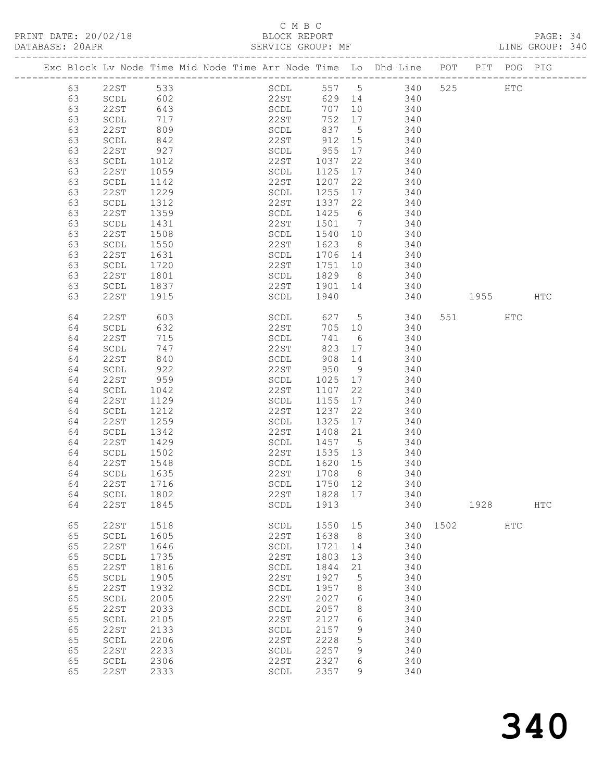### C M B C

| DATABASE: 20APR |    |                                | SERVICE GROUP: MF                                                              |              |         |                |                                   |          |        |            | LINE GROUP: 340 |  |
|-----------------|----|--------------------------------|--------------------------------------------------------------------------------|--------------|---------|----------------|-----------------------------------|----------|--------|------------|-----------------|--|
|                 |    |                                | Exc Block Lv Node Time Mid Node Time Arr Node Time Lo Dhd Line POT PIT POG PIG |              |         |                |                                   |          |        |            |                 |  |
|                 | 63 | 22ST 533                       |                                                                                |              |         |                | SCDL 557 5 340 525 HTC            |          |        |            |                 |  |
|                 | 63 | SCDL                           | 602                                                                            |              |         |                | 22ST 629 14 340                   |          |        |            |                 |  |
|                 | 63 | 22ST                           | 643                                                                            | SCDL         |         |                | 707 10 340                        |          |        |            |                 |  |
|                 | 63 | SCDL                           |                                                                                |              |         |                |                                   |          |        |            |                 |  |
|                 | 63 | 22ST                           | 717<br>809                                                                     |              |         |                | 22ST 752 17 340<br>SCDL 837 5 340 |          |        |            |                 |  |
|                 |    |                                |                                                                                | 22ST 912 15  |         |                |                                   |          |        |            |                 |  |
|                 | 63 | SCDL                           | 842                                                                            |              |         |                | 340                               |          |        |            |                 |  |
|                 | 63 | 22ST                           | 927                                                                            | SCDL 955     |         | 17             | 340                               |          |        |            |                 |  |
|                 | 63 | SCDL                           | 1012                                                                           | 22ST 1037    |         | 22             | 340                               |          |        |            |                 |  |
|                 | 63 | 22ST                           | 1059                                                                           | SCDL         | 1125    |                | 17<br>340                         |          |        |            |                 |  |
|                 | 63 | SCDL                           | 1142                                                                           | 22ST         | 1207    | 22             | 340                               |          |        |            |                 |  |
|                 | 63 | 22ST                           | 1229                                                                           | SCDL         | 1255    |                | 17 340                            |          |        |            |                 |  |
|                 | 63 | SCDL                           | 1312                                                                           | 22ST         | 1337    | 22             | 340                               |          |        |            |                 |  |
|                 | 63 | 22ST                           | 1359                                                                           | SCDL         | 1425 6  |                | 340                               |          |        |            |                 |  |
|                 | 63 | SCDL                           | 1431                                                                           | 22ST         |         |                | 1501 7 340                        |          |        |            |                 |  |
|                 | 63 | 22ST                           | 1508                                                                           | SCDL         | 1540 10 |                | 340                               |          |        |            |                 |  |
|                 | 63 | SCDL                           | 1550                                                                           | 22ST         | 1623 8  |                | 340                               |          |        |            |                 |  |
|                 |    |                                | $\frac{1}{1631}$                                                               |              |         |                |                                   |          |        |            |                 |  |
|                 | 63 | 22ST                           |                                                                                | SCDL         | 1706 14 |                | 340                               |          |        |            |                 |  |
|                 | 63 | SCDL                           | 1720                                                                           | 22ST         |         |                | 1751 10 340                       |          |        |            |                 |  |
|                 | 63 | 22ST                           | 1801                                                                           | SCDL         | 1829 8  |                | 340                               |          |        |            |                 |  |
|                 | 63 | SCDL                           | 1837                                                                           | 22ST         | 1901 14 |                | 340                               |          |        |            |                 |  |
|                 | 63 | 22ST                           | 1915                                                                           | SCDL         | 1940    |                | 340                               |          | 1955   |            | HTC             |  |
|                 | 64 | 22ST                           | 603                                                                            | SCDL         |         |                | 627 5 340                         |          | 551 35 | HTC        |                 |  |
|                 | 64 | SCDL                           | 632                                                                            | 22ST         | 705 10  |                | 340                               |          |        |            |                 |  |
|                 | 64 | 22ST                           | 715                                                                            | SCDL         |         | 741 6          | 340                               |          |        |            |                 |  |
|                 | 64 | SCDL                           | 747                                                                            | 22ST         |         |                | 823 17 340                        |          |        |            |                 |  |
|                 | 64 | 22ST                           | 840                                                                            | SCDL 908 14  |         |                | 340                               |          |        |            |                 |  |
|                 | 64 | SCDL                           | 922                                                                            | 22ST         | 950     | 9              | 340                               |          |        |            |                 |  |
|                 | 64 | 22ST                           | 959                                                                            | SCDL         |         |                | 340                               |          |        |            |                 |  |
|                 |    |                                |                                                                                |              | 1025 17 |                |                                   |          |        |            |                 |  |
|                 | 64 | SCDL                           | 1042                                                                           | 22ST         | 1107    | 22             | 340                               |          |        |            |                 |  |
|                 | 64 | 22ST                           | 1129                                                                           | SCDL         | 1155    | 17             | 340                               |          |        |            |                 |  |
|                 | 64 | SCDL                           | 1212                                                                           | 22ST         | 1237    | 22             | 340                               |          |        |            |                 |  |
|                 | 64 | 22ST                           | 1259                                                                           | SCDL         | 1325    | 17             | 340                               |          |        |            |                 |  |
|                 | 64 | SCDL                           | 1342                                                                           | 22ST         | 1408    | 21             | 340                               |          |        |            |                 |  |
|                 | 64 | 22ST                           | 1429                                                                           | SCDL         |         |                | 1457 5 340                        |          |        |            |                 |  |
|                 | 64 | SCDL                           | 1502                                                                           | 22ST         | 1535 13 |                | 340                               |          |        |            |                 |  |
|                 | 64 | 22ST                           | 1548                                                                           | SCDL         | 1620 15 |                | 340                               |          |        |            |                 |  |
|                 | 64 | SCDL                           | 1635                                                                           | 22ST         | 1708 8  |                | 340                               |          |        |            |                 |  |
|                 | 64 | 22ST                           | 1716                                                                           | SCDL 1750 12 |         |                | 340                               |          |        |            |                 |  |
|                 | 64 | SCDL                           | 1802                                                                           | 22ST         | 1828 17 |                | 340                               |          |        |            |                 |  |
|                 | 64 | 22ST                           | 1845                                                                           | SCDL         | 1913    |                |                                   | 340      | 1928   |            | $_{\rm{HTC}}$   |  |
|                 |    |                                |                                                                                |              |         |                |                                   |          |        |            |                 |  |
|                 | 65 | 22ST                           | 1518                                                                           | SCDL         | 1550    | 15             |                                   | 340 1502 |        | <b>HTC</b> |                 |  |
|                 | 65 | SCDL                           | 1605                                                                           | 22ST         | 1638    | 8 <sup>8</sup> | 340                               |          |        |            |                 |  |
|                 | 65 | 22ST                           | 1646                                                                           | SCDL         | 1721    | 14             | 340                               |          |        |            |                 |  |
|                 | 65 | SCDL                           | 1735                                                                           | 22ST         | 1803    | 13             | 340                               |          |        |            |                 |  |
|                 | 65 | 22ST                           | 1816                                                                           | SCDL         | 1844    | 21             | 340                               |          |        |            |                 |  |
|                 | 65 | SCDL                           | 1905                                                                           | 22ST         | 1927    | $5^{\circ}$    | 340                               |          |        |            |                 |  |
|                 | 65 | 22ST                           | 1932                                                                           | SCDL         | 1957    | 8              | 340                               |          |        |            |                 |  |
|                 | 65 |                                | 2005                                                                           | 22ST         | 2027    |                | 340                               |          |        |            |                 |  |
|                 |    | SCDL                           |                                                                                |              |         | 6              |                                   |          |        |            |                 |  |
|                 | 65 | 22ST                           | 2033                                                                           | SCDL         | 2057    | 8              | 340                               |          |        |            |                 |  |
|                 | 65 | $\operatorname{\mathsf{SCDL}}$ | 2105                                                                           | 22ST         | 2127    | 6              | 340                               |          |        |            |                 |  |
|                 | 65 | 22ST                           | 2133                                                                           | SCDL         | 2157    | 9              | 340                               |          |        |            |                 |  |
|                 | 65 | SCDL                           | 2206                                                                           | 22ST         | 2228    | 5              | 340                               |          |        |            |                 |  |
|                 | 65 | 22ST                           | 2233                                                                           | SCDL         | 2257    | 9              | 340                               |          |        |            |                 |  |
|                 | 65 | SCDL                           | 2306                                                                           | 22ST         | 2327    | 6              | 340                               |          |        |            |                 |  |
|                 | 65 | 22ST                           | 2333                                                                           | SCDL         | 2357    | 9              | 340                               |          |        |            |                 |  |
|                 |    |                                |                                                                                |              |         |                |                                   |          |        |            |                 |  |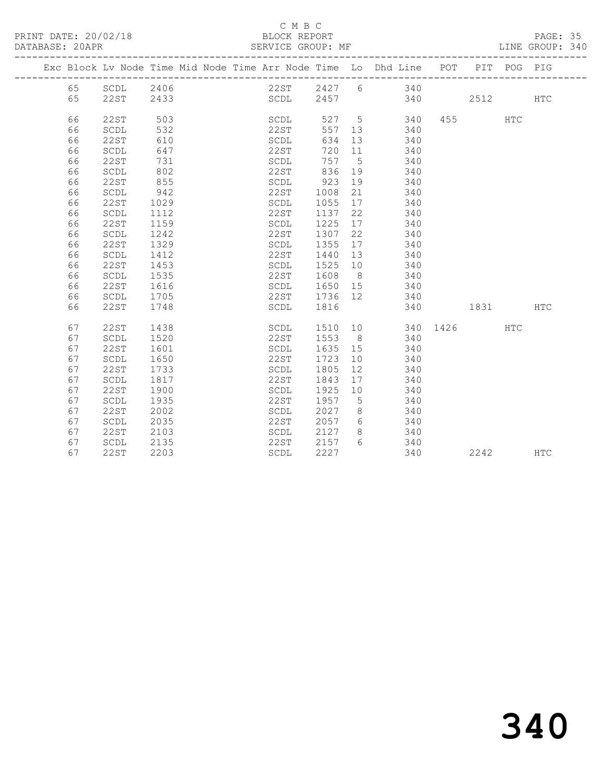| PRINT DATE: 20/02/18<br>DATABASE: 20APR |    |             |      |  |      | C M B C<br>BLOCK REPORT | SERVICE GROUP: MF |                |                                                                                |              |  | PAGE: 35<br>LINE GROUP: 340 |  |
|-----------------------------------------|----|-------------|------|--|------|-------------------------|-------------------|----------------|--------------------------------------------------------------------------------|--------------|--|-----------------------------|--|
|                                         |    |             |      |  |      |                         |                   |                | Exc Block Lv Node Time Mid Node Time Arr Node Time Lo Dhd Line POT PIT POG PIG |              |  |                             |  |
|                                         |    |             |      |  |      |                         |                   |                | 65 SCDL 2406 22ST 2427 6 340                                                   |              |  |                             |  |
|                                         | 65 |             |      |  |      |                         |                   |                |                                                                                |              |  | <b>HTC</b>                  |  |
|                                         | 66 | 22ST        | 503  |  |      |                         |                   |                | SCDL 527 5 340 455 HTC<br>22ST 557 13 340                                      |              |  |                             |  |
|                                         | 66 | SCDL        | 532  |  | 22ST |                         | 557 13            |                | 340                                                                            |              |  |                             |  |
|                                         | 66 | 22ST        | 610  |  | SCDL |                         | 634               | 13             | 340                                                                            |              |  |                             |  |
|                                         | 66 | SCDL        | 647  |  | 22ST |                         | 720               | 11             | 340                                                                            |              |  |                             |  |
|                                         | 66 | 22ST        | 731  |  | SCDL |                         | 757               | $5^{\circ}$    | 340                                                                            |              |  |                             |  |
|                                         | 66 | SCDL        | 802  |  | 22ST |                         | 836               | 19             | 340                                                                            |              |  |                             |  |
|                                         | 66 | <b>22ST</b> | 855  |  | SCDL |                         | 923               | 19             | 340                                                                            |              |  |                             |  |
|                                         | 66 | SCDL        | 942  |  | 22ST |                         | 1008              | 21             | 340                                                                            |              |  |                             |  |
|                                         | 66 | 22ST        | 1029 |  | SCDL |                         | 1055              | 17             | 340                                                                            |              |  |                             |  |
|                                         | 66 | SCDL        | 1112 |  | 22ST |                         | 1137              | 22             | 340                                                                            |              |  |                             |  |
|                                         | 66 | 22ST        | 1159 |  | SCDL |                         | 1225              | 17             | 340                                                                            |              |  |                             |  |
|                                         | 66 | SCDL        | 1242 |  | 22ST |                         | 1307              | 22             | 340                                                                            |              |  |                             |  |
|                                         | 66 | 22ST        | 1329 |  | SCDL |                         | 1355              | 17             | 340                                                                            |              |  |                             |  |
|                                         | 66 | SCDL        | 1412 |  | 22ST |                         | 1440              | 13             | 340                                                                            |              |  |                             |  |
|                                         | 66 | 22ST        | 1453 |  | SCDL |                         | 1525              | 10             | 340                                                                            |              |  |                             |  |
|                                         | 66 | SCDL        | 1535 |  | 22ST |                         | 1608              | 8 <sup>8</sup> | 340                                                                            |              |  |                             |  |
|                                         | 66 | 22ST        | 1616 |  | SCDL |                         | 1650              | 15             | 340                                                                            |              |  |                             |  |
|                                         | 66 | SCDL        | 1705 |  | 22ST |                         | 1736              | 12             | 340                                                                            |              |  |                             |  |
|                                         | 66 | 22ST        | 1748 |  |      |                         | SCDL 1816         |                |                                                                                | 340 1831 HTC |  |                             |  |
|                                         | 67 | 22ST        | 1438 |  | SCDL |                         |                   |                | 1510 10 340 1426 HTC                                                           |              |  |                             |  |
|                                         | 67 | SCDL        | 1520 |  | 22ST |                         | 1553              | 8 <sup>8</sup> | 340                                                                            |              |  |                             |  |
|                                         | 67 | 22ST        | 1601 |  | SCDL |                         | 1635              | 15             | 340                                                                            |              |  |                             |  |
|                                         | 67 | SCDL        | 1650 |  | 22ST |                         | 1723              | 10             | 340                                                                            |              |  |                             |  |
|                                         | 67 | 22ST        | 1733 |  | SCDL |                         | 1805              | 12             | 340                                                                            |              |  |                             |  |
|                                         | 67 | SCDL        | 1817 |  | 22ST |                         | 1843              | 17             | 340                                                                            |              |  |                             |  |
|                                         | 67 | 22ST        | 1900 |  | SCDL |                         | 1925              | 10             | 340                                                                            |              |  |                             |  |
|                                         | 67 | SCDL        | 1935 |  | 22ST |                         | 1957              | 5              | 340                                                                            |              |  |                             |  |
|                                         | 67 | 22ST        | 2002 |  | SCDL |                         | 2027              | 8              | 340                                                                            |              |  |                             |  |
|                                         | 67 | SCDL        | 2035 |  | 22ST |                         | 2057              | $6\overline{}$ | 340                                                                            |              |  |                             |  |
|                                         | 67 | 22ST        | 2103 |  | SCDL |                         | 2127              | 8              | 340                                                                            |              |  |                             |  |

67 22ST 2203 SCDL 2227 340 2242 HTC

67 SCDL 2135 22ST 2157 6 340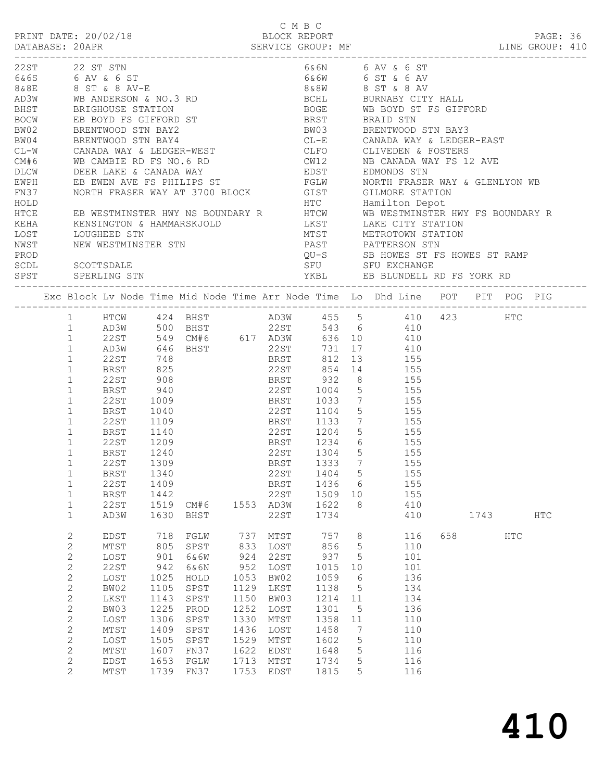| 22 ST STN<br>6&6N 6 AV & 6 ST<br>22ST<br>6&6S 6 AV & 6 ST<br>8&8E 8 ST & 8 AV-E<br>6&6W 6 ST & 6 AV<br>8&8W 8 ST & 8 AV<br>AD3W WB ANDERSON & NO.3 RD<br>BCHL BURNABY CITY HALL<br>BRIGHOUSE STATION<br>BOGE WB BOYD ST FS GIFFORD<br>BHST<br>EB BOYD FS GIFFORD ST<br>BRENTWOOD STN BAY2<br>BOGW<br>BRST<br>BRAID STN<br>BRENTWOOD STN BAY3<br>BW02<br>BW03<br>BRENTWOOD STN BAY4<br>CL-E CANADA WAY & LEDGER-EAST<br>BW04<br>CANADA WAY & LEDGER-WEST<br>WB CAMBIE RD FS NO.6 RD<br>DEER LAKE & CANADA WAY<br>CLFO CLIVEDEN & FOSTERS<br>$CL-W$<br>CW12        NB CANADA WAY FS 12 AVE<br>EDST        EDMONDS STN<br>CM#6<br>DLCW<br>EB EWEN AVE FS PHILIPS ST<br>FGLW NORTH FRASER WAY & GLENLYON WB<br>EWPH<br>NORTH FRASER WAY AT 3700 BLOCK GIST GILMORE STATION<br>FN37<br>HOLD<br>HTCE<br>KEHA<br>MTST METROTOWN STATION<br>LOUGHEED STN<br>LOST<br>NWST<br>NEW WESTMINSTER STN<br>PROD<br>SCOTTSDALE<br>SCDL<br>SPST SPERLING STN | LINE GROUP: 410 |  |  |  | C M B C |  |  |  |  |
|--------------------------------------------------------------------------------------------------------------------------------------------------------------------------------------------------------------------------------------------------------------------------------------------------------------------------------------------------------------------------------------------------------------------------------------------------------------------------------------------------------------------------------------------------------------------------------------------------------------------------------------------------------------------------------------------------------------------------------------------------------------------------------------------------------------------------------------------------------------------------------------------------------------------------------------------|-----------------|--|--|--|---------|--|--|--|--|
|                                                                                                                                                                                                                                                                                                                                                                                                                                                                                                                                                                                                                                                                                                                                                                                                                                                                                                                                            |                 |  |  |  |         |  |  |  |  |
|                                                                                                                                                                                                                                                                                                                                                                                                                                                                                                                                                                                                                                                                                                                                                                                                                                                                                                                                            |                 |  |  |  |         |  |  |  |  |
|                                                                                                                                                                                                                                                                                                                                                                                                                                                                                                                                                                                                                                                                                                                                                                                                                                                                                                                                            |                 |  |  |  |         |  |  |  |  |
|                                                                                                                                                                                                                                                                                                                                                                                                                                                                                                                                                                                                                                                                                                                                                                                                                                                                                                                                            |                 |  |  |  |         |  |  |  |  |
|                                                                                                                                                                                                                                                                                                                                                                                                                                                                                                                                                                                                                                                                                                                                                                                                                                                                                                                                            |                 |  |  |  |         |  |  |  |  |
|                                                                                                                                                                                                                                                                                                                                                                                                                                                                                                                                                                                                                                                                                                                                                                                                                                                                                                                                            |                 |  |  |  |         |  |  |  |  |
|                                                                                                                                                                                                                                                                                                                                                                                                                                                                                                                                                                                                                                                                                                                                                                                                                                                                                                                                            |                 |  |  |  |         |  |  |  |  |
|                                                                                                                                                                                                                                                                                                                                                                                                                                                                                                                                                                                                                                                                                                                                                                                                                                                                                                                                            |                 |  |  |  |         |  |  |  |  |
|                                                                                                                                                                                                                                                                                                                                                                                                                                                                                                                                                                                                                                                                                                                                                                                                                                                                                                                                            |                 |  |  |  |         |  |  |  |  |
|                                                                                                                                                                                                                                                                                                                                                                                                                                                                                                                                                                                                                                                                                                                                                                                                                                                                                                                                            |                 |  |  |  |         |  |  |  |  |
|                                                                                                                                                                                                                                                                                                                                                                                                                                                                                                                                                                                                                                                                                                                                                                                                                                                                                                                                            |                 |  |  |  |         |  |  |  |  |
|                                                                                                                                                                                                                                                                                                                                                                                                                                                                                                                                                                                                                                                                                                                                                                                                                                                                                                                                            |                 |  |  |  |         |  |  |  |  |
|                                                                                                                                                                                                                                                                                                                                                                                                                                                                                                                                                                                                                                                                                                                                                                                                                                                                                                                                            |                 |  |  |  |         |  |  |  |  |
|                                                                                                                                                                                                                                                                                                                                                                                                                                                                                                                                                                                                                                                                                                                                                                                                                                                                                                                                            |                 |  |  |  |         |  |  |  |  |
|                                                                                                                                                                                                                                                                                                                                                                                                                                                                                                                                                                                                                                                                                                                                                                                                                                                                                                                                            |                 |  |  |  |         |  |  |  |  |
| Exc Block Lv Node Time Mid Node Time Arr Node Time Lo Dhd Line POT PIT POG PIG                                                                                                                                                                                                                                                                                                                                                                                                                                                                                                                                                                                                                                                                                                                                                                                                                                                             |                 |  |  |  |         |  |  |  |  |
| 1 HTCW 424 BHST AD3W 455 5 410 423<br>HTC                                                                                                                                                                                                                                                                                                                                                                                                                                                                                                                                                                                                                                                                                                                                                                                                                                                                                                  |                 |  |  |  |         |  |  |  |  |
| 1 AD3W 500 BHST 22ST 543 6 410<br>$\mathbf{1}$<br>22 S T<br>410                                                                                                                                                                                                                                                                                                                                                                                                                                                                                                                                                                                                                                                                                                                                                                                                                                                                            |                 |  |  |  |         |  |  |  |  |
| 000 10 410<br>731 17 410<br>AD3W<br>$\mathbf{1}$                                                                                                                                                                                                                                                                                                                                                                                                                                                                                                                                                                                                                                                                                                                                                                                                                                                                                           |                 |  |  |  |         |  |  |  |  |
| 748<br><b>BRST</b><br>13 155<br>22ST<br>812<br>$\mathbf{1}$                                                                                                                                                                                                                                                                                                                                                                                                                                                                                                                                                                                                                                                                                                                                                                                                                                                                                |                 |  |  |  |         |  |  |  |  |
| 825<br>$\mathbf{1}$<br>22ST<br>854<br>BRST<br>14 155                                                                                                                                                                                                                                                                                                                                                                                                                                                                                                                                                                                                                                                                                                                                                                                                                                                                                       |                 |  |  |  |         |  |  |  |  |
| 932<br>$\mathbf{1}$<br>22ST<br>908<br>940<br>8 155<br>5 155<br>BRST 932 8<br>22ST 1004 5<br>$\mathbf 1$<br>BRST                                                                                                                                                                                                                                                                                                                                                                                                                                                                                                                                                                                                                                                                                                                                                                                                                            |                 |  |  |  |         |  |  |  |  |
| BRST 1033 7 155<br>1009<br>$\mathbf 1$<br>22ST                                                                                                                                                                                                                                                                                                                                                                                                                                                                                                                                                                                                                                                                                                                                                                                                                                                                                             |                 |  |  |  |         |  |  |  |  |
| $\mathbf{1}$<br>22ST 1104 5 155<br>BRST<br>1040                                                                                                                                                                                                                                                                                                                                                                                                                                                                                                                                                                                                                                                                                                                                                                                                                                                                                            |                 |  |  |  |         |  |  |  |  |
| $\mathbf{1}$<br>22ST<br>1109<br>1140<br>BRST 1133 7<br>22ST 1204 5<br>$\begin{array}{c} 155 \\ 155 \end{array}$                                                                                                                                                                                                                                                                                                                                                                                                                                                                                                                                                                                                                                                                                                                                                                                                                            |                 |  |  |  |         |  |  |  |  |
| $\mathbf{1}$<br>BRST<br>BRST 1234 6 155<br>1209<br>$\mathbf 1$<br>22ST                                                                                                                                                                                                                                                                                                                                                                                                                                                                                                                                                                                                                                                                                                                                                                                                                                                                     |                 |  |  |  |         |  |  |  |  |
| 22ST<br>1304 5 155<br>$\mathbf{1}$<br><b>BRST</b><br>1240                                                                                                                                                                                                                                                                                                                                                                                                                                                                                                                                                                                                                                                                                                                                                                                                                                                                                  |                 |  |  |  |         |  |  |  |  |
| BRST 1333 7<br>$\mathbf{1}$<br>1309<br>22ST<br>155                                                                                                                                                                                                                                                                                                                                                                                                                                                                                                                                                                                                                                                                                                                                                                                                                                                                                         |                 |  |  |  |         |  |  |  |  |
| $\mathbf 1$<br>22ST<br>$\mathsf S$<br><b>BRST</b><br>1340<br>1404<br>155<br>$\mathbf 1$<br>22ST<br>155<br>1409<br><b>BRST</b><br>1436<br>6                                                                                                                                                                                                                                                                                                                                                                                                                                                                                                                                                                                                                                                                                                                                                                                                 |                 |  |  |  |         |  |  |  |  |
| $\mathbf 1$<br>22ST<br>1509<br>155<br><b>BRST</b><br>1442<br>10                                                                                                                                                                                                                                                                                                                                                                                                                                                                                                                                                                                                                                                                                                                                                                                                                                                                            |                 |  |  |  |         |  |  |  |  |
| $\mathbf 1$<br>22ST<br>1519<br>AD3W<br>1622<br>410<br>CM#6<br>1553<br>8                                                                                                                                                                                                                                                                                                                                                                                                                                                                                                                                                                                                                                                                                                                                                                                                                                                                    |                 |  |  |  |         |  |  |  |  |
| 22ST<br>$\mathbf{1}$<br>AD3W<br>1630<br>1734<br>410<br>BHST<br>1743<br><b>HTC</b>                                                                                                                                                                                                                                                                                                                                                                                                                                                                                                                                                                                                                                                                                                                                                                                                                                                          |                 |  |  |  |         |  |  |  |  |
| 2<br>718<br>757<br>658<br>EDST<br>FGLW<br>737<br>MTST<br>8<br>116<br>$_{\rm{HTC}}$                                                                                                                                                                                                                                                                                                                                                                                                                                                                                                                                                                                                                                                                                                                                                                                                                                                         |                 |  |  |  |         |  |  |  |  |
| $\mathbf{2}$<br>833<br>856<br>805<br>SPST<br>LOST<br>5<br>110<br>MTST                                                                                                                                                                                                                                                                                                                                                                                                                                                                                                                                                                                                                                                                                                                                                                                                                                                                      |                 |  |  |  |         |  |  |  |  |
| $\mathbf{2}$<br>924<br>937<br>901<br><b>22ST</b><br>5<br>101<br>LOST<br>6&6W<br>$\sqrt{2}$<br>952<br><b>22ST</b><br>942<br>LOST<br>1015<br>101<br>6&6N<br>10                                                                                                                                                                                                                                                                                                                                                                                                                                                                                                                                                                                                                                                                                                                                                                               |                 |  |  |  |         |  |  |  |  |
| $\sqrt{2}$<br>1025<br>1053<br>BW02<br>1059<br>136<br>LOST<br>HOLD<br>6                                                                                                                                                                                                                                                                                                                                                                                                                                                                                                                                                                                                                                                                                                                                                                                                                                                                     |                 |  |  |  |         |  |  |  |  |
| $\mathbf{2}$<br>BW02<br>SPST<br>1129<br>1105<br>LKST<br>1138<br>5<br>134                                                                                                                                                                                                                                                                                                                                                                                                                                                                                                                                                                                                                                                                                                                                                                                                                                                                   |                 |  |  |  |         |  |  |  |  |
| $\mathbf{2}$<br>LKST<br>1143<br>SPST<br>1150<br>BW03<br>1214<br>134<br>11                                                                                                                                                                                                                                                                                                                                                                                                                                                                                                                                                                                                                                                                                                                                                                                                                                                                  |                 |  |  |  |         |  |  |  |  |
| $\sqrt{2}$<br>1252<br>BW03<br>1225<br>1301<br>5<br>136<br>PROD<br>LOST<br>$\mathbf{2}$<br>1330<br>1306<br>SPST<br>1358<br>110<br>LOST<br>MTST<br>11                                                                                                                                                                                                                                                                                                                                                                                                                                                                                                                                                                                                                                                                                                                                                                                        |                 |  |  |  |         |  |  |  |  |
| $\mathbf{2}$<br>1436<br>MTST<br>1409<br>SPST<br>LOST<br>1458<br>7<br>110                                                                                                                                                                                                                                                                                                                                                                                                                                                                                                                                                                                                                                                                                                                                                                                                                                                                   |                 |  |  |  |         |  |  |  |  |
| $\mathbf{2}$<br>1505<br>1529<br>1602<br>5<br>110<br>LOST<br>SPST<br>MTST                                                                                                                                                                                                                                                                                                                                                                                                                                                                                                                                                                                                                                                                                                                                                                                                                                                                   |                 |  |  |  |         |  |  |  |  |
| $\sqrt{2}$<br>1607<br>1622<br>5<br>MTST<br>FN37<br>EDST<br>1648<br>116                                                                                                                                                                                                                                                                                                                                                                                                                                                                                                                                                                                                                                                                                                                                                                                                                                                                     |                 |  |  |  |         |  |  |  |  |
| $\mathbf{2}$<br>1713<br>EDST<br>1653<br>FGLW<br>MTST<br>1734<br>5<br>116<br>$\mathbf{2}$<br>1739<br>FN37<br>1753<br>MTST<br>EDST<br>1815<br>5<br>116                                                                                                                                                                                                                                                                                                                                                                                                                                                                                                                                                                                                                                                                                                                                                                                       |                 |  |  |  |         |  |  |  |  |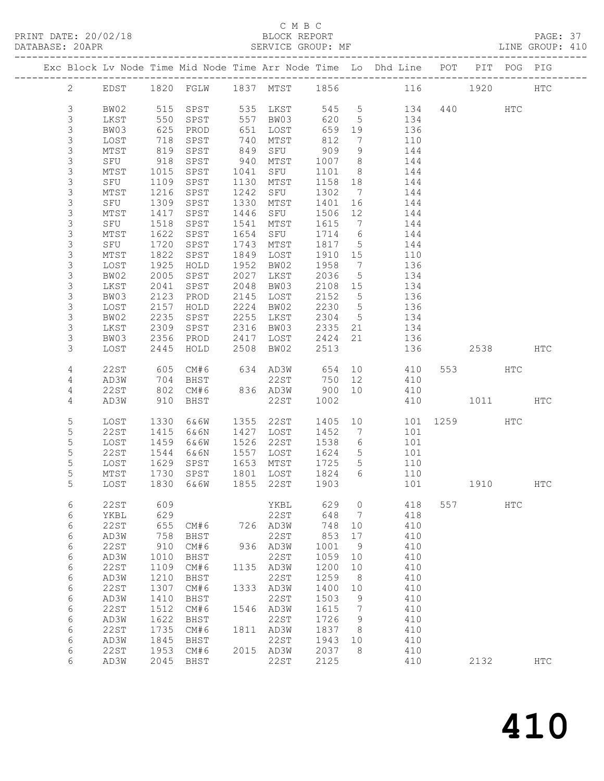PRINT DATE: 20/02/18 BLOCK REPORT PAGE: 37 DATABASE: 20APR

#### C M B C<br>BLOCK REPORT

| DAIADAOL. ZUAFR |        |      |                                                                                                    | ULIVILUL UNUUL. III            |                          |                 |                                                                                |              |          |  |
|-----------------|--------|------|----------------------------------------------------------------------------------------------------|--------------------------------|--------------------------|-----------------|--------------------------------------------------------------------------------|--------------|----------|--|
|                 |        |      |                                                                                                    |                                |                          |                 | Exc Block Lv Node Time Mid Node Time Arr Node Time Lo Dhd Line POT PIT POG PIG |              |          |  |
|                 |        |      |                                                                                                    |                                |                          |                 | 2 EDST 1820 FGLW 1837 MTST 1856 116 1920 HTC                                   |              |          |  |
| $\mathcal{S}$   | BW02   |      |                                                                                                    |                                |                          |                 | 515 SPST 535 LKST 545 5 134 440 HTC<br>550 SPST 557 BW03 620 5 134             |              |          |  |
| $\mathcal{S}$   | LKST   |      |                                                                                                    |                                |                          |                 |                                                                                |              |          |  |
| $\mathcal{S}$   | BW03   |      | 625 PROD                                                                                           |                                |                          |                 | 136                                                                            |              |          |  |
| $\mathfrak{Z}$  | LOST   | 718  | SPST                                                                                               | 651 LOST<br>740 MTST           | 659 19<br>812 7          |                 | 110                                                                            |              |          |  |
| $\mathfrak{Z}$  | MTST   | 819  | SPST                                                                                               |                                |                          |                 | 144                                                                            |              |          |  |
| $\mathfrak{Z}$  | SFU    | 918  | SPST                                                                                               |                                |                          |                 | 144                                                                            |              |          |  |
| $\mathfrak{Z}$  | MTST   | 1015 | SPST                                                                                               | 1041 SFU                       | 1101                     |                 | 8 <sup>1</sup><br>144                                                          |              |          |  |
| $\mathfrak{Z}$  | SFU    | 1109 | SPST                                                                                               | 1130 MTST                      | 1158 18                  |                 | 144                                                                            |              |          |  |
| $\mathfrak{Z}$  | MTST   | 1216 | SPST                                                                                               | 1242 SFU                       | 1302 7                   |                 | 144                                                                            |              |          |  |
| $\mathfrak{Z}$  | SFU    | 1309 | SPST                                                                                               | 1330 MTST                      | 1401 16                  |                 | 144                                                                            |              |          |  |
| $\mathfrak{Z}$  | MTST   | 1417 | SPST                                                                                               | 1446 SFU                       | 1506 12                  |                 | 144                                                                            |              |          |  |
| $\mathfrak{Z}$  | SFU    | 1518 | SPST                                                                                               | 1541 MTST                      |                          |                 | 144                                                                            |              |          |  |
| $\mathfrak{Z}$  | MTST   | 1622 | SPST                                                                                               | 1654 SFU                       | 1615 7<br>1714 6         |                 | 144                                                                            |              |          |  |
| $\mathfrak{Z}$  | SFU    | 1720 | SPST                                                                                               | 1743 MTST                      |                          |                 | 144                                                                            |              |          |  |
| $\mathfrak{Z}$  | MTST   | 1822 | SPST                                                                                               | 1849 LOST                      | 1817 5<br>1910 15        |                 | 110                                                                            |              |          |  |
| $\mathfrak{Z}$  | LOST   | 1925 | HOLD                                                                                               | 1952 BW02                      | 1958                     |                 | 136                                                                            |              |          |  |
| $\mathfrak{Z}$  | BW02   | 2005 | SPST                                                                                               | 2027 LKST                      | 2036                     |                 | $\frac{7}{5}$<br>134                                                           |              |          |  |
| $\mathfrak{Z}$  | LKST   | 2041 | SPST                                                                                               | 2048 BW03                      | 2108 15                  |                 | 134                                                                            |              |          |  |
| $\mathfrak{Z}$  | BW03   | 2123 | PROD                                                                                               | 2145 LOST                      | 2152 5                   |                 | 136                                                                            |              |          |  |
| $\mathfrak{Z}$  | LOST   | 2157 | HOLD                                                                                               | 2224 BW02                      | 2230 5                   |                 | 136                                                                            |              |          |  |
| $\mathfrak{Z}$  | BW02   | 2235 | SPST                                                                                               | 2255 LKST                      |                          |                 | 134                                                                            |              |          |  |
| $\mathfrak{Z}$  | LKST   | 2309 | SPST                                                                                               | 2316 BW03                      | 2304 5<br>2335 21        |                 | 134                                                                            |              |          |  |
| $\mathfrak{Z}$  | BW03   |      |                                                                                                    | 2417 LOST                      | 2424 21                  |                 | 136                                                                            |              |          |  |
| $\mathcal{S}$   | LOST   |      | 2356 PROD<br>2445 HOLD                                                                             | 2508 BW02                      | 2513                     |                 | 136                                                                            |              | 2538 HTC |  |
|                 |        |      |                                                                                                    |                                |                          |                 |                                                                                |              |          |  |
| $\overline{4}$  | 22ST   |      | 605 CM#6 634 AD3W 654 10                                                                           |                                |                          |                 | 410                                                                            | 553 HTC      |          |  |
| 4               | AD3W   |      | 704 BHST                                                                                           | 22ST 750 12<br>836 AD3W 900 10 |                          |                 | 410                                                                            |              |          |  |
| $\overline{4}$  | 22ST   |      | 802 CM#6                                                                                           |                                |                          |                 | 410                                                                            |              |          |  |
| 4               | AD3W   | 910  | BHST                                                                                               | 22ST                           | 1002                     |                 | 410                                                                            | 1011 HTC     |          |  |
| $\mathsf S$     | LOST   | 1330 | 6&6W                                                                                               | 1355 22ST 1405 10              |                          |                 |                                                                                | 101 1259 HTC |          |  |
| $\mathbf 5$     | 22ST   | 1415 | 6&6N                                                                                               |                                | 1452                     | $7\overline{ }$ | 101                                                                            |              |          |  |
| 5               | LOST   | 1459 | 6&6W                                                                                               | 1427 LOST<br>1526 22ST         | 1538                     | $6\overline{6}$ | 101                                                                            |              |          |  |
| 5               | 22ST   | 1544 | 6&6N                                                                                               |                                |                          |                 | 101                                                                            |              |          |  |
| 5               | LOST   | 1629 | SPST                                                                                               | 1557 LOST<br>1653 MTST         | 1624 5<br>1725 5<br>1725 |                 | 110                                                                            |              |          |  |
| 5               | MTST   | 1730 |                                                                                                    |                                |                          |                 | $6\overline{6}$<br>110                                                         |              |          |  |
| 5               | LOST   |      | 1730 SPST 1801 LOST 1824<br>1830 6&6W 1855 22ST 1903                                               |                                |                          |                 | 101                                                                            |              | 1910 HTC |  |
| $6\overline{6}$ | 22 ST  | 609  |                                                                                                    | YKBL 629                       |                          |                 | $\overline{0}$<br>418                                                          | 557 HTC      |          |  |
| $6\,$           | YKBL   | 629  |                                                                                                    | 22ST 648 7                     |                          |                 | 418                                                                            |              |          |  |
| $6\,$           | 22 S T |      |                                                                                                    |                                |                          |                 | 410                                                                            |              |          |  |
| $6\,$           | AD3W   |      | 025<br>655 CM#6 726 AD3W<br>758 BHST 22ST<br>910 CM#6 936 AD3W<br>655 CM#6<br>758 BHST<br>910 CM#6 |                                | 748 10<br>853 17         |                 | 410                                                                            |              |          |  |
| 6               | 22 S T |      |                                                                                                    |                                | 1001 9                   |                 | 410                                                                            |              |          |  |
|                 |        |      |                                                                                                    |                                |                          |                 |                                                                                |              |          |  |

 6 AD3W 1010 BHST 22ST 1059 10 410 6 22ST 1109 CM#6 1135 AD3W 1200 10 410 6 AD3W 1210 BHST 22ST 1259 8 410 6 22ST 1307 CM#6 1333 AD3W 1400 10 410 6 AD3W 1410 BHST 22ST 1503 9 410 6 22ST 1512 CM#6 1546 AD3W 1615 7 410 6 AD3W 1622 BHST 22ST 1726 9 410

6 22ST 1953 CM#6 2015 AD3W 2037 8 410

6 22ST 1735 CM#6 1811 AD3W 1837 8 410<br>6 22ST 1735 CM#6 1811 AD3W 1837 8 410<br>6 AD3W 1845 BHST 22ST 1943 10 410 6 AD3W 1845 BHST 22ST 1943 10 410

6 AD3W 2045 BHST 22ST 2125 410 2132 HTC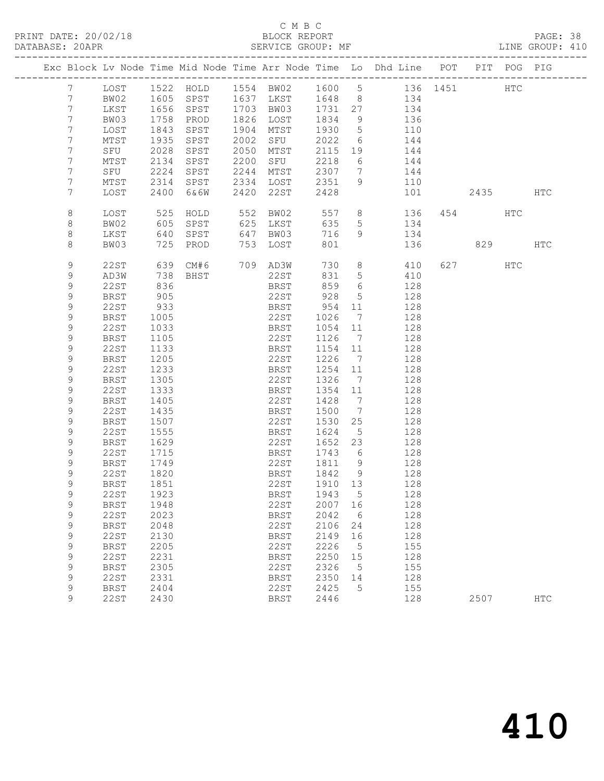| DATABASE: 20APR |                 |             |      | SERVICE GROUP: MF |      |                |         |                 |                                                                                |           |     | LINE GROUP: 410 |  |
|-----------------|-----------------|-------------|------|-------------------|------|----------------|---------|-----------------|--------------------------------------------------------------------------------|-----------|-----|-----------------|--|
|                 |                 |             |      |                   |      |                |         |                 | Exc Block Lv Node Time Mid Node Time Arr Node Time Lo Dhd Line POT PIT POG PIG |           |     |                 |  |
|                 | 7               |             |      |                   |      |                |         |                 | LOST 1522 HOLD 1554 BW02 1600 5 136 1451 HTC                                   |           |     |                 |  |
|                 | $7\phantom{.0}$ | BW02        |      |                   |      |                |         |                 | 1605 SPST 1637 LKST 1648 8 134                                                 |           |     |                 |  |
|                 | $7\phantom{.0}$ | LKST        |      | 1656 SPST         |      |                |         |                 | 1703 BW03 1731 27 134                                                          |           |     |                 |  |
|                 | $7\phantom{.0}$ | BW03        | 1758 | PROD              |      | 1826 LOST      | 1834    | 9               | 136                                                                            |           |     |                 |  |
|                 | $7\phantom{.0}$ | LOST        | 1843 | SPST              |      | 1904 MTST      | 1930    | $5\overline{)}$ | 110                                                                            |           |     |                 |  |
|                 | $7\phantom{.}$  | MTST        | 1935 | SPST              |      | 2002 SFU 2022  |         | 6               | 144                                                                            |           |     |                 |  |
|                 | 7               | SFU         | 2028 | SPST              | 2050 | MTST           | 2115    | 19              | 144                                                                            |           |     |                 |  |
|                 | $7\phantom{.}$  | MTST        | 2134 | SPST              | 2200 | SFU            | 2218    | 6               | 144                                                                            |           |     |                 |  |
|                 | 7               | SFU         | 2224 | SPST              | 2244 | MTST           | 2307    | $7\overline{ }$ | 144                                                                            |           |     |                 |  |
|                 | 7               | MTST        | 2314 | SPST              |      | 2334 LOST 2351 |         | 9               | 110                                                                            |           |     |                 |  |
|                 | 7               | LOST        | 2400 | 6&6W              |      | 2420 22ST      | 2428    |                 |                                                                                | 101 2435  |     | HTC             |  |
|                 | 8               | LOST        | 525  | HOLD              |      | 552 BW02       | 557     |                 | $8 - 8$<br>136                                                                 | 454       | HTC |                 |  |
|                 | 8               | BW02        | 605  | SPST              |      | 625 LKST       | 635     | 5               | 134                                                                            |           |     |                 |  |
|                 | 8               | LKST        | 640  | SPST              |      | 647 BW03       | 716     |                 | $9 \left( \frac{1}{2} \right)$<br>134                                          |           |     |                 |  |
|                 | 8               | BW03        | 725  | PROD              |      | 753 LOST       | 801     |                 | 136                                                                            |           | 829 | HTC             |  |
|                 | 9               | 22ST        |      | 639 CM#6 709 AD3W |      |                | 730     |                 | $8 \overline{)}$<br>410                                                        | 627 — 100 | HTC |                 |  |
|                 | 9               | AD3W        | 738  | BHST              |      | 22ST           | 831     | $5\phantom{.0}$ | 410                                                                            |           |     |                 |  |
|                 | 9               | 22ST        | 836  |                   |      | BRST           | 859     | $6\overline{6}$ | 128                                                                            |           |     |                 |  |
|                 | 9               | BRST        | 905  |                   |      | 22ST           | 928     | $5\overline{)}$ | 128                                                                            |           |     |                 |  |
|                 | 9               | 22ST        | 933  |                   |      | BRST           | 954     | 11              | 128                                                                            |           |     |                 |  |
|                 | 9               | BRST        | 1005 |                   |      | 22ST           | 1026    | $\overline{7}$  | 128                                                                            |           |     |                 |  |
|                 | 9               | 22ST        | 1033 |                   |      | BRST           | 1054    | 11              | 128                                                                            |           |     |                 |  |
|                 | 9               | BRST        | 1105 |                   |      | 22ST           | 1126    | $\overline{7}$  | 128                                                                            |           |     |                 |  |
|                 | 9               | 22ST        | 1133 |                   |      | BRST           | 1154 11 |                 | 128                                                                            |           |     |                 |  |
|                 | 9               | BRST        | 1205 |                   |      | 22ST           | 1226    | $\overline{7}$  | 128                                                                            |           |     |                 |  |
|                 | 9               | 22ST        | 1233 |                   |      | BRST           | 1254    | 11              | 128                                                                            |           |     |                 |  |
|                 | 9               | <b>BRST</b> | 1305 |                   |      | 22ST           | 1326    | $\overline{7}$  | 128                                                                            |           |     |                 |  |
|                 | 9               | 22ST        | 1333 |                   |      | BRST           | 1354    | 11              | 128                                                                            |           |     |                 |  |
|                 | 9               | BRST        | 1405 |                   |      | 22ST           | 1428    | $\overline{7}$  | 128                                                                            |           |     |                 |  |
|                 | 9               | 22ST        | 1435 |                   |      | BRST           | 1500    | $\overline{7}$  | 128                                                                            |           |     |                 |  |
|                 | 9               | BRST        | 1507 |                   |      | 22ST           | 1530    | 25              | 128                                                                            |           |     |                 |  |
|                 | 9               | 22ST        | 1555 |                   |      | BRST           | 1624    | $5\overline{)}$ | 128                                                                            |           |     |                 |  |
|                 | 9               | BRST        | 1629 |                   |      | 22ST           | 1652    | 23              | 128                                                                            |           |     |                 |  |
|                 | 9               | 22ST        | 1715 |                   |      | BRST           | 1743    | $6\overline{6}$ | 128                                                                            |           |     |                 |  |
|                 | 9               | BRST        | 1749 |                   |      | 22ST           | 1811    | 9               | 128                                                                            |           |     |                 |  |
|                 | 9               | 22ST        | 1820 |                   |      | BRST           | 1842    | $\overline{9}$  | 128                                                                            |           |     |                 |  |
|                 | q               | BRST        | 1851 |                   |      |                |         |                 | 22ST 1910 13 128                                                               |           |     |                 |  |
|                 | 9               | 22ST        | 1923 |                   |      | BRST           | 1943    | 5               | 128                                                                            |           |     |                 |  |
|                 | 9               | <b>BRST</b> | 1948 |                   |      | 22ST           | 2007    | 16              | 128                                                                            |           |     |                 |  |
|                 | 9               | 22ST        | 2023 |                   |      | BRST           | 2042    | 6               | 128                                                                            |           |     |                 |  |
|                 | 9               | <b>BRST</b> | 2048 |                   |      | 22ST           | 2106    | 24              | 128                                                                            |           |     |                 |  |
|                 | 9               | 22ST        | 2130 |                   |      | BRST           | 2149    | 16              | 128                                                                            |           |     |                 |  |
|                 | 9               | <b>BRST</b> | 2205 |                   |      | 22ST           | 2226    | 5               | 155                                                                            |           |     |                 |  |
|                 | 9               | <b>22ST</b> | 2231 |                   |      | <b>BRST</b>    | 2250    | 15              | 128                                                                            |           |     |                 |  |
|                 | 9               | <b>BRST</b> | 2305 |                   |      | 22ST           | 2326    | 5               | 155                                                                            |           |     |                 |  |
|                 | 9               | <b>22ST</b> | 2331 |                   |      | <b>BRST</b>    | 2350    | 14              | 128                                                                            |           |     |                 |  |
|                 | 9               | <b>BRST</b> | 2404 |                   |      | 22ST           | 2425    | 5               | 155                                                                            |           |     |                 |  |
|                 | 9               | 22ST        | 2430 |                   |      | <b>BRST</b>    | 2446    |                 | 128                                                                            | 2507      |     | <b>HTC</b>      |  |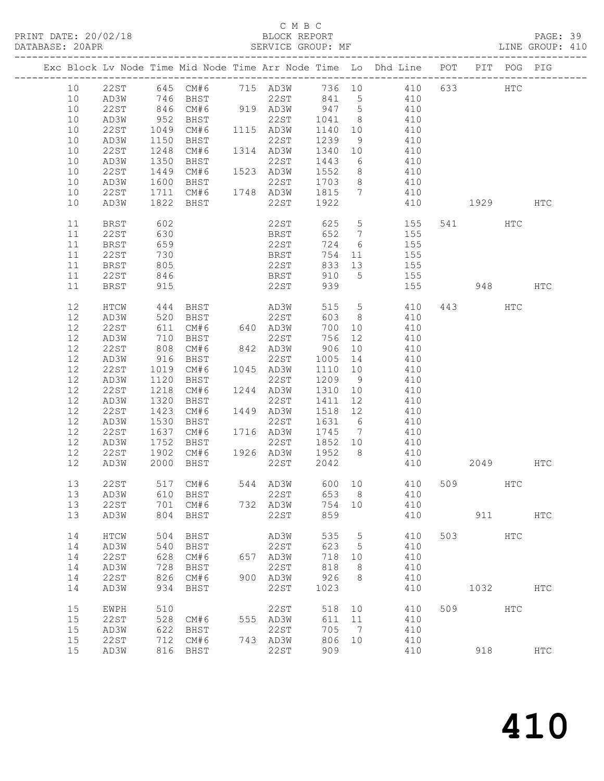#### C M B C<br>BLOCK REPORT

PAGE: 39<br>LINE GROUP: 410

|    |             |              |                                                     |     |                             |         |    | Exc Block Lv Node Time Mid Node Time Arr Node Time Lo Dhd Line POT PIT POG PIG                |     |          |     |     |
|----|-------------|--------------|-----------------------------------------------------|-----|-----------------------------|---------|----|-----------------------------------------------------------------------------------------------|-----|----------|-----|-----|
| 10 |             |              |                                                     |     |                             |         |    | 22ST 645 CM#6 715 AD3W 736 10 410 633                                                         |     |          | HTC |     |
| 10 | AD3W        |              |                                                     |     |                             |         |    |                                                                                               |     |          |     |     |
| 10 | 22ST        |              |                                                     |     |                             |         |    |                                                                                               |     |          |     |     |
| 10 | AD3W        |              |                                                     |     |                             |         |    |                                                                                               |     |          |     |     |
| 10 | 22ST        |              |                                                     |     |                             |         |    | 1049 CM#6 1115 AD3W 1140 10 410                                                               |     |          |     |     |
| 10 | AD3W        | 1150         | BHST                                                |     | 22ST                        | 1239    | 9  | 410                                                                                           |     |          |     |     |
| 10 | 22ST        |              |                                                     |     |                             |         |    |                                                                                               |     |          |     |     |
| 10 | AD3W        | 1248<br>1350 | CM#6 1314 AD3W<br>BHST 22ST<br>BHST                 |     | AD3W 1340 10<br>22ST 1443 6 |         |    | 410<br>410                                                                                    |     |          |     |     |
| 10 | 22 S T      |              |                                                     |     |                             |         |    | 1449 CM#6 1523 AD3W 1552 8 410                                                                |     |          |     |     |
| 10 | AD3W        |              |                                                     |     |                             |         |    |                                                                                               |     |          |     |     |
| 10 | 22ST        |              |                                                     |     |                             |         |    | 410                                                                                           |     |          |     |     |
| 10 | AD3W        |              |                                                     |     |                             |         |    | 1600 BHST 22ST 1703 8 410<br>1711 CM#6 1748 AD3W 1815 7 410<br>1822 BHST 22ST 1922 410<br>410 |     | 1929 HTC |     |     |
|    |             |              |                                                     |     |                             |         |    |                                                                                               |     |          |     |     |
| 11 | BRST        | 602          |                                                     |     |                             |         |    | 22ST 625 5 155                                                                                |     | 541 HTC  |     |     |
| 11 | 22ST        | 630<br>659   |                                                     |     |                             |         |    | BRST 652 7 155<br>22ST 724 6 155                                                              |     |          |     |     |
| 11 | <b>BRST</b> |              |                                                     |     |                             |         |    |                                                                                               |     |          |     |     |
| 11 | 22ST        | 730          |                                                     |     | <b>BRST</b>                 |         |    | $754$ 11 155                                                                                  |     |          |     |     |
| 11 | BRST        | 805          |                                                     |     | 22ST                        |         |    | 833 13 155                                                                                    |     |          |     |     |
| 11 | 22ST        | 846          |                                                     |     |                             |         |    | BRST 910 5 155<br>22ST 939 155                                                                |     |          |     |     |
| 11 | BRST        | 915          |                                                     |     |                             |         |    |                                                                                               |     | 948 HTC  |     |     |
| 12 | HTCW        |              | 444 BHST AD3W                                       |     |                             |         |    | 515 5 410                                                                                     |     | 443 HTC  |     |     |
| 12 | AD3W        |              |                                                     |     | 22ST                        |         |    | 603 8 410                                                                                     |     |          |     |     |
| 12 | 22ST        |              |                                                     |     |                             | 700 10  |    | 410                                                                                           |     |          |     |     |
| 12 | AD3W        |              | 520 BHST 22ST<br>611 CM#6 640 AD3W<br>710 BHST 22ST |     |                             |         |    | $756$ 12 $410$<br>$756$ 12 $410$                                                              |     |          |     |     |
| 12 | 22ST        |              | 808 CM#6                                            |     |                             |         |    | 842 AD3W 906 10 410                                                                           |     |          |     |     |
| 12 | AD3W        |              | 916 BHST                                            |     | 22ST                        |         |    | 1005 14 410                                                                                   |     |          |     |     |
| 12 | 22ST        |              | 1019 CM#6                                           |     | 1045 AD3W                   |         |    |                                                                                               |     |          |     |     |
| 12 | AD3W        | 1120         | BHST                                                |     | 22ST 1209 9                 |         |    | $1110$ $10$ $410$<br>$410$ $410$                                                              |     |          |     |     |
| 12 | 22ST        |              |                                                     |     |                             |         |    | 1218 CM#6 1244 AD3W 1310 10 410                                                               |     |          |     |     |
| 12 | AD3W        | 1320         | BHST                                                |     | 22ST                        | 1411 12 |    | 410                                                                                           |     |          |     |     |
| 12 | 22ST        | 1423         | CM#6                                                |     | 1449 AD3W                   |         |    |                                                                                               |     |          |     |     |
| 12 | AD3W        | 1530         | BHST                                                |     | AD3W 1518 12<br>22ST 1631 6 |         |    | 410<br>410                                                                                    |     |          |     |     |
| 12 | 22ST        | 1637         |                                                     |     |                             |         |    | CM#6 1716 AD3W 1745 7 410                                                                     |     |          |     |     |
| 12 | AD3W        | 1752         | BHST                                                |     |                             |         |    | 22ST 1852 10 410                                                                              |     |          |     |     |
| 12 | 22 S T      |              |                                                     |     |                             |         |    |                                                                                               |     |          |     |     |
| 12 | AD3W        |              |                                                     |     |                             | 2042    |    | 410                                                                                           |     | 2049 HTC |     |     |
| 13 | 22 S T      |              |                                                     |     |                             |         |    | 517 CM#6 544 AD3W 600 10 410                                                                  |     | 509 HTC  |     |     |
|    | 13 AD3W     |              | 610 BHST                                            |     | 22ST                        | 653 8   |    | 410                                                                                           |     |          |     |     |
| 13 | 22ST        | 701          | CM#6                                                |     | 732 AD3W                    | 754     | 10 | 410                                                                                           |     |          |     |     |
| 13 | AD3W        | 804          | BHST                                                |     | 22ST                        | 859     |    | 410                                                                                           |     | 911      |     | HTC |
| 14 | HTCW        | 504          | BHST                                                |     | AD3W                        | 535     | 5  | 410                                                                                           | 503 |          | HTC |     |
| 14 | AD3W        | 540          | BHST                                                |     | 22ST                        | 623     | 5  | 410                                                                                           |     |          |     |     |
| 14 | <b>22ST</b> | 628          | CM#6                                                | 657 | AD3W                        | 718     | 10 | 410                                                                                           |     |          |     |     |
| 14 | AD3W        | 728          | BHST                                                |     | 22ST                        | 818     | 8  | 410                                                                                           |     |          |     |     |
| 14 | 22ST        | 826          | CM#6                                                | 900 | AD3W                        | 926     | 8  | 410                                                                                           |     |          |     |     |
| 14 | AD3W        | 934          | BHST                                                |     | 22ST                        | 1023    |    | 410                                                                                           |     | 1032     |     | HTC |
| 15 | EWPH        | 510          |                                                     |     | 22ST                        | 518     | 10 | 410                                                                                           | 509 |          | HTC |     |
| 15 | <b>22ST</b> | 528          | CM#6                                                |     | 555 AD3W                    | 611     | 11 | 410                                                                                           |     |          |     |     |
| 15 | AD3W        | 622          | BHST                                                |     | 22ST                        | 705     | 7  | 410                                                                                           |     |          |     |     |
| 15 | <b>22ST</b> | 712          | CM#6                                                |     | 743 AD3W                    | 806     | 10 | 410                                                                                           |     |          |     |     |
| 15 | AD3W        | 816          | BHST                                                |     | 22ST                        | 909     |    | 410                                                                                           |     | 918      |     | HTC |
|    |             |              |                                                     |     |                             |         |    |                                                                                               |     |          |     |     |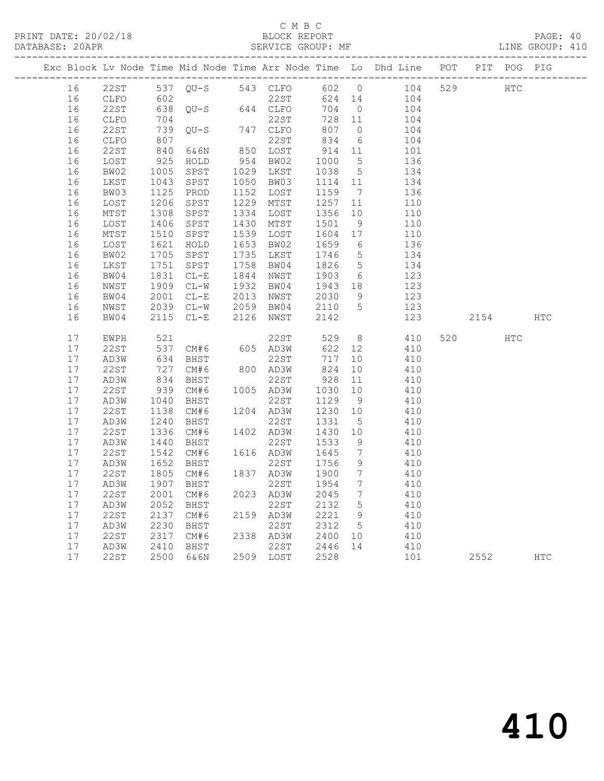PRINT DATE: 20/02/18 BLOCK REPORT PAGE: 40 DATABASE: 20APR

#### C M B C<br>BLOCK REPORT

|    |             |      |                   |      |           |        |                   | -----------------------                                            |     |      |                   |            |
|----|-------------|------|-------------------|------|-----------|--------|-------------------|--------------------------------------------------------------------|-----|------|-------------------|------------|
|    |             |      |                   |      |           |        |                   | Exc Block Lv Node Time Mid Node Time Arr Node Time Lo Dhd Line POT |     |      | PIT POG PIG       |            |
| 16 | 22ST        |      | 537 QU-S 543 CLFO |      |           | 602 0  |                   | 104                                                                | 529 |      | $_{\mathrm{HTC}}$ |            |
| 16 | CLFO        | 602  |                   |      | 22ST      | 624 14 |                   | 104                                                                |     |      |                   |            |
| 16 | 22ST        | 638  | $QU-S$ 644 $CLFO$ |      |           | 704    | $\overline{0}$    | 104                                                                |     |      |                   |            |
| 16 | CLFO        | 704  |                   |      | 22ST      | 728    | 11                | 104                                                                |     |      |                   |            |
| 16 | 22ST        | 739  | $OU-S$            | 747  | CLFO      | 807    | $\circ$           | 104                                                                |     |      |                   |            |
| 16 | CLFO        | 807  |                   |      | 22ST      | 834    | 6                 | 104                                                                |     |      |                   |            |
| 16 | 22ST        | 840  | 6&6N              | 850  | LOST      | 914    | 11                | 101                                                                |     |      |                   |            |
| 16 | LOST        | 925  | HOLD              | 954  | BW02      | 1000   | $5^{\circ}$       | 136                                                                |     |      |                   |            |
| 16 | BW02        | 1005 | SPST              | 1029 | LKST      | 1038   | $5\overline{)}$   | 134                                                                |     |      |                   |            |
| 16 | LKST        | 1043 | SPST              | 1050 | BW03      | 1114   | 11                | 134                                                                |     |      |                   |            |
| 16 | BW03        | 1125 | PROD              | 1152 | LOST      | 1159   | $7\phantom{.0}\,$ | 136                                                                |     |      |                   |            |
| 16 | LOST        | 1206 | SPST              | 1229 | MTST      | 1257   | 11                | 110                                                                |     |      |                   |            |
| 16 | MTST        | 1308 | SPST              | 1334 | LOST      | 1356   | 10                | 110                                                                |     |      |                   |            |
| 16 | LOST        | 1406 | SPST              | 1430 | MTST      | 1501   | 9                 | 110                                                                |     |      |                   |            |
| 16 | MTST        | 1510 | SPST              | 1539 | LOST      | 1604   | 17                | 110                                                                |     |      |                   |            |
| 16 | LOST        | 1621 | HOLD              | 1653 | BW02      | 1659   | 6                 | 136                                                                |     |      |                   |            |
| 16 | BW02        | 1705 | SPST              | 1735 | LKST      | 1746   | $5\overline{)}$   | 134                                                                |     |      |                   |            |
| 16 | LKST        | 1751 | SPST              | 1758 | BW04      | 1826   | $5\overline{)}$   | 134                                                                |     |      |                   |            |
| 16 | BW04        | 1831 | $CL-E$            | 1844 | NWST      | 1903   | 6                 | 123                                                                |     |      |                   |            |
| 16 | NWST        | 1909 | $CL-W$            | 1932 | BW04      | 1943   | 18                | 123                                                                |     |      |                   |            |
| 16 | BW04        | 2001 | $CL-E$            | 2013 | NWST      | 2030   | 9                 | 123                                                                |     |      |                   |            |
| 16 | NWST        | 2039 | $CL-W$            | 2059 | BW04      | 2110   | 5                 | 123                                                                |     |      |                   |            |
| 16 | BW04        | 2115 | $CL-E$            | 2126 | NWST      | 2142   |                   | 123                                                                |     | 2154 |                   | <b>HTC</b> |
| 17 | EWPH        | 521  |                   |      | 22ST      | 529    | 8                 | 410                                                                | 520 |      | <b>HTC</b>        |            |
| 17 | 22ST        | 537  | CM#6              | 605  | AD3W      | 622    | 12                | 410                                                                |     |      |                   |            |
| 17 | AD3W        | 634  | BHST              |      | 22ST      | 717    | 10                | 410                                                                |     |      |                   |            |
| 17 | 22ST        | 727  | CM#6              |      | 800 AD3W  | 824    | 10                | 410                                                                |     |      |                   |            |
| 17 | AD3W        | 834  | BHST              |      | 22ST      | 928    | 11                | 410                                                                |     |      |                   |            |
| 17 | <b>22ST</b> | 939  | CM#6              |      | 1005 AD3W | 1030   | 10                | 410                                                                |     |      |                   |            |
| 17 | AD3W        | 1040 | BHST              |      | 22ST      | 1129   | 9                 | 410                                                                |     |      |                   |            |
| 17 | 22ST        | 1138 | CM#6              | 1204 | AD3W      | 1230   | 10                | 410                                                                |     |      |                   |            |
| 17 | AD3W        | 1240 | BHST              |      | 22ST      | 1331   | $5\phantom{.0}$   | 410                                                                |     |      |                   |            |
| 17 | 22ST        | 1336 | CM#6              | 1402 | AD3W      | 1430   | 10                | 410                                                                |     |      |                   |            |
| 17 | AD3W        | 1440 | BHST              |      | 22ST      | 1533   | 9                 | 410                                                                |     |      |                   |            |
| 17 | 22ST        | 1542 | CM#6              |      | 1616 AD3W | 1645   | $7\overline{ }$   | 410                                                                |     |      |                   |            |
| 17 | AD3W        | 1652 | BHST              |      | 22ST      | 1756   | 9                 | 410                                                                |     |      |                   |            |
| 17 | <b>22ST</b> | 1805 | CM#6              |      | 1837 AD3W | 1900   | $7\overline{ }$   | 410                                                                |     |      |                   |            |

 17 AD3W 1907 BHST 22ST 1954 7 410 17 22ST 2001 CM#6 2023 AD3W 2045 7 410

 17 22ST 2317 CM#6 2338 AD3W 2400 10 410 17 AD3W 2410 BHST 22ST 2446 14 410

 17 AD3W 2052 BHST 22ST 2132 5 410 17 22ST 2137 CM#6 2159 AD3W 2221 9 410 17 AD3W 2230 BHST 22ST 2312 5 410

17 22ST 2500 6&6N 2509 LOST 2528 101 2552 HTC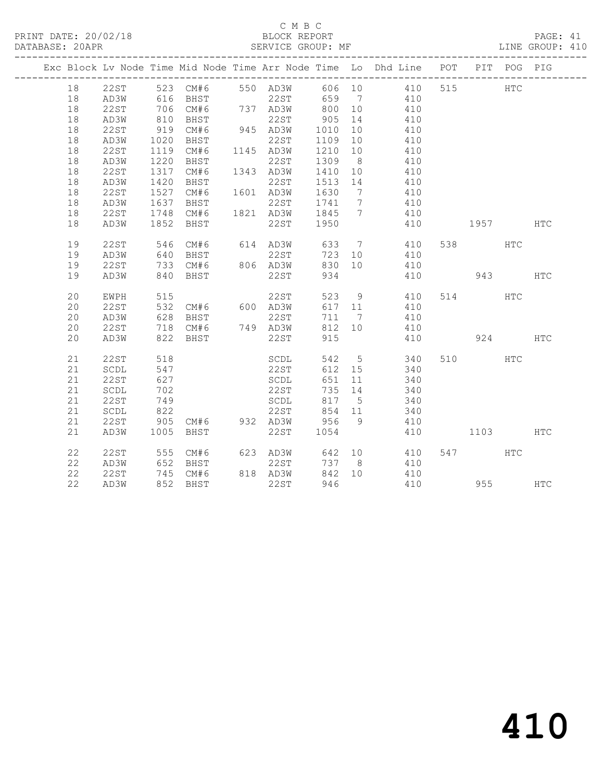#### C M B C<br>BLOCK REPORT

PAGE: 41<br>LINE GROUP: 410

|  |    |             |            |                                       |                                                                                   |         | Exc Block Lv Node Time Mid Node Time Arr Node Time Lo Dhd Line POT |          | PIT POG PIG |              |
|--|----|-------------|------------|---------------------------------------|-----------------------------------------------------------------------------------|---------|--------------------------------------------------------------------|----------|-------------|--------------|
|  | 18 |             |            |                                       |                                                                                   |         | 22ST 523 CM#6 550 AD3W 606 10 410                                  | 515      | <b>HTC</b>  |              |
|  | 18 | AD3W        |            |                                       |                                                                                   |         |                                                                    |          |             |              |
|  | 18 | 22ST        |            |                                       |                                                                                   |         |                                                                    |          |             |              |
|  | 18 | AD3W        |            |                                       |                                                                                   |         |                                                                    |          |             |              |
|  | 18 | 22ST        |            | 919 CM#6                              | 945 AD3W 1010 10                                                                  |         | 410                                                                |          |             |              |
|  | 18 | AD3W        | 1020       | BHST                                  | 22ST                                                                              | 1109 10 | 410                                                                |          |             |              |
|  | 18 | 22ST        |            | 1119 CM#6 1145 AD3W<br>1220 BHST 22ST | AD3W 1210 10<br>22ST 1309 8                                                       |         | $410$<br>$410$                                                     |          |             |              |
|  | 18 | AD3W        | 1220       | BHST                                  |                                                                                   |         |                                                                    |          |             |              |
|  | 18 | 22ST        | 1317       |                                       |                                                                                   |         | CM#6 1343 AD3W 1410 10 410                                         |          |             |              |
|  | 18 | AD3W        | 1420       | BHST                                  | 22ST 1513 14                                                                      |         | 410                                                                |          |             |              |
|  | 18 | 22ST        |            | 1527 CM#6                             |                                                                                   |         | 410                                                                |          |             |              |
|  | 18 | AD3W        |            |                                       |                                                                                   |         | 410                                                                |          |             |              |
|  | 18 | 22ST        |            |                                       | 1527 CM#6 1601 AD3W 1630 7<br>1637 BHST 22ST 1741 7<br>1748 CM#6 1821 AD3W 1845 7 |         | 410                                                                |          |             |              |
|  | 18 | AD3W        |            | 1852 BHST                             | 22ST 1950                                                                         |         | 410                                                                | 1957 HTC |             |              |
|  | 19 | 22ST        |            |                                       |                                                                                   |         |                                                                    | 538 HTC  |             |              |
|  | 19 | AD3W        |            |                                       |                                                                                   |         |                                                                    |          |             |              |
|  | 19 | 22ST        |            | 733 CM#6                              | 806 AD3W                                                                          | 830 10  | 410                                                                |          |             |              |
|  | 19 | AD3W        |            | 840 BHST                              | 22ST                                                                              | 934     | 410 943                                                            |          |             | $_{\rm HTC}$ |
|  | 20 | EWPH        |            |                                       |                                                                                   |         | 523 9 410<br>617 11 410                                            | 514 HTC  |             |              |
|  | 20 | 22ST        |            |                                       |                                                                                   |         |                                                                    |          |             |              |
|  | 20 | AD3W        |            | 628 BHST                              | 22ST                                                                              |         | 711 7 410                                                          |          |             |              |
|  | 20 | 22ST        |            |                                       | 718 CM#6 749 AD3W                                                                 | 812 10  | 410                                                                |          |             |              |
|  | 20 | AD3W        |            | 822 BHST                              | 22ST                                                                              | 915     | 410                                                                | 924      |             | <b>HTC</b>   |
|  | 21 | <b>22ST</b> | 518        |                                       | SCDL                                                                              |         | 542 5 340                                                          | 510 HTC  |             |              |
|  | 21 | SCDL        | 547        |                                       | 22ST                                                                              |         | 612 15 340                                                         |          |             |              |
|  | 21 | 22ST        | 627        |                                       | SCDL                                                                              | 651     | 11 340                                                             |          |             |              |
|  | 21 | SCDL        | 702<br>749 |                                       | 22ST<br>SCDL                                                                      | 735 14  | 340                                                                |          |             |              |
|  | 21 | 22ST        |            |                                       |                                                                                   |         | $817$ $5$ $340$<br>817 5 340                                       |          |             |              |
|  | 21 | SCDL        | 822        |                                       | 22ST 854 11                                                                       |         | 340                                                                |          |             |              |
|  | 21 | 22ST        |            |                                       |                                                                                   |         | 905 CM#6 932 AD3W 956 9 410                                        |          |             |              |
|  | 21 | AD3W        |            | 1005 BHST                             | 22ST                                                                              | 1054    | 410                                                                | 1103 HTC |             |              |
|  | 22 | 22ST        |            |                                       | 555 CM#6 623 AD3W                                                                 |         | 642 10 410                                                         | 547      | HTC         |              |
|  | 22 | AD3W        |            | 652 BHST                              | 22ST                                                                              |         | 737 8 410                                                          |          |             |              |
|  | 22 | 22ST        |            | 745 CM#6                              | 818 AD3W                                                                          |         | 842 10 410                                                         |          |             |              |
|  | 22 | AD3W        |            | 852 BHST                              | 22ST                                                                              | 946     | 410                                                                |          | 955 700     | HTC          |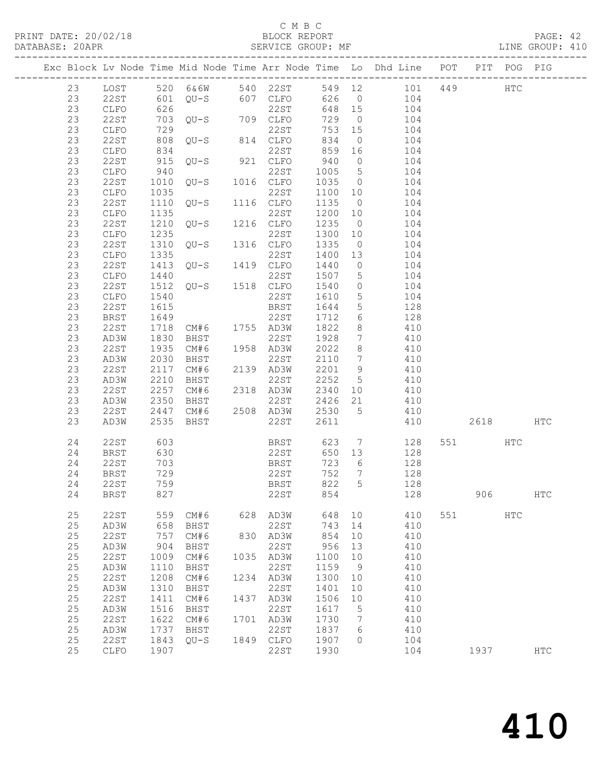#### C M B C<br>BLOCK REPORT

PAGE: 42<br>LINE GROUP: 410

|  |         |             |      |             |        |                                  |      |             |                             |                 |                 |                 |     | Exc Block Lv Node Time Mid Node Time Arr Node Time Lo Dhd Line POT PIT POG PIG |     |     |
|--|---------|-------------|------|-------------|--------|----------------------------------|------|-------------|-----------------------------|-----------------|-----------------|-----------------|-----|--------------------------------------------------------------------------------|-----|-----|
|  | 23      | LOST        |      |             |        |                                  |      |             |                             |                 |                 |                 |     | 520 6&6W 540 22ST 549 12 101 449 HTC                                           |     |     |
|  | 23      | 22ST        |      |             |        |                                  |      |             | 601 QU-S 607 CLFO 626 0 104 |                 |                 |                 |     |                                                                                |     |     |
|  | 23      | CLFO        | 626  |             |        |                                  |      | 22ST        |                             | 648 15          | 104             |                 |     |                                                                                |     |     |
|  | 23      | 22ST        |      |             |        | 020 2231<br>703 QU-S 709 CLFO    |      |             | 729                         | $\overline{0}$  |                 | 104             |     |                                                                                |     |     |
|  | 23      | CLFO        | 729  |             |        |                                  | 22ST |             |                             | 753 15          |                 | 104             |     |                                                                                |     |     |
|  | 23      | 22ST        |      |             |        | 808 QU-S 814 CLFO                |      |             | 834                         | $\overline{0}$  |                 | 104             |     |                                                                                |     |     |
|  | 23      | CLFO        | 834  |             |        |                                  | 22ST |             |                             | 859 16          |                 | 104             |     |                                                                                |     |     |
|  | 23      | 22ST        | 915  |             |        | $QU-S$ 921 $CLFO$                |      |             | 940                         | $\overline{0}$  |                 | 104             |     |                                                                                |     |     |
|  | 23      | CLFO        | 940  |             |        |                                  | 22ST |             | 1005                        | $5\overline{)}$ |                 | 104             |     |                                                                                |     |     |
|  | 23      | 22ST        |      |             |        | 1016 CLFO                        |      |             | 1035                        | $\overline{0}$  |                 | 104             |     |                                                                                |     |     |
|  | 23      | CLFO        | 1035 |             |        |                                  | 22ST |             | 1100 10                     |                 |                 | 104             |     |                                                                                |     |     |
|  | 23      | 22ST        | 1110 |             |        | $QU-S$ 1116 $CLFO$               |      |             | 1135                        | $\overline{0}$  |                 | 104             |     |                                                                                |     |     |
|  | 23      | CLFO        | 1135 |             |        |                                  | 22ST |             | 1200 10                     |                 |                 | 104             |     |                                                                                |     |     |
|  | 23      | 22ST        | 1210 |             | $QU-S$ | 1216 CLFO                        |      |             | 1235                        | $\overline{0}$  |                 | 104             |     |                                                                                |     |     |
|  | 23      | CLFO        | 1235 |             |        |                                  |      |             | 1300 10                     |                 |                 | 104             |     |                                                                                |     |     |
|  | 23      | 22ST        | 1310 |             |        | $QU-S$ 1316 $CLFO$               |      |             | 1335                        | $\overline{0}$  |                 | 104             |     |                                                                                |     |     |
|  | 23      | CLFO        | 1335 |             |        |                                  | 22ST |             | 1400 13                     |                 |                 | 104             |     |                                                                                |     |     |
|  | 23      | 22ST        |      |             |        | 1335 22ST<br>1413 QU-S 1419 CLFO |      |             | 1440                        | $\overline{0}$  |                 | 104             |     |                                                                                |     |     |
|  | 23      | CLFO        | 1440 |             |        |                                  |      |             | 1507                        | $5\overline{)}$ | 104             |                 |     |                                                                                |     |     |
|  | 23      | 22ST        | 1512 |             |        | $22ST$<br>$QU-S$ 1518 $CLFO$     |      |             | 1540                        | $\overline{0}$  |                 | 104             |     |                                                                                |     |     |
|  | 23      | CLFO        | 1540 |             |        |                                  | 22ST |             | 1610                        | $5^{\circ}$     |                 | 104             |     |                                                                                |     |     |
|  | 23      | 22ST        | 1615 |             |        |                                  | BRST |             | 1644                        | $5\overline{)}$ |                 | 128             |     |                                                                                |     |     |
|  | 23      | BRST        | 1649 |             |        |                                  | 22ST |             | 1712                        | 6               |                 | 128             |     |                                                                                |     |     |
|  | 23      | 22ST        | 1718 |             |        | CM#6 1755 AD3W                   |      |             | 1822                        | 8               |                 | 410             |     |                                                                                |     |     |
|  | 23      | AD3W        | 1830 | BHST        |        | $\mathbf{r}$                     | 22ST |             | 1928                        | $\overline{7}$  |                 | 410             |     |                                                                                |     |     |
|  | 23      | 22ST        | 1935 | CM#6        |        | 1958 AD3W                        |      |             | 2022                        | 8 <sup>8</sup>  |                 | 410             |     |                                                                                |     |     |
|  | 23      | AD3W        | 2030 | BHST        |        |                                  | 22ST |             | 2110                        | $\overline{7}$  |                 | 410             |     |                                                                                |     |     |
|  | 23      | 22ST        | 2117 | CM#6        |        | 2139 AD3W                        |      |             | 2201                        | 9               |                 | 410             |     |                                                                                |     |     |
|  | 23      | AD3W        | 2210 | BHST        |        |                                  | 22ST |             | 2252                        | $5\overline{)}$ |                 | 410             |     |                                                                                |     |     |
|  | 23      | 22ST        | 2257 | CM#6        |        | $2$<br>$\sim$<br>2318 AD3W       |      |             | 2340 10                     |                 |                 | 410             |     |                                                                                |     |     |
|  | 23      | AD3W        | 2350 | BHST        |        |                                  | 22ST |             | 2426 21                     |                 |                 | 410             |     |                                                                                |     |     |
|  | 23      | 22ST        | 2447 | CM#6        |        | 2508 AD3W                        |      |             | 2530 5                      |                 | 410             |                 |     |                                                                                |     |     |
|  | 23      | AD3W        | 2535 | BHST        |        |                                  | 22ST |             | 2611                        |                 |                 | 410             |     | 2618                                                                           |     | HTC |
|  | 24      | 22ST        | 603  |             |        |                                  |      | <b>BRST</b> | 623                         |                 | $7\overline{ }$ | 128             |     | 551 HTC                                                                        |     |     |
|  | 24      | BRST        | 630  |             |        |                                  |      | 22ST        |                             | 650 13          |                 | 128             |     |                                                                                |     |     |
|  | 24      | 22ST        | 703  |             |        |                                  | BRST |             | 723                         | 6               |                 | 128             |     |                                                                                |     |     |
|  | 24      | BRST        | 729  |             |        |                                  | 22ST |             | 752                         | $\overline{7}$  |                 | 128             |     |                                                                                |     |     |
|  | 24      | 22ST        | 759  |             |        |                                  | BRST |             | 822                         | $5^{\circ}$     |                 | $\frac{1}{128}$ |     |                                                                                |     |     |
|  | 24 BRST |             | 827  |             |        |                                  | 22ST |             | 854                         |                 |                 | 128             |     | 906                                                                            |     | HTC |
|  | 25      | 22ST        | 559  | CM#6        |        | 628                              | AD3W |             | 648                         | 10              |                 | 410             | 551 |                                                                                | HTC |     |
|  | 25      | AD3W        | 658  | BHST        |        |                                  | 22ST |             | 743                         | 14              |                 | 410             |     |                                                                                |     |     |
|  | 25      | <b>22ST</b> | 757  | CM#6        |        | 830                              | AD3W |             | 854                         | 10              |                 | 410             |     |                                                                                |     |     |
|  | $2\,5$  | AD3W        | 904  | <b>BHST</b> |        |                                  | 22ST |             | 956                         | 13              |                 | 410             |     |                                                                                |     |     |
|  | $2\,5$  | 22ST        | 1009 | CM#6        |        | 1035                             | AD3W |             | 1100                        | 10              |                 | 410             |     |                                                                                |     |     |
|  | 25      | AD3W        | 1110 | BHST        |        |                                  | 22ST |             | 1159                        | 9               |                 | 410             |     |                                                                                |     |     |
|  | $2\,5$  | 22ST        | 1208 | CM#6        |        | 1234 AD3W                        |      |             | 1300                        | 10              |                 | 410             |     |                                                                                |     |     |
|  | 25      | AD3W        | 1310 | BHST        |        |                                  | 22ST |             | 1401                        | 10              |                 | 410             |     |                                                                                |     |     |
|  | 25      | 22ST        | 1411 | CM#6        |        | 1437                             | AD3W |             | 1506                        | 10              |                 | 410             |     |                                                                                |     |     |
|  | 25      | AD3W        | 1516 | BHST        |        |                                  | 22ST |             | 1617                        | 5               |                 | 410             |     |                                                                                |     |     |
|  | 25      | 22ST        | 1622 | CM#6        |        | 1701                             | AD3W |             | 1730                        | $7\phantom{.0}$ |                 | 410             |     |                                                                                |     |     |
|  | 25      | AD3W        | 1737 | BHST        |        |                                  | 22ST |             | 1837                        | 6               |                 | 410             |     |                                                                                |     |     |
|  | $2\,5$  | <b>22ST</b> | 1843 | $QU-S$      |        | 1849 CLFO                        |      |             | 1907                        | $\circ$         |                 | 104             |     |                                                                                |     |     |
|  | 25      | CLFO        | 1907 |             |        |                                  | 22ST |             | 1930                        |                 |                 | 104             |     | 1937                                                                           |     | HTC |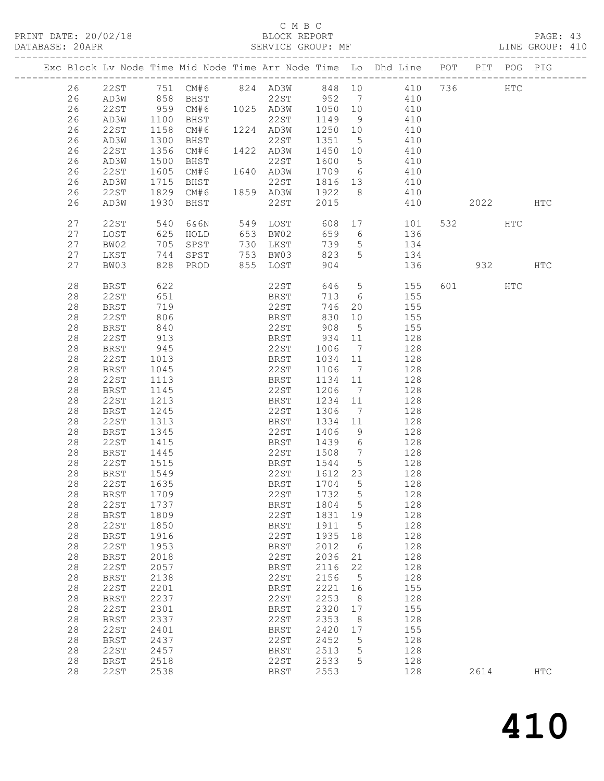PRINT DATE: 20/02/18 BLOCK REPORT<br>DATABASE: 20APR PAGE: 20APR

#### C M B C<br>BLOCK REPORT

PAGE: 43<br>LINE GROUP: 410

| Exc Block Lv Node Time Mid Node Time Arr Node Time Lo Dhd Line POT PIT POG PIG<br>26  22ST  751  CM#6  824  AD3W  848  10  410  736<br>HTC<br>858 BHST<br>26<br>22ST 952 7 410<br>AD3W<br>959 CM#6 1025 AD3W 1050 10<br>1100 BHST 22ST 1149 9<br>26<br>22ST<br>410<br>26<br>AD3W<br>410<br>1158<br>CM#6 1224 AD3W<br>1250 10<br>410<br>26<br>22ST<br>26<br>1351<br>AD3W<br>1300<br>BHST<br>22ST<br>$5\overline{)}$<br>410<br>26<br>1356<br>22ST<br>CM#6<br>1422 AD3W<br>1450 10<br>410<br>26<br>1500<br>22ST<br>1600<br>$5\overline{)}$<br>AD3W<br>BHST<br>410<br>1709 6 410<br>1605<br>26<br>22ST<br>CM#6<br>1640 AD3W<br>26<br>1715<br>22ST<br>1816 13 410<br>AD3W<br>BHST<br>26<br>22ST<br>1829<br>1859 AD3W<br>1922 8<br>CM# 6<br>410<br>26<br>1930<br>22ST<br>2015<br>AD3W<br>BHST<br>410<br>2022 2023<br>HTC<br>27<br>540<br>549 LOST<br>608 17<br>532 HTC<br>22ST<br>6 & 6 N<br>101<br>27<br>625<br>659<br>LOST<br>HOLD<br>653 BW02<br>6 136<br>739<br>27<br>BW02<br>705<br>730 LKST<br>5 <sup>5</sup><br>SPST<br>$\begin{array}{c}\n 134 \\  \hline\n 134\n \end{array}$<br>27<br>744<br>SPST<br>753 BW03<br>823<br>5<br>LKST<br>27<br>828<br>855 LOST<br>904<br>136<br>932<br>BW03<br>PROD<br>HTC<br>28<br>622<br>22ST<br>646 5<br>155<br>601 HTC<br>BRST<br><b>BRST</b><br>28<br>22ST<br>651<br>713 6<br>155<br>22ST<br>28<br>719<br>746<br>155<br><b>BRST</b><br>20<br>28<br>22ST<br>806<br>BRST<br>830<br>10<br>155<br>28<br>840<br>22ST<br>155<br>BRST<br>$5\overline{)}$<br>908<br>934<br>28<br>913<br>128<br>22ST<br>BRST<br>11<br>28<br>22ST<br>128<br>BRST<br>945<br>1006<br>$\overline{7}$<br>28<br>22ST<br>1013<br>BRST<br>1034<br>11<br>128<br>28<br>22ST<br>1106<br>128<br>BRST<br>1045<br>$\overline{7}$<br>28<br>22ST<br>1113<br>BRST<br>1134 11<br>128<br>28<br>1145<br>22ST<br>1206<br>$\overline{7}$<br>128<br>BRST<br>28<br>22ST<br>1213<br>BRST<br>1234<br>11<br>128<br>28<br>22ST<br>1306<br>128<br>BRST<br>1245<br>$\overline{7}$<br>28<br>1334<br>22ST<br>1313<br>BRST<br>11<br>128<br>128<br>28<br>1345<br>22ST<br>1406<br>9<br>BRST<br>28<br>22ST<br>$6\overline{6}$<br>128<br>1415<br>BRST<br>1439<br>28<br>22ST<br>1508<br><b>BRST</b><br>1445<br>$\overline{7}$<br>128<br>28<br>1544<br>$5\overline{)}$<br>22ST<br>1515<br>BRST<br>128<br>1549<br>128<br>28<br>22ST<br>BRST<br>1612 23<br>28<br>22ST<br>1635<br>1704 5<br>BRST<br>128<br>1732 5<br>28<br>1709<br>128<br>22ST<br>BRST<br>28<br><b>22ST</b><br>1804<br>5<br>128<br>1737<br>BRST<br>22ST<br>1831<br>28<br>1809<br>128<br><b>BRST</b><br>19<br>28<br><b>22ST</b><br>1850<br>1911<br>128<br><b>BRST</b><br>5<br>28<br>1916<br>22ST<br>1935<br>128<br><b>BRST</b><br>18<br>128<br>28<br><b>22ST</b><br>1953<br><b>BRST</b><br>2012<br>6<br>28<br>2018<br>22ST<br>2036<br>128<br>21<br><b>BRST</b><br>128<br>28<br><b>22ST</b><br>2057<br>2116<br>22<br><b>BRST</b><br>28<br>2138<br>22ST<br>2156<br>5<br>128<br><b>BRST</b><br>2221<br>28<br><b>22ST</b><br>2201<br>16<br>155<br><b>BRST</b><br>2253<br>28<br>2237<br>22ST<br>8<br>128<br><b>BRST</b><br>28<br><b>22ST</b><br>2301<br>2320<br>155<br><b>BRST</b><br>17<br>2353<br>28<br><b>BRST</b><br>2337<br>22ST<br>128<br>8<br>28<br>22ST<br>2401<br>2420<br>155<br><b>BRST</b><br>17<br>128<br>28<br><b>BRST</b><br>2437<br>22ST<br>2452<br>5<br>128<br>28<br>2457<br>2513<br>5<br>22ST<br><b>BRST</b><br>28<br>22ST<br>2533<br>5<br>128<br><b>BRST</b><br>2518<br>28<br>2553<br>128<br>22ST<br>2538<br><b>BRST</b><br>2614<br><b>HTC</b> |  |  |  |  |  |  |  |  |
|----------------------------------------------------------------------------------------------------------------------------------------------------------------------------------------------------------------------------------------------------------------------------------------------------------------------------------------------------------------------------------------------------------------------------------------------------------------------------------------------------------------------------------------------------------------------------------------------------------------------------------------------------------------------------------------------------------------------------------------------------------------------------------------------------------------------------------------------------------------------------------------------------------------------------------------------------------------------------------------------------------------------------------------------------------------------------------------------------------------------------------------------------------------------------------------------------------------------------------------------------------------------------------------------------------------------------------------------------------------------------------------------------------------------------------------------------------------------------------------------------------------------------------------------------------------------------------------------------------------------------------------------------------------------------------------------------------------------------------------------------------------------------------------------------------------------------------------------------------------------------------------------------------------------------------------------------------------------------------------------------------------------------------------------------------------------------------------------------------------------------------------------------------------------------------------------------------------------------------------------------------------------------------------------------------------------------------------------------------------------------------------------------------------------------------------------------------------------------------------------------------------------------------------------------------------------------------------------------------------------------------------------------------------------------------------------------------------------------------------------------------------------------------------------------------------------------------------------------------------------------------------------------------------------------------------------------------------------------------------------------------------------------------------------------------------------------------------------------------------------------------------------------------------------------------------------------------------------------------------------------------------------------------------------------------------------------------------------------------------------------------------------------------------------------------------------------------------------------------------------|--|--|--|--|--|--|--|--|
|                                                                                                                                                                                                                                                                                                                                                                                                                                                                                                                                                                                                                                                                                                                                                                                                                                                                                                                                                                                                                                                                                                                                                                                                                                                                                                                                                                                                                                                                                                                                                                                                                                                                                                                                                                                                                                                                                                                                                                                                                                                                                                                                                                                                                                                                                                                                                                                                                                                                                                                                                                                                                                                                                                                                                                                                                                                                                                                                                                                                                                                                                                                                                                                                                                                                                                                                                                                                                                                                                              |  |  |  |  |  |  |  |  |
|                                                                                                                                                                                                                                                                                                                                                                                                                                                                                                                                                                                                                                                                                                                                                                                                                                                                                                                                                                                                                                                                                                                                                                                                                                                                                                                                                                                                                                                                                                                                                                                                                                                                                                                                                                                                                                                                                                                                                                                                                                                                                                                                                                                                                                                                                                                                                                                                                                                                                                                                                                                                                                                                                                                                                                                                                                                                                                                                                                                                                                                                                                                                                                                                                                                                                                                                                                                                                                                                                              |  |  |  |  |  |  |  |  |
|                                                                                                                                                                                                                                                                                                                                                                                                                                                                                                                                                                                                                                                                                                                                                                                                                                                                                                                                                                                                                                                                                                                                                                                                                                                                                                                                                                                                                                                                                                                                                                                                                                                                                                                                                                                                                                                                                                                                                                                                                                                                                                                                                                                                                                                                                                                                                                                                                                                                                                                                                                                                                                                                                                                                                                                                                                                                                                                                                                                                                                                                                                                                                                                                                                                                                                                                                                                                                                                                                              |  |  |  |  |  |  |  |  |
|                                                                                                                                                                                                                                                                                                                                                                                                                                                                                                                                                                                                                                                                                                                                                                                                                                                                                                                                                                                                                                                                                                                                                                                                                                                                                                                                                                                                                                                                                                                                                                                                                                                                                                                                                                                                                                                                                                                                                                                                                                                                                                                                                                                                                                                                                                                                                                                                                                                                                                                                                                                                                                                                                                                                                                                                                                                                                                                                                                                                                                                                                                                                                                                                                                                                                                                                                                                                                                                                                              |  |  |  |  |  |  |  |  |
|                                                                                                                                                                                                                                                                                                                                                                                                                                                                                                                                                                                                                                                                                                                                                                                                                                                                                                                                                                                                                                                                                                                                                                                                                                                                                                                                                                                                                                                                                                                                                                                                                                                                                                                                                                                                                                                                                                                                                                                                                                                                                                                                                                                                                                                                                                                                                                                                                                                                                                                                                                                                                                                                                                                                                                                                                                                                                                                                                                                                                                                                                                                                                                                                                                                                                                                                                                                                                                                                                              |  |  |  |  |  |  |  |  |
|                                                                                                                                                                                                                                                                                                                                                                                                                                                                                                                                                                                                                                                                                                                                                                                                                                                                                                                                                                                                                                                                                                                                                                                                                                                                                                                                                                                                                                                                                                                                                                                                                                                                                                                                                                                                                                                                                                                                                                                                                                                                                                                                                                                                                                                                                                                                                                                                                                                                                                                                                                                                                                                                                                                                                                                                                                                                                                                                                                                                                                                                                                                                                                                                                                                                                                                                                                                                                                                                                              |  |  |  |  |  |  |  |  |
|                                                                                                                                                                                                                                                                                                                                                                                                                                                                                                                                                                                                                                                                                                                                                                                                                                                                                                                                                                                                                                                                                                                                                                                                                                                                                                                                                                                                                                                                                                                                                                                                                                                                                                                                                                                                                                                                                                                                                                                                                                                                                                                                                                                                                                                                                                                                                                                                                                                                                                                                                                                                                                                                                                                                                                                                                                                                                                                                                                                                                                                                                                                                                                                                                                                                                                                                                                                                                                                                                              |  |  |  |  |  |  |  |  |
|                                                                                                                                                                                                                                                                                                                                                                                                                                                                                                                                                                                                                                                                                                                                                                                                                                                                                                                                                                                                                                                                                                                                                                                                                                                                                                                                                                                                                                                                                                                                                                                                                                                                                                                                                                                                                                                                                                                                                                                                                                                                                                                                                                                                                                                                                                                                                                                                                                                                                                                                                                                                                                                                                                                                                                                                                                                                                                                                                                                                                                                                                                                                                                                                                                                                                                                                                                                                                                                                                              |  |  |  |  |  |  |  |  |
|                                                                                                                                                                                                                                                                                                                                                                                                                                                                                                                                                                                                                                                                                                                                                                                                                                                                                                                                                                                                                                                                                                                                                                                                                                                                                                                                                                                                                                                                                                                                                                                                                                                                                                                                                                                                                                                                                                                                                                                                                                                                                                                                                                                                                                                                                                                                                                                                                                                                                                                                                                                                                                                                                                                                                                                                                                                                                                                                                                                                                                                                                                                                                                                                                                                                                                                                                                                                                                                                                              |  |  |  |  |  |  |  |  |
|                                                                                                                                                                                                                                                                                                                                                                                                                                                                                                                                                                                                                                                                                                                                                                                                                                                                                                                                                                                                                                                                                                                                                                                                                                                                                                                                                                                                                                                                                                                                                                                                                                                                                                                                                                                                                                                                                                                                                                                                                                                                                                                                                                                                                                                                                                                                                                                                                                                                                                                                                                                                                                                                                                                                                                                                                                                                                                                                                                                                                                                                                                                                                                                                                                                                                                                                                                                                                                                                                              |  |  |  |  |  |  |  |  |
|                                                                                                                                                                                                                                                                                                                                                                                                                                                                                                                                                                                                                                                                                                                                                                                                                                                                                                                                                                                                                                                                                                                                                                                                                                                                                                                                                                                                                                                                                                                                                                                                                                                                                                                                                                                                                                                                                                                                                                                                                                                                                                                                                                                                                                                                                                                                                                                                                                                                                                                                                                                                                                                                                                                                                                                                                                                                                                                                                                                                                                                                                                                                                                                                                                                                                                                                                                                                                                                                                              |  |  |  |  |  |  |  |  |
|                                                                                                                                                                                                                                                                                                                                                                                                                                                                                                                                                                                                                                                                                                                                                                                                                                                                                                                                                                                                                                                                                                                                                                                                                                                                                                                                                                                                                                                                                                                                                                                                                                                                                                                                                                                                                                                                                                                                                                                                                                                                                                                                                                                                                                                                                                                                                                                                                                                                                                                                                                                                                                                                                                                                                                                                                                                                                                                                                                                                                                                                                                                                                                                                                                                                                                                                                                                                                                                                                              |  |  |  |  |  |  |  |  |
|                                                                                                                                                                                                                                                                                                                                                                                                                                                                                                                                                                                                                                                                                                                                                                                                                                                                                                                                                                                                                                                                                                                                                                                                                                                                                                                                                                                                                                                                                                                                                                                                                                                                                                                                                                                                                                                                                                                                                                                                                                                                                                                                                                                                                                                                                                                                                                                                                                                                                                                                                                                                                                                                                                                                                                                                                                                                                                                                                                                                                                                                                                                                                                                                                                                                                                                                                                                                                                                                                              |  |  |  |  |  |  |  |  |
|                                                                                                                                                                                                                                                                                                                                                                                                                                                                                                                                                                                                                                                                                                                                                                                                                                                                                                                                                                                                                                                                                                                                                                                                                                                                                                                                                                                                                                                                                                                                                                                                                                                                                                                                                                                                                                                                                                                                                                                                                                                                                                                                                                                                                                                                                                                                                                                                                                                                                                                                                                                                                                                                                                                                                                                                                                                                                                                                                                                                                                                                                                                                                                                                                                                                                                                                                                                                                                                                                              |  |  |  |  |  |  |  |  |
|                                                                                                                                                                                                                                                                                                                                                                                                                                                                                                                                                                                                                                                                                                                                                                                                                                                                                                                                                                                                                                                                                                                                                                                                                                                                                                                                                                                                                                                                                                                                                                                                                                                                                                                                                                                                                                                                                                                                                                                                                                                                                                                                                                                                                                                                                                                                                                                                                                                                                                                                                                                                                                                                                                                                                                                                                                                                                                                                                                                                                                                                                                                                                                                                                                                                                                                                                                                                                                                                                              |  |  |  |  |  |  |  |  |
|                                                                                                                                                                                                                                                                                                                                                                                                                                                                                                                                                                                                                                                                                                                                                                                                                                                                                                                                                                                                                                                                                                                                                                                                                                                                                                                                                                                                                                                                                                                                                                                                                                                                                                                                                                                                                                                                                                                                                                                                                                                                                                                                                                                                                                                                                                                                                                                                                                                                                                                                                                                                                                                                                                                                                                                                                                                                                                                                                                                                                                                                                                                                                                                                                                                                                                                                                                                                                                                                                              |  |  |  |  |  |  |  |  |
|                                                                                                                                                                                                                                                                                                                                                                                                                                                                                                                                                                                                                                                                                                                                                                                                                                                                                                                                                                                                                                                                                                                                                                                                                                                                                                                                                                                                                                                                                                                                                                                                                                                                                                                                                                                                                                                                                                                                                                                                                                                                                                                                                                                                                                                                                                                                                                                                                                                                                                                                                                                                                                                                                                                                                                                                                                                                                                                                                                                                                                                                                                                                                                                                                                                                                                                                                                                                                                                                                              |  |  |  |  |  |  |  |  |
|                                                                                                                                                                                                                                                                                                                                                                                                                                                                                                                                                                                                                                                                                                                                                                                                                                                                                                                                                                                                                                                                                                                                                                                                                                                                                                                                                                                                                                                                                                                                                                                                                                                                                                                                                                                                                                                                                                                                                                                                                                                                                                                                                                                                                                                                                                                                                                                                                                                                                                                                                                                                                                                                                                                                                                                                                                                                                                                                                                                                                                                                                                                                                                                                                                                                                                                                                                                                                                                                                              |  |  |  |  |  |  |  |  |
|                                                                                                                                                                                                                                                                                                                                                                                                                                                                                                                                                                                                                                                                                                                                                                                                                                                                                                                                                                                                                                                                                                                                                                                                                                                                                                                                                                                                                                                                                                                                                                                                                                                                                                                                                                                                                                                                                                                                                                                                                                                                                                                                                                                                                                                                                                                                                                                                                                                                                                                                                                                                                                                                                                                                                                                                                                                                                                                                                                                                                                                                                                                                                                                                                                                                                                                                                                                                                                                                                              |  |  |  |  |  |  |  |  |
|                                                                                                                                                                                                                                                                                                                                                                                                                                                                                                                                                                                                                                                                                                                                                                                                                                                                                                                                                                                                                                                                                                                                                                                                                                                                                                                                                                                                                                                                                                                                                                                                                                                                                                                                                                                                                                                                                                                                                                                                                                                                                                                                                                                                                                                                                                                                                                                                                                                                                                                                                                                                                                                                                                                                                                                                                                                                                                                                                                                                                                                                                                                                                                                                                                                                                                                                                                                                                                                                                              |  |  |  |  |  |  |  |  |
|                                                                                                                                                                                                                                                                                                                                                                                                                                                                                                                                                                                                                                                                                                                                                                                                                                                                                                                                                                                                                                                                                                                                                                                                                                                                                                                                                                                                                                                                                                                                                                                                                                                                                                                                                                                                                                                                                                                                                                                                                                                                                                                                                                                                                                                                                                                                                                                                                                                                                                                                                                                                                                                                                                                                                                                                                                                                                                                                                                                                                                                                                                                                                                                                                                                                                                                                                                                                                                                                                              |  |  |  |  |  |  |  |  |
|                                                                                                                                                                                                                                                                                                                                                                                                                                                                                                                                                                                                                                                                                                                                                                                                                                                                                                                                                                                                                                                                                                                                                                                                                                                                                                                                                                                                                                                                                                                                                                                                                                                                                                                                                                                                                                                                                                                                                                                                                                                                                                                                                                                                                                                                                                                                                                                                                                                                                                                                                                                                                                                                                                                                                                                                                                                                                                                                                                                                                                                                                                                                                                                                                                                                                                                                                                                                                                                                                              |  |  |  |  |  |  |  |  |
|                                                                                                                                                                                                                                                                                                                                                                                                                                                                                                                                                                                                                                                                                                                                                                                                                                                                                                                                                                                                                                                                                                                                                                                                                                                                                                                                                                                                                                                                                                                                                                                                                                                                                                                                                                                                                                                                                                                                                                                                                                                                                                                                                                                                                                                                                                                                                                                                                                                                                                                                                                                                                                                                                                                                                                                                                                                                                                                                                                                                                                                                                                                                                                                                                                                                                                                                                                                                                                                                                              |  |  |  |  |  |  |  |  |
|                                                                                                                                                                                                                                                                                                                                                                                                                                                                                                                                                                                                                                                                                                                                                                                                                                                                                                                                                                                                                                                                                                                                                                                                                                                                                                                                                                                                                                                                                                                                                                                                                                                                                                                                                                                                                                                                                                                                                                                                                                                                                                                                                                                                                                                                                                                                                                                                                                                                                                                                                                                                                                                                                                                                                                                                                                                                                                                                                                                                                                                                                                                                                                                                                                                                                                                                                                                                                                                                                              |  |  |  |  |  |  |  |  |
|                                                                                                                                                                                                                                                                                                                                                                                                                                                                                                                                                                                                                                                                                                                                                                                                                                                                                                                                                                                                                                                                                                                                                                                                                                                                                                                                                                                                                                                                                                                                                                                                                                                                                                                                                                                                                                                                                                                                                                                                                                                                                                                                                                                                                                                                                                                                                                                                                                                                                                                                                                                                                                                                                                                                                                                                                                                                                                                                                                                                                                                                                                                                                                                                                                                                                                                                                                                                                                                                                              |  |  |  |  |  |  |  |  |
|                                                                                                                                                                                                                                                                                                                                                                                                                                                                                                                                                                                                                                                                                                                                                                                                                                                                                                                                                                                                                                                                                                                                                                                                                                                                                                                                                                                                                                                                                                                                                                                                                                                                                                                                                                                                                                                                                                                                                                                                                                                                                                                                                                                                                                                                                                                                                                                                                                                                                                                                                                                                                                                                                                                                                                                                                                                                                                                                                                                                                                                                                                                                                                                                                                                                                                                                                                                                                                                                                              |  |  |  |  |  |  |  |  |
|                                                                                                                                                                                                                                                                                                                                                                                                                                                                                                                                                                                                                                                                                                                                                                                                                                                                                                                                                                                                                                                                                                                                                                                                                                                                                                                                                                                                                                                                                                                                                                                                                                                                                                                                                                                                                                                                                                                                                                                                                                                                                                                                                                                                                                                                                                                                                                                                                                                                                                                                                                                                                                                                                                                                                                                                                                                                                                                                                                                                                                                                                                                                                                                                                                                                                                                                                                                                                                                                                              |  |  |  |  |  |  |  |  |
|                                                                                                                                                                                                                                                                                                                                                                                                                                                                                                                                                                                                                                                                                                                                                                                                                                                                                                                                                                                                                                                                                                                                                                                                                                                                                                                                                                                                                                                                                                                                                                                                                                                                                                                                                                                                                                                                                                                                                                                                                                                                                                                                                                                                                                                                                                                                                                                                                                                                                                                                                                                                                                                                                                                                                                                                                                                                                                                                                                                                                                                                                                                                                                                                                                                                                                                                                                                                                                                                                              |  |  |  |  |  |  |  |  |
|                                                                                                                                                                                                                                                                                                                                                                                                                                                                                                                                                                                                                                                                                                                                                                                                                                                                                                                                                                                                                                                                                                                                                                                                                                                                                                                                                                                                                                                                                                                                                                                                                                                                                                                                                                                                                                                                                                                                                                                                                                                                                                                                                                                                                                                                                                                                                                                                                                                                                                                                                                                                                                                                                                                                                                                                                                                                                                                                                                                                                                                                                                                                                                                                                                                                                                                                                                                                                                                                                              |  |  |  |  |  |  |  |  |
|                                                                                                                                                                                                                                                                                                                                                                                                                                                                                                                                                                                                                                                                                                                                                                                                                                                                                                                                                                                                                                                                                                                                                                                                                                                                                                                                                                                                                                                                                                                                                                                                                                                                                                                                                                                                                                                                                                                                                                                                                                                                                                                                                                                                                                                                                                                                                                                                                                                                                                                                                                                                                                                                                                                                                                                                                                                                                                                                                                                                                                                                                                                                                                                                                                                                                                                                                                                                                                                                                              |  |  |  |  |  |  |  |  |
|                                                                                                                                                                                                                                                                                                                                                                                                                                                                                                                                                                                                                                                                                                                                                                                                                                                                                                                                                                                                                                                                                                                                                                                                                                                                                                                                                                                                                                                                                                                                                                                                                                                                                                                                                                                                                                                                                                                                                                                                                                                                                                                                                                                                                                                                                                                                                                                                                                                                                                                                                                                                                                                                                                                                                                                                                                                                                                                                                                                                                                                                                                                                                                                                                                                                                                                                                                                                                                                                                              |  |  |  |  |  |  |  |  |
|                                                                                                                                                                                                                                                                                                                                                                                                                                                                                                                                                                                                                                                                                                                                                                                                                                                                                                                                                                                                                                                                                                                                                                                                                                                                                                                                                                                                                                                                                                                                                                                                                                                                                                                                                                                                                                                                                                                                                                                                                                                                                                                                                                                                                                                                                                                                                                                                                                                                                                                                                                                                                                                                                                                                                                                                                                                                                                                                                                                                                                                                                                                                                                                                                                                                                                                                                                                                                                                                                              |  |  |  |  |  |  |  |  |
|                                                                                                                                                                                                                                                                                                                                                                                                                                                                                                                                                                                                                                                                                                                                                                                                                                                                                                                                                                                                                                                                                                                                                                                                                                                                                                                                                                                                                                                                                                                                                                                                                                                                                                                                                                                                                                                                                                                                                                                                                                                                                                                                                                                                                                                                                                                                                                                                                                                                                                                                                                                                                                                                                                                                                                                                                                                                                                                                                                                                                                                                                                                                                                                                                                                                                                                                                                                                                                                                                              |  |  |  |  |  |  |  |  |
|                                                                                                                                                                                                                                                                                                                                                                                                                                                                                                                                                                                                                                                                                                                                                                                                                                                                                                                                                                                                                                                                                                                                                                                                                                                                                                                                                                                                                                                                                                                                                                                                                                                                                                                                                                                                                                                                                                                                                                                                                                                                                                                                                                                                                                                                                                                                                                                                                                                                                                                                                                                                                                                                                                                                                                                                                                                                                                                                                                                                                                                                                                                                                                                                                                                                                                                                                                                                                                                                                              |  |  |  |  |  |  |  |  |
|                                                                                                                                                                                                                                                                                                                                                                                                                                                                                                                                                                                                                                                                                                                                                                                                                                                                                                                                                                                                                                                                                                                                                                                                                                                                                                                                                                                                                                                                                                                                                                                                                                                                                                                                                                                                                                                                                                                                                                                                                                                                                                                                                                                                                                                                                                                                                                                                                                                                                                                                                                                                                                                                                                                                                                                                                                                                                                                                                                                                                                                                                                                                                                                                                                                                                                                                                                                                                                                                                              |  |  |  |  |  |  |  |  |
|                                                                                                                                                                                                                                                                                                                                                                                                                                                                                                                                                                                                                                                                                                                                                                                                                                                                                                                                                                                                                                                                                                                                                                                                                                                                                                                                                                                                                                                                                                                                                                                                                                                                                                                                                                                                                                                                                                                                                                                                                                                                                                                                                                                                                                                                                                                                                                                                                                                                                                                                                                                                                                                                                                                                                                                                                                                                                                                                                                                                                                                                                                                                                                                                                                                                                                                                                                                                                                                                                              |  |  |  |  |  |  |  |  |
|                                                                                                                                                                                                                                                                                                                                                                                                                                                                                                                                                                                                                                                                                                                                                                                                                                                                                                                                                                                                                                                                                                                                                                                                                                                                                                                                                                                                                                                                                                                                                                                                                                                                                                                                                                                                                                                                                                                                                                                                                                                                                                                                                                                                                                                                                                                                                                                                                                                                                                                                                                                                                                                                                                                                                                                                                                                                                                                                                                                                                                                                                                                                                                                                                                                                                                                                                                                                                                                                                              |  |  |  |  |  |  |  |  |
|                                                                                                                                                                                                                                                                                                                                                                                                                                                                                                                                                                                                                                                                                                                                                                                                                                                                                                                                                                                                                                                                                                                                                                                                                                                                                                                                                                                                                                                                                                                                                                                                                                                                                                                                                                                                                                                                                                                                                                                                                                                                                                                                                                                                                                                                                                                                                                                                                                                                                                                                                                                                                                                                                                                                                                                                                                                                                                                                                                                                                                                                                                                                                                                                                                                                                                                                                                                                                                                                                              |  |  |  |  |  |  |  |  |
|                                                                                                                                                                                                                                                                                                                                                                                                                                                                                                                                                                                                                                                                                                                                                                                                                                                                                                                                                                                                                                                                                                                                                                                                                                                                                                                                                                                                                                                                                                                                                                                                                                                                                                                                                                                                                                                                                                                                                                                                                                                                                                                                                                                                                                                                                                                                                                                                                                                                                                                                                                                                                                                                                                                                                                                                                                                                                                                                                                                                                                                                                                                                                                                                                                                                                                                                                                                                                                                                                              |  |  |  |  |  |  |  |  |
|                                                                                                                                                                                                                                                                                                                                                                                                                                                                                                                                                                                                                                                                                                                                                                                                                                                                                                                                                                                                                                                                                                                                                                                                                                                                                                                                                                                                                                                                                                                                                                                                                                                                                                                                                                                                                                                                                                                                                                                                                                                                                                                                                                                                                                                                                                                                                                                                                                                                                                                                                                                                                                                                                                                                                                                                                                                                                                                                                                                                                                                                                                                                                                                                                                                                                                                                                                                                                                                                                              |  |  |  |  |  |  |  |  |
|                                                                                                                                                                                                                                                                                                                                                                                                                                                                                                                                                                                                                                                                                                                                                                                                                                                                                                                                                                                                                                                                                                                                                                                                                                                                                                                                                                                                                                                                                                                                                                                                                                                                                                                                                                                                                                                                                                                                                                                                                                                                                                                                                                                                                                                                                                                                                                                                                                                                                                                                                                                                                                                                                                                                                                                                                                                                                                                                                                                                                                                                                                                                                                                                                                                                                                                                                                                                                                                                                              |  |  |  |  |  |  |  |  |
|                                                                                                                                                                                                                                                                                                                                                                                                                                                                                                                                                                                                                                                                                                                                                                                                                                                                                                                                                                                                                                                                                                                                                                                                                                                                                                                                                                                                                                                                                                                                                                                                                                                                                                                                                                                                                                                                                                                                                                                                                                                                                                                                                                                                                                                                                                                                                                                                                                                                                                                                                                                                                                                                                                                                                                                                                                                                                                                                                                                                                                                                                                                                                                                                                                                                                                                                                                                                                                                                                              |  |  |  |  |  |  |  |  |
|                                                                                                                                                                                                                                                                                                                                                                                                                                                                                                                                                                                                                                                                                                                                                                                                                                                                                                                                                                                                                                                                                                                                                                                                                                                                                                                                                                                                                                                                                                                                                                                                                                                                                                                                                                                                                                                                                                                                                                                                                                                                                                                                                                                                                                                                                                                                                                                                                                                                                                                                                                                                                                                                                                                                                                                                                                                                                                                                                                                                                                                                                                                                                                                                                                                                                                                                                                                                                                                                                              |  |  |  |  |  |  |  |  |
|                                                                                                                                                                                                                                                                                                                                                                                                                                                                                                                                                                                                                                                                                                                                                                                                                                                                                                                                                                                                                                                                                                                                                                                                                                                                                                                                                                                                                                                                                                                                                                                                                                                                                                                                                                                                                                                                                                                                                                                                                                                                                                                                                                                                                                                                                                                                                                                                                                                                                                                                                                                                                                                                                                                                                                                                                                                                                                                                                                                                                                                                                                                                                                                                                                                                                                                                                                                                                                                                                              |  |  |  |  |  |  |  |  |
|                                                                                                                                                                                                                                                                                                                                                                                                                                                                                                                                                                                                                                                                                                                                                                                                                                                                                                                                                                                                                                                                                                                                                                                                                                                                                                                                                                                                                                                                                                                                                                                                                                                                                                                                                                                                                                                                                                                                                                                                                                                                                                                                                                                                                                                                                                                                                                                                                                                                                                                                                                                                                                                                                                                                                                                                                                                                                                                                                                                                                                                                                                                                                                                                                                                                                                                                                                                                                                                                                              |  |  |  |  |  |  |  |  |
|                                                                                                                                                                                                                                                                                                                                                                                                                                                                                                                                                                                                                                                                                                                                                                                                                                                                                                                                                                                                                                                                                                                                                                                                                                                                                                                                                                                                                                                                                                                                                                                                                                                                                                                                                                                                                                                                                                                                                                                                                                                                                                                                                                                                                                                                                                                                                                                                                                                                                                                                                                                                                                                                                                                                                                                                                                                                                                                                                                                                                                                                                                                                                                                                                                                                                                                                                                                                                                                                                              |  |  |  |  |  |  |  |  |
|                                                                                                                                                                                                                                                                                                                                                                                                                                                                                                                                                                                                                                                                                                                                                                                                                                                                                                                                                                                                                                                                                                                                                                                                                                                                                                                                                                                                                                                                                                                                                                                                                                                                                                                                                                                                                                                                                                                                                                                                                                                                                                                                                                                                                                                                                                                                                                                                                                                                                                                                                                                                                                                                                                                                                                                                                                                                                                                                                                                                                                                                                                                                                                                                                                                                                                                                                                                                                                                                                              |  |  |  |  |  |  |  |  |
|                                                                                                                                                                                                                                                                                                                                                                                                                                                                                                                                                                                                                                                                                                                                                                                                                                                                                                                                                                                                                                                                                                                                                                                                                                                                                                                                                                                                                                                                                                                                                                                                                                                                                                                                                                                                                                                                                                                                                                                                                                                                                                                                                                                                                                                                                                                                                                                                                                                                                                                                                                                                                                                                                                                                                                                                                                                                                                                                                                                                                                                                                                                                                                                                                                                                                                                                                                                                                                                                                              |  |  |  |  |  |  |  |  |
|                                                                                                                                                                                                                                                                                                                                                                                                                                                                                                                                                                                                                                                                                                                                                                                                                                                                                                                                                                                                                                                                                                                                                                                                                                                                                                                                                                                                                                                                                                                                                                                                                                                                                                                                                                                                                                                                                                                                                                                                                                                                                                                                                                                                                                                                                                                                                                                                                                                                                                                                                                                                                                                                                                                                                                                                                                                                                                                                                                                                                                                                                                                                                                                                                                                                                                                                                                                                                                                                                              |  |  |  |  |  |  |  |  |
|                                                                                                                                                                                                                                                                                                                                                                                                                                                                                                                                                                                                                                                                                                                                                                                                                                                                                                                                                                                                                                                                                                                                                                                                                                                                                                                                                                                                                                                                                                                                                                                                                                                                                                                                                                                                                                                                                                                                                                                                                                                                                                                                                                                                                                                                                                                                                                                                                                                                                                                                                                                                                                                                                                                                                                                                                                                                                                                                                                                                                                                                                                                                                                                                                                                                                                                                                                                                                                                                                              |  |  |  |  |  |  |  |  |
|                                                                                                                                                                                                                                                                                                                                                                                                                                                                                                                                                                                                                                                                                                                                                                                                                                                                                                                                                                                                                                                                                                                                                                                                                                                                                                                                                                                                                                                                                                                                                                                                                                                                                                                                                                                                                                                                                                                                                                                                                                                                                                                                                                                                                                                                                                                                                                                                                                                                                                                                                                                                                                                                                                                                                                                                                                                                                                                                                                                                                                                                                                                                                                                                                                                                                                                                                                                                                                                                                              |  |  |  |  |  |  |  |  |
|                                                                                                                                                                                                                                                                                                                                                                                                                                                                                                                                                                                                                                                                                                                                                                                                                                                                                                                                                                                                                                                                                                                                                                                                                                                                                                                                                                                                                                                                                                                                                                                                                                                                                                                                                                                                                                                                                                                                                                                                                                                                                                                                                                                                                                                                                                                                                                                                                                                                                                                                                                                                                                                                                                                                                                                                                                                                                                                                                                                                                                                                                                                                                                                                                                                                                                                                                                                                                                                                                              |  |  |  |  |  |  |  |  |
|                                                                                                                                                                                                                                                                                                                                                                                                                                                                                                                                                                                                                                                                                                                                                                                                                                                                                                                                                                                                                                                                                                                                                                                                                                                                                                                                                                                                                                                                                                                                                                                                                                                                                                                                                                                                                                                                                                                                                                                                                                                                                                                                                                                                                                                                                                                                                                                                                                                                                                                                                                                                                                                                                                                                                                                                                                                                                                                                                                                                                                                                                                                                                                                                                                                                                                                                                                                                                                                                                              |  |  |  |  |  |  |  |  |
|                                                                                                                                                                                                                                                                                                                                                                                                                                                                                                                                                                                                                                                                                                                                                                                                                                                                                                                                                                                                                                                                                                                                                                                                                                                                                                                                                                                                                                                                                                                                                                                                                                                                                                                                                                                                                                                                                                                                                                                                                                                                                                                                                                                                                                                                                                                                                                                                                                                                                                                                                                                                                                                                                                                                                                                                                                                                                                                                                                                                                                                                                                                                                                                                                                                                                                                                                                                                                                                                                              |  |  |  |  |  |  |  |  |
|                                                                                                                                                                                                                                                                                                                                                                                                                                                                                                                                                                                                                                                                                                                                                                                                                                                                                                                                                                                                                                                                                                                                                                                                                                                                                                                                                                                                                                                                                                                                                                                                                                                                                                                                                                                                                                                                                                                                                                                                                                                                                                                                                                                                                                                                                                                                                                                                                                                                                                                                                                                                                                                                                                                                                                                                                                                                                                                                                                                                                                                                                                                                                                                                                                                                                                                                                                                                                                                                                              |  |  |  |  |  |  |  |  |
|                                                                                                                                                                                                                                                                                                                                                                                                                                                                                                                                                                                                                                                                                                                                                                                                                                                                                                                                                                                                                                                                                                                                                                                                                                                                                                                                                                                                                                                                                                                                                                                                                                                                                                                                                                                                                                                                                                                                                                                                                                                                                                                                                                                                                                                                                                                                                                                                                                                                                                                                                                                                                                                                                                                                                                                                                                                                                                                                                                                                                                                                                                                                                                                                                                                                                                                                                                                                                                                                                              |  |  |  |  |  |  |  |  |
|                                                                                                                                                                                                                                                                                                                                                                                                                                                                                                                                                                                                                                                                                                                                                                                                                                                                                                                                                                                                                                                                                                                                                                                                                                                                                                                                                                                                                                                                                                                                                                                                                                                                                                                                                                                                                                                                                                                                                                                                                                                                                                                                                                                                                                                                                                                                                                                                                                                                                                                                                                                                                                                                                                                                                                                                                                                                                                                                                                                                                                                                                                                                                                                                                                                                                                                                                                                                                                                                                              |  |  |  |  |  |  |  |  |
|                                                                                                                                                                                                                                                                                                                                                                                                                                                                                                                                                                                                                                                                                                                                                                                                                                                                                                                                                                                                                                                                                                                                                                                                                                                                                                                                                                                                                                                                                                                                                                                                                                                                                                                                                                                                                                                                                                                                                                                                                                                                                                                                                                                                                                                                                                                                                                                                                                                                                                                                                                                                                                                                                                                                                                                                                                                                                                                                                                                                                                                                                                                                                                                                                                                                                                                                                                                                                                                                                              |  |  |  |  |  |  |  |  |
|                                                                                                                                                                                                                                                                                                                                                                                                                                                                                                                                                                                                                                                                                                                                                                                                                                                                                                                                                                                                                                                                                                                                                                                                                                                                                                                                                                                                                                                                                                                                                                                                                                                                                                                                                                                                                                                                                                                                                                                                                                                                                                                                                                                                                                                                                                                                                                                                                                                                                                                                                                                                                                                                                                                                                                                                                                                                                                                                                                                                                                                                                                                                                                                                                                                                                                                                                                                                                                                                                              |  |  |  |  |  |  |  |  |

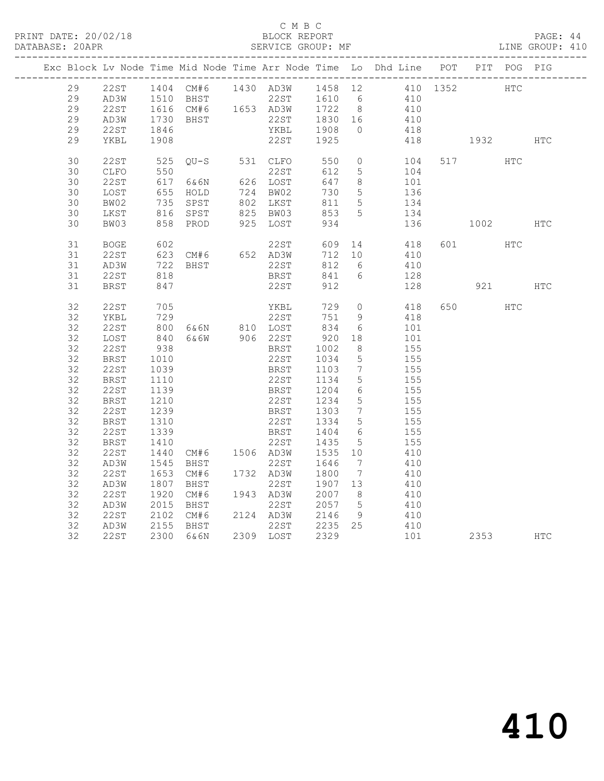#### C M B C<br>BLOCK REPORT

PAGE: 44<br>LINE GROUP: 410

|  |    |             |      |                               |                                |                   |                              | Exc Block Lv Node Time Mid Node Time Arr Node Time Lo Dhd Line POT PIT POG PIG                                                                                                                                                                          |       |          |            |            |
|--|----|-------------|------|-------------------------------|--------------------------------|-------------------|------------------------------|---------------------------------------------------------------------------------------------------------------------------------------------------------------------------------------------------------------------------------------------------------|-------|----------|------------|------------|
|  | 29 | 22ST        |      |                               |                                |                   |                              | $\begin{tabular}{cccccc} 1404 & CM#6 & 1430 & AD3W & 1458 & 12 & 410 & 1352 \\ 1510 & BHST & 22ST & 1610 & 6 & 410 \\ 1616 & CM#6 & 1653 & AD3W & 1722 & 8 & 410 \\ 1730 & BHST & 22ST & 1830 & 16 & 410 \\ 1846 & YKBL & 1908 & 0 & 418 \end{tabular}$ |       | HTC      |            |            |
|  | 29 | AD3W        |      |                               |                                |                   |                              |                                                                                                                                                                                                                                                         |       |          |            |            |
|  | 29 | 22ST        |      |                               |                                |                   |                              |                                                                                                                                                                                                                                                         |       |          |            |            |
|  | 29 | AD3W        |      |                               |                                |                   |                              |                                                                                                                                                                                                                                                         |       |          |            |            |
|  | 29 | 22ST        |      |                               |                                |                   |                              |                                                                                                                                                                                                                                                         |       |          |            |            |
|  |    |             |      |                               | 22ST                           | 1925              |                              |                                                                                                                                                                                                                                                         |       |          |            |            |
|  | 29 | YKBL        | 1908 |                               |                                |                   |                              |                                                                                                                                                                                                                                                         |       | 418 1932 |            | <b>HTC</b> |
|  | 30 | 22ST        | 525  | $QU-S$ 531 $CLFO$             |                                | 550               | $\circledcirc$               | 104                                                                                                                                                                                                                                                     |       | 517      | HTC        |            |
|  | 30 | CLFO        |      | 550<br>617 6&6N               | 22ST                           | 612               | 5 <sup>5</sup>               | 104                                                                                                                                                                                                                                                     |       |          |            |            |
|  | 30 | 22ST        |      |                               | 626 LOST                       | 647               | 8 <sup>8</sup>               | 101                                                                                                                                                                                                                                                     |       |          |            |            |
|  | 30 | LOST        |      |                               |                                | 730               | 5 <sup>5</sup>               | 136                                                                                                                                                                                                                                                     |       |          |            |            |
|  | 30 | BW02        |      | 655 HOLD<br>735 SPST          | 724 BW02<br>802 LKST           | 811               | 5 <sup>5</sup>               | $\begin{array}{c}\n1 \\ 134\n\end{array}$                                                                                                                                                                                                               |       |          |            |            |
|  | 30 | LKST        |      | 816 SPST                      |                                | 853               | 5 <sup>5</sup>               | 134                                                                                                                                                                                                                                                     |       |          |            |            |
|  | 30 | BW03        |      | 858 PROD                      | 825 BW03<br>925 LOST           | 934               |                              | 136                                                                                                                                                                                                                                                     |       | 1002     |            | HTC        |
|  |    |             |      |                               |                                |                   |                              |                                                                                                                                                                                                                                                         |       |          |            |            |
|  | 31 | BOGE        | 602  |                               | 22ST                           | 609 14            |                              | 418                                                                                                                                                                                                                                                     |       | 601 7    | HTC        |            |
|  | 31 | 22ST        |      | $623$ CM#6 652 AD3W           |                                | 712 10            |                              | 410                                                                                                                                                                                                                                                     |       |          |            |            |
|  | 31 | AD3W        |      |                               | 22ST                           | 812               | 6                            | 410                                                                                                                                                                                                                                                     |       |          |            |            |
|  | 31 | 22ST        | 818  | $722$ BHST<br>818             | BRST                           | 841               | 6                            | 128                                                                                                                                                                                                                                                     |       |          |            |            |
|  | 31 | BRST        | 847  |                               | 22ST                           | 912               |                              | 128                                                                                                                                                                                                                                                     |       | 921      |            | <b>HTC</b> |
|  |    |             |      |                               |                                |                   |                              |                                                                                                                                                                                                                                                         |       |          |            |            |
|  | 32 | 22ST        | 705  |                               | YKBL                           | 729               | $\circ$                      | 418                                                                                                                                                                                                                                                     |       | 650 000  | <b>HTC</b> |            |
|  | 32 | YKBL        |      |                               |                                | 751               | 9                            | 418                                                                                                                                                                                                                                                     |       |          |            |            |
|  | 32 | 22ST        |      | 729 22ST<br>800 6&6N 810 LOST |                                | $751$<br>834      | 6                            | 101                                                                                                                                                                                                                                                     |       |          |            |            |
|  | 32 | LOST        | 840  | 6&6W 906 22ST                 |                                | 920               | 18                           | 101                                                                                                                                                                                                                                                     |       |          |            |            |
|  | 32 | 22ST        | 938  |                               | BRST                           | 1002              | 8 <sup>8</sup>               | 155                                                                                                                                                                                                                                                     |       |          |            |            |
|  | 32 | <b>BRST</b> | 1010 |                               | 22ST                           | 1034              | $5\overline{)}$              | 155                                                                                                                                                                                                                                                     |       |          |            |            |
|  | 32 | 22ST        | 1039 |                               | BRST                           |                   | $\overline{7}$               | 155                                                                                                                                                                                                                                                     |       |          |            |            |
|  | 32 | BRST        | 1110 |                               | 22ST                           | 1103<br>1134      | $5\overline{)}$              | 155                                                                                                                                                                                                                                                     |       |          |            |            |
|  | 32 | 22ST        | 1139 |                               | BRST                           |                   | $6\overline{6}$              | 155                                                                                                                                                                                                                                                     |       |          |            |            |
|  | 32 |             | 1210 |                               | 22ST                           | 1204<br>1234      | $5\overline{)}$              | 155                                                                                                                                                                                                                                                     |       |          |            |            |
|  |    | BRST        |      |                               |                                |                   | $7\overline{ }$              |                                                                                                                                                                                                                                                         |       |          |            |            |
|  | 32 | 22ST        | 1239 |                               | BRST 1303<br>22ST 1334<br>BRST |                   |                              | 155                                                                                                                                                                                                                                                     |       |          |            |            |
|  | 32 | <b>BRST</b> | 1310 |                               |                                |                   | $5\overline{)}$              | 155                                                                                                                                                                                                                                                     |       |          |            |            |
|  | 32 | 22ST        | 1339 |                               | BRST                           | 1404              | 6                            | 155                                                                                                                                                                                                                                                     |       |          |            |            |
|  | 32 | <b>BRST</b> | 1410 |                               | 22ST                           | 1435              | 5                            | 155                                                                                                                                                                                                                                                     |       |          |            |            |
|  | 32 | 22ST        | 1440 | CM#6 1506 AD3W                |                                | 1535              | 10                           | 410                                                                                                                                                                                                                                                     |       |          |            |            |
|  | 32 | AD3W        | 1545 | BHST                          | 22ST<br>1732 AD3W              | 1646<br>1800      | $7\phantom{.0}\phantom{.0}7$ | 410                                                                                                                                                                                                                                                     |       |          |            |            |
|  | 32 | 22ST        |      | 1653 CM#6                     |                                |                   | $7\phantom{.0}\phantom{.0}7$ | 410                                                                                                                                                                                                                                                     |       |          |            |            |
|  | 32 | AD3W        | 1807 | BHST                          | 22ST                           | 1907 13<br>2007 8 |                              | 410                                                                                                                                                                                                                                                     |       |          |            |            |
|  | 32 | 22ST        | 1920 | CM#6                          | 1943 AD3W                      |                   | 8 <sup>8</sup>               | 410                                                                                                                                                                                                                                                     |       |          |            |            |
|  | 32 | AD3W        |      | 2015 BHST                     | 22ST                           | 2057              | $5^{\circ}$                  | 410                                                                                                                                                                                                                                                     |       |          |            |            |
|  | 32 | 22ST        |      | 2102 CM#6                     | 2124 AD3W                      |                   | 9                            | 410                                                                                                                                                                                                                                                     |       |          |            |            |
|  | 32 | AD3W        |      | 2155 BHST                     | 22ST                           | 2146 9<br>2235 25 |                              | 410                                                                                                                                                                                                                                                     |       |          |            |            |
|  | 32 | 22ST        |      | 2300 6&6N                     | 2309 LOST                      | 2329              |                              |                                                                                                                                                                                                                                                         | 101 \ | 2353     |            | <b>HTC</b> |
|  |    |             |      |                               |                                |                   |                              |                                                                                                                                                                                                                                                         |       |          |            |            |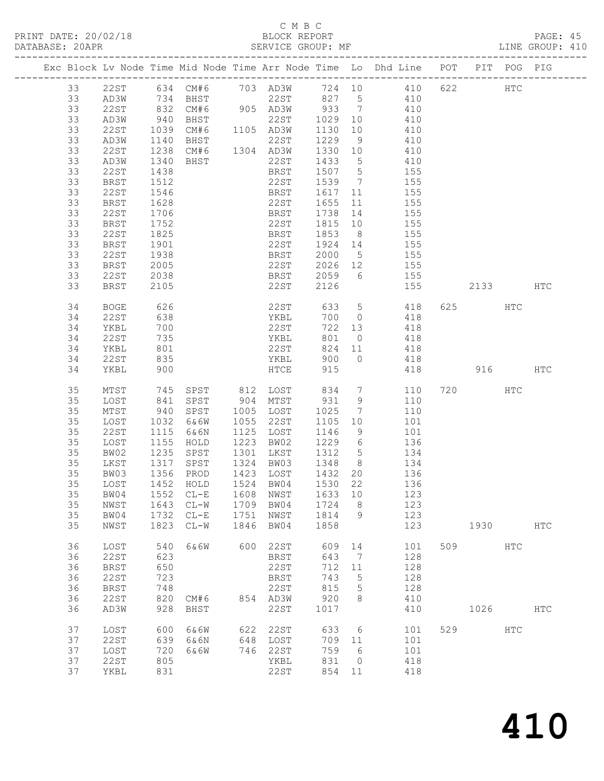## C M B C<br>BLOCK REPORT<br>SERVICE GROUP: MF

| DATABASE: 20APR |    |             |                   | SERVICE GROUP: MF                   |      |                             |         |                 |                                                                                             |         |     | LINE GROUP: 410 |  |
|-----------------|----|-------------|-------------------|-------------------------------------|------|-----------------------------|---------|-----------------|---------------------------------------------------------------------------------------------|---------|-----|-----------------|--|
|                 |    |             |                   |                                     |      |                             |         |                 | Exc Block Lv Node Time Mid Node Time Arr Node Time Lo Dhd Line POT PIT POG PIG              |         |     |                 |  |
|                 | 33 |             |                   |                                     |      |                             |         |                 | 22ST 634 CM#6 703 AD3W 724 10 410 622 HTC                                                   |         |     |                 |  |
|                 | 33 |             |                   |                                     |      |                             |         |                 | AD3W 734 BHST 22ST 827 5 410                                                                |         |     |                 |  |
|                 | 33 | 22ST        |                   |                                     |      |                             |         |                 | 832 CM#6 905 AD3W 933 7 410<br>940 BHST 22ST 1029 10 410<br>1039 CM#6 1105 AD3W 1130 10 410 |         |     |                 |  |
|                 | 33 | AD3W        |                   |                                     |      |                             |         |                 |                                                                                             |         |     |                 |  |
|                 | 33 | 22ST        |                   |                                     |      |                             |         |                 |                                                                                             |         |     |                 |  |
|                 |    |             |                   |                                     |      |                             |         |                 |                                                                                             |         |     |                 |  |
|                 | 33 | AD3W        | 1140              |                                     |      |                             |         |                 | BHST 22ST 1229 9 410<br>CM#6 1304 AD3W 1330 10 410                                          |         |     |                 |  |
|                 | 33 | 22ST        | 1238              |                                     |      |                             |         |                 |                                                                                             |         |     |                 |  |
|                 | 33 | AD3W        | 1340<br>1438      | BHST                                |      | $22ST$ $1433$ 5             |         |                 | 410                                                                                         |         |     |                 |  |
|                 | 33 | 22ST        |                   |                                     |      |                             |         |                 | BRST 1507 5 155                                                                             |         |     |                 |  |
|                 | 33 | BRST        | 1512              |                                     |      |                             |         |                 | 22ST 1539 7 155                                                                             |         |     |                 |  |
|                 | 33 | 22ST        | 1546              |                                     |      | BRST                        |         |                 | 1617 11 155                                                                                 |         |     |                 |  |
|                 | 33 | BRST        |                   |                                     |      |                             |         |                 |                                                                                             |         |     |                 |  |
|                 | 33 | 22ST        | 1628<br>1706      |                                     |      |                             |         |                 | 22ST 1655 11 155<br>BRST 1738 14 155                                                        |         |     |                 |  |
|                 | 33 | BRST        | 1752              |                                     |      |                             |         |                 | 22ST 1815 10 155                                                                            |         |     |                 |  |
|                 | 33 | 22ST        | 1825              |                                     |      | BRST                        |         |                 | 1853 8 155                                                                                  |         |     |                 |  |
|                 | 33 |             |                   |                                     |      |                             |         |                 |                                                                                             |         |     |                 |  |
|                 |    | BRST        | 1901<br>1938      |                                     |      | 22ST 1924 14<br>BRST 2000 5 |         |                 | $\frac{155}{155}$                                                                           |         |     |                 |  |
|                 | 33 | 22ST        |                   |                                     |      |                             |         |                 | 155                                                                                         |         |     |                 |  |
|                 | 33 | BRST        | 2005              |                                     |      |                             |         |                 | 22ST 2026 12 155                                                                            |         |     |                 |  |
|                 | 33 | 22ST        | 2038              |                                     |      |                             |         |                 | BRST 2059 6 155                                                                             |         |     |                 |  |
|                 | 33 | BRST        | 2105              |                                     |      | 22ST                        | 2126    |                 | 155 2133 HTC                                                                                |         |     |                 |  |
|                 | 34 | BOGE        | 626               |                                     |      | 22ST                        |         |                 | 633 5 418                                                                                   | 625     | HTC |                 |  |
|                 | 34 | 22ST        | 638               |                                     |      | YKBL                        |         |                 | 700 0 418                                                                                   |         |     |                 |  |
|                 | 34 | YKBL        | 700               |                                     |      |                             |         |                 | 722 13 418                                                                                  |         |     |                 |  |
|                 | 34 | 22ST        | 700<br>735<br>801 |                                     |      | 22ST<br>YKBL                | 801 0   |                 | 418                                                                                         |         |     |                 |  |
|                 | 34 | YKBL        |                   |                                     |      | 22ST                        |         |                 | $824$ 11 418                                                                                |         |     |                 |  |
|                 |    |             |                   |                                     |      |                             |         |                 |                                                                                             |         |     |                 |  |
|                 | 34 | 22ST        | 835               |                                     |      |                             |         |                 | YKBL 900 0 418                                                                              |         |     |                 |  |
|                 | 34 | YKBL        | 900               |                                     |      | <b>HTCE</b>                 | 915     |                 | 418 916 HTC                                                                                 |         |     |                 |  |
|                 | 35 | MTST        | 745               |                                     |      | SPST 812 LOST 834 7         |         |                 | 110                                                                                         | 720     | HTC |                 |  |
|                 | 35 | LOST        | 841               |                                     |      | SPST 904 MTST 931 9         |         |                 | 110                                                                                         |         |     |                 |  |
|                 | 35 | MTST        | 940               | SPST                                |      | 1005 LOST                   | 1025    | $7\overline{ }$ | 110                                                                                         |         |     |                 |  |
|                 | 35 | LOST        | 1032<br>1115      | 6&6W                                |      | 1055 22ST                   | 1105 10 |                 | 101                                                                                         |         |     |                 |  |
|                 | 35 | 22ST        |                   | 6&6N                                |      | 1125 LOST                   | 1146 9  |                 | 101                                                                                         |         |     |                 |  |
|                 | 35 | LOST        | 1155              | HOLD                                |      | 1223 BW02                   |         |                 | 1229 6 136                                                                                  |         |     |                 |  |
|                 | 35 | BW02        |                   | SPST                                |      | 1301 LKST                   |         |                 | 1312 5 134                                                                                  |         |     |                 |  |
|                 | 35 | LKST        |                   | SPST                                |      | 1324 BW03                   |         |                 |                                                                                             |         |     |                 |  |
|                 | 35 | BW03        |                   | 1235 SPST<br>1317 SPST<br>1356 PROD |      | 1423 LOST                   |         |                 | 1348 8 134<br>1432 20 136                                                                   |         |     |                 |  |
|                 |    |             |                   |                                     |      |                             |         |                 |                                                                                             |         |     |                 |  |
|                 |    |             |                   |                                     |      |                             |         |                 | 35 LOST 1452 HOLD 1524 BW04 1530 22 136                                                     |         |     |                 |  |
|                 | 35 | BW04        |                   | 1552 CL-E                           | 1608 | NWST                        | 1633 10 |                 | 123                                                                                         |         |     |                 |  |
|                 | 35 | NWST        |                   | 1643 CL-W                           |      | 1709 BW04                   | 1724    | 8 <sup>8</sup>  | 123                                                                                         |         |     |                 |  |
|                 | 35 | BW04        |                   | 1732 CL-E                           | 1751 | NWST                        | 1814 9  |                 | 123                                                                                         |         |     |                 |  |
|                 | 35 | NWST        | 1823              | $CL-W$                              | 1846 | BW04                        | 1858    |                 | 123                                                                                         |         |     | HTC             |  |
|                 | 36 | LOST        | 540               | 6&6W                                | 600  | 22ST                        | 609     | 14              | 101                                                                                         | 509 HTC |     |                 |  |
|                 | 36 | 22ST        | 623               |                                     |      | BRST                        | 643     | $\overline{7}$  | 128                                                                                         |         |     |                 |  |
|                 | 36 |             | 650               |                                     |      | 22ST                        | 712     |                 | 128                                                                                         |         |     |                 |  |
|                 |    | BRST        |                   |                                     |      |                             |         | 11              |                                                                                             |         |     |                 |  |
|                 | 36 | <b>22ST</b> | 723               |                                     |      | BRST                        | 743     | $5^{\circ}$     | 128                                                                                         |         |     |                 |  |
|                 | 36 | <b>BRST</b> | 748               |                                     |      | 22ST                        | 815     | $5\overline{)}$ | 128                                                                                         |         |     |                 |  |
|                 | 36 | 22ST        | 820               | CM#6                                |      | 854 AD3W                    | 920     | 8               | 410                                                                                         |         |     |                 |  |
|                 | 36 | AD3W        | 928               | BHST                                |      | 22ST                        | 1017    |                 | 410                                                                                         | 1026    |     | <b>HTC</b>      |  |
|                 | 37 | LOST        | 600               | 6&6W                                | 622  | 22ST                        | 633     | 6               | 101                                                                                         | 529     | HTC |                 |  |
|                 | 37 | 22ST        | 639               | 6&6N                                |      | 648 LOST                    | 709 11  |                 | 101                                                                                         |         |     |                 |  |
|                 | 37 | LOST        | 720               | 6&6W                                | 746  | 22ST                        | 759     | 6               | 101                                                                                         |         |     |                 |  |
|                 | 37 | 22ST        | 805               |                                     |      | YKBL                        | 831     | $\overline{0}$  | 418                                                                                         |         |     |                 |  |
|                 | 37 |             | 831               |                                     |      | 22ST                        | 854 11  |                 | 418                                                                                         |         |     |                 |  |
|                 |    | YKBL        |                   |                                     |      |                             |         |                 |                                                                                             |         |     |                 |  |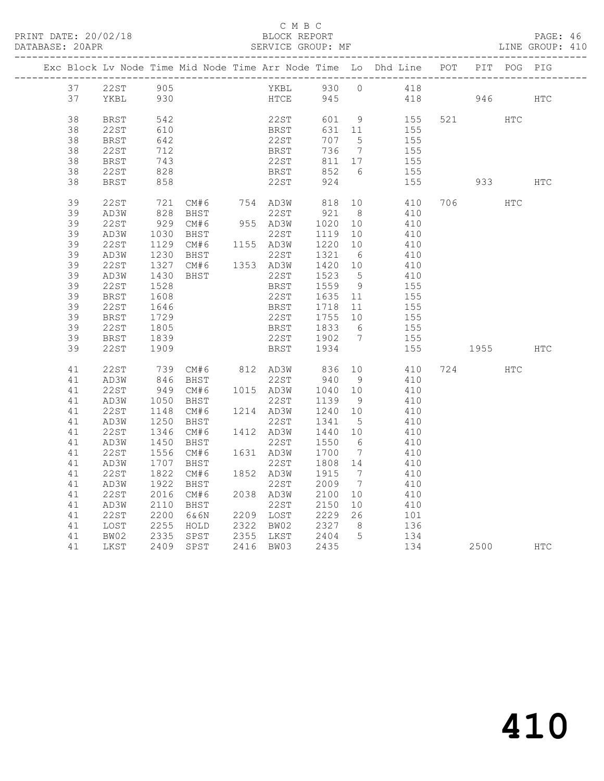|  |          |                      |                                                        |                                                     |                                            |                          |                | Exc Block Lv Node Time Mid Node Time Arr Node Time Lo Dhd Line POT |          | PIT POG PIG |     |
|--|----------|----------------------|--------------------------------------------------------|-----------------------------------------------------|--------------------------------------------|--------------------------|----------------|--------------------------------------------------------------------|----------|-------------|-----|
|  | 37       |                      |                                                        |                                                     |                                            |                          |                | YKBL 930 0 418                                                     |          |             |     |
|  | 37       | 22ST 905<br>YKBL 930 |                                                        |                                                     | HTCE                                       | 945                      |                |                                                                    | 418 946  |             | HTC |
|  |          |                      |                                                        |                                                     |                                            |                          |                |                                                                    |          |             |     |
|  | 38       | BRST                 | 542                                                    |                                                     | 22ST                                       | 601 9                    |                | 155                                                                | 521 HTC  |             |     |
|  | 38       | 22ST                 | 610                                                    |                                                     | <b>BRST</b>                                | 631 11                   |                | 155                                                                |          |             |     |
|  | 38       | BRST                 | 642                                                    |                                                     | 22ST                                       | 707 5                    |                | 155                                                                |          |             |     |
|  | 38       | 22ST                 | 712                                                    |                                                     | BRST                                       | 736 7                    |                | 155                                                                |          |             |     |
|  | 38       | <b>BRST</b>          | 743<br>$\begin{array}{c} \n 743 \\  828\n \end{array}$ |                                                     | 22ST 811 17<br>BRST 852 6                  | 811 17                   |                | 155                                                                |          |             |     |
|  | 38       | 22ST                 |                                                        |                                                     |                                            |                          |                | 155                                                                |          |             |     |
|  | 38       | BRST                 | 858                                                    |                                                     | 22ST                                       | 924                      |                | 155                                                                | 933 000  |             | HTC |
|  | 39       | 22ST                 |                                                        | 721 CM#6 754 AD3W<br>828 BHST 22ST                  |                                            | 818                      | 10             | 410                                                                | 706 700  | HTC         |     |
|  | 39       | AD3W                 |                                                        |                                                     |                                            | 921 8                    |                | 410                                                                |          |             |     |
|  | 39       | 22ST                 |                                                        | 929 CM#6                                            | 955 AD3W                                   | 1020                     | 10             | 410                                                                |          |             |     |
|  | 39       | AD3W                 | 1030                                                   | BHST                                                | 22ST                                       | 1119 10                  |                | 410                                                                |          |             |     |
|  | 39       | 22ST                 |                                                        | 1129 CM#6                                           | 1155 AD3W                                  | 1220 10                  |                | 410                                                                |          |             |     |
|  | 39       | AD3W                 | 1230                                                   |                                                     | BHST 22ST 1321 6<br>CM#6 1353 AD3W 1420 10 |                          |                | 410                                                                |          |             |     |
|  | 39       | 22ST                 | 1327                                                   |                                                     |                                            |                          |                | 410                                                                |          |             |     |
|  | 39       | AD3W                 | 1430                                                   | BHST                                                | 22ST                                       | 1523 5<br>1559 9         |                | 410<br>155                                                         |          |             |     |
|  | 39       | 22ST                 | 1528                                                   |                                                     | BRST                                       |                          |                |                                                                    |          |             |     |
|  | 39<br>39 | <b>BRST</b>          | 1608<br>1646                                           |                                                     | 22ST<br>BRST                               | 1635    11<br>1718    11 |                | 155<br>155                                                         |          |             |     |
|  | 39       | 22ST<br>BRST         | 1729                                                   |                                                     | 22ST                                       |                          |                | 155                                                                |          |             |     |
|  | 39       | 22ST                 | 1805                                                   |                                                     | <b>BRST</b>                                | 1755 10<br>1833 6        |                | 155                                                                |          |             |     |
|  | 39       | <b>BRST</b>          | 1839                                                   |                                                     |                                            |                          |                | 155                                                                |          |             |     |
|  | 39       | 22ST                 | 1909                                                   |                                                     | 22ST 1902 7<br>BRST 1903 7                 |                          |                | 155                                                                | 1955 HTC |             |     |
|  |          |                      |                                                        |                                                     |                                            |                          |                |                                                                    |          |             |     |
|  | 41       | 22ST                 | 739                                                    |                                                     |                                            |                          |                | CM#6 812 AD3W 836 10 410<br>BHST 22ST 940 9 410                    | 724      | HTC         |     |
|  | 41       | AD3W                 | 846                                                    |                                                     |                                            |                          |                |                                                                    |          |             |     |
|  | 41<br>41 | 22ST                 |                                                        | 949 CM#6 1015 AD3W 1040 10<br>1050 BHST 22ST 1139 9 |                                            |                          |                | 410<br>410                                                         |          |             |     |
|  | 41       | AD3W<br>22ST         | 1148                                                   | CM#6                                                |                                            |                          |                |                                                                    |          |             |     |
|  | 41       | AD3W                 | 1250                                                   | BHST                                                | 1214 AD3W<br>22ST                          | 1240 10<br>1341 5        |                | 410<br>410                                                         |          |             |     |
|  | 41       | 22ST                 |                                                        | 1346 CM#6                                           |                                            |                          |                | 410                                                                |          |             |     |
|  | 41       | AD3W                 | 1450                                                   | BHST                                                | 1412 AD3W 1440 10<br>22ST 1550 6           |                          |                | 410                                                                |          |             |     |
|  | 41       | 22ST                 |                                                        | 1556 CM#6                                           | 1631 AD3W                                  | 1700                     | $\overline{7}$ | 410                                                                |          |             |     |
|  | 41       | AD3W                 | 1707                                                   | BHST                                                | 22ST                                       | 1808 14                  |                | 410                                                                |          |             |     |
|  | 41       | 22ST                 |                                                        | 1822 CM#6                                           | 1852 AD3W                                  | 1915 7                   |                | 410                                                                |          |             |     |
|  | 41       | AD3W                 | 1922                                                   | BHST                                                | 22ST                                       | 2009 7                   |                | 410                                                                |          |             |     |
|  | 41       | 22ST                 | 2016                                                   | CM#6                                                | 2038 AD3W                                  | 2100 10                  |                | 410                                                                |          |             |     |
|  | 41       | AD3W                 | 2110                                                   | BHST                                                | 22ST                                       | 2150                     |                | $\frac{410}{101}$                                                  |          |             |     |
|  | 41       | 22ST                 | 2200                                                   | 6&6N                                                | 2209 LOST                                  | 2150 10<br>2229 26       |                |                                                                    |          |             |     |
|  | 41       | LOST                 | 2255<br>2335                                           | HOLD                                                | 2322 BW02 2327 8<br>2355 LKST 2404 5       |                          |                | 136                                                                |          |             |     |
|  | 41       | BW02                 |                                                        | SPST                                                |                                            |                          |                | 134                                                                |          |             |     |
|  | 41       | LKST                 |                                                        | 2409 SPST                                           | 2416 BW03 2435                             |                          |                | 134                                                                | 2500     | HTC         |     |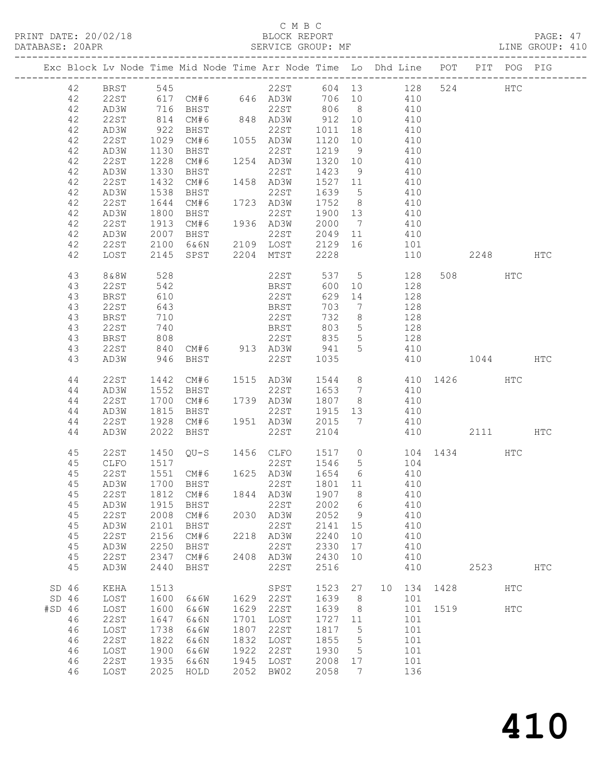#### C M B C<br>BLOCK REPORT

| DATABASE: 20APR |    |         |      |                   |      |           |      |                   | SERVICE GROUP: MF                                                              |          | LINE GROUP: 410 |  |
|-----------------|----|---------|------|-------------------|------|-----------|------|-------------------|--------------------------------------------------------------------------------|----------|-----------------|--|
|                 |    |         |      |                   |      |           |      |                   | Exc Block Lv Node Time Mid Node Time Arr Node Time Lo Dhd Line POT PIT POG PIG |          |                 |  |
|                 | 42 | BRST    |      |                   |      | 545 22ST  |      |                   | 128<br>604 13                                                                  | 524 HTC  |                 |  |
|                 | 42 | 22 S T  |      | 617 CM#6 646 AD3W |      |           | 706  |                   | 410                                                                            |          |                 |  |
|                 | 42 | AD3W    | 716  | BHST              |      | 22ST      | 806  |                   | $8 \overline{)}$<br>410                                                        |          |                 |  |
|                 | 42 | 22ST    | 814  | CM#6              |      | 848 AD3W  | 912  | 10                | 410                                                                            |          |                 |  |
|                 | 42 | AD3W    | 922  | BHST              |      | 22ST      | 1011 | 18                | 410                                                                            |          |                 |  |
|                 | 42 | 22ST    | 1029 | CM#6              |      | 1055 AD3W | 1120 | 10                | 410                                                                            |          |                 |  |
|                 | 42 | AD3W    | 1130 | BHST              |      | 22ST      | 1219 | -9                | 410                                                                            |          |                 |  |
|                 | 42 | 22ST    | 1228 | CM#6              | 1254 | AD3W      | 1320 |                   | 410                                                                            |          |                 |  |
|                 | 42 | AD3W    | 1330 | BHST              |      | 22ST      | 1423 | 9                 | 410                                                                            |          |                 |  |
|                 | 42 | 22 S T  | 1432 | CM#6              |      | 1458 AD3W | 1527 |                   | 410<br>11                                                                      |          |                 |  |
|                 | 42 | AD3W    | 1538 | BHST              |      | 22ST      | 1639 | 5                 | 410                                                                            |          |                 |  |
|                 | 42 | 22ST    | 1644 | CM#6              |      | 1723 AD3W | 1752 | 8 <sup>1</sup>    | 410                                                                            |          |                 |  |
|                 | 42 | AD3W    | 1800 | BHST              |      | 22ST      | 1900 | 13                | 410                                                                            |          |                 |  |
|                 | 42 | 22ST    | 1913 | CM#6              | 1936 | AD3W      | 2000 | $7\phantom{.0}\,$ | 410                                                                            |          |                 |  |
|                 | 42 | AD3W    | 2007 | BHST              |      | 22ST      | 2049 |                   | 410<br>11 1                                                                    |          |                 |  |
|                 | 42 | 22ST    | 2100 | 6&6N              | 2109 | LOST      | 2129 | 16                | 101                                                                            |          |                 |  |
|                 | 42 | LOST    | 2145 | SPST              | 2204 | MTST      | 2228 |                   | 110                                                                            | 2248 HTC |                 |  |
|                 | 43 | 8 & 8 W | 528  |                   |      | 22ST      | 537  | $5^{\circ}$       | 128                                                                            | 508 HTC  |                 |  |
|                 | 43 | 22ST    | 542  |                   |      | BRST      | 600  | 10                | 128                                                                            |          |                 |  |
|                 | 43 | BRST    | 610  |                   |      | 22ST      | 629  | 14                | 128                                                                            |          |                 |  |
|                 | 43 | 22ST    | 643  |                   |      | BRST      | 703  | $\overline{7}$    | 128                                                                            |          |                 |  |

 43 BRST 710 22ST 732 8 128 43 22ST 740 BRST 803 5 128 43 BRST 808 22ST 835 5 128

 44 AD3W 1552 BHST 22ST 1653 7 410 44 22ST 1700 CM#6 1739 AD3W 1807 8 410 44 AD3W 1815 BHST 22ST 1915 13 410

45 CLFO 1517 22ST 1546 5 104

45 AD3W 1915 BHST 22ST 2002 6 410

45 AD3W 2101 BHST 22ST 2141 15 410

45 AD3W 2250 BHST 22ST 2330 17 410

 46 22ST 1647 6&6N 1701 LOST 1727 11 101 46 LOST 1738 6&6W 1807 22ST 1817 5 101 46 22ST 1822 6&6N 1832 LOST 1855 5 101 46 LOST 1900 6&6W 1922 22ST 1930 5 101 46 22ST 1935 6&6N 1945 LOST 2008 17 101 46 LOST 2025 HOLD 2052 BW02 2058 7 136

43 22ST 840 CM#6 913 AD3W 941 5 410

44 22ST 1928 CM#6 1951 AD3W 2015 7 410

 45 22ST 1551 CM#6 1625 AD3W 1654 6 410 45 AD3W 1700 BHST 22ST 1801 11 410 45 22ST 1812 CM#6 1844 AD3W 1907 8 410

45 22ST 2008 CM#6 2030 AD3W 2052 9 410

45 22ST 2156 CM#6 2218 AD3W 2240 10 410

45 22ST 2347 CM#6 2408 AD3W 2430 10 410

SD 46 LOST 1600 6&6W 1629 22ST 1639 8 101

43 AD3W 946 BHST 22ST 1035 410 1044 HTC

44 AD3W 2022 BHST 22ST 2104 410 2111 HTC

45 AD3W 2440 BHST 22ST 2516 410 2523 HTC

410

SD 46 KEHA 1513 SPST 1523 27 10 134 1428 HTC

#SD 46 LOST 1600 6&6W 1629 22ST 1639 8 101 1519 HTC

44 22ST 1442 CM#6 1515 AD3W 1544 8 410 1426 HTC

45 22ST 1450 QU-S 1456 CLFO 1517 0 104 1434 HTC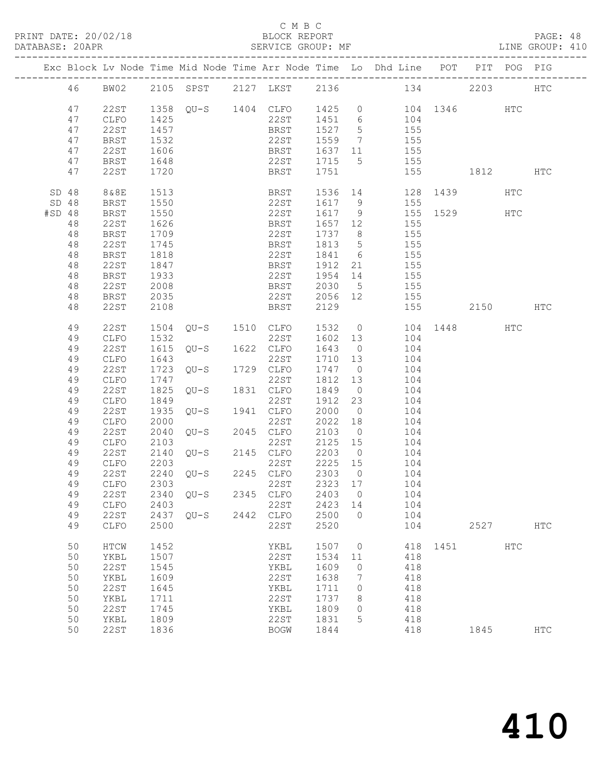#### C M B C<br>BLOCK REPORT

PAGE: 48<br>LINE GROUP: 410

|        |          |                   |      |                    |      |                    |         |                | Exc Block Lv Node Time Mid Node Time Arr Node Time Lo Dhd Line POT PIT POG PIG |      |          |            |               |
|--------|----------|-------------------|------|--------------------|------|--------------------|---------|----------------|--------------------------------------------------------------------------------|------|----------|------------|---------------|
|        | 46       | BW02              |      |                    |      |                    |         |                | 2105 SPST 2127 LKST 2136 134 2203                                              |      |          |            | <b>HTC</b>    |
|        | 47<br>47 | 22ST<br>CLFO      | 1425 |                    |      | 22ST 1451 6        |         |                | 1358 QU-S 1404 CLFO 1425 0 104 1346 HTC<br>104                                 |      |          |            |               |
|        | 47       | 22ST              | 1457 |                    |      | BRST               | 1527 5  |                | 155                                                                            |      |          |            |               |
|        |          |                   |      |                    |      |                    |         |                |                                                                                |      |          |            |               |
|        | 47       | BRST              | 1532 |                    |      | 22ST               | 1559    | $\overline{7}$ | 155                                                                            |      |          |            |               |
|        | 47       | 22ST              | 1606 |                    |      | BRST               | 1637 11 |                | 155                                                                            |      |          |            |               |
|        | 47       | BRST              | 1648 |                    |      | 22ST               | 1715 5  |                | 155                                                                            |      |          |            |               |
|        | 47       | 22ST              | 1720 |                    |      | BRST               | 1751    |                |                                                                                |      | 155 1812 |            | HTC           |
|        | SD 48    | 8&8E              | 1513 |                    |      | BRST               |         |                | 1536 14 128 1439                                                               |      |          | HTC        |               |
|        | SD 48    | BRST              | 1550 |                    |      | 22ST               |         |                | 1617 9 155                                                                     |      |          |            |               |
| #SD 48 |          | BRST              | 1550 |                    |      | 22ST               | 1617 9  |                | 155 1529 HTC                                                                   |      |          |            |               |
|        | 48       | 22ST              | 1626 |                    |      | BRST               | 1657 12 |                | 155                                                                            |      |          |            |               |
|        | 48       | <b>BRST</b>       | 1709 |                    |      | 22ST               | 1737 8  |                | 155                                                                            |      |          |            |               |
|        | 48       | 22ST              | 1745 |                    |      | BRST               | 1813    | 5 <sup>5</sup> | 155                                                                            |      |          |            |               |
|        | 48       | <b>BRST</b>       | 1818 |                    |      | 22ST               | 1841 6  |                | 155                                                                            |      |          |            |               |
|        | 48       | 22ST              | 1847 |                    |      | BRST               | 1912    | 21             | 155                                                                            |      |          |            |               |
|        | 48       | BRST              | 1933 |                    |      | 22ST               | 1954 14 |                | 155                                                                            |      |          |            |               |
|        | 48       | 22ST              | 2008 |                    |      | <b>BRST</b>        | 2030 5  |                | 155                                                                            |      |          |            |               |
|        | 48       | BRST              | 2035 |                    |      | 22ST               | 2056 12 |                | 155                                                                            |      |          |            |               |
|        | 48       | 22ST              | 2108 |                    |      | BRST               | 2129    |                |                                                                                | 155  | 2150 HTC |            |               |
|        | 49       | 22ST              | 1504 | $QU-S$ 1510 $CLFO$ |      |                    | 1532    |                | 0 104 1448                                                                     |      |          | HTC        |               |
|        | 49       | CLFO              | 1532 |                    |      | 22ST               | 1602 13 |                | 104                                                                            |      |          |            |               |
|        | 49       | 22ST              | 1615 | $QU-S$             |      | 1622 CLFO          | 1643 0  |                | 104                                                                            |      |          |            |               |
|        | 49       | ${\tt CLFO}$      | 1643 |                    |      | 22ST               | 1710 13 |                | 104                                                                            |      |          |            |               |
|        | 49       | 22ST              | 1723 | $QU-S$             |      | 1729 CLFO          | 1747 0  |                | 104                                                                            |      |          |            |               |
|        | 49       |                   |      |                    |      | 22ST               |         |                | 104                                                                            |      |          |            |               |
|        |          | CLFO              | 1747 | $QU-S$             |      | 1831 CLFO          | 1812 13 |                |                                                                                |      |          |            |               |
|        | 49       | 22ST              | 1825 |                    |      |                    | 1849    | $\overline{0}$ | 104                                                                            |      |          |            |               |
|        | 49       | ${\tt CLFO}$      | 1849 |                    |      | 22ST               | 1912 23 |                | 104                                                                            |      |          |            |               |
|        | 49       | 22ST              | 1935 | QU-S               |      | 1941 CLFO          | 2000    | $\overline{0}$ | 104                                                                            |      |          |            |               |
|        | 49       | CLFO              | 2000 |                    |      | 22ST               | 2022 18 |                | 104                                                                            |      |          |            |               |
|        | 49       | 22ST              | 2040 | $QU-S$             |      | 2045 CLFO          | 2103    | $\overline{0}$ | 104                                                                            |      |          |            |               |
|        | 49       | CLFO              | 2103 | $QU-S$             |      | 22ST               | 2125 15 |                | 104                                                                            |      |          |            |               |
|        | 49       | 22ST              | 2140 |                    |      | 2145 CLFO          | 2203 0  |                | 104                                                                            |      |          |            |               |
|        | 49       | CLFO              | 2203 |                    |      | 22ST 2225 15       |         |                | 104                                                                            |      |          |            |               |
|        | 49       | 22ST              | 2240 |                    |      | $QU-S$ 2245 $CLFO$ | 2303 0  |                | 104                                                                            |      |          |            |               |
|        | 49       | CLFO              | 2303 |                    |      | 22ST               | 2323 17 |                | 104                                                                            |      |          |            |               |
|        |          | 49 22ST 2340 QU-S |      |                    |      | 2345 CLFO 2403 0   |         |                | 104                                                                            |      |          |            |               |
|        | 49       | CLFO              | 2403 |                    |      | 22ST               | 2423    | 14             | 104                                                                            |      |          |            |               |
|        | 49       | 22ST              | 2437 | $OU-S$             | 2442 | CLFO               | 2500    | $\Omega$       | 104                                                                            |      |          |            |               |
|        | 49       | CLFO              | 2500 |                    |      | 22ST               | 2520    |                | 104                                                                            |      | 2527     |            | <b>HTC</b>    |
|        | 50       | HTCW              | 1452 |                    |      | YKBL               | 1507    | $\circ$        | 418                                                                            | 1451 |          | <b>HTC</b> |               |
|        | 50       | YKBL              | 1507 |                    |      | 22ST               | 1534    | 11             | 418                                                                            |      |          |            |               |
|        | 50       | <b>22ST</b>       | 1545 |                    |      | YKBL               | 1609    | 0              | 418                                                                            |      |          |            |               |
|        | 50       | YKBL              | 1609 |                    |      | 22ST               | 1638    | 7              | 418                                                                            |      |          |            |               |
|        | 50       | <b>22ST</b>       | 1645 |                    |      | YKBL               | 1711    | 0              | 418                                                                            |      |          |            |               |
|        | 50       | YKBL              | 1711 |                    |      | 22ST               | 1737    | 8              | 418                                                                            |      |          |            |               |
|        | 50       | <b>22ST</b>       | 1745 |                    |      | YKBL               | 1809    | 0              | 418                                                                            |      |          |            |               |
|        | 50       | YKBL              | 1809 |                    |      | 22ST               | 1831    | 5              | 418                                                                            |      |          |            |               |
|        | 50       | <b>22ST</b>       | 1836 |                    |      | <b>BOGW</b>        | 1844    |                | 418                                                                            |      | 1845     |            | $_{\rm{HTC}}$ |
|        |          |                   |      |                    |      |                    |         |                |                                                                                |      |          |            |               |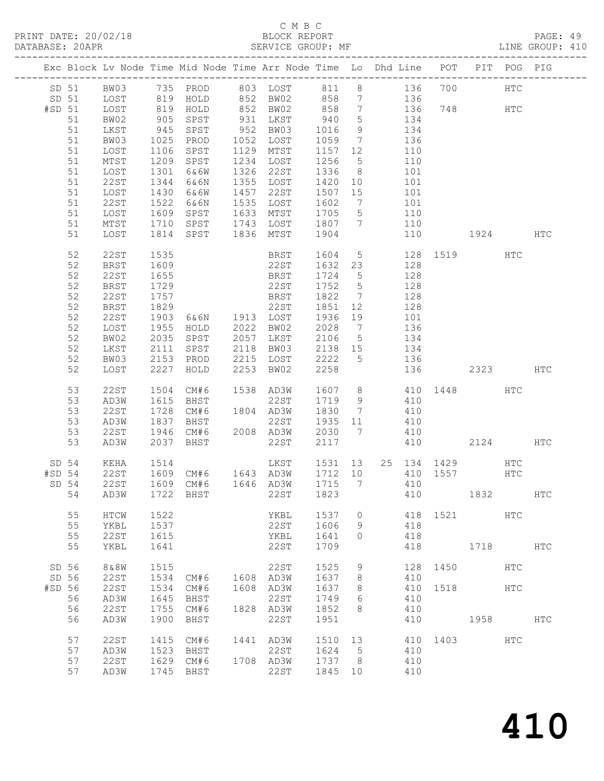#### C M B C BLOCK REPORT<br>SERVICE GROUP: MF

|        |                                                                |                                                                                                    |                                      |                                                                       |      | BLOCK REPORT PAGE: 49<br>SERVICE GROUP: MF LINE GROUP: 410<br>PRINT DATE: 20/02/18 BLOCK REPORT<br>DATABASE: 20APR SERVICE GROUP:                                                                        |                                      |                         |                                 |                                               |      |                          |              |  |
|--------|----------------------------------------------------------------|----------------------------------------------------------------------------------------------------|--------------------------------------|-----------------------------------------------------------------------|------|----------------------------------------------------------------------------------------------------------------------------------------------------------------------------------------------------------|--------------------------------------|-------------------------|---------------------------------|-----------------------------------------------|------|--------------------------|--------------|--|
|        |                                                                |                                                                                                    |                                      |                                                                       |      | Exc Block Lv Node Time Mid Node Time Arr Node Time Lo Dhd Line POT PIT POG PIG                                                                                                                           |                                      |                         |                                 |                                               |      |                          |              |  |
| #SD 51 | 51<br>51                                                       | BW02<br>LKST                                                                                       |                                      | 905 SPST<br>945 SPST<br>1025 PROD                                     |      | SD 51 BW03 735 PROD 803 LOST 811 8 136 700<br>SD 51 LOST 819 HOLD 852 BW02 858 7 136<br>LOST 819 HOLD 852 BW02 858 7 136 748 HTC<br>931 LKST 940 5 134<br>952 BW03 1016 9 134<br>1052 LOST 1059 7 136    |                                      |                         |                                 |                                               |      | HTC                      |              |  |
|        | 51<br>51<br>51<br>51<br>51<br>51<br>51<br>51<br>51             | BW03<br>LOST<br>MTST<br>LOST<br>22ST<br>LOST<br>22ST<br>LOST<br>MTST                               | 1522                                 | 1106 SPST<br>1209 SPST<br>1301 6&6W<br>1344 6&6N<br>1430 6&6W<br>6&6N |      | 1129 MTST 1157 12 110<br>1234 LOST<br>1326 22ST 1336 8 101<br>1355 LOST 1420 10 101<br>1457 22ST 1507 15 101<br>1535 LOST 1602 7 101<br>1609 SPST 1633 MTST 1705 5 110<br>1710 SPST 1743 LOST 1807 7 110 | 1256 5 110                           |                         |                                 |                                               |      |                          |              |  |
|        | 51                                                             | LOST                                                                                               |                                      |                                                                       |      | 1814 SPST 1836 MTST 1904                                                                                                                                                                                 |                                      |                         | 110                             | 1924 HTC                                      |      |                          |              |  |
|        | 52<br>52<br>52<br>52<br>52<br>52<br>52<br>52<br>52<br>52<br>52 | 22ST<br>BRST<br>22ST<br><b>BRST</b><br>22ST<br><b>BRST</b><br>22ST<br>LOST<br>BW02<br>LKST<br>BW03 | 1955<br>2035                         | 1535<br>1609<br>1655<br>HOLD<br>SPST<br>2111 SPST<br>2153 PROD        |      | BRST 1604 5 128 1519<br>22ST 1632 23 128<br>BRST 1724 5 128<br>22ST 1752 5 128<br>2022 BW02<br>2057 LKST 2106 5 134<br>2118 BW03 2138 15 134<br>2215 LOST 2222 5 136                                     | 2028 7 136                           |                         |                                 |                                               |      | HTC                      |              |  |
|        | 52                                                             | LOST                                                                                               |                                      | 2227 HOLD                                                             |      | 2253 BW02                                                                                                                                                                                                |                                      |                         |                                 | 2258 136 2323 HTC                             |      |                          |              |  |
|        | 53<br>53<br>53<br>53<br>53<br>53                               | 22ST<br>AD3W<br>22ST<br>AD3W<br>22ST<br>AD3W                                                       | 1504<br>1728<br>1837                 | CM#6<br>1615 BHST<br>BHST                                             |      | 1538 AD3W<br>22ST<br>CM#6 1804 AD3W 1830 7 410<br>22ST 1935 11 410<br>1946 CM#6 2008 AD3W 2030 7 410<br>2037 BHST 22ST 2117 410                                                                          |                                      |                         |                                 | 1607 8 410 1448 HTC<br>1719 9 410<br>2124 HTC |      |                          |              |  |
| SD 54  | SD 54<br>54                                                    | KEHA<br>22ST<br>AD3W                                                                               | 1514<br>1609<br>1722                 | CM#6<br>BHST                                                          |      | LKST 1531 13 25 134 1429 HTC<br>1646 AD3W<br>22ST                                                                                                                                                        | 1715<br>1823                         | 7                       | 410<br>410                      | 410 1557                                      | 1832 | <b>HTC</b>               | HTC          |  |
|        | 55<br>55<br>55<br>55                                           | HTCW<br>YKBL<br><b>22ST</b><br>YKBL                                                                | 1522<br>1537<br>1615<br>1641         |                                                                       |      | YKBL<br>22ST<br>YKBL<br>22ST                                                                                                                                                                             | 1537<br>1606<br>1641<br>1709         | $\circ$<br>9<br>$\circ$ | 418<br>418<br>418<br>418        | 1521                                          | 1718 | <b>HTC</b>               | $_{\rm HTC}$ |  |
| #SD 56 | SD 56<br>SD 56<br>56<br>56                                     | 8 & 8 W<br><b>22ST</b><br><b>22ST</b><br>AD3W<br><b>22ST</b>                                       | 1515<br>1534<br>1534<br>1645<br>1755 | CM#6<br>CM#6<br>BHST<br>CM#6                                          | 1608 | 22ST<br>1608 AD3W<br>AD3W<br>22ST<br>1828 AD3W                                                                                                                                                           | 1525<br>1637<br>1637<br>1749<br>1852 | 9<br>8<br>8<br>6<br>8   | 128<br>410<br>410<br>410<br>410 | 1450<br>1518                                  |      | <b>HTC</b><br><b>HTC</b> |              |  |
|        | 56<br>57<br>57<br>57<br>57                                     | AD3W<br><b>22ST</b><br>AD3W<br><b>22ST</b><br>AD3W                                                 | 1900<br>1415<br>1523<br>1629<br>1745 | BHST<br>CM#6<br>BHST<br>CM#6<br>BHST                                  | 1441 | 22ST<br>AD3W<br>22ST<br>1708 AD3W<br>22ST                                                                                                                                                                | 1951<br>1510<br>1624<br>1737<br>1845 | 13<br>5<br>8<br>10      | 410<br>410<br>410<br>410<br>410 | 1403                                          | 1958 | HTC                      | HTC          |  |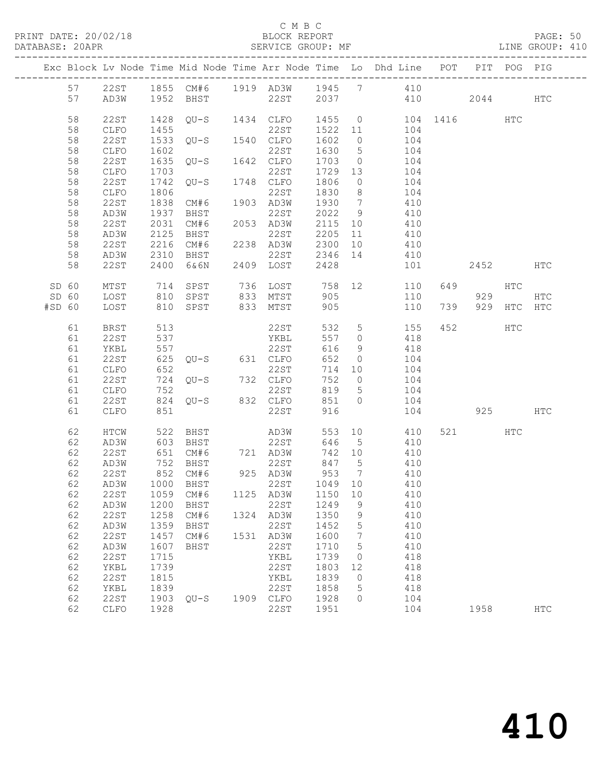#### C M B C<br>BLOCK REPORT

PAGE: 50<br>LINE GROUP: 410

|        |          |                     |              |                                            |      |                   |              |                      | Exc Block Lv Node Time Mid Node Time Arr Node Time Lo Dhd Line POT PIT POG PIG |              |        |           |               |
|--------|----------|---------------------|--------------|--------------------------------------------|------|-------------------|--------------|----------------------|--------------------------------------------------------------------------------|--------------|--------|-----------|---------------|
|        | 57       | 22ST                |              |                                            |      |                   |              |                      | 1855 CM#6 1919 AD3W 1945 7 410                                                 |              |        |           |               |
|        | 57       | AD3W                | 1952         | BHST                                       |      | 22ST              |              |                      | 2037 410                                                                       |              | 2044   |           | <b>HTC</b>    |
|        | 58       | 22ST                | 1428         | QU-S                                       |      | 1434 CLFO         |              |                      | 1455 0                                                                         | 104 1416 HTC |        |           |               |
|        | 58       | CLFO                | 1455         |                                            |      | 22ST              | 1522 11      |                      | 104                                                                            |              |        |           |               |
|        | 58       | 22ST                | 1533         | $QU-S$                                     |      | 1540 CLFO         | 1602         | $\overline{0}$       | 104                                                                            |              |        |           |               |
|        | 58       | CLFO                | 1602         |                                            |      | 22ST              | 1630         | $5\overline{)}$      | 104                                                                            |              |        |           |               |
|        | 58       | 22ST                | 1635         | QU-S                                       |      | 1642 CLFO         | 1703         | $\overline{0}$       | 104                                                                            |              |        |           |               |
|        | 58       | CLFO                | 1703         |                                            |      | 22ST              | 1729         | 13                   | 104                                                                            |              |        |           |               |
|        | 58       | 22ST                | 1742         | QU-S                                       |      | 1748 CLFO         | 1806         | $\overline{0}$       | 104                                                                            |              |        |           |               |
|        | 58       | CLFO                | 1806         |                                            |      | 22ST              | 1830         | 8 <sup>8</sup>       | 104                                                                            |              |        |           |               |
|        | 58<br>58 | 22ST<br>AD3W        | 1838         | CM#6                                       |      | 1903 AD3W<br>22ST | 1930<br>2022 | $7\overline{ }$      | 410<br>410                                                                     |              |        |           |               |
|        | 58       | 22ST                | 1937<br>2031 | BHST<br>CM#6                               |      | 2053 AD3W         | 2115         | 9<br>10              | 410                                                                            |              |        |           |               |
|        | 58       | AD3W                | 2125         | BHST                                       |      | 22ST              | 2205         | 11                   | 410                                                                            |              |        |           |               |
|        | 58       | 22ST                | 2216         | CM#6                                       |      | 2238 AD3W         | 2300         | 10                   | 410                                                                            |              |        |           |               |
|        | 58       | AD3W                | 2310         | BHST                                       |      | 22ST              | 2346         | 14                   | 410                                                                            |              |        |           |               |
|        | 58       | 22ST                | 2400         | 6&6N                                       |      | 2409 LOST         | 2428         |                      | 101                                                                            |              | 2452   |           | <b>HTC</b>    |
| SD 60  |          | MTST                | 714          | SPST                                       |      | 736 LOST          |              |                      | 758 12<br>110                                                                  | 649          |        | HTC       |               |
| SD 60  |          | LOST                | 810          | SPST                                       | 833  | MTST              | 905          |                      | 110                                                                            |              | 929    |           | $_{\rm{HTC}}$ |
| #SD 60 |          | LOST                | 810          | SPST                                       | 833  | MTST              | 905          |                      | 110                                                                            | 739          | 929    | HTC       | HTC           |
|        | 61       | BRST                | 513          |                                            |      | 22ST              | 532          | $5\overline{)}$      | 155                                                                            | 452          |        | HTC       |               |
|        | 61       | 22ST                | 537          |                                            |      | YKBL              | 557          | $\overline{0}$       | 418                                                                            |              |        |           |               |
|        | 61       | YKBL                | 557          |                                            |      | 22ST              | 616          | 9                    | 418                                                                            |              |        |           |               |
|        | 61       | 22ST                | 625          | QU-S 631 CLFO                              |      |                   | 652          | $\circ$              | 104                                                                            |              |        |           |               |
|        | 61<br>61 | CLFO<br>22ST        | 652<br>724   | $QU-S$ 732 $CLFO$                          |      | 22ST              | 714<br>752   | 10<br>$\overline{0}$ | 104<br>104                                                                     |              |        |           |               |
|        | 61       | CLFO                | 752          |                                            |      | 22ST              | 819          | $5\overline{)}$      | 104                                                                            |              |        |           |               |
|        | 61       | 22ST                | 824          | $QU-S$ 832 $CLFO$                          |      |                   | 851          | $\Omega$             | 104                                                                            |              |        |           |               |
|        | 61       | CLFO                | 851          |                                            |      | 22ST              | 916          |                      | 104                                                                            |              |        | 925 — 100 | HTC           |
|        | 62       | HTCW                | 522          | BHST                                       |      | AD3W              | 553          | 10                   | 410                                                                            |              | 521 72 | HTC       |               |
|        | 62       | AD3W                | 603          | BHST                                       |      | 22ST              | 646          | $5^{\circ}$          | 410                                                                            |              |        |           |               |
|        | 62       | 22ST                | 651          | CM#6                                       |      | 721 AD3W          | 742 10       |                      | 410                                                                            |              |        |           |               |
|        | 62       | AD3W                | 752          | BHST                                       |      | 22ST              | 847 5        |                      | 410                                                                            |              |        |           |               |
|        | 62       | 22ST                |              | 852 CM#6                                   |      | 925 AD3W          | 953          | $\overline{7}$       | 410                                                                            |              |        |           |               |
|        | 62       | AD3W                |              | 1000 BHST                                  |      | 22ST              | 1049 10      |                      | 410                                                                            |              |        |           |               |
|        |          |                     |              | 62  22ST  1059  CM#6  1125  AD3W  1150  10 |      |                   |              |                      | 410                                                                            |              |        |           |               |
|        | 62<br>62 | AD3W<br><b>22ST</b> | 1200<br>1258 | BHST<br>CM#6                               | 1324 | 22ST<br>AD3W      | 1249<br>1350 | 9<br>9               | 410<br>410                                                                     |              |        |           |               |
|        | 62       | AD3W                | 1359         | BHST                                       |      | 22ST              | 1452         | 5                    | 410                                                                            |              |        |           |               |
|        | 62       | <b>22ST</b>         | 1457         | CM#6                                       | 1531 | AD3W              | 1600         | 7                    | 410                                                                            |              |        |           |               |
|        | 62       | AD3W                | 1607         | BHST                                       |      | 22ST              | 1710         | 5                    | 410                                                                            |              |        |           |               |
|        | 62       | <b>22ST</b>         | 1715         |                                            |      | YKBL              | 1739         | 0                    | 418                                                                            |              |        |           |               |
|        | 62       | YKBL                | 1739         |                                            |      | 22ST              | 1803         | 12                   | 418                                                                            |              |        |           |               |
|        | 62       | <b>22ST</b>         | 1815         |                                            |      | YKBL              | 1839         | $\circ$              | 418                                                                            |              |        |           |               |
|        | 62       | YKBL                | 1839         |                                            |      | 22ST              | 1858         | 5                    | 418                                                                            |              |        |           |               |
|        | 62       | 22ST                | 1903         | $QU-S$                                     | 1909 | CLFO              | 1928         | 0                    | 104                                                                            |              |        |           |               |
|        | 62       | CLFO                | 1928         |                                            |      | 22ST              | 1951         |                      | 104                                                                            |              | 1958   |           | <b>HTC</b>    |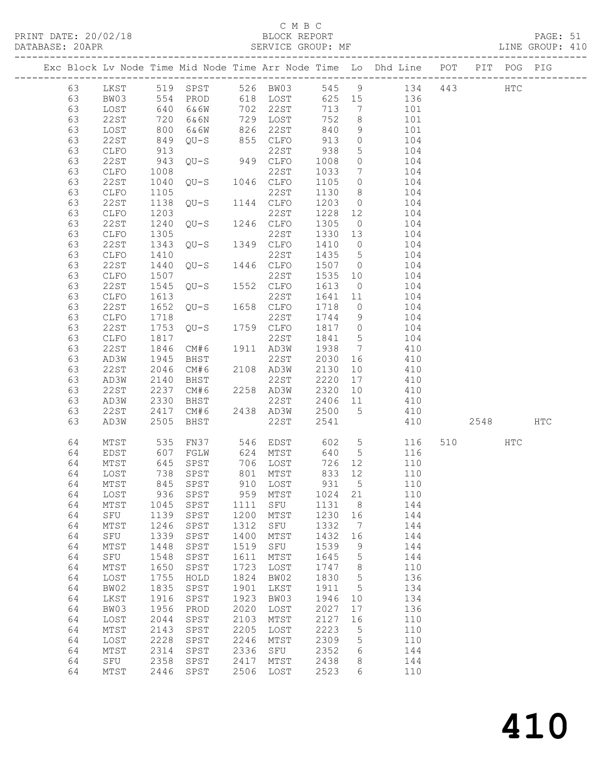## C M B C<br>BLOCK REPORT

| PRINT DATE: 20/02/18 |    |          |      |                                  | BLOCK REPORT |      |      |      |                | DATABASE: 20APR SERVICE GROUP: MF<br>------------------------------------      |  | PAGE: 51<br>LINE GROUP: 410 |  |
|----------------------|----|----------|------|----------------------------------|--------------|------|------|------|----------------|--------------------------------------------------------------------------------|--|-----------------------------|--|
|                      |    |          |      |                                  |              |      |      |      |                | Exc Block Lv Node Time Mid Node Time Arr Node Time Lo Dhd Line POT PIT POG PIG |  |                             |  |
|                      |    |          |      | 63 LKST 519 SPST                 |              |      |      |      |                | 526 BW03 545 9 134 443 HTC                                                     |  |                             |  |
|                      | 63 | BW03 554 |      | PROD                             | 618          |      | LOST | 625  |                | 15<br>136                                                                      |  |                             |  |
|                      | 63 | LOST     | 640  | 6&6W                             | 702          | 22st |      | 713  |                | 7<br>101                                                                       |  |                             |  |
|                      | 63 | 22 S T   | 720  | 6&6N                             | 729          | LOST |      | 752  |                | $8\overline{)}$<br>101                                                         |  |                             |  |
|                      | 63 | LOST     | 800  | 6&6W                             | 826          | 22ST |      | 840  | 9              | 101                                                                            |  |                             |  |
|                      | 63 | 22ST     | 849  | OU-S                             | 855          | CLFO |      | 913  | $\overline{0}$ | 104                                                                            |  |                             |  |
|                      | 63 | CLFO     | 913  |                                  |              | 22ST |      | 938  |                | $5 - 5$<br>104                                                                 |  |                             |  |
|                      | 63 | 22ST     | 943  | $QU-S$ 949 $CLFO$                |              |      |      | 1008 |                | $\overline{0}$<br>104                                                          |  |                             |  |
|                      | 63 | CLFO     | 1008 |                                  |              | 22ST |      | 1033 | $7\phantom{0}$ | 104                                                                            |  |                             |  |
|                      | 63 | 22ST     |      | 1040 QU-S 1046 CLFO              |              |      |      | 1105 |                | $\overline{0}$<br>104                                                          |  |                             |  |
|                      | 63 | CLFO     | 1105 |                                  |              | 22ST |      | 1130 |                | $8 \overline{)}$<br>104                                                        |  |                             |  |
|                      | 63 | 22ST     |      | 1138 QU-S 1144 CLFO              |              |      |      | 1203 |                | $\overline{0}$<br>104                                                          |  |                             |  |
|                      | 63 | CLFO     | 1203 |                                  |              | 22ST |      | 1228 |                | 104                                                                            |  |                             |  |
|                      | 63 | 22ST     |      | 1240 QU-S 1246 CLFO              |              |      |      | 1305 | $\Omega$       | 104                                                                            |  |                             |  |
|                      | 63 | CLFO     |      | 1305 22ST<br>1343 QU-S 1349 CLFO |              |      |      | 1330 |                | 13<br>104                                                                      |  |                             |  |
|                      | 63 | 22ST     |      |                                  |              |      |      | 1410 |                | $\overline{0}$<br>104                                                          |  |                             |  |
|                      | 63 | CLFO     | 1410 |                                  |              | 22ST |      | 1435 | $5^{\circ}$    | 104                                                                            |  |                             |  |
|                      | 63 | 22ST     |      | 1440 OU-S 1446 CLFO              |              |      |      | 1507 |                | $\overline{0}$<br>104                                                          |  |                             |  |
|                      | 63 | CLFO     | 1507 |                                  |              | 22ST |      | 1535 |                | 10<br>104                                                                      |  |                             |  |
|                      | 63 | 22 S T   |      | 1545 QU-S 1552 CLFO              |              |      |      | 1613 | $\overline{0}$ | 104                                                                            |  |                             |  |
|                      | 63 | CLFO     | 1613 |                                  |              | 22ST |      | 1641 | 11             | 104                                                                            |  |                             |  |
|                      | 63 | 22ST     |      | 1652 QU-S 1658 CLFO              |              |      |      | 1718 |                | $\overline{0}$<br>104                                                          |  |                             |  |
|                      | 63 | CLFO     | 1718 |                                  |              | 22ST |      | 1744 |                | 9<br>104                                                                       |  |                             |  |
|                      | 63 | 22ST     |      | 1753 QU-S 1759 CLFO              |              |      |      | 1817 |                | $0 \qquad \qquad 104$                                                          |  |                             |  |
|                      | 63 | CLFO     | 1817 |                                  |              | 22ST |      | 1841 | $5^{\circ}$    | 104                                                                            |  |                             |  |

| 63 | CLFO            | 1203 |              |      | 22ST         | 1228 | $12$            | 104 |     |      |            |     |
|----|-----------------|------|--------------|------|--------------|------|-----------------|-----|-----|------|------------|-----|
| 63 | 22ST            | 1240 | $QU-S$       | 1246 | CLFO         | 1305 | $\circ$         | 104 |     |      |            |     |
| 63 | CLFO            | 1305 |              |      | <b>22ST</b>  | 1330 | 13              | 104 |     |      |            |     |
| 63 | 22ST            | 1343 | $QU-S$       | 1349 | ${\tt CLFO}$ | 1410 | $\circ$         | 104 |     |      |            |     |
| 63 | CLFO            | 1410 |              |      | 22ST         | 1435 | $\mathsf S$     | 104 |     |      |            |     |
| 63 | 22ST            | 1440 | $QU-S$       | 1446 | CLFO         | 1507 | $\circ$         | 104 |     |      |            |     |
| 63 | CLFO            | 1507 |              |      | 22ST         | 1535 | 10              | 104 |     |      |            |     |
| 63 | 22ST            | 1545 | $QU-S$       | 1552 | ${\tt CLFO}$ | 1613 | $\circ$         | 104 |     |      |            |     |
| 63 | CLFO            | 1613 |              |      | <b>22ST</b>  | 1641 | 11              | 104 |     |      |            |     |
| 63 | 22ST            | 1652 | $QU-S$       | 1658 | ${\tt CLFO}$ | 1718 | $\circledcirc$  | 104 |     |      |            |     |
| 63 | ${\tt CLFO}$    | 1718 |              |      | 22ST         | 1744 | $\mathsf 9$     | 104 |     |      |            |     |
| 63 | 22ST            | 1753 | $QU-S$       | 1759 | ${\tt CLFO}$ | 1817 | $\circledcirc$  | 104 |     |      |            |     |
| 63 | ${\tt CLFO}$    | 1817 |              |      | 22ST         | 1841 | $\mathsf S$     | 104 |     |      |            |     |
| 63 | 22ST            | 1846 | CM#6         | 1911 | AD3W         | 1938 | $7\phantom{.0}$ | 410 |     |      |            |     |
| 63 | AD3W            | 1945 | BHST         |      | 22ST         | 2030 | 16              | 410 |     |      |            |     |
| 63 | 22ST            | 2046 | CM#6         |      | 2108 AD3W    | 2130 | 10              | 410 |     |      |            |     |
| 63 | AD3W            | 2140 | BHST         |      | 22ST         | 2220 | 17              | 410 |     |      |            |     |
| 63 | 22ST            | 2237 | CM#6         | 2258 | AD3W         | 2320 | 10              | 410 |     |      |            |     |
| 63 | AD3W            | 2330 | BHST         |      | 22ST         | 2406 | 11              | 410 |     |      |            |     |
| 63 | 22ST            | 2417 | CM#6         | 2438 | AD3W         | 2500 | $5\phantom{.0}$ | 410 |     |      |            |     |
| 63 | AD3W            | 2505 | BHST         |      | 22ST         | 2541 |                 | 410 |     | 2548 |            | HTC |
|    |                 |      |              |      |              |      |                 |     |     |      |            |     |
| 64 | MTST            | 535  | FN37         | 546  | EDST         | 602  | 5               | 116 | 510 |      | <b>HTC</b> |     |
| 64 | EDST            | 607  | FGLW         | 624  | MTST         | 640  | 5               | 116 |     |      |            |     |
| 64 | $\mathtt{MTST}$ | 645  | SPST         | 706  | LOST         | 726  | 12              | 110 |     |      |            |     |
| 64 | LOST            | 738  | SPST         | 801  | MTST         | 833  | 12              | 110 |     |      |            |     |
| 64 | $\mathtt{MTST}$ | 845  | SPST         | 910  | LOST         | 931  | $5\overline{)}$ | 110 |     |      |            |     |
| 64 | LOST            | 936  | ${\tt SPST}$ | 959  | MTST         | 1024 | 21              | 110 |     |      |            |     |
| 64 | MTST            | 1045 | SPST         | 1111 | SFU          | 1131 | 8               | 144 |     |      |            |     |
| 64 | SFU             | 1139 | SPST         | 1200 | MTST         | 1230 | 16              | 144 |     |      |            |     |
| 64 | MTST            | 1246 | SPST         | 1312 | SFU          | 1332 | $\overline{7}$  | 144 |     |      |            |     |
| 64 | SFU             | 1339 | SPST         | 1400 | MTST         | 1432 | 16              | 144 |     |      |            |     |
| 64 | MTST            | 1448 | ${\tt SPST}$ | 1519 | SFU          | 1539 | 9               | 144 |     |      |            |     |
| 64 | SFU             | 1548 | SPST         | 1611 | MTST         | 1645 | $\overline{5}$  | 144 |     |      |            |     |
| 64 | $\mathtt{MTST}$ | 1650 | SPST         | 1723 | LOST         | 1747 | $\,8\,$         | 110 |     |      |            |     |
| 64 | LOST            | 1755 | HOLD         | 1824 | BW02         | 1830 | $\mathsf S$     | 136 |     |      |            |     |
| 64 | BW02            | 1835 | ${\tt SPST}$ | 1901 | LKST         | 1911 | $\mathsf S$     | 134 |     |      |            |     |
| 64 | LKST            | 1916 | SPST         | 1923 | BW03         | 1946 | 10              | 134 |     |      |            |     |
| 64 | BW03            | 1956 | PROD         | 2020 | LOST         | 2027 | 17              | 136 |     |      |            |     |
| 64 | LOST            | 2044 | ${\tt SPST}$ | 2103 | MTST         | 2127 | 16              | 110 |     |      |            |     |
| 64 | $\mathtt{MTST}$ | 2143 | SPST         | 2205 | LOST         | 2223 | $\mathsf S$     | 110 |     |      |            |     |
| 64 | LOST            | 2228 | SPST         | 2246 | MTST         | 2309 | $5\phantom{.0}$ | 110 |     |      |            |     |
| 64 | $\mathtt{MTST}$ | 2314 | ${\tt SPST}$ | 2336 | SFU          | 2352 | 6               | 144 |     |      |            |     |
| 64 | SFU             | 2358 | ${\tt SPST}$ | 2417 | MTST         | 2438 | $\,8\,$         | 144 |     |      |            |     |
| 64 | MTST            | 2446 | SPST         | 2506 | LOST         | 2523 | 6               | 110 |     |      |            |     |
|    |                 |      |              |      |              |      |                 |     |     |      |            |     |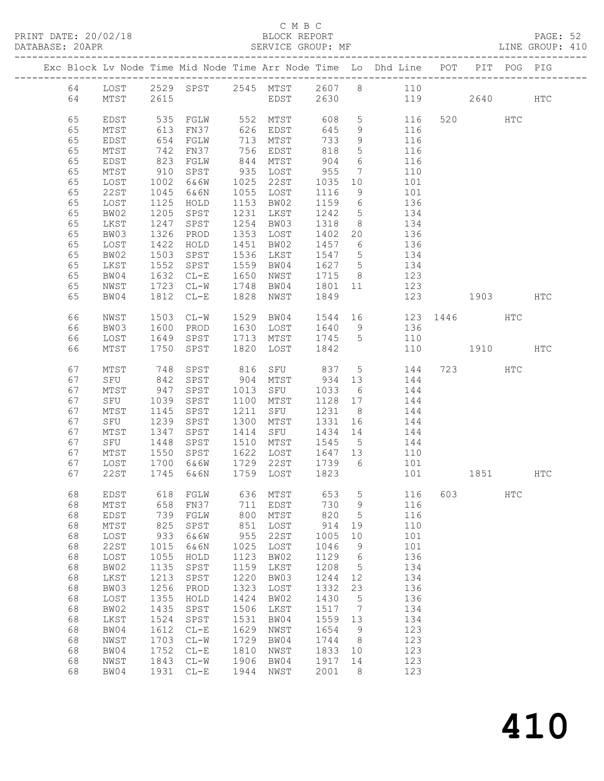PRINT DATE: 20/02/18

## C M B C<br>BLOCK REPORT<br>CEPUILE CROIIP MF

|                                                                                                          |                                                                                                                                                          |                                                                                                                                         |                                                                                                                                                                          |                                                                                                                                         |                                                                                                                                                       |                                                                                                                                          |                                                                                                                                          | Exc Block Lv Node Time Mid Node Time Arr Node Time Lo Dhd Line POT PIT POG PIG                                                                                                                                                                                                                                                                             |              |          |            |  |
|----------------------------------------------------------------------------------------------------------|----------------------------------------------------------------------------------------------------------------------------------------------------------|-----------------------------------------------------------------------------------------------------------------------------------------|--------------------------------------------------------------------------------------------------------------------------------------------------------------------------|-----------------------------------------------------------------------------------------------------------------------------------------|-------------------------------------------------------------------------------------------------------------------------------------------------------|------------------------------------------------------------------------------------------------------------------------------------------|------------------------------------------------------------------------------------------------------------------------------------------|------------------------------------------------------------------------------------------------------------------------------------------------------------------------------------------------------------------------------------------------------------------------------------------------------------------------------------------------------------|--------------|----------|------------|--|
| 64                                                                                                       | MTST                                                                                                                                                     | 2615                                                                                                                                    |                                                                                                                                                                          |                                                                                                                                         |                                                                                                                                                       |                                                                                                                                          |                                                                                                                                          | 64 LOST 2529 SPST 2545 MTST 2607 8 110<br>EDST 2630 119 2640 HTC                                                                                                                                                                                                                                                                                           |              |          |            |  |
| 65<br>65<br>65<br>65<br>65<br>65<br>65<br>65<br>65<br>65<br>65<br>65<br>65<br>65<br>65                   | EDST<br>MTST<br>EDST<br>MTST<br>EDST<br>MTST<br>LOST<br>22ST<br>LOST<br>BW02<br>LKST<br>BW03<br>LOST<br>BW02<br>LKST                                     | 742<br>823<br>$910$<br>$1002$<br>1045<br>1125<br>1205<br>1247<br>1326<br>1422<br>$150J$<br>$1552$                                       | FN37<br>FGLW<br>SPST 935 LOST<br>6&6N<br>HOLD<br>SPST<br>SPST<br>PROD<br>HOLD<br>SPST<br>SPST                                                                            |                                                                                                                                         | 756 EDST<br>844 MTST<br>$6.6W$ $1025$ $22ST$<br>1055 LOST<br>1153 BW02<br>1231 LKST<br>1254 BW03<br>1353 LOST<br>1451 BW02<br>1536 LKST<br>1559 BW04  |                                                                                                                                          |                                                                                                                                          | $733 \t 9 \t 116$<br>$\begin{array}{cccc} 818 & 5 & & 116 \\ 904 & 6 & & 116 \\ 955 & 7 & & 110 \\ 1035 & 10 & & 101 \end{array}$<br>1116 9 101<br>$\begin{array}{cccc} 1159 & 6 & & 136 \\ 1242 & 5 & & 134 \\ 1318 & 8 & & 134 \end{array}$<br>1402 20 136<br>$\begin{array}{cccc} 1457 & 6 & & 136 \\ 1547 & 5 & & 134 \\ 1627 & 5 & & 134 \end{array}$ |              |          |            |  |
| 65<br>65<br>65                                                                                           | BW04<br>NWST<br>BW04                                                                                                                                     | 1632<br>1723                                                                                                                            | $CL-E$<br>$CL-W$<br>1812 CL-E                                                                                                                                            | 1650                                                                                                                                    | NWST<br>1748 BW04 1801 11<br>1828 NWST                                                                                                                | 1849                                                                                                                                     |                                                                                                                                          | 1715 8 123<br>123                                                                                                                                                                                                                                                                                                                                          | 123 1903 HTC |          |            |  |
| 66<br>66<br>66<br>66                                                                                     | NWST<br>BW03<br>LOST<br>MTST                                                                                                                             | 1503<br>1600                                                                                                                            | $CL-W$<br>PROD<br>1649 SPST<br>1750 SPST<br>1750 SPST                                                                                                                    |                                                                                                                                         | 1630 LOST<br>1820 LOST 1842                                                                                                                           |                                                                                                                                          |                                                                                                                                          | 1529 BW04 1544 16 123 1446<br>1640 9 136<br>110                                                                                                                                                                                                                                                                                                            | 110 1910 HTC |          | <b>HTC</b> |  |
| 67<br>67<br>67<br>67<br>67<br>67<br>67<br>67<br>67<br>67                                                 | MTST<br>SFU<br>MTST<br>SFU<br>MTST<br>SFU<br>MTST<br>SFU 1448<br>MTST<br>LOST                                                                            | 842<br>947<br>1039<br>1145<br>1239<br>1347<br>1700                                                                                      | SPST<br>SPST<br>SPST<br>SPST<br>SPST<br>1550 SPST 1622 LOST 1647 13<br>6&6W                                                                                              | 1100                                                                                                                                    | 904 MTST<br>MTST<br>1211 SFU<br>1300 MTST<br>1729 22ST                                                                                                | 1739 6                                                                                                                                   |                                                                                                                                          | 748 SPST 816 SFU 837 5 144 723 HTC<br>$144$<br>1013 SFU 1033 6<br>$1128$ $17$ $144$<br>1231 8 144<br>1331 16 144<br>SPST 1414 SFU 1434 14 144<br>SPST 1510 MTST 1545 5 144<br>110<br>101<br>67 22ST 1745 6&6N 1759 LOST 1823 101                                                                                                                           |              | 1851 HTC |            |  |
| 68<br>68<br>68<br>68<br>68<br>68<br>68<br>68<br>68<br>68<br>68<br>68<br>68<br>68<br>68<br>68<br>68<br>68 | EDST<br>$MTST$<br>EDST<br>$MTST$<br>LOST<br>22ST<br>LOST<br>BW02<br>LKST<br>BW03<br>LOST<br>BW02<br>LKST<br>BW04<br>${\tt NWST}$<br>BW04<br>NWST<br>BW04 | 618<br>658<br>739<br>825<br>933<br>1015<br>1055<br>1135<br>1213<br>1256<br>1355<br>1435<br>1524<br>1612<br>1703<br>1752<br>1843<br>1931 | FGLW<br>FN37<br>FGLW<br>SPST<br>6&6W<br>6&6N<br>HOLD<br>SPST<br>SPST<br>PROD<br>HOLD<br>SPST<br>SPST<br>$CL-E$<br>$CL-W$<br>$CL-E$<br>$\mathtt{CL}-\mathtt{W}$<br>$CL-E$ | 636<br>711<br>800<br>851<br>955<br>1025<br>1123<br>1159<br>1220<br>1323<br>1424<br>1506<br>1531<br>1629<br>1729<br>1810<br>1906<br>1944 | MTST<br>EDST<br>MTST<br>LOST<br>22ST<br>LOST<br>BW02<br>LKST<br>BW03<br>LOST<br>BW02<br>LKST<br>BW04<br>NWST<br>BW04<br>$_{\rm NWST}$<br>BW04<br>NWST | 653<br>730<br>820<br>914<br>1005<br>1046<br>1129<br>1208<br>1244<br>1332<br>1430<br>1517<br>1559<br>1654<br>1744<br>1833<br>1917<br>2001 | 5<br>9<br>$\mathsf S$<br>19<br>10<br>9<br>$\sqrt{6}$<br>5<br>12<br>23<br>$\mathsf S$<br>$7\phantom{.0}$<br>13<br>9<br>8<br>10<br>14<br>8 | 116<br>116<br>116<br>110<br>101<br>101<br>136<br>134<br>134<br>136<br>136<br>134<br>134<br>123<br>123<br>123<br>123<br>123                                                                                                                                                                                                                                 | 603          |          | HTC        |  |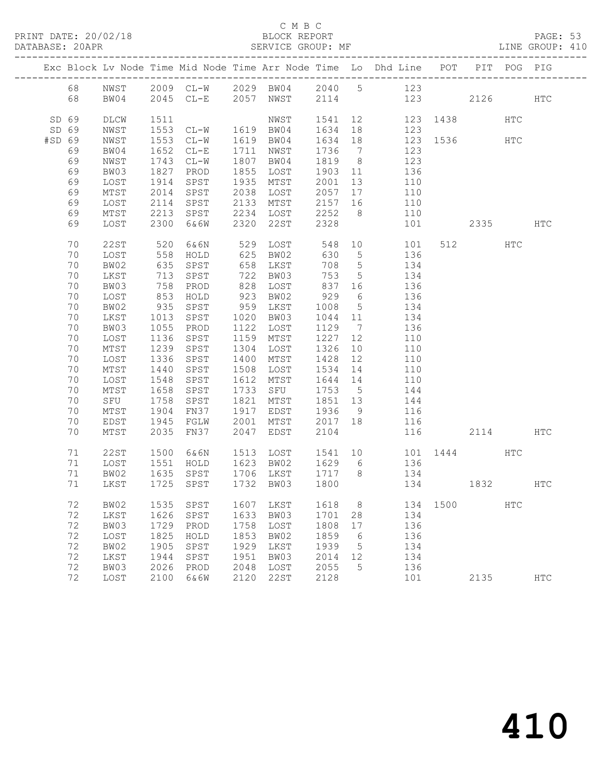#### C M B C<br>BLOCK REPORT

PAGE: 53<br>LINE GROUP: 410

|        |                |                      |                      |                           |              |                                                               |                              |                                    | Exc Block Lv Node Time Mid Node Time Arr Node Time Lo Dhd Line POT |          |          | PIT POG PIG |               |
|--------|----------------|----------------------|----------------------|---------------------------|--------------|---------------------------------------------------------------|------------------------------|------------------------------------|--------------------------------------------------------------------|----------|----------|-------------|---------------|
|        | 68<br>68       | NWST<br>BW04         |                      | 2045 CL-E 2057 NWST 2114  |              |                                                               |                              |                                    | 2009 CL-W 2029 BW04 2040 5 123                                     | 123      | 2126 HTC |             |               |
|        | SD 69<br>SD 69 | DLCW<br>NWST         | 1511<br>1553         |                           |              | NWST                                                          |                              |                                    | 1541  12  123  1438<br>123                                         |          |          | HTC         |               |
| #SD 69 | 69             | NWST<br>BW04         | 1553<br>1652         | $CL-E$                    |              | CL-W 1619 BW04 1634 18<br>CL-W 1619 BW04 1634 18<br>1711 NWST | 1736                         | $\overline{7}$                     | $\frac{1}{123}$ 1536<br>123                                        |          |          | HTC         |               |
|        | 69<br>69       | NWST<br>BW03         | 1743<br>1827         | $CL-W$<br>PROD            |              | 1807 BW04<br>1855 LOST                                        | 1819 8<br>1903 11            |                                    | 123<br>136                                                         |          |          |             |               |
|        | 69<br>69       | LOST<br>MTST         | 1914<br>2014         | SPST<br>SPST              |              | 1935 MTST<br>2038 LOST                                        | 2001 13<br>2057 17           |                                    | 110<br>110                                                         |          |          |             |               |
|        | 69<br>69       | LOST<br>MTST         | 2114<br>2213         | SPST<br>SPST              | 2133         | MTST                                                          | 2157 16<br>2252 8            |                                    | 110<br>110                                                         |          |          |             |               |
|        | 69             | LOST                 | 2300                 | 6&6W                      |              | 2234   LOST        2252<br>2320    22ST        2328           |                              |                                    | 101                                                                |          | 2335     |             | HTC           |
|        | 70<br>70       | 22ST<br>LOST         | 520<br>558<br>635    | 6&6N<br>HOLD              |              | 529 LOST<br>625 BW02<br>658 LKST                              | 548<br>630                   | $5\overline{)}$                    | 10<br>101<br>136                                                   |          | 512      | HTC         |               |
|        | 70<br>70       | BW02<br>LKST         | 713                  | SPST<br>SPST              |              | 722 BW03                                                      | 708<br>753                   | $5\overline{)}$<br>$5\overline{)}$ | 134<br>134                                                         |          |          |             |               |
|        | 70<br>70       | BW03<br>LOST         | 758<br>853<br>935    | PROD<br>HOLD              |              | 828 LOST<br>923 BW02<br>959 LKST                              | 837 16<br>929                | 6                                  | 136<br>136                                                         |          |          |             |               |
|        | 70<br>70       | BW02<br>LKST         | 1013                 | SPST<br>SPST              |              | 1020 BW03                                                     | 1008<br>1044 11              | $5\overline{)}$                    | 134<br>134                                                         |          |          |             |               |
|        | 70<br>70<br>70 | BW03<br>LOST         | 1055<br>1136         | PROD<br>SPST              |              | 1122 LOST<br>1159 MTST<br>1304 LOST                           | 1129 7<br>1227 12<br>1326 10 |                                    | 136<br>110                                                         |          |          |             |               |
|        | 70<br>70       | MTST<br>LOST<br>MTST | 1239<br>1336<br>1440 | SPST<br>SPST<br>SPST      | 1400         | MTST<br>1508 LOST                                             | 1428 12<br>1534 14           |                                    | 110<br>110<br>110                                                  |          |          |             |               |
|        | 70<br>70       | LOST<br>MTST         | 1548<br>1658         | SPST<br>SPST              |              | 1612 MTST<br>1733 SFU                                         | 1644 14<br>1753 5            |                                    | 110<br>144                                                         |          |          |             |               |
|        | 70<br>70       | SFU<br>MTST          | 1758<br>1904         | SPST<br>FN37              | 1821         | MTST<br>1917 EDST                                             | 1851 13<br>1936              | 9                                  | 144<br>116                                                         |          |          |             |               |
|        | 70<br>70       | EDST<br>MTST         | 1945<br>2035         | FGLW<br>FN37              | 2001<br>2047 | MTST 2017 18<br>EDST                                          | 2104                         |                                    | 116                                                                | 116      | 2114     |             | HTC           |
|        | 71             | 22ST                 | 1500                 | 6&6N                      |              |                                                               |                              |                                    | 1513 LOST 1541 10 101 1444                                         |          |          | <b>HTC</b>  |               |
|        | 71<br>71<br>71 | LOST<br>BW02<br>LKST | 1551<br>1635         | HOLD<br>SPST<br>1725 SPST |              | 1623 BW02<br>1706 LKST<br>1732 BW03                           | 1629 6<br>1717 8<br>1800     |                                    | 136<br>134                                                         | 134 1832 |          |             | HTC           |
|        | 72             | BW02                 | 1535                 | SPST                      | 1607         | LKST                                                          | 1618                         | 8                                  | 134                                                                | 1500     |          | HTC         |               |
|        | 72<br>72       | LKST<br>BW03         | 1626<br>1729         | SPST<br>PROD              | 1633<br>1758 | BW03<br>LOST                                                  | 1701<br>1808                 | 28<br>$17$                         | 134<br>136                                                         |          |          |             |               |
|        | 72<br>72       | LOST<br>BW02         | 1825<br>1905         | HOLD<br>SPST              | 1853<br>1929 | BW02<br>LKST                                                  | 1859<br>1939                 | 6<br>5                             | 136<br>134                                                         |          |          |             |               |
|        | 72<br>72       | LKST<br>BW03         | 1944<br>2026         | SPST<br>PROD              | 1951<br>2048 | BW03<br>LOST                                                  | 2014<br>2055                 | 12<br>5                            | 134<br>136                                                         |          |          |             |               |
|        | 72             | LOST                 | 2100                 | 6&6W                      | 2120         | 22ST                                                          | 2128                         |                                    | 101                                                                |          | 2135     |             | $_{\rm{HTC}}$ |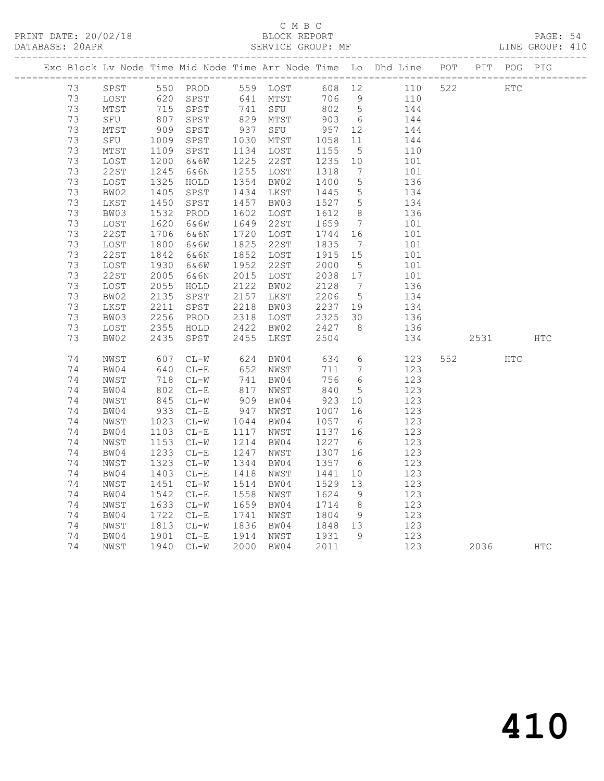## C M B C<br>BLOCK REPORT

PAGE: 54<br>LINE GROUP: 410

|    |                              |                                     |                      |      |                                       |                                 |                 | Exc Block Lv Node Time Mid Node Time Arr Node Time Lo Dhd Line POT PIT POG PIG           |          |            |  |
|----|------------------------------|-------------------------------------|----------------------|------|---------------------------------------|---------------------------------|-----------------|------------------------------------------------------------------------------------------|----------|------------|--|
|    |                              |                                     |                      |      |                                       |                                 |                 | 73 SPST 550 PROD 559 LOST 608 12 110 522 HTC                                             |          |            |  |
| 73 | LOST                         |                                     |                      |      |                                       |                                 |                 |                                                                                          |          |            |  |
| 73 | MTST                         |                                     |                      |      |                                       |                                 |                 | 620 SPST 641 MTST 706 9 110<br>715 SPST 741 SFU 802 5 144<br>807 SPST 829 MTST 903 6 144 |          |            |  |
| 73 | SFU                          |                                     |                      |      |                                       |                                 |                 |                                                                                          |          |            |  |
| 73 | MTST 909<br>SFU 1009<br>MTST |                                     | SPST                 |      |                                       |                                 |                 | 937 SFU 957 12 144<br>1030 MTST 1058 11 144                                              |          |            |  |
| 73 |                              |                                     | SPST                 |      |                                       |                                 |                 |                                                                                          |          |            |  |
| 73 | MTST                         |                                     | SPST                 |      | 1134 LOST 1155                        |                                 | 5 <sup>5</sup>  | 110                                                                                      |          |            |  |
| 73 | LOST                         | $\frac{1300}{1200}$<br>1200<br>1245 | 6&6W                 |      | 1225 22ST                             | 1235 10                         |                 | $\begin{array}{c} 101 \\ 101 \end{array}$                                                |          |            |  |
| 73 | 22ST                         |                                     | 6&6N                 |      | 1255 LOST                             | 1318                            | $\overline{7}$  |                                                                                          |          |            |  |
| 73 | LOST                         | 1325<br>1405                        | HOLD                 |      | 1354 BW02                             | 1400                            |                 | $\begin{array}{ccc} 5 & 136 \\ 5 & 134 \end{array}$                                      |          |            |  |
| 73 | BW02                         |                                     | SPST                 |      | 1434 LKST                             | 1445                            |                 |                                                                                          |          |            |  |
| 73 | LKST                         | 1450<br>1532                        | SPST                 |      | 1457 BW03                             |                                 |                 | 1527 5 134                                                                               |          |            |  |
| 73 | BW03                         |                                     | PROD                 |      | 1602 LOST                             | 1612                            | 8 <sup>8</sup>  | 136                                                                                      |          |            |  |
| 73 | LOST                         | 1620                                | 6&6W                 |      | 1649 22ST                             | 1659                            |                 | $\frac{1}{7}$ 101                                                                        |          |            |  |
| 73 | 22ST                         | 1706<br>1800                        | 6&6N                 |      | 1720 LOST                             |                                 |                 | $\begin{array}{cccc} 1744 & 16 & & 101 \\ 1835 & 7 & & 101 \end{array}$                  |          |            |  |
| 73 | LOST                         |                                     | 6&6W                 |      | 1825 22ST                             |                                 |                 |                                                                                          |          |            |  |
| 73 | 22ST                         | 1842                                | 6&6N                 |      | 1852 LOST                             | 1915 15                         |                 | $\begin{array}{c} 101 \\ 101 \end{array}$                                                |          |            |  |
| 73 | LOST                         | 1930                                | 6&6W                 |      | 1952 22ST                             | 2000                            | $5\overline{)}$ |                                                                                          |          |            |  |
| 73 | 22ST                         | 2005                                | 6&6N                 |      | 2015 LOST                             | 2038 17                         |                 | 101                                                                                      |          |            |  |
| 73 | LOST                         | 2055<br>2135                        | HOLD                 |      | 2122 BW02                             | 2128<br>2206                    | $7\overline{ }$ | 136                                                                                      |          |            |  |
| 73 | BW02                         |                                     | SPST                 |      | 2157 LKST                             |                                 | $5^{\circ}$     | $130$<br>$134$                                                                           |          |            |  |
| 73 | LKST                         | 2211<br>2256                        | SPST                 |      | 2218 BW03                             |                                 |                 | 2237 19 134<br>2325 30 136                                                               |          |            |  |
| 73 | BW03                         |                                     | PROD                 |      | 2318 LOST                             |                                 |                 |                                                                                          |          |            |  |
| 73 | LOST                         |                                     | 2355 HOLD            |      | 2422 BW02                             | 2427                            |                 | 8 136                                                                                    |          |            |  |
| 73 | BW02                         | 2435                                | SPST                 |      | 2455 LKST                             | 2504                            |                 | 134                                                                                      | 2531 HTC |            |  |
| 74 | NWST                         | 607<br>640                          | $CL-W$               |      | 624 BW04<br>652 NWST                  |                                 |                 | 634    6    123<br>711    7    123                                                       | 552 35   | <b>HTC</b> |  |
| 74 | BW04                         |                                     | $CL-E$               |      |                                       |                                 |                 |                                                                                          |          |            |  |
| 74 | NWST                         |                                     | 718 CL-W<br>802 CL-E |      | 741 BW04<br>817 NWST                  | $756$ 6<br>840 5                |                 | 756 6 123<br>840 5 123                                                                   |          |            |  |
| 74 | BW04                         |                                     |                      |      | 817 NWST                              |                                 |                 | 123                                                                                      |          |            |  |
| 74 | NWST                         | 845                                 | $CL-W$               |      | 909 BW04                              | 923 10                          |                 | 123                                                                                      |          |            |  |
| 74 | BW04                         | 933<br>1023                         | $CL-E$               | 947  | NWST                                  | 1007                            | 16              | 123                                                                                      |          |            |  |
| 74 | NWST                         |                                     | $CL-W$               |      | 1044 BW04                             | 1057                            | $6\overline{6}$ | $\frac{1}{123}$                                                                          |          |            |  |
| 74 | BW04                         | 1103<br>1153                        | $CL-E$               |      | 1117 NWST                             | 1137 16                         |                 | 123                                                                                      |          |            |  |
| 74 | NWST                         |                                     | $CL-W$               |      | 1214 BW04                             | 1227 6                          |                 | 123                                                                                      |          |            |  |
| 74 | BW04                         | 1233<br>1323                        | $CL-E$               | 1247 | NWST                                  | 1307 16                         |                 | 123                                                                                      |          |            |  |
| 74 | NWST                         | 1323                                | $CL-W$               |      | 1344 BW04                             | 1357 6                          |                 | 123                                                                                      |          |            |  |
| 74 | BW04                         | 1403                                | $CL-E$               |      | 1418 NWST                             | 1441                            | 10              | 123                                                                                      |          |            |  |
| 74 | NWST                         | 1451<br>1542                        | $CL-W$               |      | 1514 BW04                             | 1529 13<br>$13229$ 13<br>1624 9 |                 | 123                                                                                      |          |            |  |
| 74 | BW04                         |                                     | $CL-E$               |      | 1558 NWST                             |                                 |                 | 123                                                                                      |          |            |  |
| 74 | NWST                         | 1633<br>1722                        | $CL-W$               |      | 1659 BW04                             | 1714                            | 8 <sup>8</sup>  | 123                                                                                      |          |            |  |
| 74 | BW04                         |                                     | $CL-E$               |      | 1741 NWST                             | 1804                            | 9               | 123                                                                                      |          |            |  |
| 74 | NWST                         |                                     | $1813 \quad CL-W$    |      | 1836 BW04 1848 13<br>1914 NWST 1931 9 |                                 |                 | 123                                                                                      |          |            |  |
| 74 | BW04                         |                                     | 1901 CL-E            |      |                                       |                                 |                 | 123                                                                                      |          |            |  |

74 NWST 1940 CL-W 2000 BW04 2011 123 2036 HTC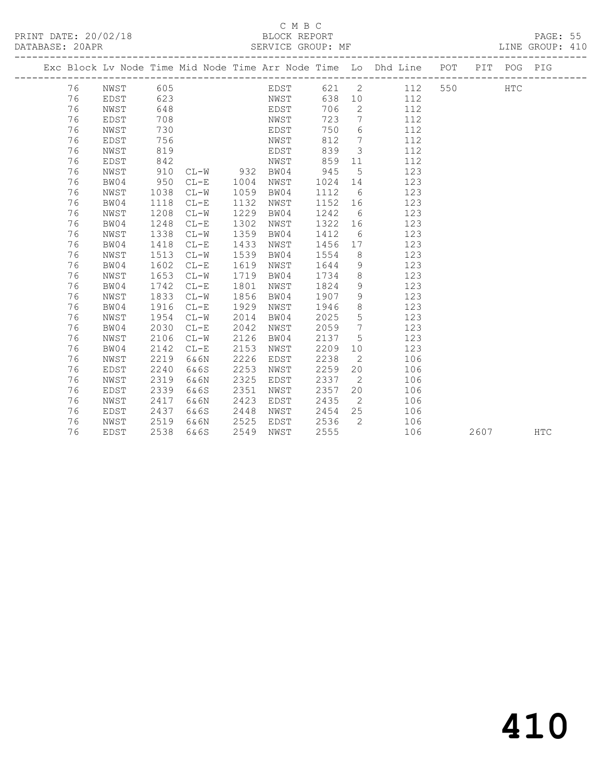### C M B C<br>BLOCK REPORT

LINE GROUP: 410

|  |    | Exc Block Lv Node Time Mid Node Time Arr Node Time Lo Dhd Line POT |      |        |      |      |      |      |                 |           |  | PIT POG PIG |  |
|--|----|--------------------------------------------------------------------|------|--------|------|------|------|------|-----------------|-----------|--|-------------|--|
|  | 76 | NWST 605                                                           |      |        |      |      | EDST |      |                 | 621 2 112 |  | <b>HTC</b>  |  |
|  | 76 | EDST                                                               | 623  |        |      |      | NWST | 638  |                 | 112       |  |             |  |
|  | 76 | NWST                                                               | 648  |        |      |      | EDST | 706  | $\overline{2}$  | 112       |  |             |  |
|  | 76 | EDST                                                               | 708  |        |      | NWST |      | 723  | $7\overline{ }$ | 112       |  |             |  |
|  | 76 | NWST                                                               | 730  |        |      | EDST |      | 750  | 6               | 112       |  |             |  |
|  | 76 | EDST                                                               | 756  |        |      | NWST |      | 812  | $7\overline{ }$ | 112       |  |             |  |
|  | 76 | NWST                                                               | 819  |        |      | EDST |      | 839  | $\mathcal{S}$   | 112       |  |             |  |
|  | 76 | EDST                                                               | 842  |        |      | NWST |      | 859  | 11              | 112       |  |             |  |
|  | 76 | NWST                                                               | 910  | CL-W   | 932  | BW04 |      | 945  | $5^{\circ}$     | 123       |  |             |  |
|  | 76 | BW04                                                               | 950  | $CL-E$ | 1004 | NWST |      | 1024 | 14              | 123       |  |             |  |
|  | 76 | NWST                                                               | 1038 | $CL-W$ | 1059 | BW04 |      | 1112 | 6               | 123       |  |             |  |
|  | 76 | BW04                                                               | 1118 | $CL-E$ | 1132 | NWST |      | 1152 | 16              | 123       |  |             |  |
|  | 76 | NWST                                                               | 1208 | $CL-W$ | 1229 | BW04 |      | 1242 | 6               | 123       |  |             |  |
|  | 76 | BW04                                                               | 1248 | $CL-E$ | 1302 | NWST |      | 1322 | 16              | 123       |  |             |  |
|  | 76 | NWST                                                               | 1338 | $CL-W$ | 1359 | BW04 |      | 1412 | 6               | 123       |  |             |  |
|  | 76 | BW04                                                               | 1418 | $CL-E$ | 1433 | NWST |      | 1456 | 17              | 123       |  |             |  |
|  | 76 | NWST                                                               | 1513 | $CL-W$ | 1539 | BW04 |      | 1554 | 8               | 123       |  |             |  |
|  | 76 | BW04                                                               | 1602 | $CL-E$ | 1619 | NWST |      | 1644 | 9               | 123       |  |             |  |
|  | 76 | NWST                                                               | 1653 | $CL-W$ | 1719 | BW04 |      | 1734 | 8 <sup>8</sup>  | 123       |  |             |  |
|  | 76 | BW04                                                               | 1742 | $CL-E$ | 1801 | NWST |      | 1824 | 9               | 123       |  |             |  |
|  | 76 | NWST                                                               | 1833 | $CL-W$ | 1856 | BW04 |      | 1907 | 9               | 123       |  |             |  |
|  | 76 | BW04                                                               | 1916 | $CL-E$ | 1929 | NWST |      | 1946 | 8               | 123       |  |             |  |
|  | 76 | NWST                                                               | 1954 | $CL-W$ | 2014 | BW04 |      | 2025 | $5\phantom{.0}$ | 123       |  |             |  |
|  | 76 | BW04                                                               | 2030 | $CL-E$ | 2042 | NWST |      | 2059 | $\overline{7}$  | 123       |  |             |  |
|  | 76 | NWST                                                               | 2106 | $CL-W$ | 2126 | BW04 |      | 2137 | 5               | 123       |  |             |  |
|  | 76 | BW04                                                               | 2142 | $CL-E$ | 2153 | NWST |      | 2209 | 10              | 123       |  |             |  |
|  | 76 | NWST                                                               | 2219 | 6&6N   | 2226 | EDST |      | 2238 | 2               | 106       |  |             |  |
|  | 76 | EDST                                                               | 2240 | 6&6S   | 2253 | NWST |      | 2259 | 20              | 106       |  |             |  |

76 EDST 2538 6&6S 2549 NWST 2555 106 2607 HTC

 76 NWST 2319 6&6N 2325 EDST 2337 2 106 76 EDST 2339 6&6S 2351 NWST 2357 20 106

 76 EDST 2437 6&6S 2448 NWST 2454 25 106 76 NWST 2519 6&6N 2525 EDST 2536 2 106

176 NWST 2417 6&6N 2423 EDST 2435 2 106<br>
76 EDST 2437 6&6S 2448 NWST 2454 25 106<br>
76 NWST 2519 6&6N 2525 EDST 2536 2 106<br>
76 EDST 2538 6&6S 2549 NWST 2555 106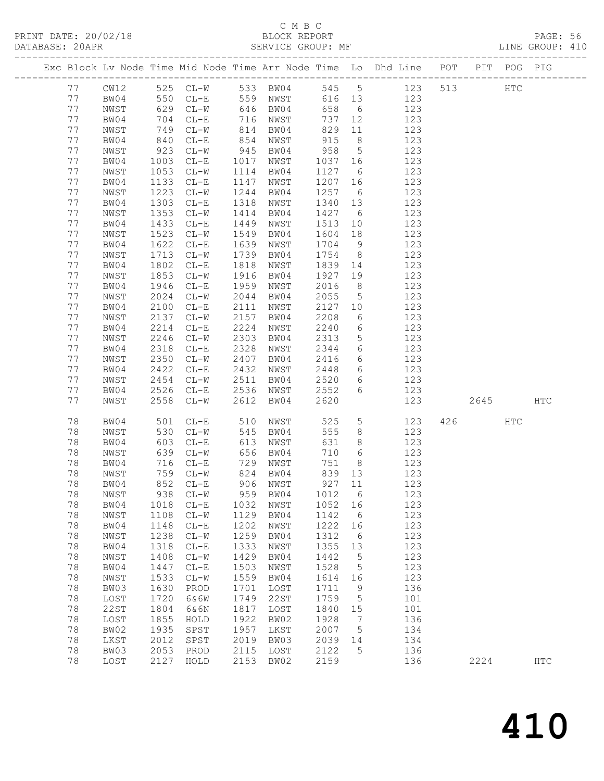### C M B C<br>BLOCK REPORT

PAGE: 56<br>LINE GROUP: 410

|    |      |             |                                   |      |          |         |                 | Exc Block Lv Node Time Mid Node Time Arr Node Time Lo Dhd Line POT |      | PIT POG PIG |              |
|----|------|-------------|-----------------------------------|------|----------|---------|-----------------|--------------------------------------------------------------------|------|-------------|--------------|
| 77 | CW12 |             | 525 CL-W 533 BW04                 |      |          |         |                 | 545 5 123                                                          | 513  | HTC         |              |
| 77 | BW04 |             | 550 CL-E                          |      | 559 NWST |         |                 | 616 13 123                                                         |      |             |              |
| 77 | NWST |             | 629 CL-W                          |      | 646 BW04 | 658     | $6\overline{6}$ | 123                                                                |      |             |              |
| 77 | BW04 | 704         | $CL-E$                            |      | 716 NWST |         | 737 12          | 123                                                                |      |             |              |
| 77 | NWST | 749         | $CL-W$                            | 814  | BW04     | 829     | 11              | 123                                                                |      |             |              |
| 77 | BW04 | 840         | $CL-E$                            | 854  | NWST     | 915     | 8 <sup>8</sup>  | 123                                                                |      |             |              |
| 77 | NWST |             | $CL-W$                            | 945  | BW04     | 958     | $5\overline{)}$ | 123                                                                |      |             |              |
| 77 | BW04 | 923<br>1003 | $CL-E$                            | 1017 | NWST     | 1037 16 |                 | 123                                                                |      |             |              |
| 77 | NWST | 1053        | $CL-W$                            | 1114 | BW04     | 1127    | 6               | 123                                                                |      |             |              |
| 77 | BW04 | 1133        | $CL-E$                            | 1147 | NWST     | 1207    | 16              | 123                                                                |      |             |              |
| 77 | NWST | 1223        | $CL-W$                            | 1244 | BW04     | 1257    | 6               | 123                                                                |      |             |              |
| 77 | BW04 | 1303        | $CL-E$                            | 1318 | NWST     | 1340 13 |                 | 123                                                                |      |             |              |
| 77 | NWST | 1353        | $CL-W$                            | 1414 | BW04     | 1427    | 6               | 123                                                                |      |             |              |
| 77 | BW04 | 1433        | $CL-E$                            | 1449 | NWST     | 1513    | 10              | 123                                                                |      |             |              |
| 77 | NWST | 1523        | $CL-W$                            | 1549 | BW04     | 1604    | 18              | 123                                                                |      |             |              |
| 77 | BW04 | 1622        | $CL-E$                            | 1639 | NWST     | 1704    | 9               | 123                                                                |      |             |              |
| 77 | NWST | 1713        | $CL-W$                            | 1739 | BW04     | 1754    | 8 <sup>8</sup>  | 123                                                                |      |             |              |
| 77 | BW04 | 1802        | $CL-E$                            | 1818 | NWST     | 1839    | 14              | 123                                                                |      |             |              |
| 77 | NWST | 1853        | $CL-W$                            | 1916 | BW04     | 1927    | 19              | 123                                                                |      |             |              |
| 77 | BW04 | 1946        | $CL-E$                            | 1959 | NWST     | 2016    | 8 <sup>8</sup>  | 123                                                                |      |             |              |
| 77 | NWST | 2024        | $CL-W$                            | 2044 | BW04     | 2055    | $5\overline{)}$ | 123                                                                |      |             |              |
| 77 | BW04 | 2100        | $CL-E$                            | 2111 | NWST     | 2127 10 |                 | 123                                                                |      |             |              |
| 77 | NWST | 2137        | $CL-W$                            | 2157 | BW04     | 2208    | 6               | 123                                                                |      |             |              |
| 77 | BW04 | 2214        | $CL-E$                            | 2224 | NWST     | 2240    | $6\overline{6}$ | 123                                                                |      |             |              |
| 77 | NWST | 2246        | $CL-W$                            | 2303 | BW04     | 2313    | $5\overline{)}$ | 123                                                                |      |             |              |
| 77 | BW04 | 2318        | $CL-E$                            | 2328 | NWST     | 2344    | 6               | 123                                                                |      |             |              |
| 77 | NWST | 2350        | $CL-W$                            | 2407 | BW04     | 2416    | $6\overline{6}$ | 123                                                                |      |             |              |
| 77 | BW04 | 2422        | $CL-E$                            | 2432 | NWST     | 2448    | 6               | 123                                                                |      |             |              |
| 77 | NWST | 2454        | $CL-W$                            | 2511 | BW04     | 2520    | 6               | 123                                                                |      |             |              |
| 77 | BW04 | 2526        | $CL-E$                            | 2536 | NWST     | 2552    | 6               | 123                                                                |      |             |              |
| 77 | NWST | 2558        | $CL-W$                            | 2612 | BW04     | 2620    |                 | 123                                                                | 2645 |             | HTC          |
|    |      |             |                                   |      |          |         |                 |                                                                    |      |             |              |
| 78 | BW04 | 501         | $CL-E$                            | 510  | NWST     | 525     | 5 <sup>5</sup>  | 123                                                                | 426  | HTC         |              |
| 78 | NWST | 530         | $CL-W$                            | 545  | BW04     | 555     | 8               | 123                                                                |      |             |              |
| 78 | BW04 | 603         | $CL-E$                            | 613  | NWST     | 631     | 8 <sup>8</sup>  | 123                                                                |      |             |              |
| 78 | NWST | 639         | $CL-W$                            | 656  | BW04     | 710     | 6               | 123                                                                |      |             |              |
| 78 | BW04 | 716         | $CL-E$                            | 729  | NWST     | 751     | 8 <sup>8</sup>  | 123                                                                |      |             |              |
| 78 | NWST |             | 759 CL-W                          | 824  | BW04     | 839     | 13              | 123                                                                |      |             |              |
| 78 | BW04 |             | 852 CL-E                          |      | 906 NWST | 927 11  |                 | 123                                                                |      |             |              |
| 78 | NWST | 938         | $CL - W$                          | 959  | BW04     | 1012    | 6               | 123                                                                |      |             |              |
| 78 | BW04 | 1018        | $CL-E$                            | 1032 | NWST     | 1052    | 16              | 123                                                                |      |             |              |
| 78 | NWST | 1108        | $\mathtt{CL}-\mathtt{W}$          | 1129 | BW04     | 1142    | 6               | 123                                                                |      |             |              |
| 78 | BW04 | 1148        | $CL-E$                            | 1202 | NWST     | 1222    | 16              | 123                                                                |      |             |              |
| 78 | NWST | 1238        | $CL-W$                            | 1259 | BW04     | 1312    | 6               | 123                                                                |      |             |              |
| 78 | BW04 | 1318        | $CL-E$                            | 1333 | NWST     | 1355    | 13              | 123                                                                |      |             |              |
| 78 | NWST | 1408        | $CL-W$                            | 1429 | BW04     | 1442    | 5               | 123                                                                |      |             |              |
| 78 | BW04 | 1447        | $\mathbb{C}\mathbb{L}-\mathbb{E}$ | 1503 | NWST     | 1528    | 5               | 123                                                                |      |             |              |
| 78 | NWST | 1533        | $CL-W$                            | 1559 | BW04     | 1614    | 16              | 123                                                                |      |             |              |
| 78 | BW03 | 1630        | PROD                              | 1701 | LOST     | 1711    | 9               | 136                                                                |      |             |              |
| 78 | LOST | 1720        | 6&6W                              | 1749 | 22ST     | 1759    | 5               | 101                                                                |      |             |              |
| 78 | 22ST | 1804        | 6&6N                              | 1817 | LOST     | 1840    | 15              | 101                                                                |      |             |              |
| 78 | LOST | 1855        | HOLD                              | 1922 | BW02     | 1928    | 7               | 136                                                                |      |             |              |
| 78 | BW02 | 1935        | SPST                              | 1957 | LKST     | 2007    | 5               | 134                                                                |      |             |              |
| 78 | LKST | 2012        | SPST                              | 2019 | BW03     | 2039    | 14              | 134                                                                |      |             |              |
| 78 | BW03 | 2053        | PROD                              | 2115 | LOST     | 2122    | 5               | 136                                                                |      |             |              |
| 78 | LOST | 2127        | ${\tt HOLD}$                      | 2153 | BW02     | 2159    |                 | 136                                                                | 2224 |             | $_{\rm HTC}$ |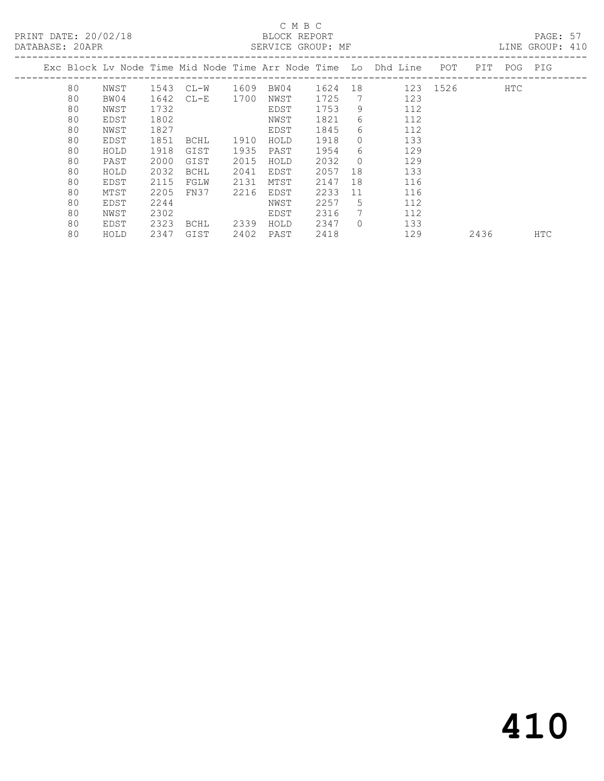## C M B C<br>BLOCK REPORT<br>CERVICE CROUP.

LINE GROUP: 410

|  |    |      |      |        |      | Exc Block Lv Node Time Mid Node Time Arr Node Time Lo Dhd Line |      |             |     | POT      | PIT  | POG PIG |            |
|--|----|------|------|--------|------|----------------------------------------------------------------|------|-------------|-----|----------|------|---------|------------|
|  | 80 | NWST | 1543 | CL-W   | 1609 | BW04                                                           | 1624 | 18          |     | 123 1526 |      | HTC     |            |
|  | 80 | BW04 | 1642 | $CL-E$ | 1700 | NWST                                                           | 1725 | 7           | 123 |          |      |         |            |
|  | 80 | NWST | 1732 |        |      | EDST                                                           | 1753 | 9           | 112 |          |      |         |            |
|  | 80 | EDST | 1802 |        |      | NWST                                                           | 1821 | 6           | 112 |          |      |         |            |
|  | 80 | NWST | 1827 |        |      | EDST                                                           | 1845 | 6           | 112 |          |      |         |            |
|  | 80 | EDST | 1851 | BCHL   | 1910 | HOLD                                                           | 1918 | $\Omega$    | 133 |          |      |         |            |
|  | 80 | HOLD | 1918 | GIST   | 1935 | PAST                                                           | 1954 | 6           | 129 |          |      |         |            |
|  | 80 | PAST | 2000 | GIST   | 2015 | HOLD                                                           | 2032 | $\Omega$    | 129 |          |      |         |            |
|  | 80 | HOLD | 2032 | BCHL   | 2041 | EDST                                                           | 2057 | 18          | 133 |          |      |         |            |
|  | 80 | EDST | 2115 | FGLW   | 2131 | MTST                                                           | 2147 | 18          | 116 |          |      |         |            |
|  | 80 | MTST | 2205 | FN37   | 2216 | EDST                                                           | 2233 | 11          | 116 |          |      |         |            |
|  | 80 | EDST | 2244 |        |      | NWST                                                           | 2257 | 5           | 112 |          |      |         |            |
|  | 80 | NWST | 2302 |        |      | EDST                                                           | 2316 | $7^{\circ}$ | 112 |          |      |         |            |
|  | 80 | EDST | 2323 | BCHL   | 2339 | HOLD                                                           | 2347 | $\Omega$    | 133 |          |      |         |            |
|  | 80 | HOLD | 2347 | GIST   | 2402 | PAST                                                           | 2418 |             | 129 |          | 2436 |         | <b>HTC</b> |
|  |    |      |      |        |      |                                                                |      |             |     |          |      |         |            |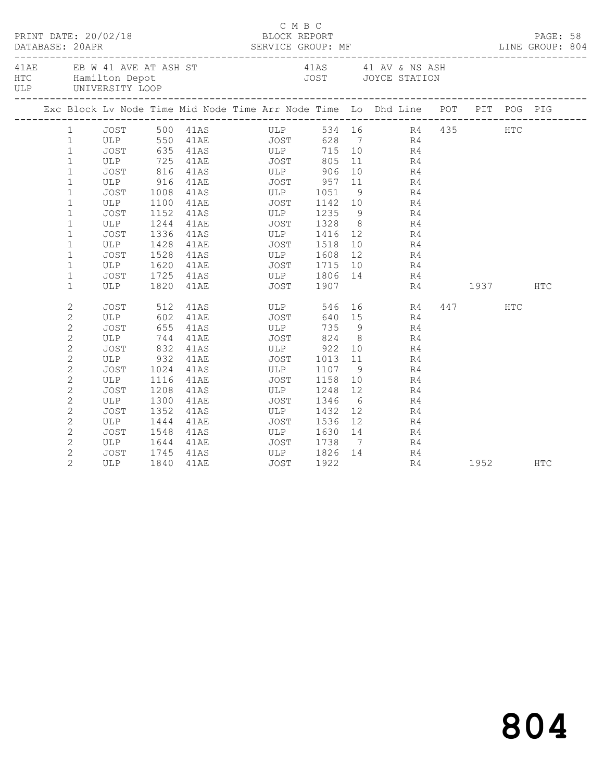|  | DATABASE: 20APR | PRINT DATE: 20/02/18                      |      |                                                                                | C M B C<br>BLOCK REPORT                   |        |                |                                                                                                                                                                                                                                                                                                                                                                                                                                                            |    |          | PAGE: 58   |  |
|--|-----------------|-------------------------------------------|------|--------------------------------------------------------------------------------|-------------------------------------------|--------|----------------|------------------------------------------------------------------------------------------------------------------------------------------------------------------------------------------------------------------------------------------------------------------------------------------------------------------------------------------------------------------------------------------------------------------------------------------------------------|----|----------|------------|--|
|  |                 | HTC Hamilton Depot<br>ULP UNIVERSITY LOOP |      | 41AE EB W 41 AVE AT ASH ST                                                     | 41AS 41 AV & NS ASH<br>JOST JOYCE STATION |        |                |                                                                                                                                                                                                                                                                                                                                                                                                                                                            |    |          |            |  |
|  |                 |                                           |      | Exc Block Lv Node Time Mid Node Time Arr Node Time Lo Dhd Line POT PIT POG PIG |                                           |        |                |                                                                                                                                                                                                                                                                                                                                                                                                                                                            |    |          |            |  |
|  |                 |                                           |      | 1 JOST 500 41AS ULP 534 16 R4 435 HTC<br>1 ULP 550 41AE JOST 628 7 R4          |                                           |        |                |                                                                                                                                                                                                                                                                                                                                                                                                                                                            |    |          |            |  |
|  |                 |                                           |      |                                                                                |                                           |        |                |                                                                                                                                                                                                                                                                                                                                                                                                                                                            |    |          |            |  |
|  | $\mathbf{1}$    |                                           |      | JOST 635 41AS ULP                                                              |                                           | 715 10 |                | R <sub>4</sub>                                                                                                                                                                                                                                                                                                                                                                                                                                             |    |          |            |  |
|  | $\mathbf{1}$    |                                           |      | ULP 725 41AE JOST                                                              |                                           | 805    |                | 11                                                                                                                                                                                                                                                                                                                                                                                                                                                         | R4 |          |            |  |
|  | $\mathbf{1}$    |                                           |      | JOST 816 41AS ULP 906<br>ULP 916 41AE JOST 957                                 |                                           |        |                | $\begin{array}{ccc} 10 & \phantom{00} & \phantom{00} & \phantom{00} & \phantom{00} & \phantom{0} & \phantom{0} & \phantom{0} & \phantom{0} & \phantom{0} & \phantom{0} & \phantom{0} & \phantom{0} & \phantom{0} & \phantom{0} & \phantom{0} & \phantom{0} & \phantom{0} & \phantom{0} & \phantom{0} & \phantom{0} & \phantom{0} & \phantom{0} & \phantom{0} & \phantom{0} & \phantom{0} & \phantom{0} & \phantom{0} & \phantom{0} & \phantom{0} & \phant$ |    |          |            |  |
|  | $\mathbf{1}$    |                                           |      |                                                                                |                                           |        |                |                                                                                                                                                                                                                                                                                                                                                                                                                                                            |    |          |            |  |
|  | $\mathbf{1}$    | JOST                                      |      | 1008 41AS ULP 1051                                                             |                                           |        |                | $9 \left( \frac{1}{2} \right)$                                                                                                                                                                                                                                                                                                                                                                                                                             | R4 |          |            |  |
|  | $\mathbf{1}$    | ULP                                       |      |                                                                                |                                           |        |                |                                                                                                                                                                                                                                                                                                                                                                                                                                                            | R4 |          |            |  |
|  | $\mathbf 1$     | JOST                                      |      | 1152 41AS<br>$1244$ $41AE$ JOST                                                |                                           |        |                | ULP 1235 9 R4<br>JOST 1328 8 R4                                                                                                                                                                                                                                                                                                                                                                                                                            |    |          |            |  |
|  | $\mathbf{1}$    | ULP                                       |      |                                                                                |                                           |        |                |                                                                                                                                                                                                                                                                                                                                                                                                                                                            |    |          |            |  |
|  | $\mathbf{1}$    | JOST                                      |      | 1336 41AS ULP 1416 12 R4                                                       |                                           |        |                |                                                                                                                                                                                                                                                                                                                                                                                                                                                            |    |          |            |  |
|  | $\mathbf{1}$    | ULP                                       | 1428 | 41AE                                                                           | JOST 1518                                 |        |                | 10 0                                                                                                                                                                                                                                                                                                                                                                                                                                                       | R4 |          |            |  |
|  | $\mathbf{1}$    | JOST                                      |      | 1528 41AS<br>1620 41AE 521 1715 10 R4                                          | ULP 1608                                  |        | 12             | R <sub>4</sub>                                                                                                                                                                                                                                                                                                                                                                                                                                             |    |          |            |  |
|  | $\mathbf{1}$    | ULP                                       |      |                                                                                |                                           |        |                |                                                                                                                                                                                                                                                                                                                                                                                                                                                            |    |          |            |  |
|  | $\mathbf 1$     | JOST                                      |      | 1725 41AS ULP 1806 14                                                          |                                           |        |                |                                                                                                                                                                                                                                                                                                                                                                                                                                                            | R4 |          |            |  |
|  | $\mathbf{1}$    | ULP                                       |      | 1820 41AE                                                                      | JOST 1907                                 |        |                |                                                                                                                                                                                                                                                                                                                                                                                                                                                            |    | R4 1937  | <b>HTC</b> |  |
|  | 2               | JOST                                      |      | 512 41AS ULP 546 16 R4                                                         |                                           |        |                |                                                                                                                                                                                                                                                                                                                                                                                                                                                            |    | 447 HTC  |            |  |
|  | $\mathbf{2}$    | ULP                                       |      | 602 41AE JOST                                                                  |                                           |        |                | 640 15 R4                                                                                                                                                                                                                                                                                                                                                                                                                                                  |    |          |            |  |
|  | $\overline{c}$  | JOST                                      |      |                                                                                |                                           | 735    |                |                                                                                                                                                                                                                                                                                                                                                                                                                                                            |    |          |            |  |
|  | $\overline{c}$  | ULP                                       |      |                                                                                |                                           |        |                | $\begin{array}{ccc} 15 & & & R4 \\ 9 & & & R4 \end{array}$                                                                                                                                                                                                                                                                                                                                                                                                 |    |          |            |  |
|  | $\mathbf{2}$    | JOST                                      |      | 832 41AS ULP 922                                                               |                                           |        | 10             |                                                                                                                                                                                                                                                                                                                                                                                                                                                            | R4 |          |            |  |
|  | $\overline{c}$  |                                           |      | ULP 932 41AE JOST                                                              |                                           | 1013   | 11             |                                                                                                                                                                                                                                                                                                                                                                                                                                                            | R4 |          |            |  |
|  | $\sqrt{2}$      | JOST                                      |      | 1024 41AS<br>1116 41AE                                                         | ULP 1107 9<br>JOST 1158 10                |        |                |                                                                                                                                                                                                                                                                                                                                                                                                                                                            | R4 |          |            |  |
|  | $\overline{c}$  | ULP                                       |      |                                                                                |                                           |        | 10             | R4                                                                                                                                                                                                                                                                                                                                                                                                                                                         |    |          |            |  |
|  | $\mathbf{2}$    | JOST                                      |      | 1208 41AS                                                                      | ULP 1248                                  |        | 12             |                                                                                                                                                                                                                                                                                                                                                                                                                                                            | R4 |          |            |  |
|  | $\mathbf{2}$    | ULP                                       | 1300 | 41AE                                                                           | JOST                                      | 1346   |                | 6 <sup>6</sup>                                                                                                                                                                                                                                                                                                                                                                                                                                             | R4 |          |            |  |
|  | $\sqrt{2}$      | JOST                                      |      | 1352 41AS ULP<br>1444 41AE JOST                                                | ULP                                       | 1432   |                | $\begin{array}{c} 12 \\ 12 \end{array}$                                                                                                                                                                                                                                                                                                                                                                                                                    |    |          |            |  |
|  | $\mathbf{2}$    | ULP                                       |      |                                                                                |                                           | 1536   |                | $\begin{array}{c} \hbox{1} \\ \hbox{R4} \\ \hbox{R} \end{array}$                                                                                                                                                                                                                                                                                                                                                                                           |    |          |            |  |
|  | $\mathbf{2}$    | JOST                                      |      | 1548 41AS ULP 1630 14                                                          |                                           |        |                |                                                                                                                                                                                                                                                                                                                                                                                                                                                            | R4 |          |            |  |
|  | $\overline{c}$  | ULP                                       |      | 1644 41AE JOST 1738                                                            |                                           |        | $\overline{7}$ |                                                                                                                                                                                                                                                                                                                                                                                                                                                            | R4 |          |            |  |
|  | $\overline{c}$  | JOST                                      |      | 1745 41AS                                                                      | ULP 1826 14                               |        |                | R4                                                                                                                                                                                                                                                                                                                                                                                                                                                         |    |          |            |  |
|  | $\overline{2}$  | ULP                                       |      | 1840 41AE                                                                      | <b>JOST</b>                               | 1922   |                |                                                                                                                                                                                                                                                                                                                                                                                                                                                            | R4 | 1952 HTC |            |  |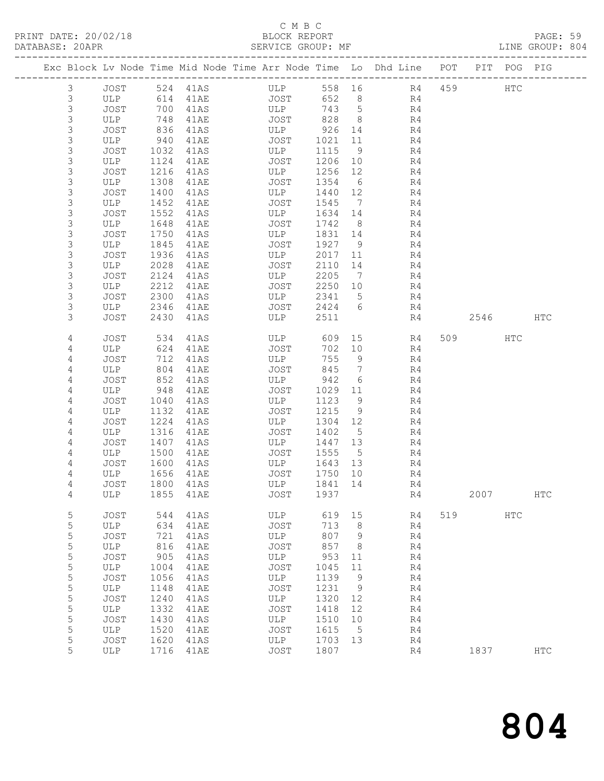### C M B C<br>BLOCK REPORT

| PRINT DATE: 20/02/18<br>DATABASE: 20APR |                |      |      |      | PAGE: 59<br>BLOCK REPORT BLOCK REPORT PAGE: 59<br>SERVICE GROUP: MF LINE GROUP: 804 |            |                 |                |          |  |  |
|-----------------------------------------|----------------|------|------|------|-------------------------------------------------------------------------------------|------------|-----------------|----------------|----------|--|--|
|                                         |                |      |      |      | Exc Block Lv Node Time Mid Node Time Arr Node Time Lo Dhd Line POT PIT POG PIG      |            |                 |                |          |  |  |
|                                         | $\mathfrak{Z}$ |      |      |      | JOST 524 41AS ULP 558 16                                                            |            |                 | R <sub>4</sub> | 459 HTC  |  |  |
|                                         | 3              | ULP  |      |      |                                                                                     |            |                 | R <sub>4</sub> |          |  |  |
|                                         | $\mathfrak{Z}$ | JOST |      |      |                                                                                     |            |                 | R4             |          |  |  |
|                                         | $\mathsf 3$    | ULP  |      |      |                                                                                     |            |                 | R <sub>4</sub> |          |  |  |
|                                         | $\mathsf 3$    | JOST | 836  | 41AS | ULP                                                                                 | 926 14     |                 | R <sub>4</sub> |          |  |  |
|                                         | $\mathsf 3$    | ULP  | 940  | 41AE | JOST                                                                                | 1021 11    |                 | R4             |          |  |  |
|                                         | 3              | JOST | 1032 | 41AS | ULP                                                                                 | 1115       | $\overline{9}$  | R4             |          |  |  |
|                                         | $\mathsf 3$    | ULP  | 1124 | 41AE | JOST                                                                                | 1206       | 10              | R4             |          |  |  |
|                                         | $\mathsf 3$    | JOST | 1216 | 41AS | ULP                                                                                 | 1256       | 12              | R4             |          |  |  |
|                                         | $\mathsf 3$    | ULP  | 1308 | 41AE | JOST                                                                                | 1354       | $6\overline{6}$ | R4             |          |  |  |
|                                         | $\mathsf 3$    | JOST | 1400 | 41AS | ULP                                                                                 | 1440 12    |                 | R4             |          |  |  |
|                                         | $\mathsf 3$    | ULP  | 1452 | 41AE | JOST                                                                                | 1545       | $7\phantom{.0}$ | R4             |          |  |  |
|                                         | $\mathsf 3$    | JOST | 1552 | 41AS | ULP                                                                                 | 1634       | 14              | R4             |          |  |  |
|                                         | $\mathsf 3$    | ULP  | 1648 | 41AE | JOST                                                                                | 1742       | 8               | R4             |          |  |  |
|                                         | $\mathfrak{Z}$ | JOST | 1750 | 41AS | ULP                                                                                 | 1831 14    |                 | R4             |          |  |  |
|                                         | $\mathsf 3$    | ULP  | 1845 | 41AE | JOST                                                                                | 1927       | $\overline{9}$  | R4             |          |  |  |
|                                         | $\mathsf 3$    | JOST | 1936 | 41AS | ULP                                                                                 | 2017       | 11              | R4             |          |  |  |
|                                         | 3              | ULP  | 2028 | 41AE | JOST                                                                                | 2110       | 14              | R4             |          |  |  |
|                                         | $\mathsf 3$    | JOST | 2124 | 41AS | ULP                                                                                 | 2205       | $\overline{7}$  | R4             |          |  |  |
|                                         | $\mathsf 3$    | ULP  | 2212 | 41AE | JOST                                                                                | 2250       | 10              | R4             |          |  |  |
|                                         | $\mathsf 3$    | JOST | 2300 | 41AS | ULP                                                                                 | 2341       | $5\overline{)}$ | R4             |          |  |  |
|                                         | $\mathsf 3$    | ULP  | 2346 | 41AE | JOST                                                                                | 2424       | 6               | R4             |          |  |  |
|                                         | 3              | JOST | 2430 | 41AS | ULP                                                                                 | 2511       |                 | R4             | 2546 HTC |  |  |
|                                         | 4              | JOST | 534  | 41AS |                                                                                     | ULP 609 15 |                 | R4             | 509 HTC  |  |  |
|                                         | 4              | ULP  | 624  | 41AE | JOST                                                                                | 702        | 10              | R4             |          |  |  |
|                                         | 4              | JOST | 712  | 41AS | <b>ULP</b>                                                                          | 755        | 9               | R4             |          |  |  |
|                                         | 4              | ULP  | 804  | 41AE | JOST                                                                                | 845        | $7\phantom{.0}$ | R4             |          |  |  |
|                                         | 4              | JOST | 852  | 41AS | ULP                                                                                 | 942        | 6               | R4             |          |  |  |
|                                         | 4              | ULP  | 948  | 41AE | JOST                                                                                | 1029       | 11              | R4             |          |  |  |
|                                         | 4              | JOST | 1040 | 41AS | ULP                                                                                 | 1123       | 9               | R4             |          |  |  |
|                                         | 4              | ULP  | 1132 | 41AE | JOST                                                                                | 1215       | 9               | R4             |          |  |  |
|                                         | 4              | JOST | 1224 | 41AS | ULP                                                                                 | 1304       | 12              | R4             |          |  |  |
|                                         | 4              | ULP  | 1316 | 41AE | <b>JOST</b>                                                                         | 1402       | 5               | R4             |          |  |  |
|                                         | $\overline{4}$ | JOST | 1407 | 41AS | ULP                                                                                 | 1447 13    |                 | R4             |          |  |  |
|                                         | $\overline{4}$ | ULP  | 1500 | 41AE | <b>JOST</b>                                                                         | 1555       | 5               | R <sub>4</sub> |          |  |  |

4 ULP 1855 41AE JOST 1937 R4 2007 HTC

5 JOST 544 41AS ULP 619 15 R4 519 HTC

 4 JOST 1600 41AS ULP 1643 13 R4 4 ULP 1656 41AE JOST 1750 10 R4 4 JOST 1800 41AS ULP 1841 14 R4

 5 ULP 634 41AE JOST 713 8 R4 5 JOST 721 41AS ULP 807 9 R4 5 ULP 816 41AE JOST 857 8 R4

| 5 | JOST       | 905  | 41AS | ULP        | 953  | 11 | R <sub>4</sub> |      |            |
|---|------------|------|------|------------|------|----|----------------|------|------------|
| 5 | <b>ULP</b> | 1004 | 41AE | JOST       | 1045 | 11 | R <sub>4</sub> |      |            |
| 5 | JOST       | 1056 | 41AS | <b>ULP</b> | 1139 | 9  | R <sub>4</sub> |      |            |
| 5 | <b>ULP</b> | 1148 | 41AE | JOST       | 1231 | 9  | R <sub>4</sub> |      |            |
| 5 | JOST       | 1240 | 41AS | <b>ULP</b> | 1320 | 12 | R <sub>4</sub> |      |            |
| 5 | <b>ULP</b> | 1332 | 41AE | JOST       | 1418 | 12 | R <sub>4</sub> |      |            |
| 5 | JOST       | 1430 | 41AS | <b>ULP</b> | 1510 | 10 | R <sub>4</sub> |      |            |
| 5 | <b>ULP</b> | 1520 | 41AE | JOST       | 1615 | -5 | R <sub>4</sub> |      |            |
| 5 | JOST       | 1620 | 41AS | ULP        | 1703 | 13 | R <sub>4</sub> |      |            |
| 5 | ULP        | 1716 | 41AE | JOST       | 1807 |    | R <sub>4</sub> | 1837 | <b>HTC</b> |
|   |            |      |      |            |      |    |                |      |            |
|   |            |      |      |            |      |    |                |      |            |
|   |            |      |      |            |      |    |                |      |            |
|   |            |      |      |            |      |    |                |      |            |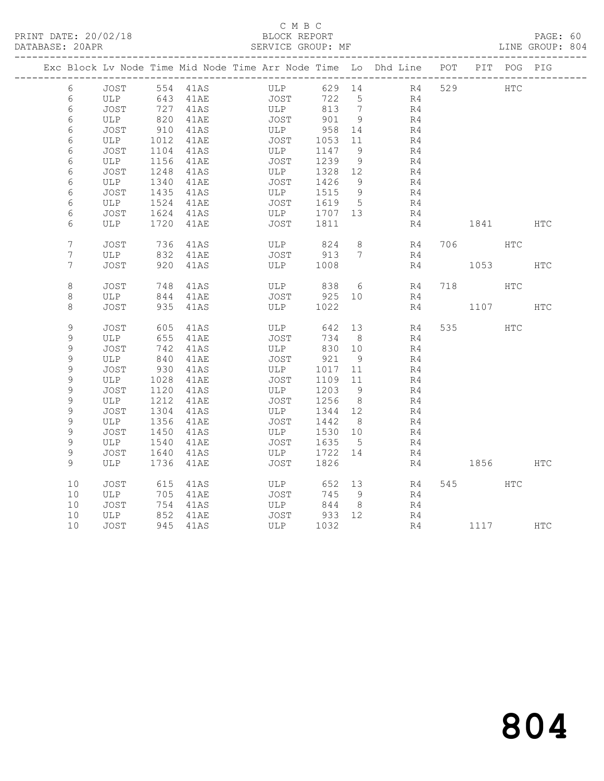#### C M B C<br>BLOCK REPORT

PAGE: 60<br>LINE GROUP: 804

|                 |               |              | Exc Block Lv Node Time Mid Node Time Arr Node Time Lo Dhd Line POT PIT POG PIG |             |                 |                |        |          |     |          |               |            |
|-----------------|---------------|--------------|--------------------------------------------------------------------------------|-------------|-----------------|----------------|--------|----------|-----|----------|---------------|------------|
| 6               | JOST 554 41AS |              |                                                                                | ULP         |                 |                | 629 14 | R4       | 529 | HTC      |               |            |
| 6               | ULP           |              | 643 41AE                                                                       | JOST        | 722             | 5              |        | R4       |     |          |               |            |
| 6               | JOST          |              | $727$ 41AS                                                                     | <b>ULP</b>  | 813 7           |                |        | R4       |     |          |               |            |
| 6               | ULP           | 820          | 41AE                                                                           | JOST        | 901             | 9              |        | R4       |     |          |               |            |
| 6               | JOST          | 910          | 41AS                                                                           | ULP         | 958             | 14             |        | R4       |     |          |               |            |
| 6               | ULP           | 1012         | 41AE                                                                           | <b>JOST</b> | 1053 11         |                |        | R4       |     |          |               |            |
| 6               | JOST          | 1104         | 41AS                                                                           | ULP         | 1147            | - 9            |        | R4       |     |          |               |            |
| 6               | ULP           | 1156         | 41AE                                                                           | JOST        | 1239            | 9              |        | R4       |     |          |               |            |
| 6               | JOST          | 1248         | 41AS                                                                           | ULP         | 1328 12         |                |        | R4       |     |          |               |            |
| 6               | ULP           | 1340         | 41AE                                                                           | JOST        | 1426            | - 9            |        | R4       |     |          |               |            |
| 6               | JOST          | 1435         | 41AS                                                                           | ULP         | 1515            | - 9            |        | R4       |     |          |               |            |
| 6               | ULP           | 1524         | 41AE                                                                           | JOST        | 1619            | 5 <sup>5</sup> |        | R4       |     |          |               |            |
| 6               | JOST          |              | 1624 41AS                                                                      | ULP         | 1707 13         |                |        | R4       |     |          |               |            |
| 6               | ULP           |              | 1720 41AE                                                                      | JOST        | 1811            |                |        | R4       |     | 1841     |               | <b>HTC</b> |
| $7\phantom{.0}$ | JOST          |              | 736 41AS                                                                       | ULP         | 824             | 8              |        | R4       |     | 706 — 10 | HTC           |            |
| $7\phantom{.}$  | ULP           | 832          | 41AE                                                                           |             | JOST 913        | $7\phantom{0}$ |        | R4       |     |          |               |            |
| 7               | JOST          |              | 920 41AS                                                                       | <b>ULP</b>  | 1008            |                |        | R4       |     | 1053     |               | <b>HTC</b> |
| $\,8\,$         | JOST          | 748          | 41AS                                                                           |             | ULP 838         | 6              |        | R4       | 718 |          | $_{\rm{HTC}}$ |            |
| 8               | ULP           |              | 844 41AE                                                                       | JOST        | 925 10          |                |        | R4       |     |          |               |            |
| 8               | JOST          |              | 935 41AS                                                                       | ULP         | 1022            |                |        | R4       |     | 1107     |               | HTC        |
|                 |               |              |                                                                                |             |                 |                |        |          |     |          |               |            |
| 9               | JOST          | 605          | 41AS                                                                           | ULP         | 642             | 13             |        | R4       |     | 535      | <b>HTC</b>    |            |
| 9               | ULP           | 655          | 41AE                                                                           | JOST        | 734             | 8              |        | R4       |     |          |               |            |
| $\mathsf 9$     | JOST          |              | 742 41AS                                                                       | ULP         | 830 10          |                |        | R4       |     |          |               |            |
| 9               | ULP           | 840          | 41AE                                                                           | JOST        | 921             | 9              |        | R4       |     |          |               |            |
| 9               | JOST          | 930          | 41AS                                                                           | ULP         | 1017 11         |                |        | R4       |     |          |               |            |
| $\mathsf 9$     | ULP           | 1028         | 41AE                                                                           | JOST        | 1109 11         |                |        | R4       |     |          |               |            |
| 9               | JOST          | 1120         | 41AS                                                                           | ULP         | 1203            | 9              |        | R4       |     |          |               |            |
| 9               | ULP           | 1212         | 41AE                                                                           | JOST        | 1256            | 8 <sup>8</sup> |        | R4       |     |          |               |            |
| 9               | JOST          | 1304         | 41AS                                                                           | ULP         | 1344 12         |                |        | R4       |     |          |               |            |
| 9<br>9          | ULP<br>JOST   | 1356<br>1450 | 41AE<br>41AS                                                                   | JOST<br>ULP | 1442<br>1530 10 | 8 <sup>8</sup> |        | R4<br>R4 |     |          |               |            |
| 9               | ULP           | 1540         | 41AE                                                                           | JOST        | 1635            | $5^{\circ}$    |        | R4       |     |          |               |            |
| 9               | JOST          | 1640         | 41AS                                                                           | ULP         | 1722 14         |                |        | R4       |     |          |               |            |
| $\mathcal{G}$   | ULP           |              | 1736 41AE                                                                      | JOST        | 1826            |                |        | R4       |     | 1856     |               | HTC        |
|                 |               |              |                                                                                |             |                 |                |        |          |     |          |               |            |
| 10              | JOST          |              | 615 41AS                                                                       | ULP         | 652 13          |                |        | R4       |     | 545      | HTC           |            |
| 10              | ULP           | 705          | 41AE                                                                           | <b>JOST</b> | 745             | - 9            |        | R4       |     |          |               |            |
| 10              | JOST          | 754          | 41AS                                                                           | ULP         | 844             | 8 <sup>8</sup> |        | R4       |     |          |               |            |
| 10              | ULP           |              | 852 41AE                                                                       | JOST        | 933 12          |                |        | R4       |     |          |               |            |
| 10              | JOST          |              | 945 41AS                                                                       | ULP         | 1032            |                |        | R4       |     | 1117 HTC |               |            |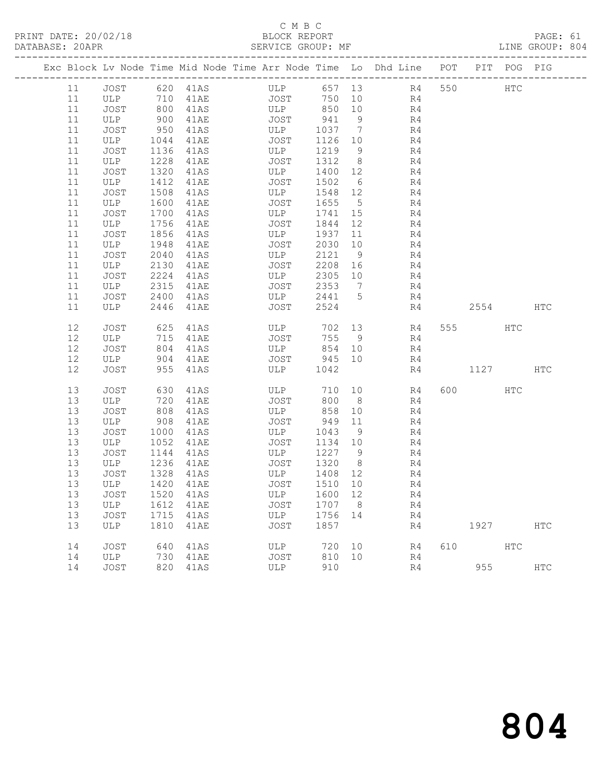### C M B C<br>BLOCK REPORT

PAGE: 61<br>LINE GROUP: 804

|          |             |              |                | Exc Block Lv Node Time Mid Node Time Arr Node Time Lo Dhd Line POT |                 |                 |                |     |             | PIT POG PIG |     |
|----------|-------------|--------------|----------------|--------------------------------------------------------------------|-----------------|-----------------|----------------|-----|-------------|-------------|-----|
| 11       |             |              | JOST 620 41AS  | ULP 657 13 R4                                                      |                 |                 |                | 550 | HTC         |             |     |
| 11       | ULP 710     |              | 41AE           | <b>JOST</b>                                                        |                 |                 | 750 10 R4      |     |             |             |     |
| 11       | JOST        | 800          | 41AS           | ULP                                                                | 850 10          |                 | R <sub>4</sub> |     |             |             |     |
| 11       | ULP         | 900          | 41AE           | JOST                                                               | 941             | 9               | R4             |     |             |             |     |
| 11       | JOST        | 950          | 41AS           | ULP                                                                | 1037 7          |                 | R <sub>4</sub> |     |             |             |     |
| 11       | ULP         | 1044         | 41AE           | JOST                                                               | 1126 10         |                 | R <sub>4</sub> |     |             |             |     |
| 11       | JOST        | 1136         | 41AS           | ULP                                                                | 1219 9          |                 | R4             |     |             |             |     |
| 11       | ULP         | 1228         | 41AE           | JOST                                                               | 1312 8          |                 | R4             |     |             |             |     |
| 11       | JOST        | 1320         | 41AS           | ULP                                                                | 1400 12         |                 | R4             |     |             |             |     |
| 11       | ULP         | 1412         | 41AE           | JOST                                                               | 1502 6          |                 | R4             |     |             |             |     |
| 11       | JOST        | 1508         | 41AS           | ULP                                                                | 1548 12         |                 | R4             |     |             |             |     |
| 11       | ULP         | 1600         | 41AE           | JOST                                                               | 1655            | $5\overline{)}$ | R4             |     |             |             |     |
| 11<br>11 | JOST<br>ULP | 1700<br>1756 | 41AS<br>41AE   | ULP<br>JOST                                                        | 1741 15<br>1844 | 12              | R4<br>R4       |     |             |             |     |
| 11       | JOST        | 1856         | 41AS           | ULP                                                                | 1937            | 11              | R4             |     |             |             |     |
| 11       | ULP         | 1948         | 41AE           | JOST                                                               | 2030            | 10              | R4             |     |             |             |     |
| 11       | JOST        | 2040         | 41AS           | ULP                                                                | 2121 9          |                 | R4             |     |             |             |     |
| 11       | ULP         | 2130         | 41AE           | JOST                                                               | 2208 16         |                 | R4             |     |             |             |     |
| 11       | JOST        | 2224         | 41AS           | ULP                                                                | 2305 10         |                 | R4             |     |             |             |     |
| 11       | ULP         | 2315         | 41AE           | JOST                                                               | 2353 7          |                 | R4             |     |             |             |     |
| 11       | JOST        | 2400         | 41AS           | ULP                                                                | 2441 5          |                 | R4             |     |             |             |     |
| 11       | ULP         | 2446         | 41AE           | JOST                                                               | 2524            |                 | R4             |     | 2554        |             | HTC |
|          |             |              |                |                                                                    |                 |                 |                |     |             |             |     |
| 12       | JOST        | 625          | 41AS           | ULP                                                                | 702 13          |                 | R4             |     | 555 75      | HTC         |     |
| 12       | ULP         | 715          | 41AE           | JOST                                                               | 755 9           |                 | R4             |     |             |             |     |
| 12       | JOST        | 804          | 41AS           | ULP                                                                | 854 10          |                 | R4             |     |             |             |     |
| 12       | ULP         | 904          | 41AE           | JOST 945 10                                                        |                 |                 | R4             |     |             |             |     |
| 12       | JOST        | 955          | 41AS           | ULP                                                                | 1042            |                 | R4             |     | 1127        |             | HTC |
| 13       | JOST        | 630          | 41AS           | ULP                                                                | 710 10          |                 | R4             |     | 600 HTC     |             |     |
| 13       | ULP         | 720          | 41AE           | JOST                                                               | 800             | 8 <sup>8</sup>  | R4             |     |             |             |     |
| 13       | JOST        | 808          | 41AS           | ULP                                                                | 858             | 10              | R4             |     |             |             |     |
| 13       | ULP         | 908          | 41AE           | JOST                                                               | 949             | 11              | R4             |     |             |             |     |
| 13       | JOST        | 1000         | 41AS           | ULP                                                                | 1043 9          |                 | R4             |     |             |             |     |
| 13       | ULP         | 1052         | 41AE           | JOST                                                               | 1134 10         |                 | R4             |     |             |             |     |
| 13       | JOST        | 1144         | 41AS           | ULP                                                                | 1227 9          |                 | R4             |     |             |             |     |
| 13       | ULP         | 1236         | 41AE           | JOST                                                               | 1320            | 8 <sup>8</sup>  | R4             |     |             |             |     |
| 13       | JOST        | 1328         | 41AS           | ULP                                                                | 1408 12         |                 | R4             |     |             |             |     |
| 13       | ULP         |              | 1420 41AE      | JOST                                                               | 1510 10         |                 | R4             |     |             |             |     |
| 13       |             |              | JOST 1520 41AS | ULP 1600 12                                                        |                 |                 | R4             |     |             |             |     |
| 13       | ULP         | 1612         | 41AE           | JOST                                                               | 1707 8          |                 | R4             |     |             |             |     |
| 13       | JOST        | 1715         | 41AS           | ULP                                                                | 1756 14         |                 | R4             |     |             |             |     |
| 13       | ULP         | 1810         | 41AE           | JOST                                                               | 1857            |                 | R4             |     | 1927   1927 |             | HTC |
| 14       | JOST        | 640          | 41AS           | ULP                                                                | 720             | 10              | R4             | 610 |             | HTC         |     |
| 14       | ULP         | 730          | 41AE           | JOST                                                               | 810             | 10              | R4             |     |             |             |     |
| 14       | JOST        | 820          | 41AS           | ULP                                                                | 910             |                 | R4             |     | 955         |             | HTC |
|          |             |              |                |                                                                    |                 |                 |                |     |             |             |     |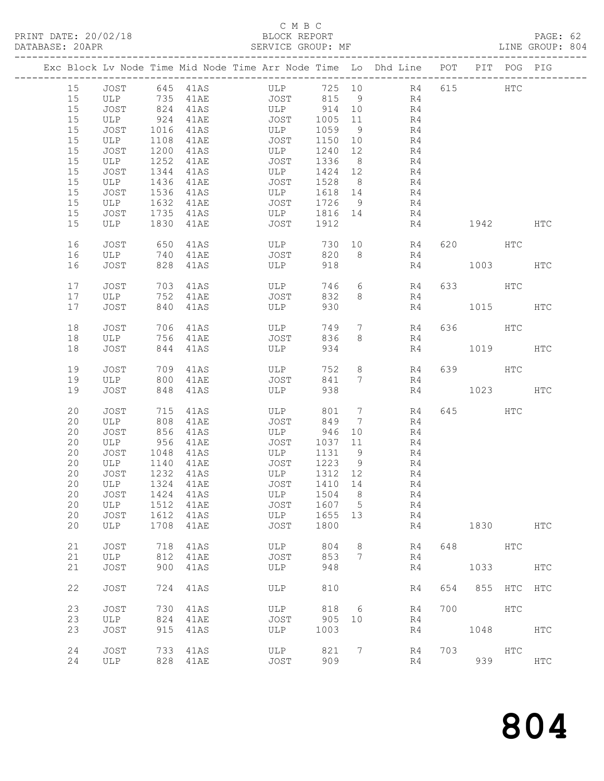#### C M B C<br>BLOCK REPORT

PAGE: 62<br>LINE GROUP: 804

|  |          |                    |            |                               | Exc Block Lv Node Time Mid Node Time Arr Node Time Lo Dhd Line POT PIT POG PIG |                 |                 |                      |     |           |            |               |
|--|----------|--------------------|------------|-------------------------------|--------------------------------------------------------------------------------|-----------------|-----------------|----------------------|-----|-----------|------------|---------------|
|  | 15       | JOST               |            | 645 41AS                      | ULP 725 10 R4                                                                  |                 |                 |                      |     | 615       | HTC        |               |
|  | 15       |                    |            |                               | JOST                                                                           | 815 9           |                 | R4                   |     |           |            |               |
|  | 15       |                    |            | ULP 735 41AE<br>JOST 824 41AS | ULP                                                                            | 914 10          |                 | R <sub>4</sub>       |     |           |            |               |
|  | 15       | ULP                |            | 924 41AE                      | <b>JOST</b>                                                                    | 1005            | 11              | R4                   |     |           |            |               |
|  | 15       | JOST               | 1016       | 41AS                          | ULP                                                                            | 1059            | 9               | R4                   |     |           |            |               |
|  | 15       | ULP                | 1108       | 41AE                          | JOST                                                                           | 1150            | 10              | R4                   |     |           |            |               |
|  | 15       | JOST               | 1200       | 41AS                          | ULP                                                                            | 1240            | 12              | R4                   |     |           |            |               |
|  | 15       | ULP                | 1252       | 41AE                          | JOST                                                                           | 1336            | 8 <sup>8</sup>  | R4                   |     |           |            |               |
|  | 15       | <b>JOST</b>        | 1344       | 41AS                          | ULP                                                                            | 1424            | 12              | R4                   |     |           |            |               |
|  | 15       | ULP                | 1436       | 41AE                          | JOST                                                                           | 1528            | 8 <sup>8</sup>  | R4                   |     |           |            |               |
|  | 15       | JOST               |            | 1536 41AS                     | ULP                                                                            | 1618 14         |                 | R4                   |     |           |            |               |
|  | 15       | ULP                |            | 1632 41AE                     | JOST                                                                           | 1726            | 9               | R4                   |     |           |            |               |
|  | 15<br>15 | JOST<br>ULP        | 1830       | 1735 41AS<br>41AE             | ULP<br>JOST                                                                    | 1816 14<br>1912 |                 | R4<br>R4             |     | 1942      |            | HTC           |
|  |          |                    |            |                               |                                                                                |                 |                 |                      |     |           |            |               |
|  | 16       | JOST               | 650        | 41AS                          | ULP                                                                            | 730             |                 | 10<br>R4             |     | 620 HTC   |            |               |
|  | 16       | ULP                | 740        | 41AE                          | JOST                                                                           | 820             | 8 <sup>8</sup>  | R4                   |     |           |            |               |
|  | 16       | JOST               | 828        | 41AS                          | ULP                                                                            | 918             |                 | R4                   |     | 1003      |            | HTC           |
|  |          |                    |            |                               |                                                                                |                 |                 |                      |     |           |            |               |
|  | 17       | JOST               |            | 703 41AS                      | ULP                                                                            | 746             |                 | $6\overline{}$<br>R4 |     | 633 HTC   |            |               |
|  | 17       | ULP                | 752        | 41AE                          | JOST                                                                           | 832             | 8               | R4                   |     |           |            |               |
|  | 17       | JOST               | 840        | 41AS                          | ULP                                                                            | 930             |                 | R4                   |     | 1015      |            | HTC           |
|  | 18       | JOST               | 706        | 41AS                          | ULP                                                                            | 749             | $7\phantom{.0}$ | R4                   |     | 636 HTC   |            |               |
|  | 18       | ULP                | 756        | 41AE                          | JOST                                                                           | 836             | 8               | R4                   |     |           |            |               |
|  | 18       | JOST               |            | 844 41AS                      | ULP                                                                            | 934             |                 | R4                   |     | 1019      |            | HTC           |
|  |          |                    |            |                               |                                                                                |                 |                 |                      |     |           |            |               |
|  | 19       | JOST               | 709        | 41AS                          | ULP                                                                            | 752             | 8               | R4                   |     | 639 HTC   |            |               |
|  | 19       | ULP 800            |            | 41AE                          | JOST                                                                           | 841             | $7\phantom{0}$  | R4                   |     |           |            |               |
|  | 19       | JOST               | 848        | 41AS                          | ULP                                                                            | 938             |                 | R4                   |     | 1023      |            | HTC           |
|  | 20       | JOST               | 715        | 41AS                          | ULP                                                                            | 801             | $7\overline{ }$ | R4                   |     | 645   100 | HTC        |               |
|  | 20       | ULP                | 808        | 41AE                          | JOST                                                                           | 849             | 7               | R4                   |     |           |            |               |
|  | 20       | JOST               | 856        | 41AS                          | ULP                                                                            | 946             | 10 <sup>°</sup> | R4                   |     |           |            |               |
|  | 20       | ULP                | 956        | 41AE                          | JOST                                                                           | 1037            | 11              | R4                   |     |           |            |               |
|  | 20       | JOST               | 1048       | 41AS                          | ULP                                                                            | 1131            | 9               | R4                   |     |           |            |               |
|  | 20       | ULP                |            | 1140 41AE                     | JOST                                                                           | 1223            | 9               | R4                   |     |           |            |               |
|  | 20       | JOST               |            | 1232 41AS                     | ULP                                                                            | 1312 12         |                 | R <sub>4</sub>       |     |           |            |               |
|  | 20       | ULP                |            | 1324 41AE                     | JOST                                                                           | 1410 14         |                 | R4                   |     |           |            |               |
|  | 20       | JOST 1424 41AS     |            |                               | ULP 1504 8                                                                     |                 |                 | R <sub>4</sub>       |     |           |            |               |
|  | 20       | ULP                | 1512       | 41AE                          | JOST                                                                           | 1607            | $5\overline{)}$ | R4                   |     |           |            |               |
|  | 20       | <b>JOST</b>        | 1612       | 41AS                          | ULP                                                                            | 1655            | 13              | R4                   |     |           |            |               |
|  | 20       | ULP                | 1708       | 41AE                          | JOST                                                                           | 1800            |                 | R4                   |     | 1830      |            | <b>HTC</b>    |
|  | 21       | <b>JOST</b>        | 718        | 41AS                          | ULP                                                                            | 804             | 8               | R4                   | 648 |           | HTC        |               |
|  | 21       | ULP                | 812        | 41AE                          | <b>JOST</b>                                                                    | 853             | 7               | R4                   |     |           |            |               |
|  | 21       | <b>JOST</b>        | 900        | 41AS                          | ULP                                                                            | 948             |                 | R4                   |     | 1033      |            | HTC           |
|  |          |                    |            |                               |                                                                                |                 |                 |                      |     |           |            |               |
|  | 22       | JOST               | 724        | 41AS                          | ULP                                                                            | 810             |                 | R4                   | 654 | 855       | HTC        | HTC           |
|  | 23       | <b>JOST</b>        | 730        | 41AS                          | ULP                                                                            | 818             | 6               | R4                   | 700 |           | <b>HTC</b> |               |
|  | 23       | ULP                | 824        | 41AE                          | JOST                                                                           | 905             | 10              | R4                   |     |           |            |               |
|  | 23       | JOST               | 915        | 41AS                          | ULP                                                                            | 1003            |                 | R4                   |     | 1048      |            | <b>HTC</b>    |
|  |          |                    |            |                               |                                                                                |                 |                 |                      |     |           |            |               |
|  | 24<br>24 | <b>JOST</b><br>ULP | 733<br>828 | 41AS                          | ULP                                                                            | 821<br>909      | 7               | R4<br>R4             | 703 | 939       | HTC        |               |
|  |          |                    |            | 41AE                          | JOST                                                                           |                 |                 |                      |     |           |            | $_{\rm{HTC}}$ |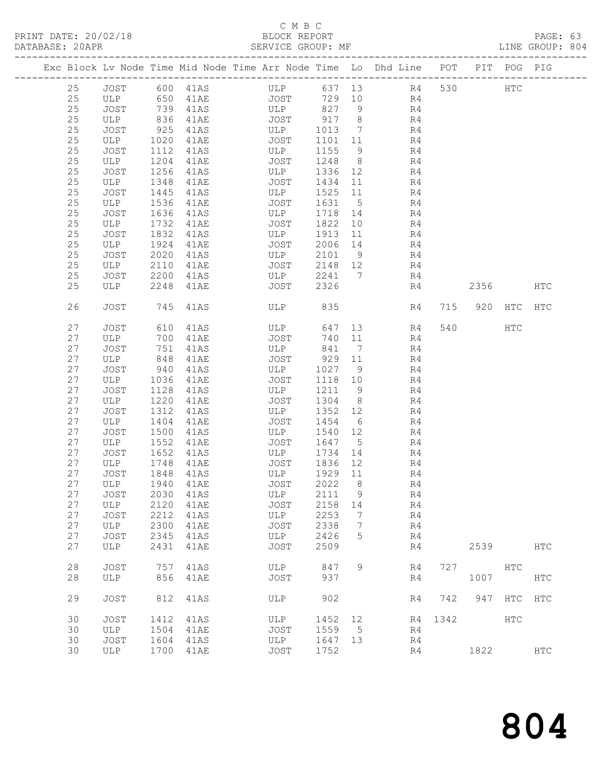## C M B C<br>BLOCK REPORT

| DATABASE: 20APR |    |             |      |                      | SERVICE GROUP: MF                                                              |                 |                              |                |      |                 |         | LINE GROUP: 804 |  |
|-----------------|----|-------------|------|----------------------|--------------------------------------------------------------------------------|-----------------|------------------------------|----------------|------|-----------------|---------|-----------------|--|
|                 |    |             |      |                      | Exc Block Lv Node Time Mid Node Time Arr Node Time Lo Dhd Line POT PIT POG PIG |                 |                              |                |      |                 |         |                 |  |
|                 | 25 |             |      |                      | JOST 600 41AS ULP 637 13 R4 530 HTC                                            |                 |                              |                |      |                 |         |                 |  |
|                 | 25 | ULP 650     |      | 41AE                 |                                                                                |                 |                              | JOST 729 10 R4 |      |                 |         |                 |  |
|                 | 25 | JOST        | 739  |                      | 41AS ULP 827 9                                                                 |                 |                              | R <sub>4</sub> |      |                 |         |                 |  |
|                 | 25 | ULP         | 836  |                      | JOST                                                                           | 917 8           |                              | R <sub>4</sub> |      |                 |         |                 |  |
|                 | 25 | JOST        | 925  | 41AE<br>41AS<br>41AS | ULP                                                                            | 1013            | $7\overline{ }$              | R4             |      |                 |         |                 |  |
|                 | 25 | ULP         | 1020 | 41AE                 | JOST                                                                           | 1101 11         |                              | R <sub>4</sub> |      |                 |         |                 |  |
|                 | 25 | JOST        | 1112 | 41AS                 | ULP                                                                            | 1155 9          |                              | R4             |      |                 |         |                 |  |
|                 | 25 | ULP         | 1204 |                      | JOST                                                                           | 1248 8          |                              | R4             |      |                 |         |                 |  |
|                 | 25 | JOST        | 1256 | 41AE<br>41AS         | ULP                                                                            | 1336 12         |                              | R4             |      |                 |         |                 |  |
|                 | 25 | ULP         | 1348 | 41AE                 | JOST                                                                           | 1434 11         |                              | R4             |      |                 |         |                 |  |
|                 | 25 | JOST        | 1445 | 41AS                 | ULP                                                                            | 1525            | 11                           | R4             |      |                 |         |                 |  |
|                 | 25 | ULP         | 1536 | 41AE                 | JOST                                                                           | 1631 5          |                              | R4             |      |                 |         |                 |  |
|                 | 25 | JOST        | 1636 | 41AS                 | ULP                                                                            | 1718 14         |                              | R4             |      |                 |         |                 |  |
|                 | 25 | ULP         | 1732 | 41AE                 | JOST                                                                           | 1822            | 10                           | R4             |      |                 |         |                 |  |
|                 | 25 | JOST        | 1832 |                      | ULP                                                                            |                 |                              | R4             |      |                 |         |                 |  |
|                 | 25 | ULP         | 1924 | 41AS                 |                                                                                | 1913<br>2006 14 | 11                           | R4             |      |                 |         |                 |  |
|                 | 25 |             | 2020 | 41AE                 | JOST                                                                           | 2101 9          |                              | R4             |      |                 |         |                 |  |
|                 |    | JOST        |      | 41AS<br>41AE         | ULP<br><b>JOST</b>                                                             |                 |                              | R <sub>4</sub> |      |                 |         |                 |  |
|                 | 25 | ULP         | 2110 |                      |                                                                                | 2148 12         |                              |                |      |                 |         |                 |  |
|                 | 25 | JOST        | 2200 | 41AS                 | ULP                                                                            |                 |                              | 2241 7<br>R4   |      |                 |         |                 |  |
|                 | 25 | ULP         | 2248 | 41AE                 | JOST                                                                           | 2326            |                              | R4             |      | 2356            |         | HTC             |  |
|                 | 26 | <b>JOST</b> | 745  | 41AS                 | ULP                                                                            | 835             |                              | R4             | 715  |                 | 920 HTC | <b>HTC</b>      |  |
|                 | 27 | JOST        | 610  | 41AS                 | ULP                                                                            | 647             | 13                           | R4             |      | 540             | HTC     |                 |  |
|                 | 27 | ULP         | 700  | 41AE                 | JOST                                                                           | 740 11          |                              | R4             |      |                 |         |                 |  |
|                 | 27 | JOST        | 751  | 41AS                 | ULP                                                                            | 841             | $\overline{7}$               | R4             |      |                 |         |                 |  |
|                 | 27 | ULP         | 848  | 41AE                 | JOST 929 11                                                                    |                 |                              | R4             |      |                 |         |                 |  |
|                 | 27 | JOST        | 940  | 41AS                 | ULP                                                                            | 1027            | 9                            | R4             |      |                 |         |                 |  |
|                 | 27 | ULP         | 1036 | 41AE                 | JOST                                                                           | 1118 10         |                              | R4             |      |                 |         |                 |  |
|                 | 27 | JOST        | 1128 | 41AS                 | ULP                                                                            | 1211 9          |                              | R4             |      |                 |         |                 |  |
|                 | 27 | ULP         | 1220 | 41AE                 | JOST                                                                           | 1304            | 8 <sup>8</sup>               | R4             |      |                 |         |                 |  |
|                 | 27 | JOST        | 1312 | 41AS                 | ULP                                                                            | 1352            | 12                           | R4             |      |                 |         |                 |  |
|                 | 27 | ULP         | 1404 |                      | JOST                                                                           | 1454 6          |                              | R4             |      |                 |         |                 |  |
|                 | 27 | JOST        | 1500 | 41AE<br>41AS         | ULP                                                                            | 1540            | 12                           | R4             |      |                 |         |                 |  |
|                 | 27 | ULP         | 1552 | 41AE                 | JOST                                                                           | 1647 5          |                              | R4             |      |                 |         |                 |  |
|                 | 27 | JOST        | 1652 | 41AS                 | ULP                                                                            | 1734            | 14                           | R4             |      |                 |         |                 |  |
|                 | 27 | ULP         | 1748 | 41AE                 |                                                                                | 1836 12         |                              | R4             |      |                 |         |                 |  |
|                 | 27 | JOST        | 1848 | 41AS                 | JOST<br>ULP                                                                    | 1929 11         |                              | R4             |      |                 |         |                 |  |
|                 |    |             |      |                      | 27 ULP 1940 41AE JOST 2022 8                                                   |                 |                              | R4             |      |                 |         |                 |  |
|                 | 27 | JOST        | 2030 | 41AS                 | ULP                                                                            | 2111            | $\overline{9}$               | R4             |      |                 |         |                 |  |
|                 | 27 | ULP         | 2120 | 41AE                 | JOST                                                                           | 2158 14         |                              | R4             |      |                 |         |                 |  |
|                 | 27 | <b>JOST</b> | 2212 | 41AS                 | ULP                                                                            | 2253            | $\overline{7}$               | R4             |      |                 |         |                 |  |
|                 | 27 | ULP         | 2300 | 41AE                 | JOST                                                                           | 2338            | $7\phantom{.0}\phantom{.0}7$ | R4             |      |                 |         |                 |  |
|                 | 27 | JOST        | 2345 | 41AS                 | ULP                                                                            | 2426            | 5                            | R4             |      |                 |         |                 |  |
|                 | 27 | ULP         | 2431 | 41AE                 | JOST                                                                           | 2509            |                              | R4             |      | 2539            |         | HTC             |  |
|                 | 28 | <b>JOST</b> | 757  | 41AS                 | ULP                                                                            | 847             | 9                            | R4             |      | 727 HTC         |         |                 |  |
|                 | 28 | ULP         | 856  | 41AE                 | JOST                                                                           | 937             |                              | R4             |      | 1007            |         | HTC             |  |
|                 | 29 | JOST        | 812  | 41AS                 | ULP                                                                            | 902             |                              | R4             |      | 742 947 HTC HTC |         |                 |  |
|                 | 30 | JOST        | 1412 | 41AS                 | ULP                                                                            | 1452 12         |                              | R4             | 1342 |                 | HTC     |                 |  |
|                 | 30 | ULP         | 1504 | 41AE                 | JOST                                                                           | 1559 5          |                              | R4             |      |                 |         |                 |  |
|                 | 30 | JOST        | 1604 | 41AS                 | ULP                                                                            | 1647 13         |                              | R4             |      |                 |         |                 |  |
|                 | 30 | ULP         |      | 1700 41AE            | JOST                                                                           | 1752            |                              | R4             |      | 1822            |         | $_{\rm{HTC}}$   |  |
|                 |    |             |      |                      |                                                                                |                 |                              |                |      |                 |         |                 |  |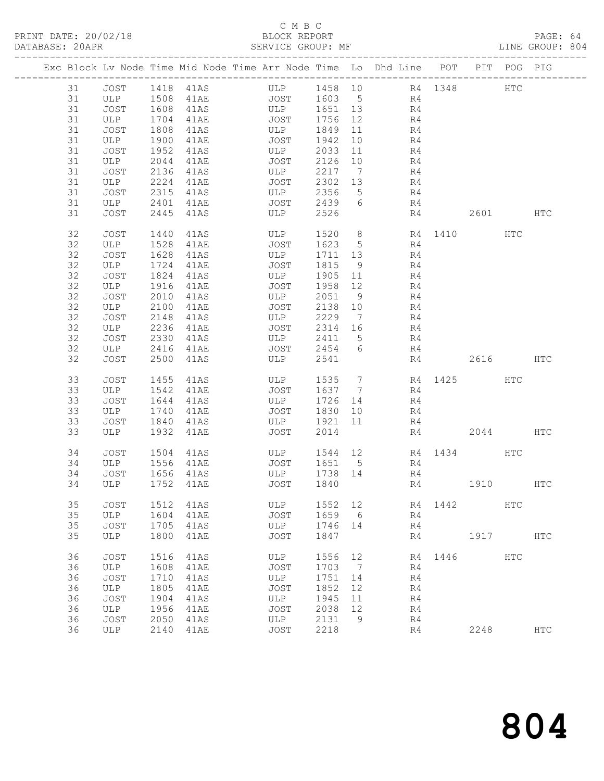#### C M B C<br>BLOCK REPORT

PAGE: 64<br>LINE GROUP: 804

|          |                                 |              |               | Exc Block Lv Node Time Mid Node Time Arr Node Time Lo Dhd Line POT |                  |    |                                  |         |          | PIT POG PIG |               |
|----------|---------------------------------|--------------|---------------|--------------------------------------------------------------------|------------------|----|----------------------------------|---------|----------|-------------|---------------|
|          |                                 |              |               | 31 JOST 1418 41AS ULP 1458 10 R4 1348                              |                  |    |                                  |         |          | HTC         |               |
| 31       |                                 |              | ULP 1508 41AE |                                                                    |                  |    | JOST 1603 5 R4                   |         |          |             |               |
| 31       | JOST                            | 1608         | 41AS          | ULP 1651 13                                                        |                  |    | R <sub>4</sub>                   |         |          |             |               |
| 31       | ULP                             | 1704         | 41AE          | JOST                                                               | 1756 12          |    | R4                               |         |          |             |               |
| 31       | JOST                            | 1808         | 41AS          | ULP                                                                | 1849 11          |    | R4                               |         |          |             |               |
| 31       | ULP                             | 1900         | 41AE          | JOST                                                               | 1942             | 10 | R4                               |         |          |             |               |
| 31       | JOST                            | 1952         | 41AS          | <b>ULP</b>                                                         | 2033 11          |    | R4                               |         |          |             |               |
| 31       | ULP                             | 2044         | 41AE          | JOST                                                               | 2126 10          |    | R4                               |         |          |             |               |
| 31       | JOST                            | 2136         | 41AS          | ULP<br>JOST                                                        | 2217 7           |    | R <sub>4</sub><br>R <sub>4</sub> |         |          |             |               |
| 31       | ULP                             | 2224         | 41AE<br>41AS  | ULP                                                                | 2302 13          |    | R <sub>4</sub>                   |         |          |             |               |
| 31<br>31 | JOST                            | 2315         |               | JOST                                                               | 2356 5<br>2439 6 |    |                                  |         |          |             |               |
| 31       | ULP<br>JOST                     | 2401<br>2445 | 41AE<br>41AS  | ULP                                                                | 2526             |    | R4                               | R4      | 2601 HTC |             |               |
|          |                                 |              |               |                                                                    |                  |    |                                  |         |          |             |               |
| 32       | JOST                            | 1440         | 41AS          | ULP                                                                |                  |    | 1520 8 R4 1410                   |         |          | HTC         |               |
| 32       | ULP                             | 1528         | 41AE          | JOST                                                               | 1623 5           |    | R4                               |         |          |             |               |
| 32       | JOST                            | 1628         | 41AS          | ULP                                                                | 1711 13          |    | R4                               |         |          |             |               |
| 32       | ULP                             | 1724         | 41AE          | JOST                                                               | 1815 9           |    | R4                               |         |          |             |               |
| 32       | JOST                            | 1824         | 41AS          | ULP                                                                | 1905 11          |    | R4                               |         |          |             |               |
| 32       | ULP                             | 1916         | 41AE          | JOST                                                               | 1958 12          |    | R4                               |         |          |             |               |
| 32       | JOST                            | 2010         | 41AS          | ULP                                                                | 2051 9           |    | R4                               |         |          |             |               |
| 32       | ULP                             | 2100         | 41AE          | JOST                                                               | 2138 10          |    | R <sub>4</sub>                   |         |          |             |               |
| 32       | JOST                            | 2148         | 41AS          | ULP                                                                | 2229 7           |    | R4                               |         |          |             |               |
| 32       | ULP                             | 2236         | 41AE          | JOST                                                               | 2314 16          |    | R4                               |         |          |             |               |
| 32       | JOST                            | 2330         | 41AS          | ULP                                                                | 2411 5           |    | R4                               |         |          |             |               |
| 32       | ULP                             | 2416         | 41AE          | JOST                                                               | 2454 6           |    | R4                               |         |          |             |               |
| 32       | JOST                            | 2500         | 41AS          | ULP                                                                | 2541             |    | R4                               |         | 2616 HTC |             |               |
| 33       | <b>JOST</b>                     | 1455         | 41AS          | ULP                                                                | 1535 7           |    | R4 1425 HTC                      |         |          |             |               |
| 33       | ULP                             | 1542         | 41AE          | JOST                                                               | 1637 7           |    | R4                               |         |          |             |               |
| 33       | JOST                            | 1644         | 41AS          | ULP                                                                | 1726 14          |    | R4                               |         |          |             |               |
| 33       | ULP                             | 1740         | 41AE          | <b>JOST</b>                                                        | 1830 10          |    | R4                               |         |          |             |               |
| 33       | JOST                            | 1840         | 41AS          | ULP                                                                | 1921 11          |    | R4                               |         |          |             |               |
| 33       | ULP                             | 1932         | 41AE          | JOST                                                               | 2014             |    |                                  | R4      | 2044     |             | HTC           |
|          |                                 |              |               |                                                                    |                  |    |                                  |         |          |             |               |
| 34       | JOST                            |              | 1504 41AS     | ULP                                                                |                  |    | 1544 12 R4 1434 HTC              |         |          |             |               |
| 34       | ULP                             |              | 1556 41AE     | JOST                                                               | 1651 5           |    | R4                               |         |          |             |               |
| 34<br>34 | JOST 1656 41AS<br>ULP 1752 41AE |              |               | ULP<br>JOST                                                        | 1738 14<br>1840  |    | R <sub>4</sub>                   | R4 1910 |          |             | HTC           |
|          |                                 |              |               |                                                                    |                  |    |                                  |         |          |             |               |
| 35       | JOST                            | 1512         | 41AS          | ULP                                                                | 1552             | 12 | R4                               | 1442    |          | HTC         |               |
| 35       | ULP                             | 1604         | 41AE          | JOST                                                               | 1659             | 6  | R4                               |         |          |             |               |
| 35       | JOST                            | 1705         | 41AS          | ULP                                                                | 1746             | 14 | R4                               |         |          |             |               |
| 35       | ULP                             | 1800         | 41AE          | <b>JOST</b>                                                        | 1847             |    | R4                               |         | 1917     |             | $_{\rm{HTC}}$ |
| 36       | JOST                            | 1516         | 41AS          | ULP                                                                | 1556             | 12 | R4                               | 1446    |          | HTC         |               |
| 36       | ULP                             | 1608         | 41AE          | JOST                                                               | 1703             | 7  | R4                               |         |          |             |               |
| 36       | JOST                            | 1710         | 41AS          | ULP                                                                | 1751             | 14 | R4                               |         |          |             |               |
| 36       | ULP                             | 1805         | 41AE          | JOST                                                               | 1852             | 12 | R4                               |         |          |             |               |
| 36       | JOST                            | 1904         | 41AS          | ULP                                                                | 1945             | 11 | R4                               |         |          |             |               |
| 36       | ULP                             | 1956         | 41AE          | <b>JOST</b>                                                        | 2038             | 12 | R4                               |         |          |             |               |
| 36       | JOST                            | 2050         | 41AS          | ULP                                                                | 2131             | 9  | R4                               |         |          |             |               |
| 36       | ULP                             | 2140         | 41AE          | JOST                                                               | 2218             |    | R4                               |         | 2248     |             | HTC           |
|          |                                 |              |               |                                                                    |                  |    |                                  |         |          |             |               |